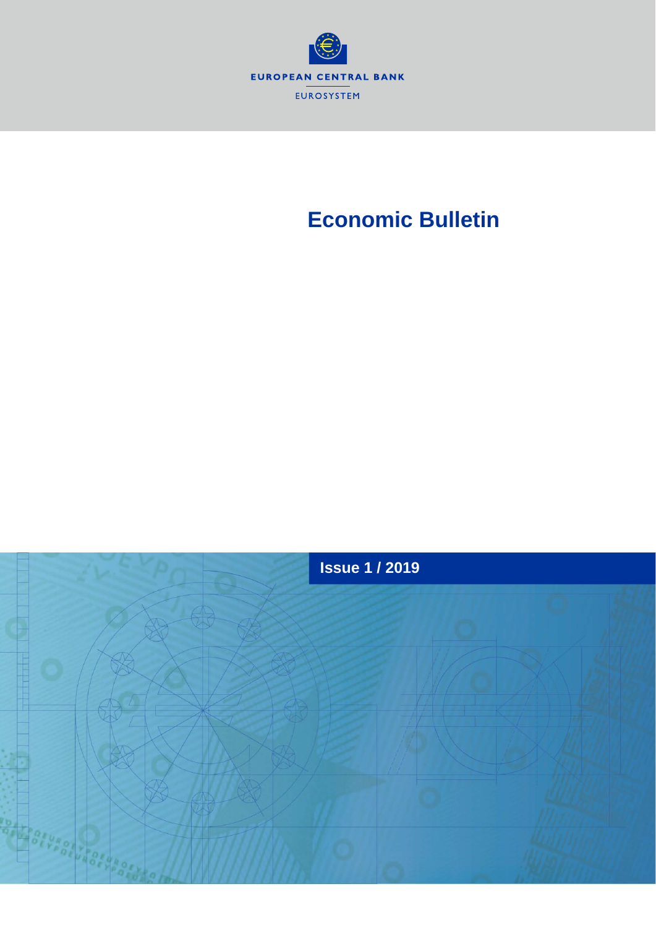

# **Economic Bulletin**

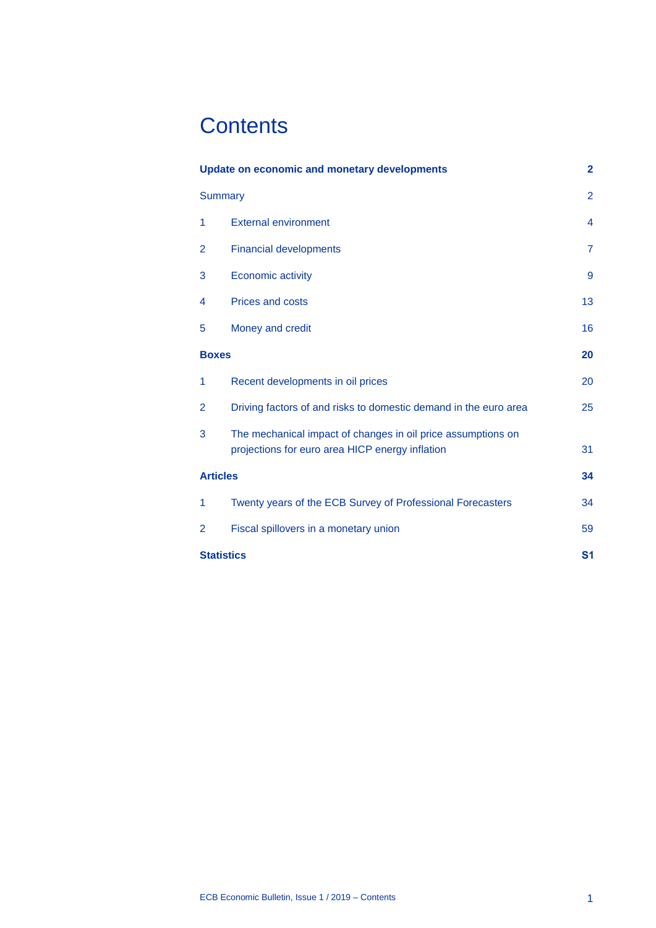# **Contents**

| <b>Update on economic and monetary developments</b> |                                                                                                                 | $\mathbf{2}$            |
|-----------------------------------------------------|-----------------------------------------------------------------------------------------------------------------|-------------------------|
| <b>Summary</b>                                      |                                                                                                                 | $\overline{2}$          |
| 1                                                   | <b>External environment</b>                                                                                     | $\overline{\mathbf{4}}$ |
| 2                                                   | <b>Financial developments</b>                                                                                   | $\overline{7}$          |
| 3                                                   | Economic activity                                                                                               | 9                       |
| 4                                                   | <b>Prices and costs</b>                                                                                         | 13                      |
| 5                                                   | Money and credit                                                                                                | 16                      |
| <b>Boxes</b>                                        |                                                                                                                 | 20                      |
| 1                                                   | Recent developments in oil prices                                                                               | 20                      |
| 2                                                   | Driving factors of and risks to domestic demand in the euro area                                                | 25                      |
| 3                                                   | The mechanical impact of changes in oil price assumptions on<br>projections for euro area HICP energy inflation | 31                      |
| <b>Articles</b>                                     |                                                                                                                 | 34                      |
| 1                                                   | Twenty years of the ECB Survey of Professional Forecasters                                                      | 34                      |
| 2                                                   | Fiscal spillovers in a monetary union                                                                           | 59                      |
| <b>Statistics</b>                                   |                                                                                                                 | S <sub>1</sub>          |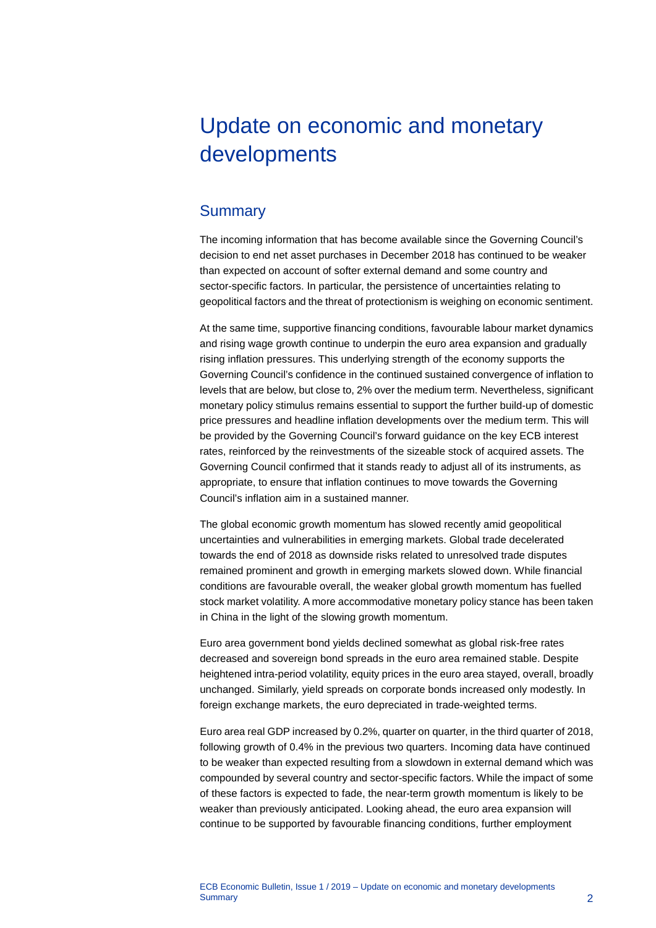# <span id="page-2-0"></span>Update on economic and monetary developments

## <span id="page-2-1"></span>**Summary**

The incoming information that has become available since the Governing Council's decision to end net asset purchases in December 2018 has continued to be weaker than expected on account of softer external demand and some country and sector-specific factors. In particular, the persistence of uncertainties relating to geopolitical factors and the threat of protectionism is weighing on economic sentiment.

At the same time, supportive financing conditions, favourable labour market dynamics and rising wage growth continue to underpin the euro area expansion and gradually rising inflation pressures. This underlying strength of the economy supports the Governing Council's confidence in the continued sustained convergence of inflation to levels that are below, but close to, 2% over the medium term. Nevertheless, significant monetary policy stimulus remains essential to support the further build-up of domestic price pressures and headline inflation developments over the medium term. This will be provided by the Governing Council's forward guidance on the key ECB interest rates, reinforced by the reinvestments of the sizeable stock of acquired assets. The Governing Council confirmed that it stands ready to adjust all of its instruments, as appropriate, to ensure that inflation continues to move towards the Governing Council's inflation aim in a sustained manner.

The global economic growth momentum has slowed recently amid geopolitical uncertainties and vulnerabilities in emerging markets. Global trade decelerated towards the end of 2018 as downside risks related to unresolved trade disputes remained prominent and growth in emerging markets slowed down. While financial conditions are favourable overall, the weaker global growth momentum has fuelled stock market volatility. A more accommodative monetary policy stance has been taken in China in the light of the slowing growth momentum.

Euro area government bond yields declined somewhat as global risk-free rates decreased and sovereign bond spreads in the euro area remained stable. Despite heightened intra-period volatility, equity prices in the euro area stayed, overall, broadly unchanged. Similarly, yield spreads on corporate bonds increased only modestly. In foreign exchange markets, the euro depreciated in trade-weighted terms.

Euro area real GDP increased by 0.2%, quarter on quarter, in the third quarter of 2018, following growth of 0.4% in the previous two quarters. Incoming data have continued to be weaker than expected resulting from a slowdown in external demand which was compounded by several country and sector-specific factors. While the impact of some of these factors is expected to fade, the near-term growth momentum is likely to be weaker than previously anticipated. Looking ahead, the euro area expansion will continue to be supported by favourable financing conditions, further employment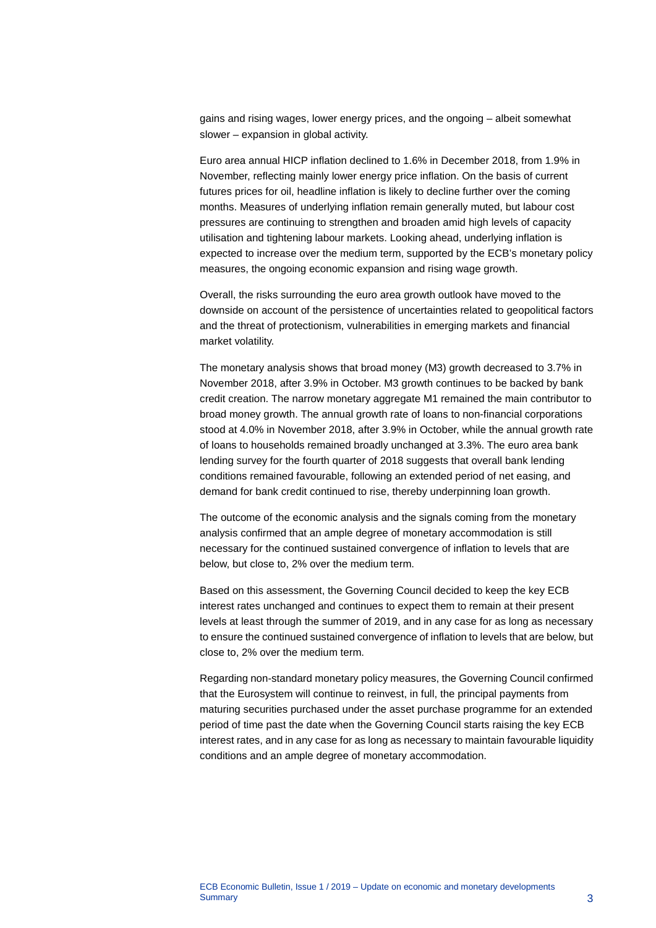gains and rising wages, lower energy prices, and the ongoing – albeit somewhat slower – expansion in global activity.

Euro area annual HICP inflation declined to 1.6% in December 2018, from 1.9% in November, reflecting mainly lower energy price inflation. On the basis of current futures prices for oil, headline inflation is likely to decline further over the coming months. Measures of underlying inflation remain generally muted, but labour cost pressures are continuing to strengthen and broaden amid high levels of capacity utilisation and tightening labour markets. Looking ahead, underlying inflation is expected to increase over the medium term, supported by the ECB's monetary policy measures, the ongoing economic expansion and rising wage growth.

Overall, the risks surrounding the euro area growth outlook have moved to the downside on account of the persistence of uncertainties related to geopolitical factors and the threat of protectionism, vulnerabilities in emerging markets and financial market volatility.

The monetary analysis shows that broad money (M3) growth decreased to 3.7% in November 2018, after 3.9% in October. M3 growth continues to be backed by bank credit creation. The narrow monetary aggregate M1 remained the main contributor to broad money growth. The annual growth rate of loans to non-financial corporations stood at 4.0% in November 2018, after 3.9% in October, while the annual growth rate of loans to households remained broadly unchanged at 3.3%. The euro area bank lending survey for the fourth quarter of 2018 suggests that overall bank lending conditions remained favourable, following an extended period of net easing, and demand for bank credit continued to rise, thereby underpinning loan growth.

The outcome of the economic analysis and the signals coming from the monetary analysis confirmed that an ample degree of monetary accommodation is still necessary for the continued sustained convergence of inflation to levels that are below, but close to, 2% over the medium term.

Based on this assessment, the Governing Council decided to keep the key ECB interest rates unchanged and continues to expect them to remain at their present levels at least through the summer of 2019, and in any case for as long as necessary to ensure the continued sustained convergence of inflation to levels that are below, but close to, 2% over the medium term.

Regarding non-standard monetary policy measures, the Governing Council confirmed that the Eurosystem will continue to reinvest, in full, the principal payments from maturing securities purchased under the asset purchase programme for an extended period of time past the date when the Governing Council starts raising the key ECB interest rates, and in any case for as long as necessary to maintain favourable liquidity conditions and an ample degree of monetary accommodation.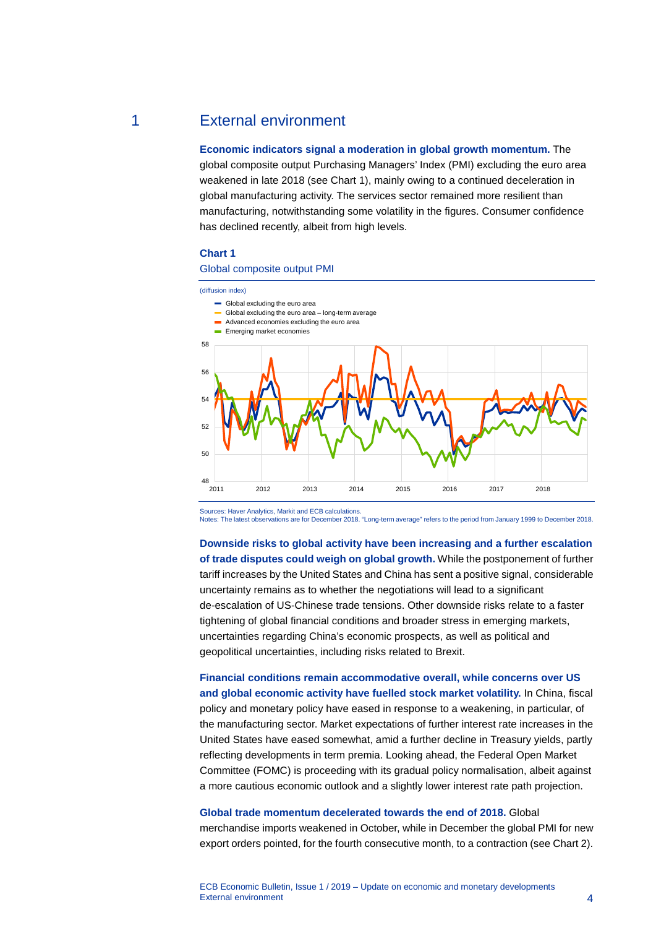### 1 External environment

<span id="page-4-0"></span>**Economic indicators signal a moderation in global growth momentum.** The global composite output Purchasing Managers' Index (PMI) excluding the euro area weakened in late 2018 (see Chart 1), mainly owing to a continued deceleration in global manufacturing activity. The services sector remained more resilient than manufacturing, notwithstanding some volatility in the figures. Consumer confidence has declined recently, albeit from high levels.

### **Chart 1**

### Global composite output PMI



Sources: Haver Analytics, Markit and ECB calculations. Notes: The latest observations are for December 2018. "Long-term average" refers to the period from January 1999 to December 2018.

**Downside risks to global activity have been increasing and a further escalation of trade disputes could weigh on global growth.** While the postponement of further tariff increases by the United States and China has sent a positive signal, considerable uncertainty remains as to whether the negotiations will lead to a significant de-escalation of US-Chinese trade tensions. Other downside risks relate to a faster tightening of global financial conditions and broader stress in emerging markets, uncertainties regarding China's economic prospects, as well as political and geopolitical uncertainties, including risks related to Brexit.

**Financial conditions remain accommodative overall, while concerns over US and global economic activity have fuelled stock market volatility.** In China, fiscal policy and monetary policy have eased in response to a weakening, in particular, of the manufacturing sector. Market expectations of further interest rate increases in the United States have eased somewhat, amid a further decline in Treasury yields, partly reflecting developments in term premia. Looking ahead, the Federal Open Market Committee (FOMC) is proceeding with its gradual policy normalisation, albeit against a more cautious economic outlook and a slightly lower interest rate path projection.

### **Global trade momentum decelerated towards the end of 2018.** Global

merchandise imports weakened in October, while in December the global PMI for new export orders pointed, for the fourth consecutive month, to a contraction (see Chart 2).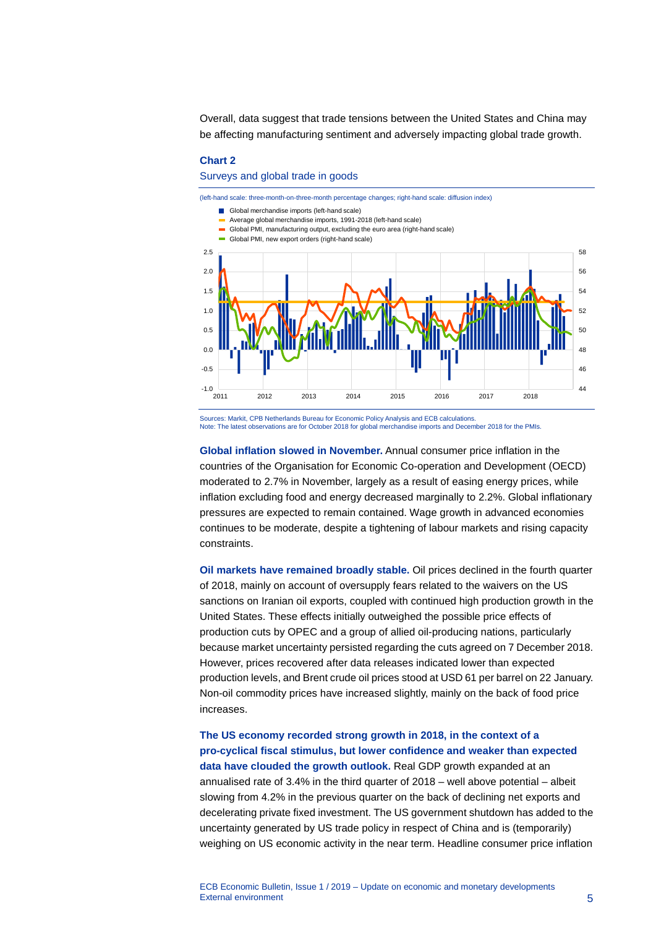Overall, data suggest that trade tensions between the United States and China may be affecting manufacturing sentiment and adversely impacting global trade growth.

### **Chart 2**

Surveys and global trade in goods



Note: The latest observations are for October 2018 for global merchandise imports and December 2018 for the PMIs.

**Global inflation slowed in November.** Annual consumer price inflation in the countries of the Organisation for Economic Co-operation and Development (OECD) moderated to 2.7% in November, largely as a result of easing energy prices, while inflation excluding food and energy decreased marginally to 2.2%. Global inflationary pressures are expected to remain contained. Wage growth in advanced economies continues to be moderate, despite a tightening of labour markets and rising capacity constraints.

**Oil markets have remained broadly stable.** Oil prices declined in the fourth quarter of 2018, mainly on account of oversupply fears related to the waivers on the US sanctions on Iranian oil exports, coupled with continued high production growth in the United States. These effects initially outweighed the possible price effects of production cuts by OPEC and a group of allied oil-producing nations, particularly because market uncertainty persisted regarding the cuts agreed on 7 December 2018. However, prices recovered after data releases indicated lower than expected production levels, and Brent crude oil prices stood at USD 61 per barrel on 22 January. Non-oil commodity prices have increased slightly, mainly on the back of food price increases.

**The US economy recorded strong growth in 2018, in the context of a pro-cyclical fiscal stimulus, but lower confidence and weaker than expected data have clouded the growth outlook.** Real GDP growth expanded at an annualised rate of 3.4% in the third quarter of 2018 – well above potential – albeit slowing from 4.2% in the previous quarter on the back of declining net exports and decelerating private fixed investment. The US government shutdown has added to the uncertainty generated by US trade policy in respect of China and is (temporarily) weighing on US economic activity in the near term. Headline consumer price inflation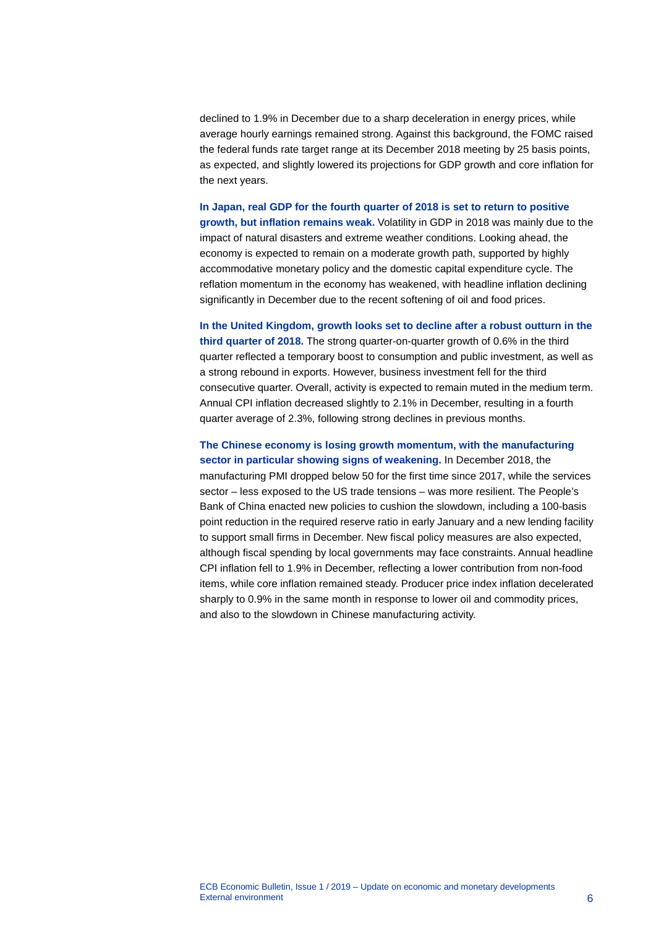declined to 1.9% in December due to a sharp deceleration in energy prices, while average hourly earnings remained strong. Against this background, the FOMC raised the federal funds rate target range at its December 2018 meeting by 25 basis points, as expected, and slightly lowered its projections for GDP growth and core inflation for the next years.

**In Japan, real GDP for the fourth quarter of 2018 is set to return to positive growth, but inflation remains weak.** Volatility in GDP in 2018 was mainly due to the impact of natural disasters and extreme weather conditions. Looking ahead, the economy is expected to remain on a moderate growth path, supported by highly accommodative monetary policy and the domestic capital expenditure cycle. The reflation momentum in the economy has weakened, with headline inflation declining significantly in December due to the recent softening of oil and food prices.

**In the United Kingdom, growth looks set to decline after a robust outturn in the third quarter of 2018.** The strong quarter-on-quarter growth of 0.6% in the third quarter reflected a temporary boost to consumption and public investment, as well as a strong rebound in exports. However, business investment fell for the third consecutive quarter. Overall, activity is expected to remain muted in the medium term. Annual CPI inflation decreased slightly to 2.1% in December, resulting in a fourth quarter average of 2.3%, following strong declines in previous months.

**The Chinese economy is losing growth momentum, with the manufacturing sector in particular showing signs of weakening.** In December 2018, the manufacturing PMI dropped below 50 for the first time since 2017, while the services sector – less exposed to the US trade tensions – was more resilient. The People's Bank of China enacted new policies to cushion the slowdown, including a 100-basis point reduction in the required reserve ratio in early January and a new lending facility to support small firms in December. New fiscal policy measures are also expected, although fiscal spending by local governments may face constraints. Annual headline CPI inflation fell to 1.9% in December, reflecting a lower contribution from non-food items, while core inflation remained steady. Producer price index inflation decelerated sharply to 0.9% in the same month in response to lower oil and commodity prices, and also to the slowdown in Chinese manufacturing activity.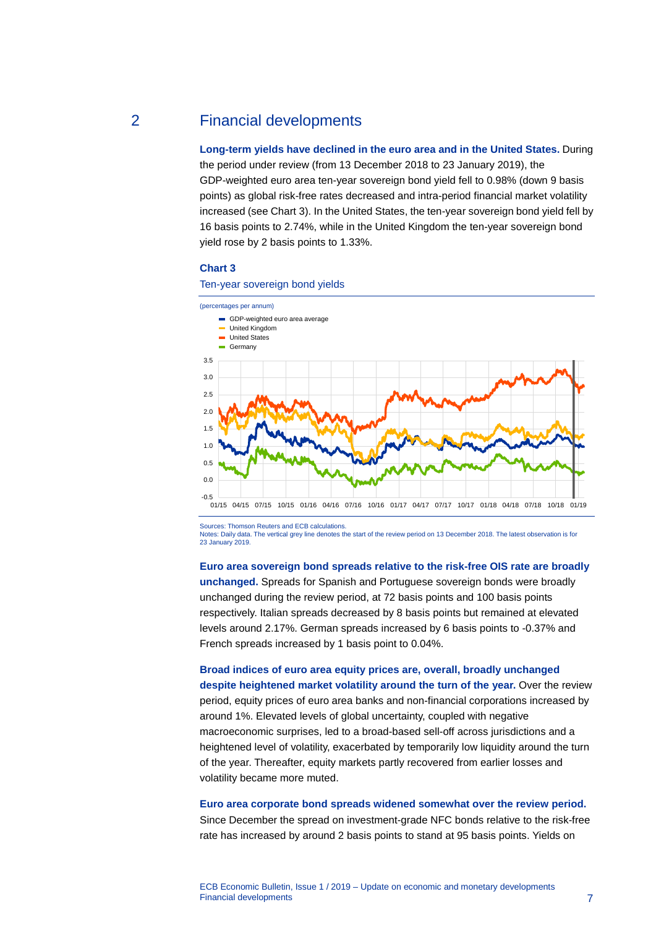### 2 Financial developments

<span id="page-7-0"></span>**Long-term yields have declined in the euro area and in the United States.** During the period under review (from 13 December 2018 to 23 January 2019), the GDP-weighted euro area ten-year sovereign bond yield fell to 0.98% (down 9 basis points) as global risk-free rates decreased and intra-period financial market volatility increased (see Chart 3). In the United States, the ten-year sovereign bond yield fell by 16 basis points to 2.74%, while in the United Kingdom the ten-year sovereign bond yield rose by 2 basis points to 1.33%.

### **Chart 3**

Ten-year sovereign bond yields



Sources: Thomson Reuters and ECB calculations.

Notes: Daily data. The vertical grey line denotes the start of the review period on 13 December 2018. The latest observation is for 23 January 2019.

**Euro area sovereign bond spreads relative to the risk-free OIS rate are broadly unchanged.** Spreads for Spanish and Portuguese sovereign bonds were broadly unchanged during the review period, at 72 basis points and 100 basis points respectively. Italian spreads decreased by 8 basis points but remained at elevated levels around 2.17%. German spreads increased by 6 basis points to -0.37% and French spreads increased by 1 basis point to 0.04%.

**Broad indices of euro area equity prices are, overall, broadly unchanged despite heightened market volatility around the turn of the year.** Over the review period, equity prices of euro area banks and non-financial corporations increased by around 1%. Elevated levels of global uncertainty, coupled with negative macroeconomic surprises, led to a broad-based sell-off across jurisdictions and a heightened level of volatility, exacerbated by temporarily low liquidity around the turn of the year. Thereafter, equity markets partly recovered from earlier losses and volatility became more muted.

### **Euro area corporate bond spreads widened somewhat over the review period.**

Since December the spread on investment-grade NFC bonds relative to the risk-free rate has increased by around 2 basis points to stand at 95 basis points. Yields on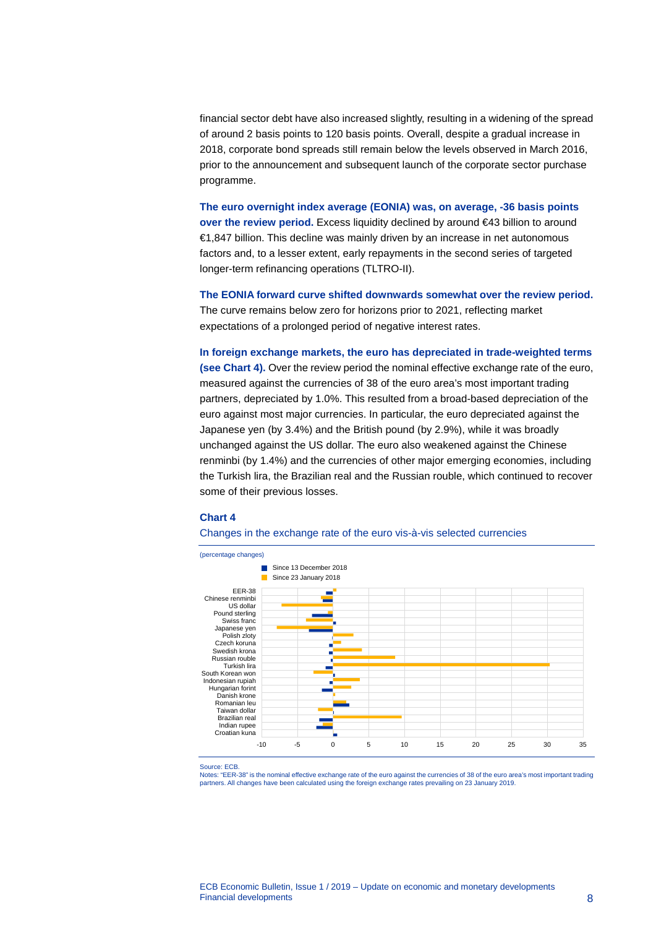financial sector debt have also increased slightly, resulting in a widening of the spread of around 2 basis points to 120 basis points. Overall, despite a gradual increase in 2018, corporate bond spreads still remain below the levels observed in March 2016, prior to the announcement and subsequent launch of the corporate sector purchase programme.

**The euro overnight index average (EONIA) was, on average, -36 basis points over the review period.** Excess liquidity declined by around €43 billion to around €1,847 billion. This decline was mainly driven by an increase in net autonomous factors and, to a lesser extent, early repayments in the second series of targeted longer-term refinancing operations (TLTRO-II).

**The EONIA forward curve shifted downwards somewhat over the review period.** The curve remains below zero for horizons prior to 2021, reflecting market expectations of a prolonged period of negative interest rates.

**In foreign exchange markets, the euro has depreciated in trade-weighted terms (see Chart 4).** Over the review period the nominal effective exchange rate of the euro, measured against the currencies of 38 of the euro area's most important trading partners, depreciated by 1.0%. This resulted from a broad-based depreciation of the euro against most major currencies. In particular, the euro depreciated against the Japanese yen (by 3.4%) and the British pound (by 2.9%), while it was broadly unchanged against the US dollar. The euro also weakened against the Chinese renminbi (by 1.4%) and the currencies of other major emerging economies, including the Turkish lira, the Brazilian real and the Russian rouble, which continued to recover some of their previous losses.

### **Chart 4**

#### Changes in the exchange rate of the euro vis-à-vis selected currencies



Source: ECB.

Notes: "EER-38" is the nominal effective exchange rate of the euro against the currencies of 38 of the euro area's most important trading partners. All changes have been calculated using the foreign exchange rates prevailing on 23 January 2019.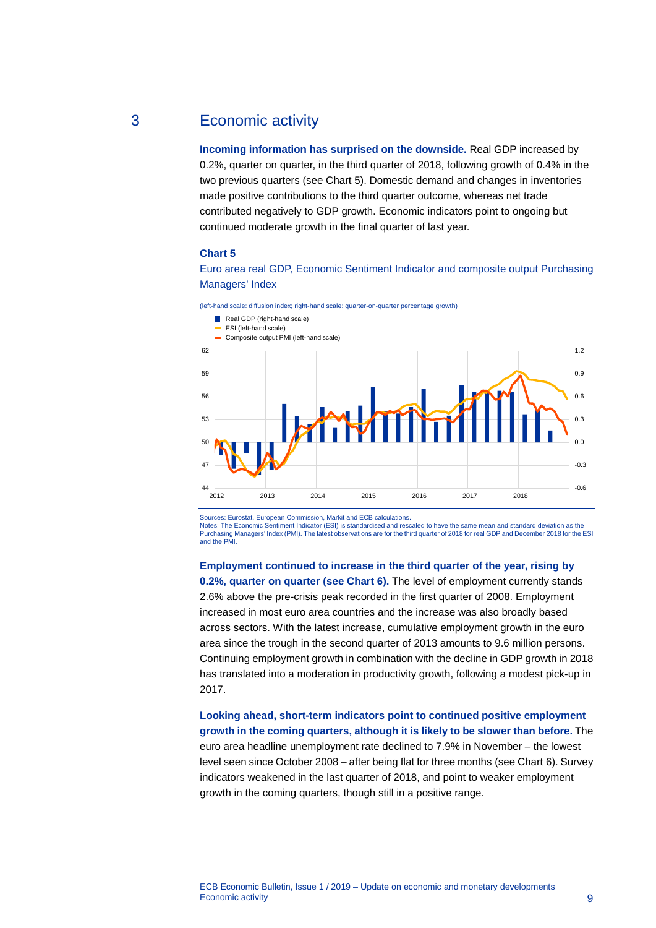## 3 Economic activity

<span id="page-9-0"></span>**Incoming information has surprised on the downside.** Real GDP increased by 0.2%, quarter on quarter, in the third quarter of 2018, following growth of 0.4% in the two previous quarters (see Chart 5). Domestic demand and changes in inventories made positive contributions to the third quarter outcome, whereas net trade contributed negatively to GDP growth. Economic indicators point to ongoing but continued moderate growth in the final quarter of last year.

### **Chart 5**

Euro area real GDP, Economic Sentiment Indicator and composite output Purchasing Managers' Index



Sources: Eurostat, European Commission, Markit and ECB calculations.

Notes: The Economic Sentiment Indicator (ESI) is standardised and rescaled to have the same mean and standard deviation as the Purchasing Managers' Index (PMI). The latest observations are for the third quarter of 2018 for real GDP and December 2018 for the ESI and the PMI.

**Employment continued to increase in the third quarter of the year, rising by 0.2%, quarter on quarter (see Chart 6).** The level of employment currently stands 2.6% above the pre-crisis peak recorded in the first quarter of 2008. Employment increased in most euro area countries and the increase was also broadly based across sectors. With the latest increase, cumulative employment growth in the euro area since the trough in the second quarter of 2013 amounts to 9.6 million persons. Continuing employment growth in combination with the decline in GDP growth in 2018 has translated into a moderation in productivity growth, following a modest pick-up in 2017.

### **Looking ahead, short-term indicators point to continued positive employment growth in the coming quarters, although it is likely to be slower than before.** The euro area headline unemployment rate declined to 7.9% in November – the lowest level seen since October 2008 – after being flat for three months (see Chart 6). Survey indicators weakened in the last quarter of 2018, and point to weaker employment growth in the coming quarters, though still in a positive range.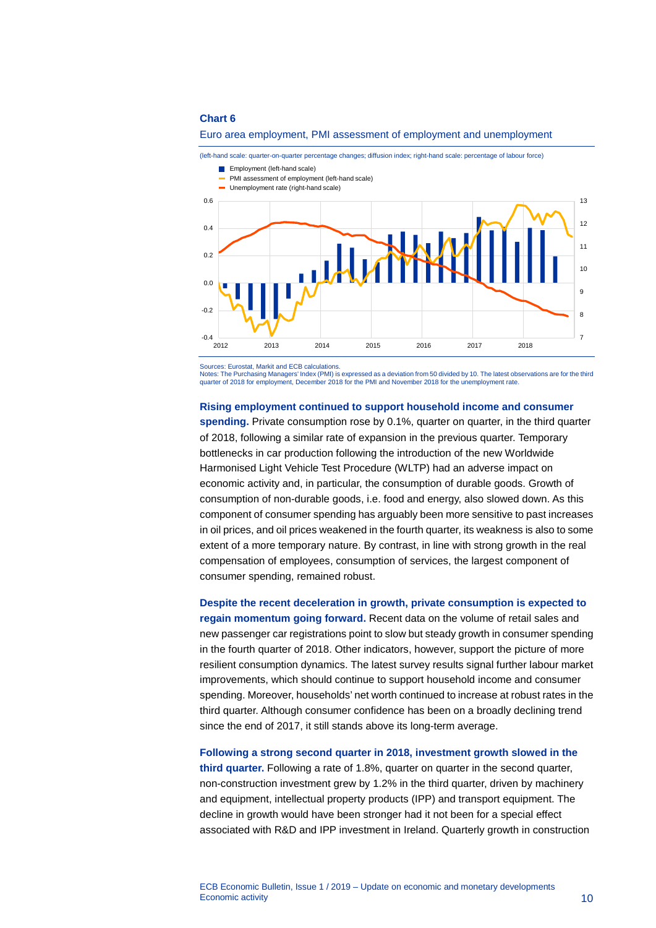### **Chart 6**



#### Euro area employment, PMI assessment of employment and unemployment

(left-hand scale: quarter-on-quarter percentage changes; diffusion index; right-hand scale: percentage of labour force)

Sources: Eurostat, Markit and ECB calculations.

Notes: The Purchasing Managers' Index (PMI) is expressed as a deviation from 50 divided by 10. The latest observations are for the third quarter of 2018 for employment, December 2018 for the PMI and November 2018 for the unemployment rate

### **Rising employment continued to support household income and consumer**

**spending.** Private consumption rose by 0.1%, quarter on quarter, in the third quarter of 2018, following a similar rate of expansion in the previous quarter. Temporary bottlenecks in car production following the introduction of the new Worldwide Harmonised Light Vehicle Test Procedure (WLTP) had an adverse impact on economic activity and, in particular, the consumption of durable goods. Growth of consumption of non-durable goods, i.e. food and energy, also slowed down. As this component of consumer spending has arguably been more sensitive to past increases in oil prices, and oil prices weakened in the fourth quarter, its weakness is also to some extent of a more temporary nature. By contrast, in line with strong growth in the real compensation of employees, consumption of services, the largest component of consumer spending, remained robust.

**Despite the recent deceleration in growth, private consumption is expected to regain momentum going forward.** Recent data on the volume of retail sales and new passenger car registrations point to slow but steady growth in consumer spending in the fourth quarter of 2018. Other indicators, however, support the picture of more resilient consumption dynamics. The latest survey results signal further labour market improvements, which should continue to support household income and consumer spending. Moreover, households' net worth continued to increase at robust rates in the third quarter. Although consumer confidence has been on a broadly declining trend since the end of 2017, it still stands above its long-term average.

**Following a strong second quarter in 2018, investment growth slowed in the third quarter.** Following a rate of 1.8%, quarter on quarter in the second quarter, non-construction investment grew by 1.2% in the third quarter, driven by machinery and equipment, intellectual property products (IPP) and transport equipment. The decline in growth would have been stronger had it not been for a special effect associated with R&D and IPP investment in Ireland. Quarterly growth in construction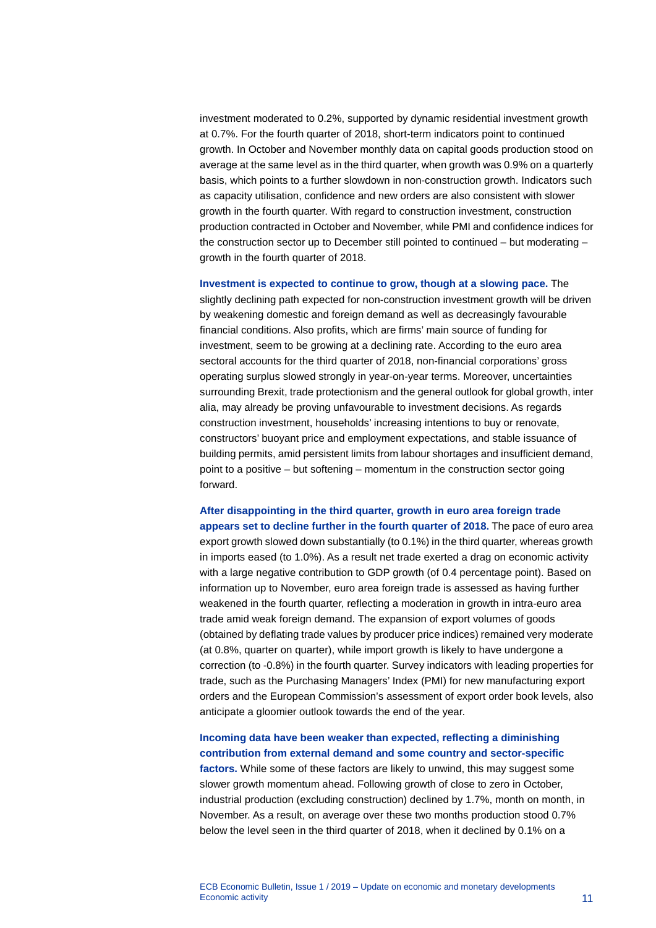investment moderated to 0.2%, supported by dynamic residential investment growth at 0.7%. For the fourth quarter of 2018, short-term indicators point to continued growth. In October and November monthly data on capital goods production stood on average at the same level as in the third quarter, when growth was 0.9% on a quarterly basis, which points to a further slowdown in non-construction growth. Indicators such as capacity utilisation, confidence and new orders are also consistent with slower growth in the fourth quarter. With regard to construction investment, construction production contracted in October and November, while PMI and confidence indices for the construction sector up to December still pointed to continued – but moderating – growth in the fourth quarter of 2018.

**Investment is expected to continue to grow, though at a slowing pace.** The

slightly declining path expected for non-construction investment growth will be driven by weakening domestic and foreign demand as well as decreasingly favourable financial conditions. Also profits, which are firms' main source of funding for investment, seem to be growing at a declining rate. According to the euro area sectoral accounts for the third quarter of 2018, non-financial corporations' gross operating surplus slowed strongly in year-on-year terms. Moreover, uncertainties surrounding Brexit, trade protectionism and the general outlook for global growth, inter alia, may already be proving unfavourable to investment decisions. As regards construction investment, households' increasing intentions to buy or renovate, constructors' buoyant price and employment expectations, and stable issuance of building permits, amid persistent limits from labour shortages and insufficient demand, point to a positive – but softening – momentum in the construction sector going forward.

**After disappointing in the third quarter, growth in euro area foreign trade appears set to decline further in the fourth quarter of 2018.** The pace of euro area export growth slowed down substantially (to 0.1%) in the third quarter, whereas growth in imports eased (to 1.0%). As a result net trade exerted a drag on economic activity with a large negative contribution to GDP growth (of 0.4 percentage point). Based on information up to November, euro area foreign trade is assessed as having further weakened in the fourth quarter, reflecting a moderation in growth in intra-euro area trade amid weak foreign demand. The expansion of export volumes of goods (obtained by deflating trade values by producer price indices) remained very moderate (at 0.8%, quarter on quarter), while import growth is likely to have undergone a correction (to -0.8%) in the fourth quarter. Survey indicators with leading properties for trade, such as the Purchasing Managers' Index (PMI) for new manufacturing export orders and the European Commission's assessment of export order book levels, also anticipate a gloomier outlook towards the end of the year.

**Incoming data have been weaker than expected, reflecting a diminishing contribution from external demand and some country and sector-specific factors.** While some of these factors are likely to unwind, this may suggest some slower growth momentum ahead. Following growth of close to zero in October, industrial production (excluding construction) declined by 1.7%, month on month, in November. As a result, on average over these two months production stood 0.7% below the level seen in the third quarter of 2018, when it declined by 0.1% on a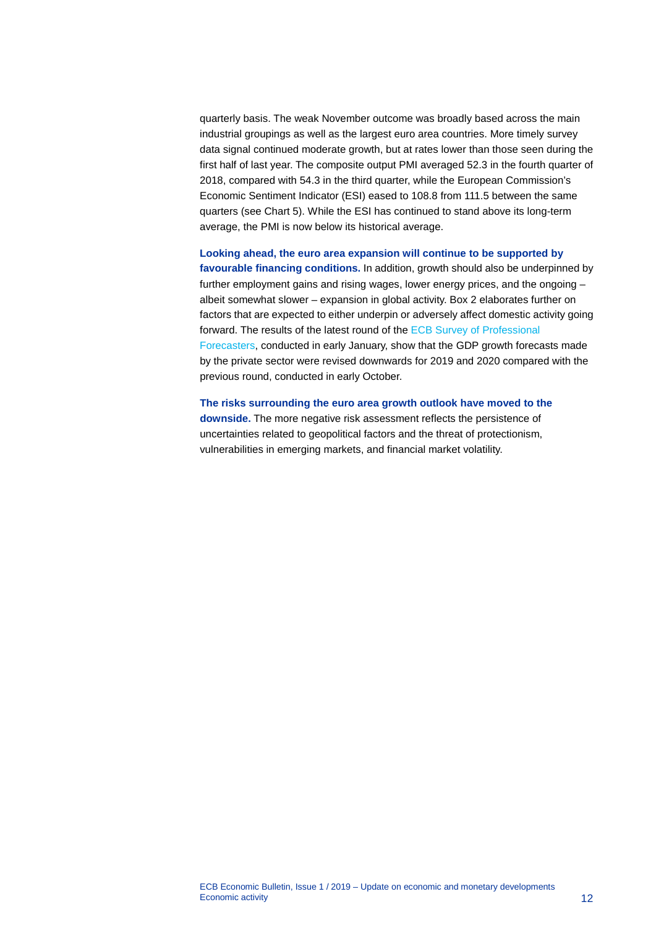quarterly basis. The weak November outcome was broadly based across the main industrial groupings as well as the largest euro area countries. More timely survey data signal continued moderate growth, but at rates lower than those seen during the first half of last year. The composite output PMI averaged 52.3 in the fourth quarter of 2018, compared with 54.3 in the third quarter, while the European Commission's Economic Sentiment Indicator (ESI) eased to 108.8 from 111.5 between the same quarters (see Chart 5). While the ESI has continued to stand above its long-term average, the PMI is now below its historical average.

**Looking ahead, the euro area expansion will continue to be supported by favourable financing conditions.** In addition, growth should also be underpinned by further employment gains and rising wages, lower energy prices, and the ongoing – albeit somewhat slower – expansion in global activity. Box 2 elaborates further on factors that are expected to either underpin or adversely affect domestic activity going forward. The results of the latest round of the [ECB Survey of Professional](http://www.ecb.europa.eu/stats/prices/indic/forecast/html/index.en.html)  [Forecasters,](http://www.ecb.europa.eu/stats/prices/indic/forecast/html/index.en.html) conducted in early January, show that the GDP growth forecasts made by the private sector were revised downwards for 2019 and 2020 compared with the previous round, conducted in early October.

**The risks surrounding the euro area growth outlook have moved to the downside.** The more negative risk assessment reflects the persistence of uncertainties related to geopolitical factors and the threat of protectionism, vulnerabilities in emerging markets, and financial market volatility.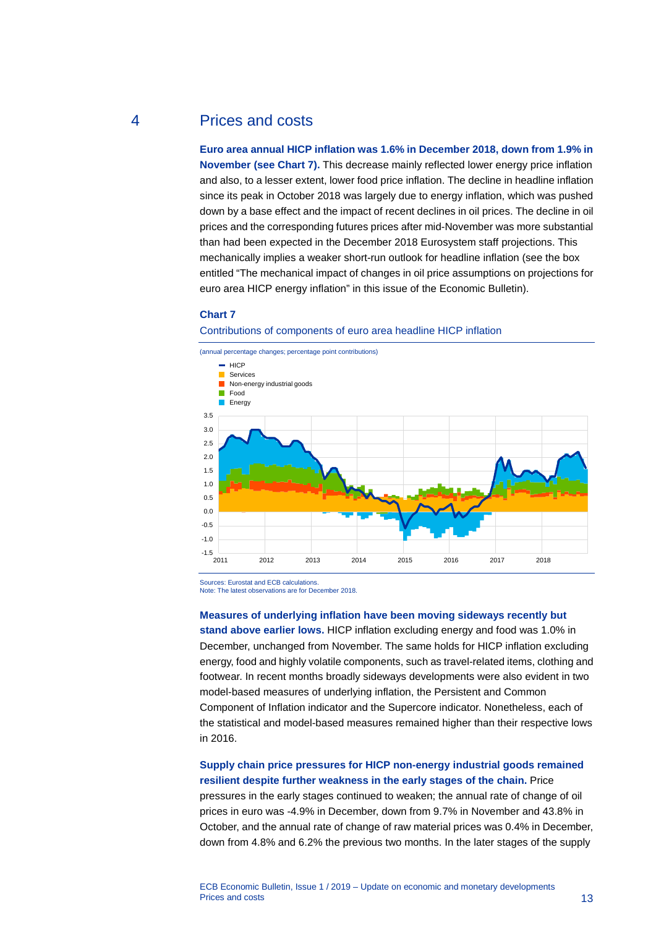### 4 Prices and costs

<span id="page-13-0"></span>**Euro area annual HICP inflation was 1.6% in December 2018, down from 1.9% in November (see Chart 7).** This decrease mainly reflected lower energy price inflation and also, to a lesser extent, lower food price inflation. The decline in headline inflation since its peak in October 2018 was largely due to energy inflation, which was pushed down by a base effect and the impact of recent declines in oil prices. The decline in oil prices and the corresponding futures prices after mid-November was more substantial than had been expected in the December 2018 Eurosystem staff projections. This mechanically implies a weaker short-run outlook for headline inflation (see the box entitled "The mechanical impact of changes in oil price assumptions on projections for euro area HICP energy inflation" in this issue of the Economic Bulletin).

### **Chart 7**

### Contributions of components of euro area headline HICP inflation



Sources: Eurostat and ECB calculations.

Note: The latest observations are for December 2018.

#### **Measures of underlying inflation have been moving sideways recently but**

**stand above earlier lows.** HICP inflation excluding energy and food was 1.0% in December, unchanged from November. The same holds for HICP inflation excluding energy, food and highly volatile components, such as travel-related items, clothing and footwear. In recent months broadly sideways developments were also evident in two model-based measures of underlying inflation, the Persistent and Common Component of Inflation indicator and the Supercore indicator. Nonetheless, each of the statistical and model-based measures remained higher than their respective lows in 2016.

### **Supply chain price pressures for HICP non-energy industrial goods remained resilient despite further weakness in the early stages of the chain.** Price

pressures in the early stages continued to weaken; the annual rate of change of oil prices in euro was -4.9% in December, down from 9.7% in November and 43.8% in October, and the annual rate of change of raw material prices was 0.4% in December, down from 4.8% and 6.2% the previous two months. In the later stages of the supply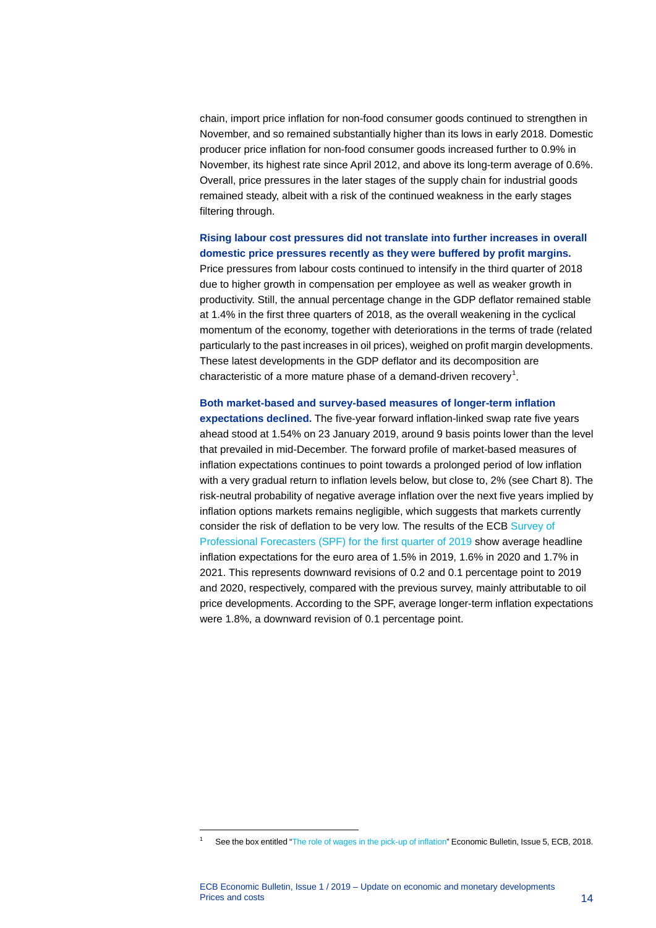chain, import price inflation for non-food consumer goods continued to strengthen in November, and so remained substantially higher than its lows in early 2018. Domestic producer price inflation for non-food consumer goods increased further to 0.9% in November, its highest rate since April 2012, and above its long-term average of 0.6%. Overall, price pressures in the later stages of the supply chain for industrial goods remained steady, albeit with a risk of the continued weakness in the early stages filtering through.

### **Rising labour cost pressures did not translate into further increases in overall domestic price pressures recently as they were buffered by profit margins.**

Price pressures from labour costs continued to intensify in the third quarter of 2018 due to higher growth in compensation per employee as well as weaker growth in productivity. Still, the annual percentage change in the GDP deflator remained stable at 1.4% in the first three quarters of 2018, as the overall weakening in the cyclical momentum of the economy, together with deteriorations in the terms of trade (related particularly to the past increases in oil prices), weighed on profit margin developments. These latest developments in the GDP deflator and its decomposition are characteristic of a more mature phase of a demand-driven recovery<sup>[1](#page-14-0)</sup>.

### **Both market-based and survey-based measures of longer-term inflation**

**expectations declined.** The five-year forward inflation-linked swap rate five years ahead stood at 1.54% on 23 January 2019, around 9 basis points lower than the level that prevailed in mid-December. The forward profile of market-based measures of inflation expectations continues to point towards a prolonged period of low inflation with a very gradual return to inflation levels below, but close to, 2% (see Chart 8). The risk-neutral probability of negative average inflation over the next five years implied by inflation options markets remains negligible, which suggests that markets currently consider the risk of deflation to be very low. The results of the ECB [Survey of](https://www.ecb.europa.eu/stats/ecb_surveys/survey_of_professional_forecasters/html/ecb.spf2019q1%7Ed3429e5ec8.en.html)  [Professional Forecasters \(SPF\) for the first quarter of 2019](https://www.ecb.europa.eu/stats/ecb_surveys/survey_of_professional_forecasters/html/ecb.spf2019q1%7Ed3429e5ec8.en.html) show average headline inflation expectations for the euro area of 1.5% in 2019, 1.6% in 2020 and 1.7% in 2021. This represents downward revisions of 0.2 and 0.1 percentage point to 2019 and 2020, respectively, compared with the previous survey, mainly attributable to oil price developments. According to the SPF, average longer-term inflation expectations were 1.8%, a downward revision of 0.1 percentage point.

<span id="page-14-0"></span>-

See the box entitled ["The role of wages in the pick-up of inflation"](https://www.ecb.europa.eu/pub/economic-bulletin/focus/2018/html/ecb.ebbox201805_04.en.html) Economic Bulletin, Issue 5, ECB, 2018.

ECB Economic Bulletin, Issue 1 / 2019 – Update on economic and monetary developments<br>Prices and costs Prices and costs **14**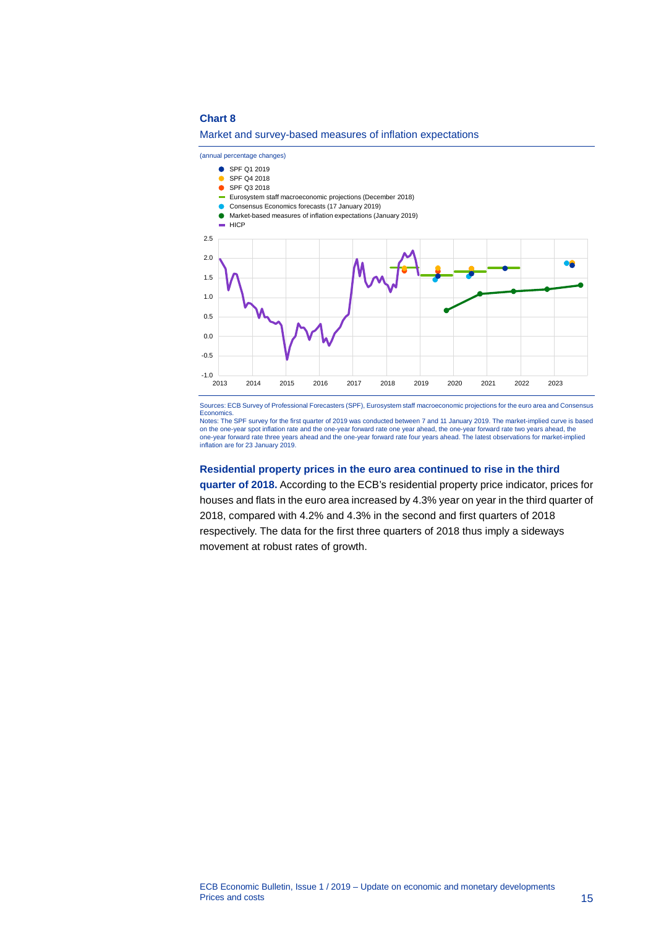### **Chart 8**





Sources: ECB Survey of Professional Forecasters (SPF), Eurosystem staff macroeconomic projections for the euro area and Consensus Economics. Notes: The SPF survey for the first quarter of 2019 was conducted between 7 and 11 January 2019. The market-implied curve is based

on the one-year spot inflation rate and the one-year forward rate one year ahead, the one-year forward rate two years ahead, the<br>one-year forward rate three years ahead and the one-year forward rate four years ahead. The l inflation are for 23 January 2019.

#### **Residential property prices in the euro area continued to rise in the third**

**quarter of 2018.** According to the ECB's residential property price indicator, prices for houses and flats in the euro area increased by 4.3% year on year in the third quarter of 2018, compared with 4.2% and 4.3% in the second and first quarters of 2018 respectively. The data for the first three quarters of 2018 thus imply a sideways movement at robust rates of growth.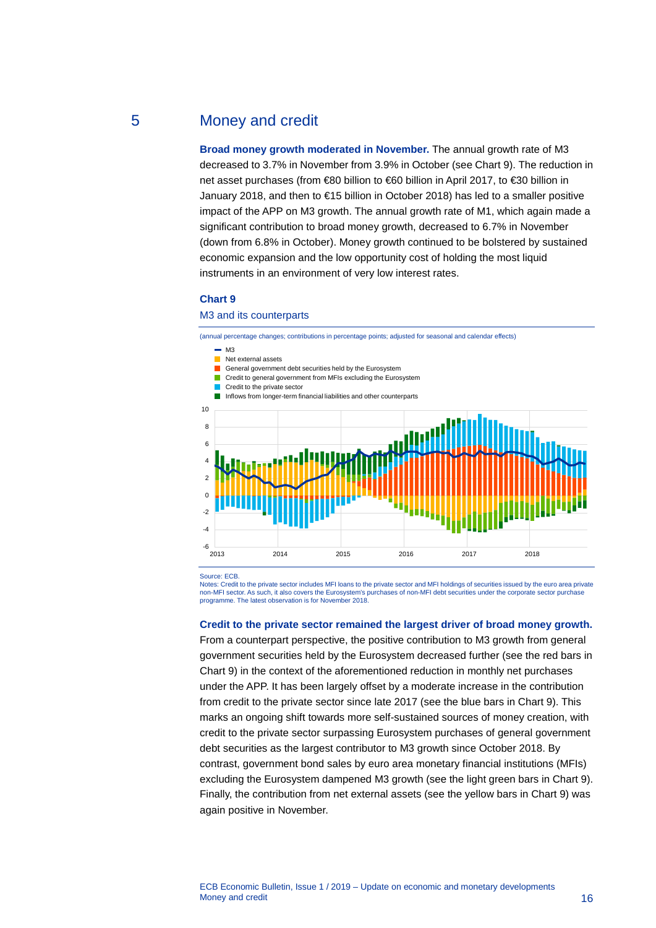### 5 Money and credit

<span id="page-16-0"></span>**Broad money growth moderated in November.** The annual growth rate of M3 decreased to 3.7% in November from 3.9% in October (see Chart 9). The reduction in net asset purchases (from €80 billion to €60 billion in April 2017, to €30 billion in January 2018, and then to €15 billion in October 2018) has led to a smaller positive impact of the APP on M3 growth. The annual growth rate of M1, which again made a significant contribution to broad money growth, decreased to 6.7% in November (down from 6.8% in October). Money growth continued to be bolstered by sustained economic expansion and the low opportunity cost of holding the most liquid instruments in an environment of very low interest rates.

### **Chart 9**

### M3 and its counterparts

(annual percentage changes; contributions in percentage points; adjusted for seasonal and calendar effects) Source: ECB. -6<br>2013 -4 -2  $\overline{0}$  $\overline{2}$ 4 6 8 10 2013 2014 2015 2016 2017 2018  $\blacksquare$  M3 Net external assets General government debt securities held by the Eurosystem **Credit to general government from MFIs excluding the Eurosystem Credit to the private sector** Inflows from longer-term financial liabilities and other counterparts

Notes: Credit to the private sector includes MFI loans to the private sector and MFI holdings of securities issued by the euro area private non-MFI sector. As such, it also covers the Eurosystem's purchases of non-MFI debt securities under the corporate sector purchase programme. The latest observation is for November 2018.

### **Credit to the private sector remained the largest driver of broad money growth.**

From a counterpart perspective, the positive contribution to M3 growth from general government securities held by the Eurosystem decreased further (see the red bars in Chart 9) in the context of the aforementioned reduction in monthly net purchases under the APP. It has been largely offset by a moderate increase in the contribution from credit to the private sector since late 2017 (see the blue bars in Chart 9). This marks an ongoing shift towards more self-sustained sources of money creation, with credit to the private sector surpassing Eurosystem purchases of general government debt securities as the largest contributor to M3 growth since October 2018. By contrast, government bond sales by euro area monetary financial institutions (MFIs) excluding the Eurosystem dampened M3 growth (see the light green bars in Chart 9). Finally, the contribution from net external assets (see the yellow bars in Chart 9) was again positive in November.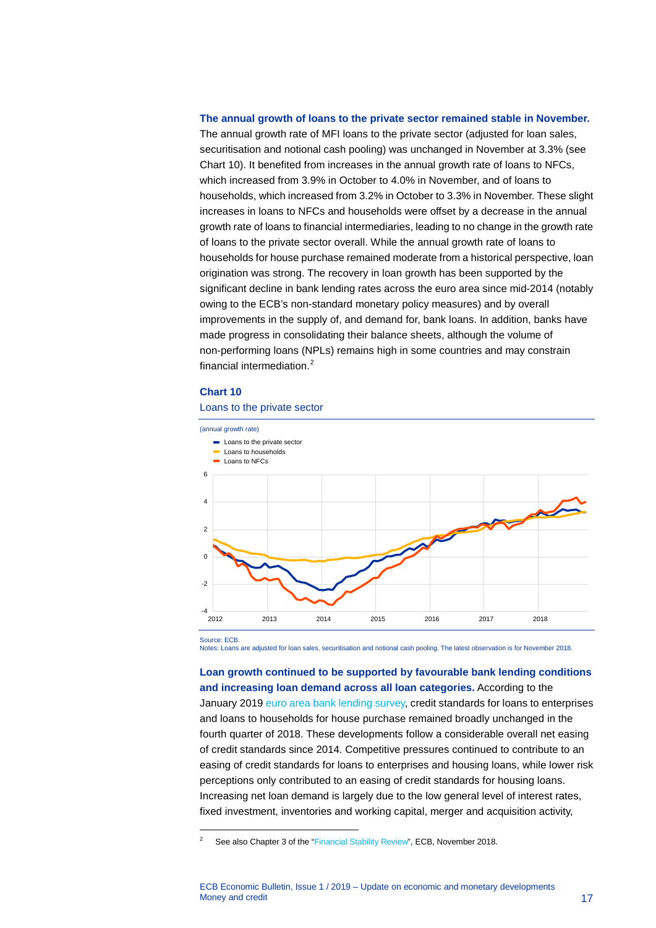### **The annual growth of loans to the private sector remained stable in November.**

The annual growth rate of MFI loans to the private sector (adjusted for loan sales, securitisation and notional cash pooling) was unchanged in November at 3.3% (see Chart 10). It benefited from increases in the annual growth rate of loans to NFCs, which increased from 3.9% in October to 4.0% in November, and of loans to households, which increased from 3.2% in October to 3.3% in November. These slight increases in loans to NFCs and households were offset by a decrease in the annual growth rate of loans to financial intermediaries, leading to no change in the growth rate of loans to the private sector overall. While the annual growth rate of loans to households for house purchase remained moderate from a historical perspective, loan origination was strong. The recovery in loan growth has been supported by the significant decline in bank lending rates across the euro area since mid-2014 (notably owing to the ECB's non-standard monetary policy measures) and by overall improvements in the supply of, and demand for, bank loans. In addition, banks have made progress in consolidating their balance sheets, although the volume of non-performing loans (NPLs) remains high in some countries and may constrain financial intermediation.<sup>[2](#page-17-0)</sup>

### **Chart 10**

### Loans to the private sector



Source: ECB.

-

Notes: Loans are adjusted for loan sales, securitisation and notional cash pooling. The latest observation is for November 2018.

**Loan growth continued to be supported by favourable bank lending conditions and increasing loan demand across all loan categories.** According to the January 2019 [euro area bank lending survey,](http://www.ecb.europa.eu/stats/ecb_surveys/bank_lending_survey/html/index.en.html) credit standards for loans to enterprises and loans to households for house purchase remained broadly unchanged in the fourth quarter of 2018. These developments follow a considerable overall net easing of credit standards since 2014. Competitive pressures continued to contribute to an easing of credit standards for loans to enterprises and housing loans, while lower risk perceptions only contributed to an easing of credit standards for housing loans. Increasing net loan demand is largely due to the low general level of interest rates, fixed investment, inventories and working capital, merger and acquisition activity,

<span id="page-17-0"></span><sup>&</sup>lt;sup>2</sup> See also Chapter 3 of the ["Financial Stability Review",](http://www.ecb.europa.eu/pub/pdf/fsr/ecb.fsr201811.en.pdf) ECB, November 2018.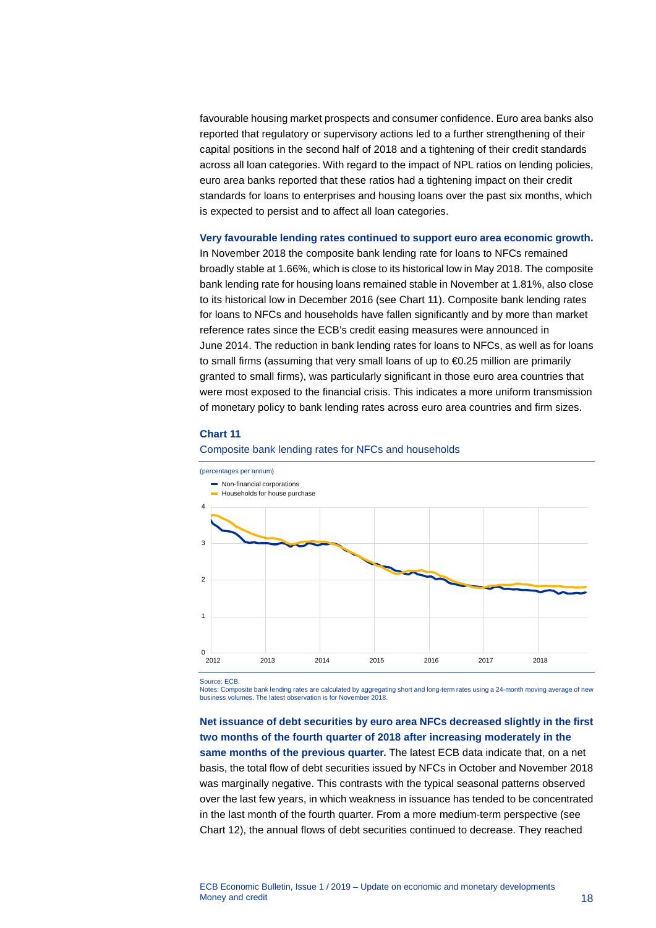favourable housing market prospects and consumer confidence. Euro area banks also reported that regulatory or supervisory actions led to a further strengthening of their capital positions in the second half of 2018 and a tightening of their credit standards across all loan categories. With regard to the impact of NPL ratios on lending policies, euro area banks reported that these ratios had a tightening impact on their credit standards for loans to enterprises and housing loans over the past six months, which is expected to persist and to affect all loan categories.

### **Very favourable lending rates continued to support euro area economic growth.**

In November 2018 the composite bank lending rate for loans to NFCs remained broadly stable at 1.66%, which is close to its historical low in May 2018. The composite bank lending rate for housing loans remained stable in November at 1.81%, also close to its historical low in December 2016 (see Chart 11). Composite bank lending rates for loans to NFCs and households have fallen significantly and by more than market reference rates since the ECB's credit easing measures were announced in June 2014. The reduction in bank lending rates for loans to NFCs, as well as for loans to small firms (assuming that very small loans of up to €0.25 million are primarily granted to small firms), was particularly significant in those euro area countries that were most exposed to the financial crisis. This indicates a more uniform transmission of monetary policy to bank lending rates across euro area countries and firm sizes.

### **Chart 11**



#### Composite bank lending rates for NFCs and households

Source: ECB.

Notes: Composite bank lending rates are calculated by aggregating short and long-term rates using a 24-month moving average of new business volumes. The latest observation is for November 2018.

## **Net issuance of debt securities by euro area NFCs decreased slightly in the first two months of the fourth quarter of 2018 after increasing moderately in the same months of the previous quarter.** The latest ECB data indicate that, on a net basis, the total flow of debt securities issued by NFCs in October and November 2018

was marginally negative. This contrasts with the typical seasonal patterns observed over the last few years, in which weakness in issuance has tended to be concentrated in the last month of the fourth quarter. From a more medium-term perspective (see Chart 12), the annual flows of debt securities continued to decrease. They reached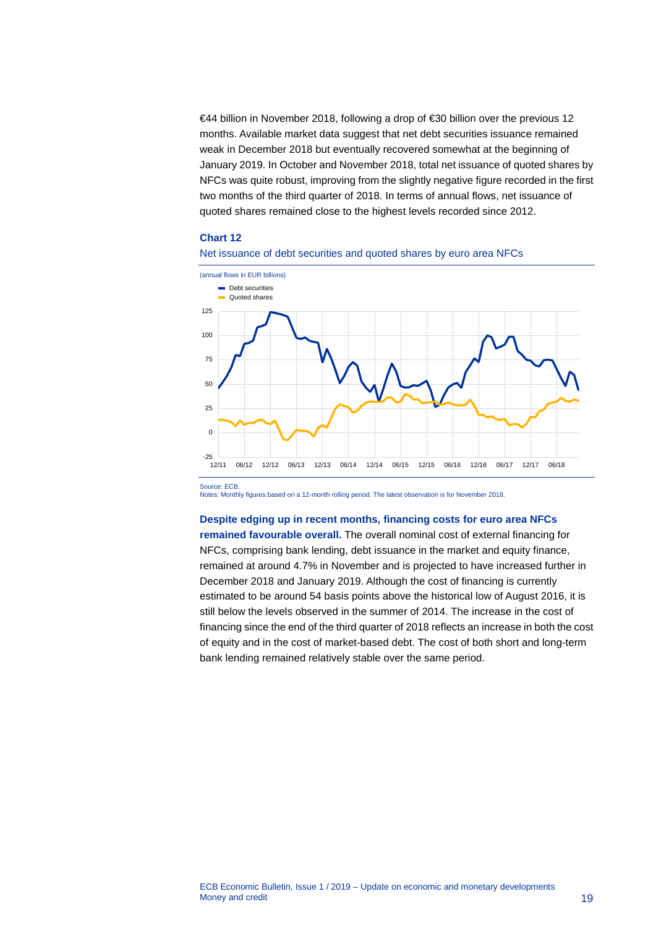€44 billion in November 2018, following a drop of €30 billion over the previous 12 months. Available market data suggest that net debt securities issuance remained weak in December 2018 but eventually recovered somewhat at the beginning of January 2019. In October and November 2018, total net issuance of quoted shares by NFCs was quite robust, improving from the slightly negative figure recorded in the first two months of the third quarter of 2018. In terms of annual flows, net issuance of quoted shares remained close to the highest levels recorded since 2012.

### **Chart 12**





Source: ECB.

Notes: Monthly figures based on a 12-month rolling period. The latest observation is for November 2018.

### **Despite edging up in recent months, financing costs for euro area NFCs**

**remained favourable overall.** The overall nominal cost of external financing for NFCs, comprising bank lending, debt issuance in the market and equity finance, remained at around 4.7% in November and is projected to have increased further in December 2018 and January 2019. Although the cost of financing is currently estimated to be around 54 basis points above the historical low of August 2016, it is still below the levels observed in the summer of 2014. The increase in the cost of financing since the end of the third quarter of 2018 reflects an increase in both the cost of equity and in the cost of market-based debt. The cost of both short and long-term bank lending remained relatively stable over the same period.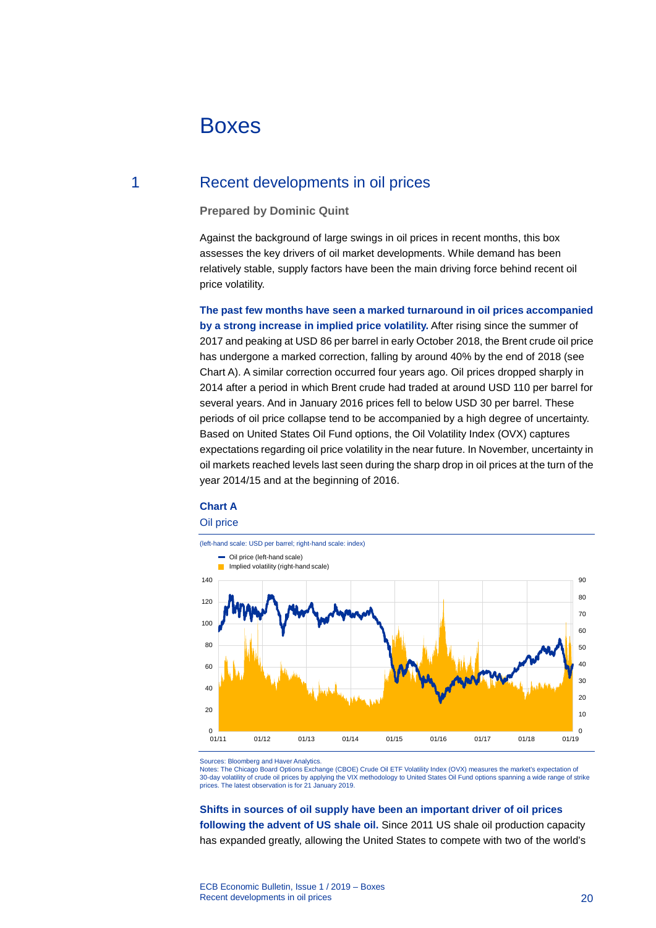# <span id="page-20-0"></span>Boxes

### 1 Recent developments in oil prices

### <span id="page-20-1"></span>**Prepared by Dominic Quint**

Against the background of large swings in oil prices in recent months, this box assesses the key drivers of oil market developments. While demand has been relatively stable, supply factors have been the main driving force behind recent oil price volatility.

**The past few months have seen a marked turnaround in oil prices accompanied by a strong increase in implied price volatility.** After rising since the summer of 2017 and peaking at USD 86 per barrel in early October 2018, the Brent crude oil price has undergone a marked correction, falling by around 40% by the end of 2018 (see Chart A). A similar correction occurred four years ago. Oil prices dropped sharply in 2014 after a period in which Brent crude had traded at around USD 110 per barrel for several years. And in January 2016 prices fell to below USD 30 per barrel. These periods of oil price collapse tend to be accompanied by a high degree of uncertainty. Based on United States Oil Fund options, the Oil Volatility Index (OVX) captures expectations regarding oil price volatility in the near future. In November, uncertainty in oil markets reached levels last seen during the sharp drop in oil prices at the turn of the year 2014/15 and at the beginning of 2016.

### **Chart A**

#### Oil price



Sources: Bloomberg and Haver Analytics.

Notes: The Chicago Board Options Exchange (CBOE) Crude Oil ETF Volatility Index (OVX) measures the market's expectation of<br>30-day volatility of crude oil prices by applying the VIX methodology to United States Oil Fund opt prices. The latest observation is for 21 January 2019.

# **Shifts in sources of oil supply have been an important driver of oil prices**

**following the advent of US shale oil.** Since 2011 US shale oil production capacity has expanded greatly, allowing the United States to compete with two of the world's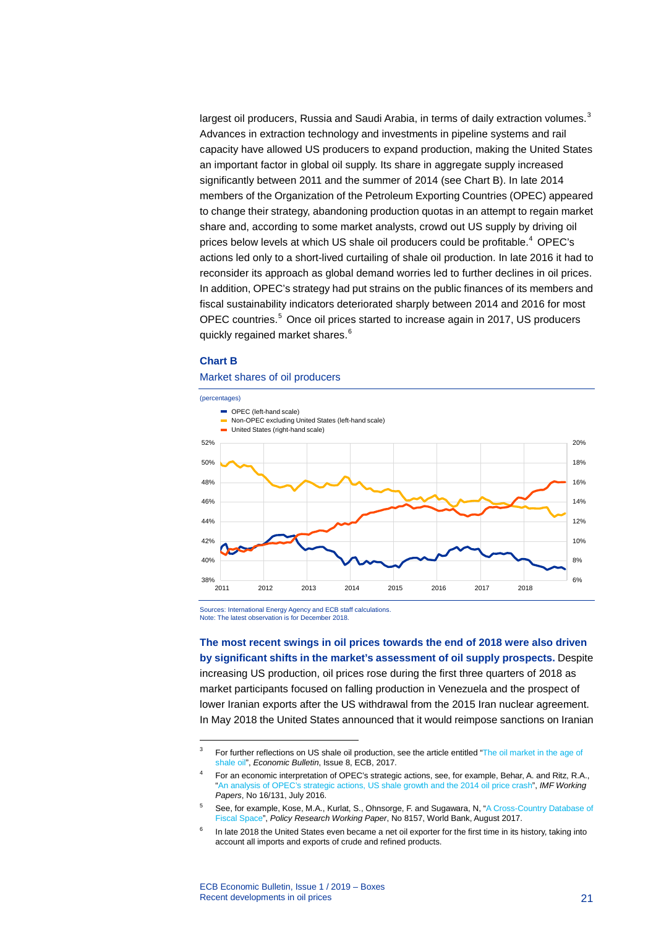largest oil producers, Russia and Saudi Arabia, in terms of daily extraction volumes.<sup>[3](#page-21-0)</sup> Advances in extraction technology and investments in pipeline systems and rail capacity have allowed US producers to expand production, making the United States an important factor in global oil supply. Its share in aggregate supply increased significantly between 2011 and the summer of 2014 (see Chart B). In late 2014 members of the Organization of the Petroleum Exporting Countries (OPEC) appeared to change their strategy, abandoning production quotas in an attempt to regain market share and, according to some market analysts, crowd out US supply by driving oil prices below levels at which US shale oil producers could be profitable.<sup>[4](#page-21-1)</sup> OPEC's actions led only to a short-lived curtailing of shale oil production. In late 2016 it had to reconsider its approach as global demand worries led to further declines in oil prices. In addition, OPEC's strategy had put strains on the public finances of its members and fiscal sustainability indicators deteriorated sharply between 2014 and 2016 for most OPEC countries.<sup>[5](#page-21-2)</sup> Once oil prices started to increase again in 2017, US producers quickly regained market shares.<sup>[6](#page-21-3)</sup>

### **Chart B**

-

### Market shares of oil producers



Sources: International Energy Agency and ECB staff calculations. Note: The latest observation is for December 2018.

**The most recent swings in oil prices towards the end of 2018 were also driven by significant shifts in the market's assessment of oil supply prospects.** Despite increasing US production, oil prices rose during the first three quarters of 2018 as market participants focused on falling production in Venezuela and the prospect of lower Iranian exports after the US withdrawal from the 2015 Iran nuclear agreement. In May 2018 the United States announced that it would reimpose sanctions on Iranian

<span id="page-21-0"></span><sup>&</sup>lt;sup>3</sup> For further reflections on US shale oil production, see the article entitled "The oil market in the age of [shale oil"](https://www.ecb.europa.eu/pub/pdf/other/ebart201708_01.en.pdf), *Economic Bulletin*, Issue 8, ECB, 2017.

<span id="page-21-1"></span><sup>4</sup> For an economic interpretation of OPEC's strategic actions, see, for example, Behar, A. and Ritz, R.A., ["An analysis of OPEC's strategic actions, US shale growth and the 2014 oil price crash"](https://www.imf.org/external/pubs/ft/wp/2016/wp16131.pdf), *IMF Working Papers*, No 16/131, July 2016.

<span id="page-21-2"></span><sup>&</sup>lt;sup>5</sup> See, for example, Kose, M.A., Kurlat, S., Ohnsorge, F. and Sugawara, N, "A Cross-Country Database of [Fiscal Space"](http://documents.worldbank.org/curated/en/601211501678994591/pdf/WPS8157.pdf), *Policy Research Working Paper*, No 8157, World Bank, August 2017.

<span id="page-21-3"></span> $6$  In late 2018 the United States even became a net oil exporter for the first time in its history, taking into account all imports and exports of crude and refined products.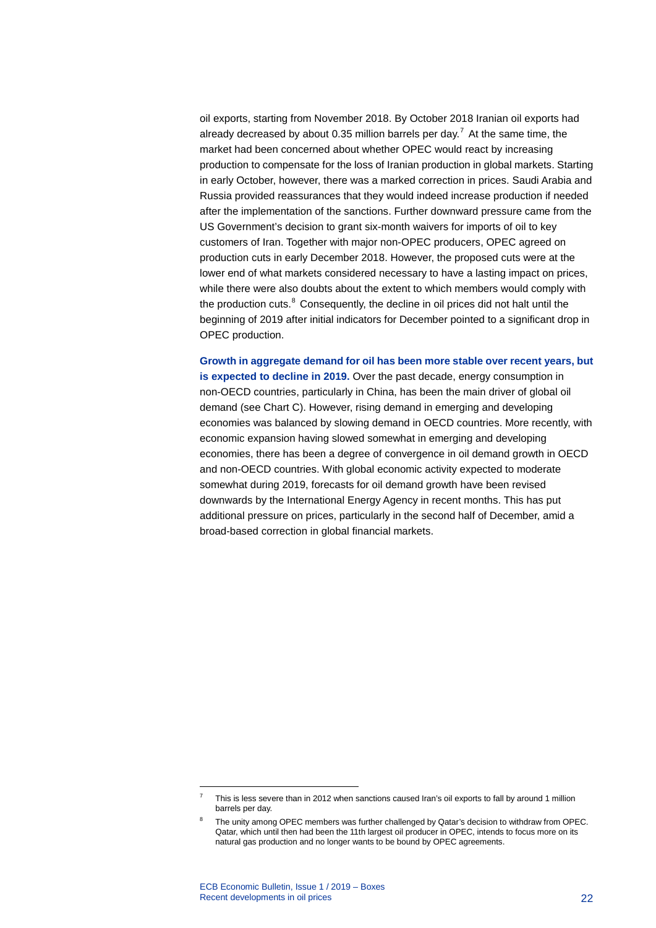oil exports, starting from November 2018. By October 2018 Iranian oil exports had already decreased by about 0.35 million barrels per day.<sup>[7](#page-22-0)</sup> At the same time, the market had been concerned about whether OPEC would react by increasing production to compensate for the loss of Iranian production in global markets. Starting in early October, however, there was a marked correction in prices. Saudi Arabia and Russia provided reassurances that they would indeed increase production if needed after the implementation of the sanctions. Further downward pressure came from the US Government's decision to grant six-month waivers for imports of oil to key customers of Iran. Together with major non-OPEC producers, OPEC agreed on production cuts in early December 2018. However, the proposed cuts were at the lower end of what markets considered necessary to have a lasting impact on prices, while there were also doubts about the extent to which members would comply with the production cuts.<sup>[8](#page-22-1)</sup> Consequently, the decline in oil prices did not halt until the beginning of 2019 after initial indicators for December pointed to a significant drop in OPEC production.

**Growth in aggregate demand for oil has been more stable over recent years, but is expected to decline in 2019.** Over the past decade, energy consumption in non-OECD countries, particularly in China, has been the main driver of global oil demand (see Chart C). However, rising demand in emerging and developing economies was balanced by slowing demand in OECD countries. More recently, with economic expansion having slowed somewhat in emerging and developing economies, there has been a degree of convergence in oil demand growth in OECD and non-OECD countries. With global economic activity expected to moderate somewhat during 2019, forecasts for oil demand growth have been revised downwards by the International Energy Agency in recent months. This has put additional pressure on prices, particularly in the second half of December, amid a broad-based correction in global financial markets.

-

<sup>7</sup> This is less severe than in 2012 when sanctions caused Iran's oil exports to fall by around 1 million barrels per day.

<span id="page-22-1"></span><span id="page-22-0"></span><sup>8</sup> The unity among OPEC members was further challenged by Qatar's decision to withdraw from OPEC. Qatar, which until then had been the 11th largest oil producer in OPEC, intends to focus more on its natural gas production and no longer wants to be bound by OPEC agreements.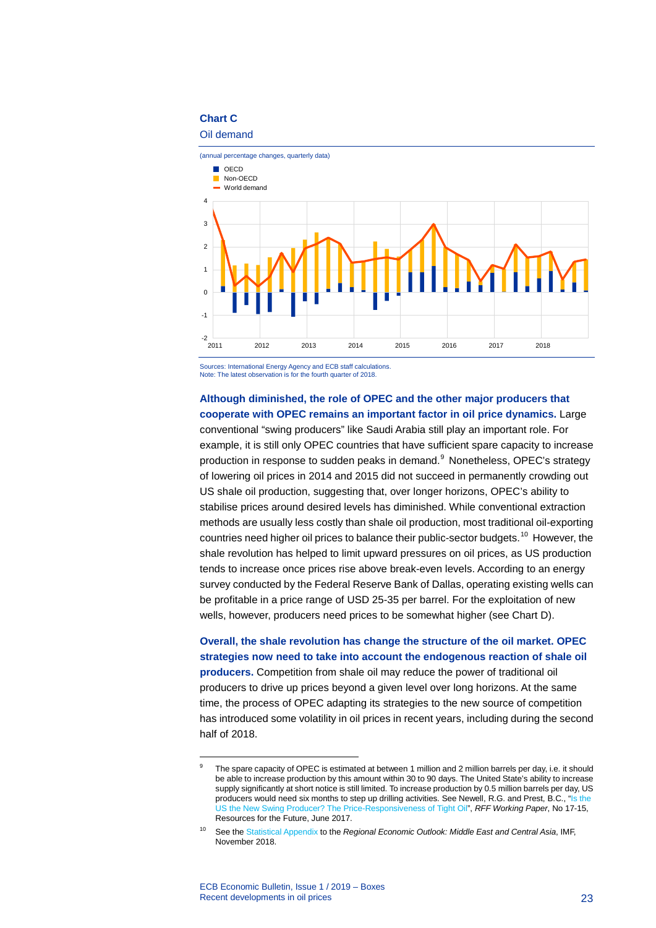### **Chart C**

### Oil demand



Sources: International Energy Agency and ECB staff calculations. Note: The latest observation is for the fourth quarter of 2018.

### **Although diminished, the role of OPEC and the other major producers that cooperate with OPEC remains an important factor in oil price dynamics.** Large

conventional "swing producers" like Saudi Arabia still play an important role. For example, it is still only OPEC countries that have sufficient spare capacity to increase production in response to sudden peaks in demand.<sup>[9](#page-23-0)</sup> Nonetheless, OPEC's strategy of lowering oil prices in 2014 and 2015 did not succeed in permanently crowding out US shale oil production, suggesting that, over longer horizons, OPEC's ability to stabilise prices around desired levels has diminished. While conventional extraction methods are usually less costly than shale oil production, most traditional oil-exporting countries need higher oil prices to balance their public-sector budgets. [10](#page-23-1) However, the shale revolution has helped to limit upward pressures on oil prices, as US production tends to increase once prices rise above break-even levels. According to an energy survey conducted by the Federal Reserve Bank of Dallas, operating existing wells can be profitable in a price range of USD 25-35 per barrel. For the exploitation of new wells, however, producers need prices to be somewhat higher (see Chart D).

**Overall, the shale revolution has change the structure of the oil market. OPEC strategies now need to take into account the endogenous reaction of shale oil producers.** Competition from shale oil may reduce the power of traditional oil producers to drive up prices beyond a given level over long horizons. At the same time, the process of OPEC adapting its strategies to the new source of competition has introduced some volatility in oil prices in recent years, including during the second half of 2018.

<span id="page-23-0"></span>-

The spare capacity of OPEC is estimated at between 1 million and 2 million barrels per day, i.e. it should be able to increase production by this amount within 30 to 90 days. The United State's ability to increase supply significantly at short notice is still limited. To increase production by 0.5 million barrels per day, US producers would need six months to step up drilling activities. See Newell, R.G. and Prest, B.C., ["Is the](http://www.rff.org/files/document/file/RFF-WP-17-15.pdf)  [US the New Swing Producer? The Price-Responsiveness of Tight Oil",](http://www.rff.org/files/document/file/RFF-WP-17-15.pdf) *RFF Working Paper*, No 17-15, Resources for the Future, June 2017.

<span id="page-23-1"></span><sup>10</sup> See th[e Statistical Appendix](https://www.imf.org/%7E/media/Files/Publications/REO/MCD-CCA/2018/November/En/CCA/reo-statistical-appendix-cca.ashx?la=en) to the *Regional Economic Outlook: Middle East and Central Asia*, IMF, November 2018.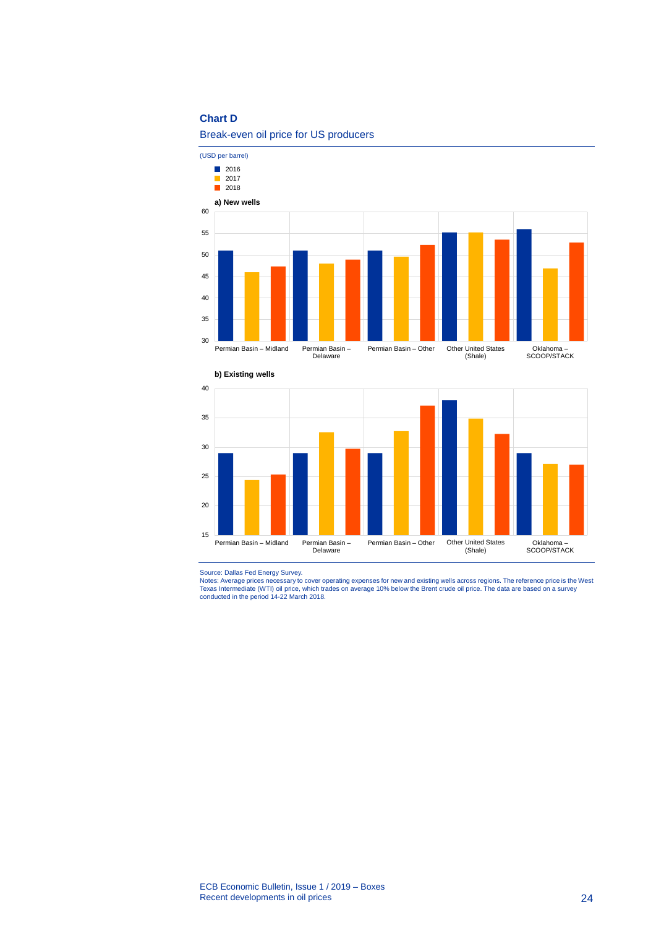### **Chart D**



Break-even oil price for US producers



Source: Dallas Fed Energy Survey.<br>Notes: Average prices necessary to cover operating expenses for new and existing wells across regions. The reference price is the West<br>Texas Intermediate (WTI) oil price, which trades on a conducted in the period 14-22 March 2018.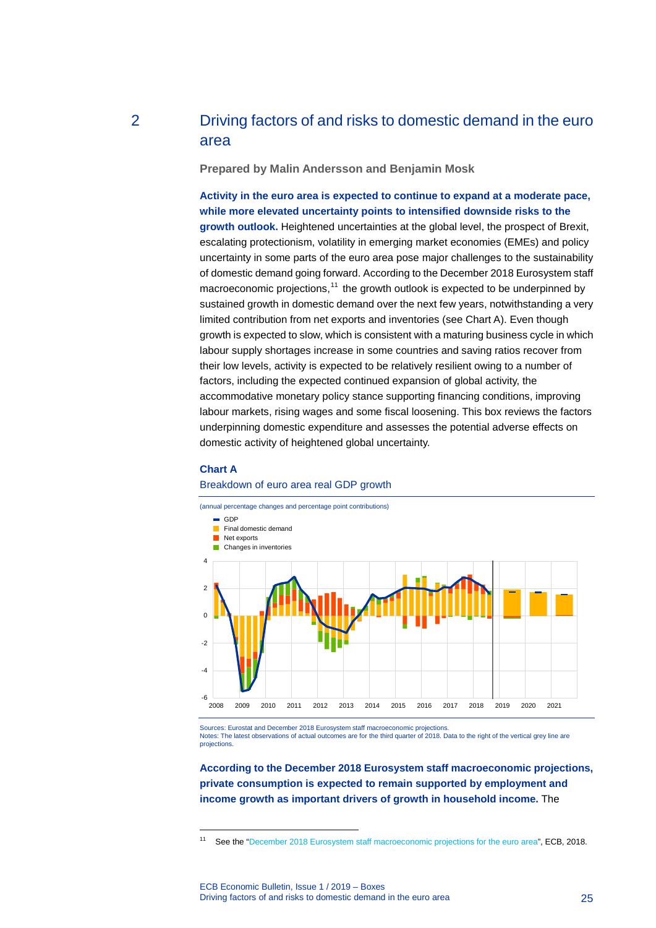## 2 Driving factors of and risks to domestic demand in the euro area

<span id="page-25-0"></span>**Prepared by Malin Andersson and Benjamin Mosk**

**Activity in the euro area is expected to continue to expand at a moderate pace, while more elevated uncertainty points to intensified downside risks to the growth outlook.** Heightened uncertainties at the global level, the prospect of Brexit, escalating protectionism, volatility in emerging market economies (EMEs) and policy uncertainty in some parts of the euro area pose major challenges to the sustainability of domestic demand going forward. According to the December 2018 Eurosystem staff macroeconomic projections,<sup>[11](#page-25-1)</sup> the growth outlook is expected to be underpinned by sustained growth in domestic demand over the next few years, notwithstanding a very limited contribution from net exports and inventories (see Chart A). Even though growth is expected to slow, which is consistent with a maturing business cycle in which labour supply shortages increase in some countries and saving ratios recover from their low levels, activity is expected to be relatively resilient owing to a number of factors, including the expected continued expansion of global activity, the accommodative monetary policy stance supporting financing conditions, improving labour markets, rising wages and some fiscal loosening. This box reviews the factors underpinning domestic expenditure and assesses the potential adverse effects on domestic activity of heightened global uncertainty.

### **Chart A**

-

### Breakdown of euro area real GDP growth



Notes: The latest observations of actual outcomes are for the third quarter of 2018. Data to the right of the vertical grey line are **projections** 

**According to the December 2018 Eurosystem staff macroeconomic projections, private consumption is expected to remain supported by employment and income growth as important drivers of growth in household income.** The

<span id="page-25-1"></span><sup>&</sup>lt;sup>11</sup> See the ["December 2018 Eurosystem staff macroeconomic projections for the euro area"](https://www.ecb.europa.eu/pub/pdf/other/ecb.projections201812_eurosystemstaff.en.pdf), ECB, 2018.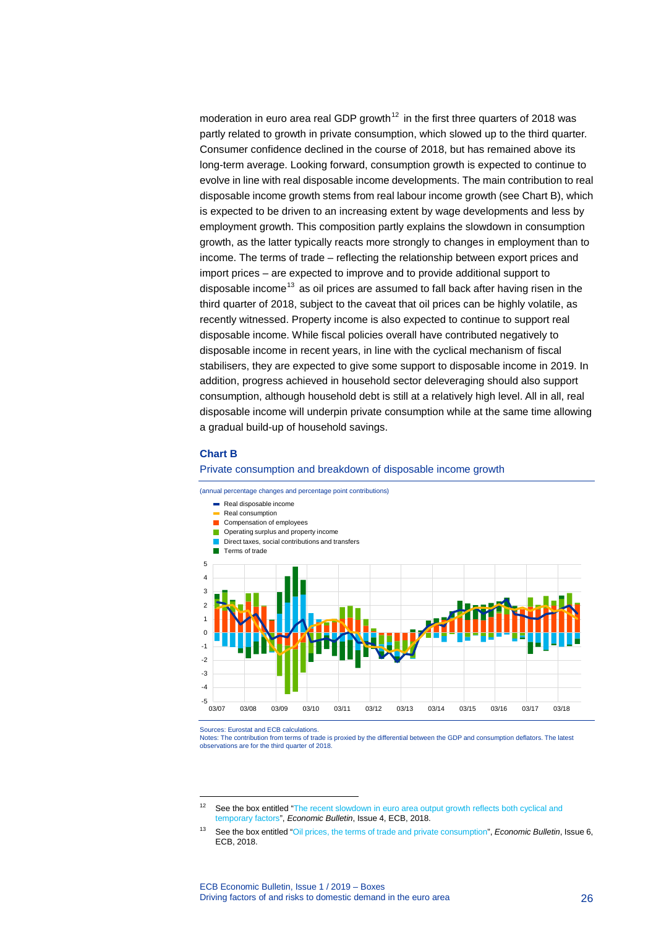moderation in euro area real GDP growth<sup>[12](#page-26-0)</sup> in the first three quarters of 2018 was partly related to growth in private consumption, which slowed up to the third quarter. Consumer confidence declined in the course of 2018, but has remained above its long-term average. Looking forward, consumption growth is expected to continue to evolve in line with real disposable income developments. The main contribution to real disposable income growth stems from real labour income growth (see Chart B), which is expected to be driven to an increasing extent by wage developments and less by employment growth. This composition partly explains the slowdown in consumption growth, as the latter typically reacts more strongly to changes in employment than to income. The terms of trade – reflecting the relationship between export prices and import prices – are expected to improve and to provide additional support to disposable income<sup>[13](#page-26-1)</sup> as oil prices are assumed to fall back after having risen in the third quarter of 2018, subject to the caveat that oil prices can be highly volatile, as recently witnessed. Property income is also expected to continue to support real disposable income. While fiscal policies overall have contributed negatively to disposable income in recent years, in line with the cyclical mechanism of fiscal stabilisers, they are expected to give some support to disposable income in 2019. In addition, progress achieved in household sector deleveraging should also support consumption, although household debt is still at a relatively high level. All in all, real disposable income will underpin private consumption while at the same time allowing a gradual build-up of household savings.

### **Chart B**





Sources: Eurostat and ECB calculations.

-

Notes: The contribution from terms of trade is proxied by the differential between the GDP and consumption deflators. The latest observations are for the third quarter of 2018.

<span id="page-26-0"></span><sup>&</sup>lt;sup>12</sup> See the box entitled "The recent slowdown in euro area output growth reflects both cyclical and [temporary factors"](https://www.ecb.europa.eu/pub/economic-bulletin/focus/2018/html/ecb.ebbox201804_02.en.html), *Economic Bulletin*, Issue 4, ECB, 2018.

<span id="page-26-1"></span><sup>13</sup> See the box entitled ["Oil prices, the terms of trade and private consumption"](https://www.ecb.europa.eu/pub/economic-bulletin/focus/2018/html/ecb.ebbox201806_03.en.html), *Economic Bulletin*, Issue 6, ECB, 2018.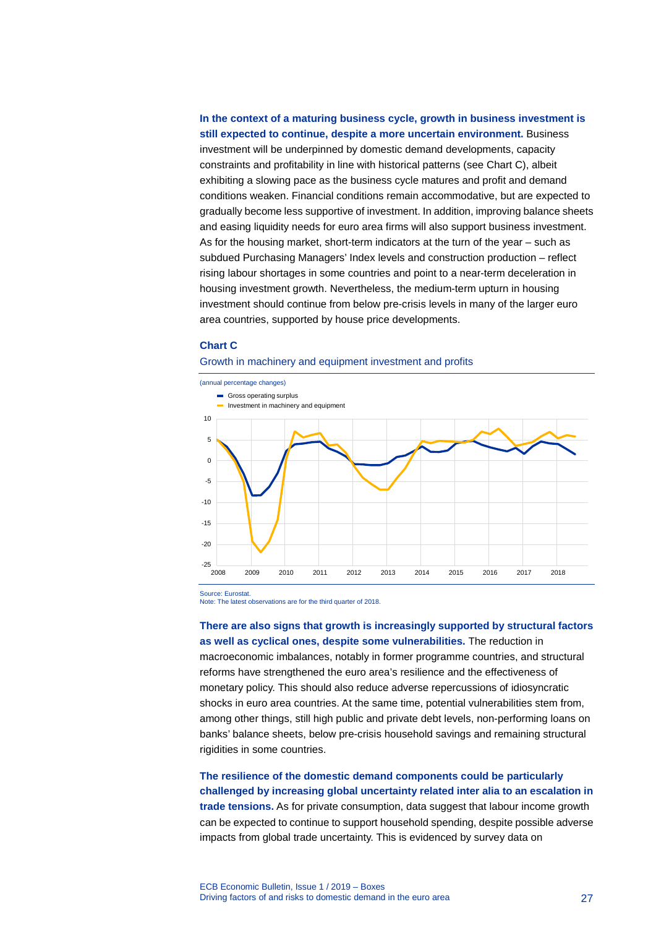### **In the context of a maturing business cycle, growth in business investment is still expected to continue, despite a more uncertain environment.** Business investment will be underpinned by domestic demand developments, capacity constraints and profitability in line with historical patterns (see Chart C), albeit exhibiting a slowing pace as the business cycle matures and profit and demand conditions weaken. Financial conditions remain accommodative, but are expected to gradually become less supportive of investment. In addition, improving balance sheets and easing liquidity needs for euro area firms will also support business investment. As for the housing market, short-term indicators at the turn of the year – such as subdued Purchasing Managers' Index levels and construction production – reflect rising labour shortages in some countries and point to a near-term deceleration in housing investment growth. Nevertheless, the medium-term upturn in housing investment should continue from below pre-crisis levels in many of the larger euro area countries, supported by house price developments.

### **Chart C**

### Growth in machinery and equipment investment and profits



Source: Eurostat.

Note: The latest observations are for the third quarter of 2018.

**There are also signs that growth is increasingly supported by structural factors as well as cyclical ones, despite some vulnerabilities.** The reduction in macroeconomic imbalances, notably in former programme countries, and structural reforms have strengthened the euro area's resilience and the effectiveness of monetary policy. This should also reduce adverse repercussions of idiosyncratic shocks in euro area countries. At the same time, potential vulnerabilities stem from, among other things, still high public and private debt levels, non-performing loans on banks' balance sheets, below pre-crisis household savings and remaining structural rigidities in some countries.

**The resilience of the domestic demand components could be particularly challenged by increasing global uncertainty related inter alia to an escalation in trade tensions.** As for private consumption, data suggest that labour income growth can be expected to continue to support household spending, despite possible adverse impacts from global trade uncertainty. This is evidenced by survey data on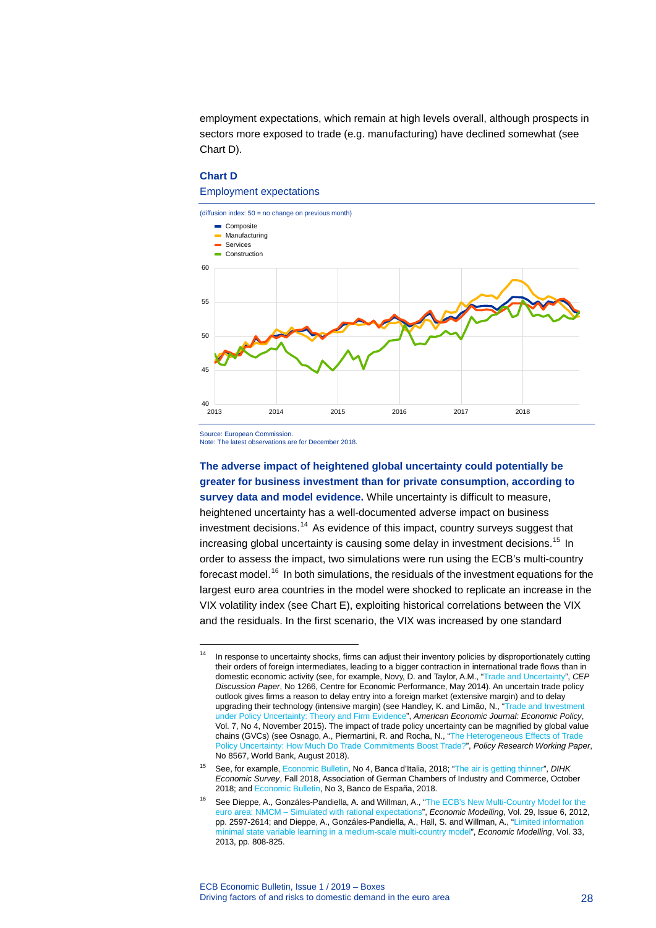employment expectations, which remain at high levels overall, although prospects in sectors more exposed to trade (e.g. manufacturing) have declined somewhat (see Chart D).

### **Chart D**

Employment expectations



Source: European Commission.

-

Note: The latest observations are for December 2018.

**The adverse impact of heightened global uncertainty could potentially be greater for business investment than for private consumption, according to survey data and model evidence.** While uncertainty is difficult to measure, heightened uncertainty has a well-documented adverse impact on business  $i$ nvestment decisions.<sup>[14](#page-28-0)</sup> As evidence of this impact, country surveys suggest that increasing global uncertainty is causing some delay in investment decisions.<sup>[15](#page-28-1)</sup> In order to assess the impact, two simulations were run using the ECB's multi-country forecast model.<sup>[16](#page-28-2)</sup> In both simulations, the residuals of the investment equations for the largest euro area countries in the model were shocked to replicate an increase in the VIX volatility index (see Chart E), exploiting historical correlations between the VIX and the residuals. In the first scenario, the VIX was increased by one standard

<span id="page-28-0"></span><sup>&</sup>lt;sup>14</sup> In response to uncertainty shocks, firms can adjust their inventory policies by disproportionately cutting their orders of foreign intermediates, leading to a bigger contraction in international trade flows than in domestic economic activity (see, for example, Novy, D. and Taylor, A.M., ["Trade and Uncertainty"](http://cep.lse.ac.uk/pubs/download/dp1266.pdf), *CEP Discussion Paper*, No 1266, Centre for Economic Performance, May 2014). An uncertain trade policy outlook gives firms a reason to delay entry into a foreign market (extensive margin) and to delay upgrading their technology (intensive margin) (see Handley, K. and Limão, N., ["Trade and Investment](https://pubs.aeaweb.org/doi/pdfplus/10.1257/pol.20140068)  [under Policy Uncertainty: Theory and Firm Evidence"](https://pubs.aeaweb.org/doi/pdfplus/10.1257/pol.20140068), *American Economic Journal: Economic Policy*, Vol. 7, No 4, November 2015). The impact of trade policy uncertainty can be magnified by global value chains (GVCs) (see Osnago, A., Piermartini, R. and Rocha, N., ["The Heterogeneous Effects of Trade](http://documents.worldbank.org/curated/en/907341535379025233/pdf/WPS8567.pdf)  [Policy Uncertainty: How Much Do Trade Commitments Boost Trade?"](http://documents.worldbank.org/curated/en/907341535379025233/pdf/WPS8567.pdf), *Policy Research Working Paper*, No 8567, World Bank, August 2018).

<span id="page-28-1"></span><sup>15</sup> See, for example, [Economic Bulletin,](https://www.bancaditalia.it/pubblicazioni/bollettino-economico/2018-4/index.html?com.dotmarketing.htmlpage.language=1) No 4, Banca d'Italia, 2018; ["The air is getting thinner",](https://www.dihk.de/ressourcen/downloads/dihk-konjunkturumfrage-10-2018-engl) *DIHK Economic Survey*, Fall 2018, Association of German Chambers of Industry and Commerce, October 2018; an[d Economic Bulletin,](https://www.bde.es/bde/en/secciones/informes/boletines/Boletin_economic/) No 3, Banco de España, 2018.

<span id="page-28-2"></span>See Dieppe, A., Gonzáles-Pandiella, A. and Willman, A., "The ECB's New Multi-Country Model for the euro area: NMCM – [Simulated with rational expectations"](https://doi.org/10.1016/j.econmod.2012.07.010), *Economic Modelling*, Vol. 29, Issue 6, 2012, pp. 2597-2614; and Dieppe, A., Gonzáles-Pandiella, A., Hall, S. and Willman, A., ["Limited information](https://doi.org/10.1016/j.econmod.2013.05.003)  [minimal state variable learning in a medium-scale multi-country model",](https://doi.org/10.1016/j.econmod.2013.05.003) *Economic Modelling*, Vol. 33, 2013, pp. 808-825.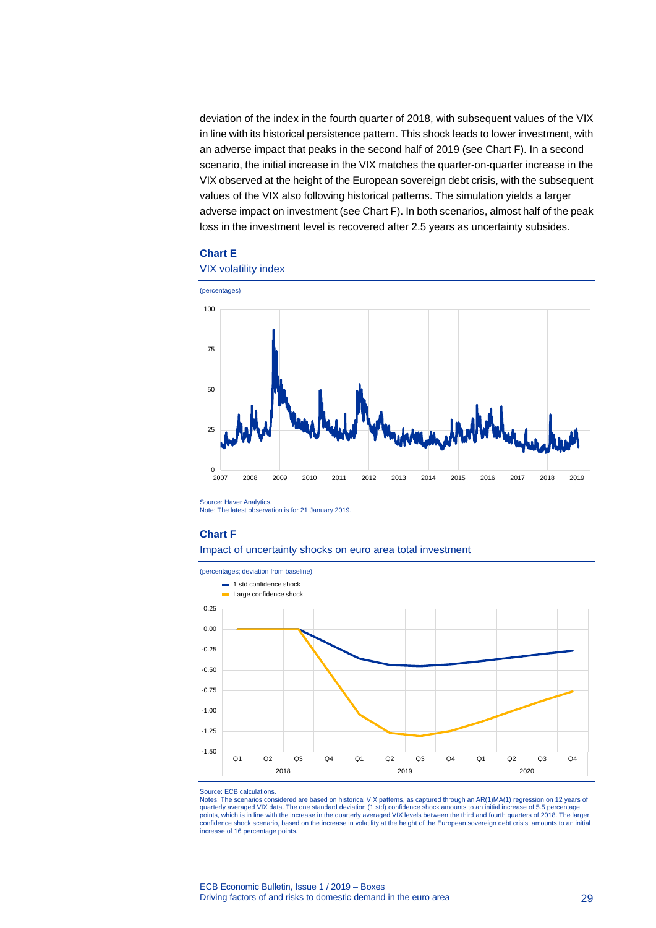deviation of the index in the fourth quarter of 2018, with subsequent values of the VIX in line with its historical persistence pattern. This shock leads to lower investment, with an adverse impact that peaks in the second half of 2019 (see Chart F). In a second scenario, the initial increase in the VIX matches the quarter-on-quarter increase in the VIX observed at the height of the European sovereign debt crisis, with the subsequent values of the VIX also following historical patterns. The simulation yields a larger adverse impact on investment (see Chart F). In both scenarios, almost half of the peak loss in the investment level is recovered after 2.5 years as uncertainty subsides.

#### **Chart E**



Source: Haver Analytics.

Note: The latest observation is for 21 January 2019.

#### **Chart F**

#### Impact of uncertainty shocks on euro area total investment



#### Source: ECB calculations.

Notes: The scenarios considered are based on historical VIX patterns, as captured through an AR(1)MA(1) regression on 12 years of quarterly averaged VIX data. The one standard deviation (1 std) confidence shock amounts to an initial increase of 5.5 percentage points, which is in line with the increase in the quarterly averaged VIX levels between the third and fourth quarters of 2018. The larger<br>confidence shock scenario, based on the increase in volatility at the height of the increase of 16 percentage points.

#### ECB Economic Bulletin, Issue 1 / 2019 – Boxes Driving factors of and risks to domestic demand in the euro area 29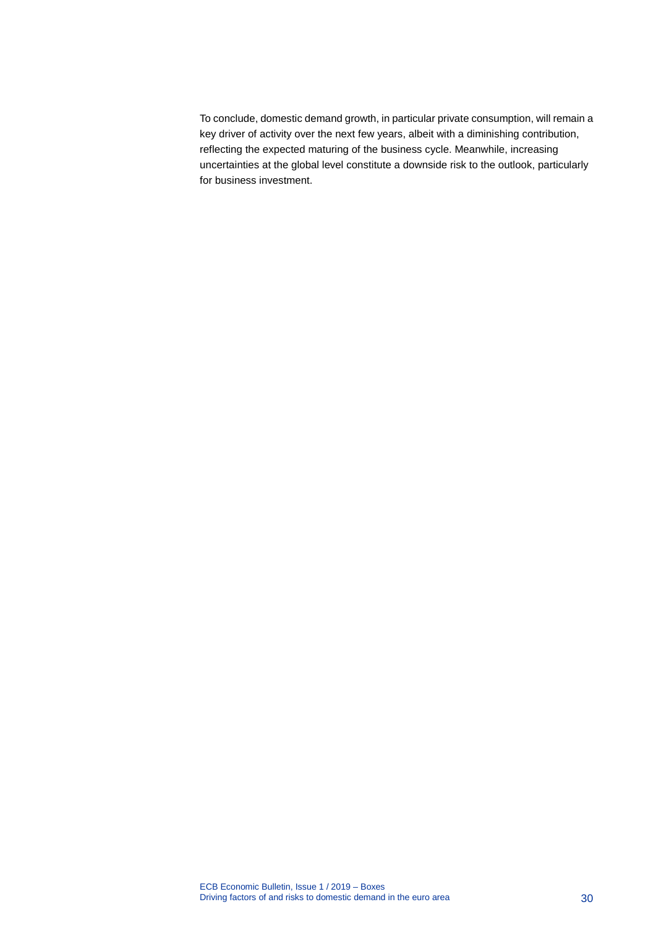To conclude, domestic demand growth, in particular private consumption, will remain a key driver of activity over the next few years, albeit with a diminishing contribution, reflecting the expected maturing of the business cycle. Meanwhile, increasing uncertainties at the global level constitute a downside risk to the outlook, particularly for business investment.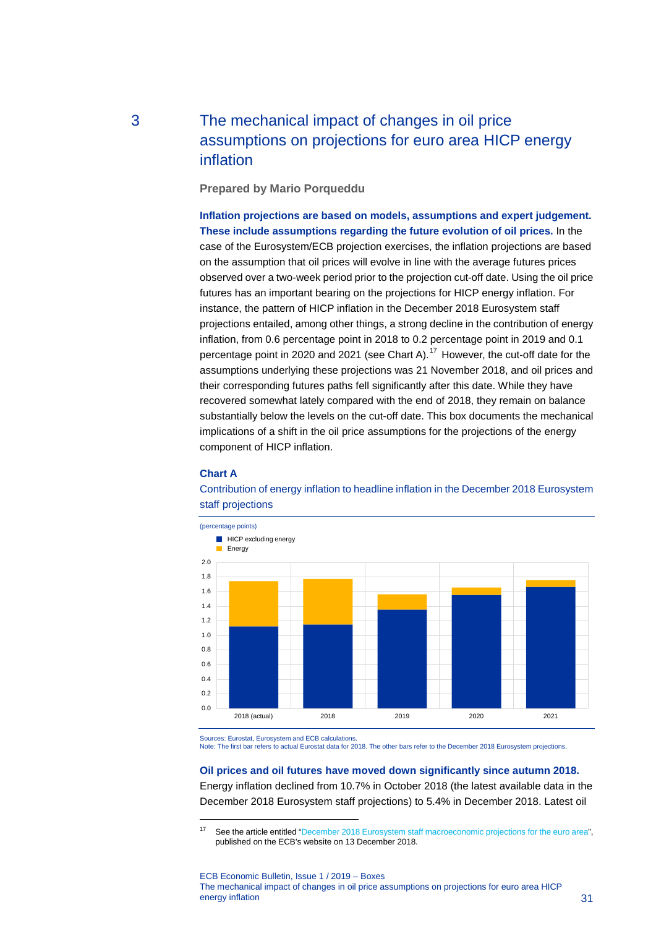# <span id="page-31-0"></span>3 The mechanical impact of changes in oil price assumptions on projections for euro area HICP energy inflation

**Prepared by Mario Porqueddu**

**Inflation projections are based on models, assumptions and expert judgement. These include assumptions regarding the future evolution of oil prices.** In the case of the Eurosystem/ECB projection exercises, the inflation projections are based on the assumption that oil prices will evolve in line with the average futures prices observed over a two-week period prior to the projection cut-off date. Using the oil price futures has an important bearing on the projections for HICP energy inflation. For instance, the pattern of HICP inflation in the December 2018 Eurosystem staff projections entailed, among other things, a strong decline in the contribution of energy inflation, from 0.6 percentage point in 2018 to 0.2 percentage point in 2019 and 0.1 percentage point in 2020 and 2021 (see Chart A).[17](#page-31-1) However, the cut-off date for the assumptions underlying these projections was 21 November 2018, and oil prices and their corresponding futures paths fell significantly after this date. While they have recovered somewhat lately compared with the end of 2018, they remain on balance substantially below the levels on the cut-off date. This box documents the mechanical implications of a shift in the oil price assumptions for the projections of the energy component of HICP inflation.

### **Chart A**

-



Contribution of energy inflation to headline inflation in the December 2018 Eurosystem staff projections

Sources: Eurostat, Eurosystem and ECB calculations.

Note: The first bar refers to actual Eurostat data for 2018. The other bars refer to the December 2018 Eurosystem projections.

### **Oil prices and oil futures have moved down significantly since autumn 2018.**

Energy inflation declined from 10.7% in October 2018 (the latest available data in the December 2018 Eurosystem staff projections) to 5.4% in December 2018. Latest oil

ECB Economic Bulletin, Issue 1 / 2019 – Boxes The mechanical impact of changes in oil price assumptions on projections for euro area HICP energy inflation 31

<span id="page-31-1"></span><sup>&</sup>lt;sup>17</sup> See the article entitled ["December 2018 Eurosystem staff macroeconomic projections for the euro area"](https://www.ecb.europa.eu/pub/pdf/other/ecb.projections201812_eurosystemstaff.en.pdf), published on the ECB's website on 13 December 2018.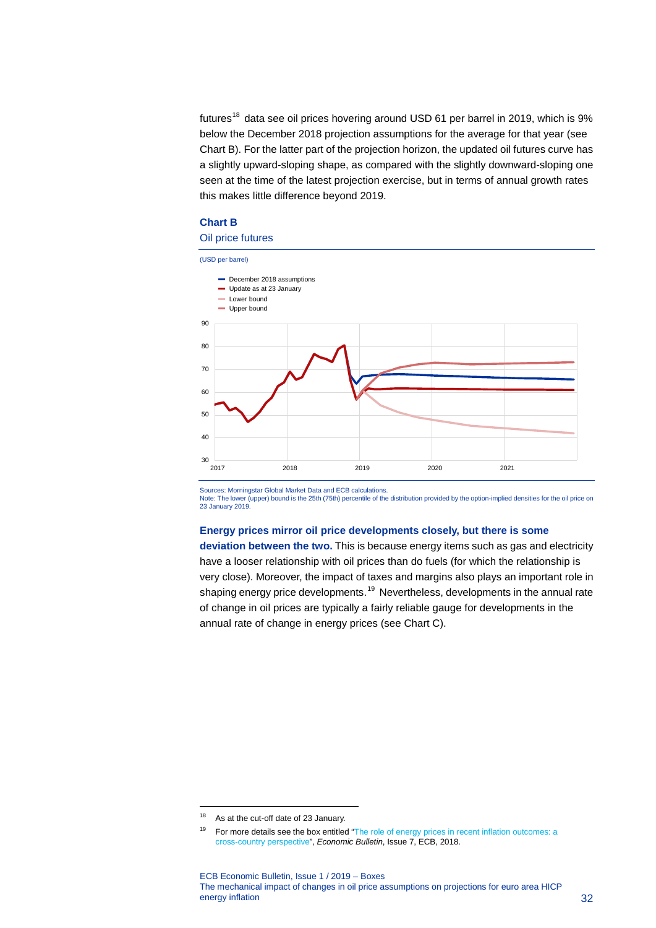futures<sup>[18](#page-32-0)</sup> data see oil prices hovering around USD 61 per barrel in 2019, which is  $9\%$ below the December 2018 projection assumptions for the average for that year (see Chart B). For the latter part of the projection horizon, the updated oil futures curve has a slightly upward-sloping shape, as compared with the slightly downward-sloping one seen at the time of the latest projection exercise, but in terms of annual growth rates this makes little difference beyond 2019.

### **Chart B**

### Oil price futures



Sources: Morningstar Global Market Data and ECB calculations.

Note: The lower (upper) bound is the 25th (75th) percentile of the distribution provided by the option-implied densities for the oil price on 23 January 2019.

### **Energy prices mirror oil price developments closely, but there is some**

**deviation between the two.** This is because energy items such as gas and electricity have a looser relationship with oil prices than do fuels (for which the relationship is very close). Moreover, the impact of taxes and margins also plays an important role in shaping energy price developments.<sup>[19](#page-32-1)</sup> Nevertheless, developments in the annual rate of change in oil prices are typically a fairly reliable gauge for developments in the annual rate of change in energy prices (see Chart C).

-

<span id="page-32-0"></span><sup>&</sup>lt;sup>18</sup> As at the cut-off date of 23 January.

<span id="page-32-1"></span><sup>&</sup>lt;sup>19</sup> For more details see the box entitled "The role of energy prices in recent inflation outcomes: a [cross-country perspective"](https://www.ecb.europa.eu/pub/economic-bulletin/focus/2018/html/ecb.ebbox201807_05.en.html), *Economic Bulletin*, Issue 7, ECB, 2018.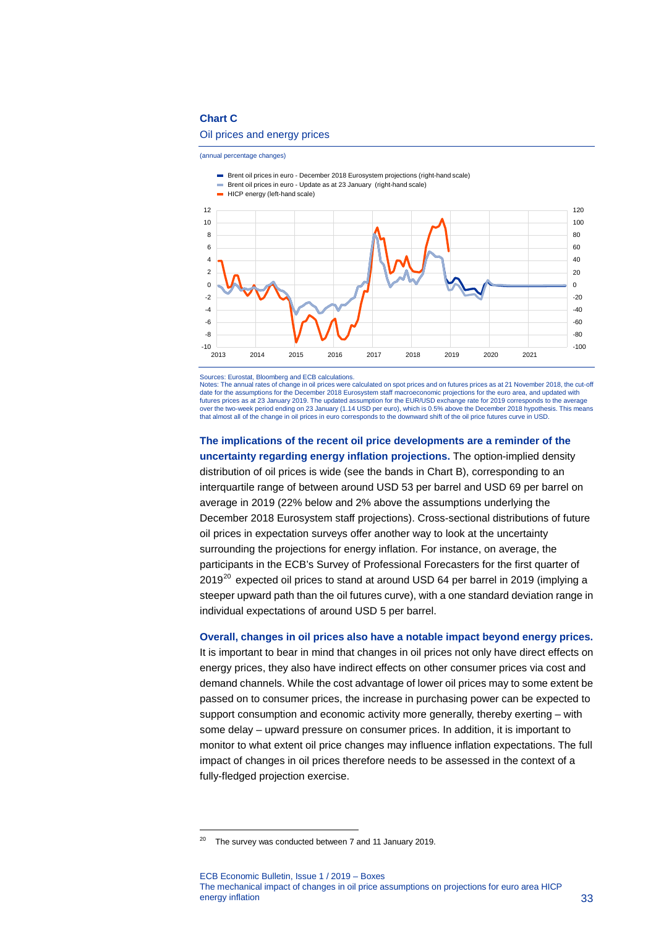### **Chart C**

### Oil prices and energy prices

(annual percentage changes)

- Brent oil prices in euro December 2018 Eurosystem projections (right-hand scale)
- Brent oil prices in euro Update as at 23 January (right-hand scale)





Sources: Eurostat, Bloomberg and ECB calculations.

Notes: The annual rates of change in oil prices were calculated on spot prices and on futures prices as at 21 November 2018, the cut-off<br>date for the assumptions for the December 2018 Eurosystem staff macroeconomic project futures prices as at 23 January 2019. The updated assumption for the EUR/USD exchange rate for 2019 corresponds to the average over the two-week period ending on 23 January (1.14 USD per euro), which is 0.5% above the December 2018 hypothesis. This means that almost all of the change in oil prices in euro corresponds to the downward shift of the oil price futures curve in USD.

**The implications of the recent oil price developments are a reminder of the uncertainty regarding energy inflation projections.** The option-implied density distribution of oil prices is wide (see the bands in Chart B), corresponding to an interquartile range of between around USD 53 per barrel and USD 69 per barrel on average in 2019 (22% below and 2% above the assumptions underlying the December 2018 Eurosystem staff projections). Cross-sectional distributions of future oil prices in expectation surveys offer another way to look at the uncertainty surrounding the projections for energy inflation. For instance, on average, the participants in the ECB's Survey of Professional Forecasters for the first quarter of  $2019^{20}$  $2019^{20}$  expected oil prices to stand at around USD 64 per barrel in 2019 (implying a steeper upward path than the oil futures curve), with a one standard deviation range in individual expectations of around USD 5 per barrel.

**Overall, changes in oil prices also have a notable impact beyond energy prices.**

It is important to bear in mind that changes in oil prices not only have direct effects on energy prices, they also have indirect effects on other consumer prices via cost and demand channels. While the cost advantage of lower oil prices may to some extent be passed on to consumer prices, the increase in purchasing power can be expected to support consumption and economic activity more generally, thereby exerting – with some delay – upward pressure on consumer prices. In addition, it is important to monitor to what extent oil price changes may influence inflation expectations. The full impact of changes in oil prices therefore needs to be assessed in the context of a fully-fledged projection exercise.

-

ECB Economic Bulletin, Issue 1 / 2019 – Boxes The mechanical impact of changes in oil price assumptions on projections for euro area HICP energy inflation 33

<span id="page-33-0"></span> $20$  The survey was conducted between 7 and 11 January 2019.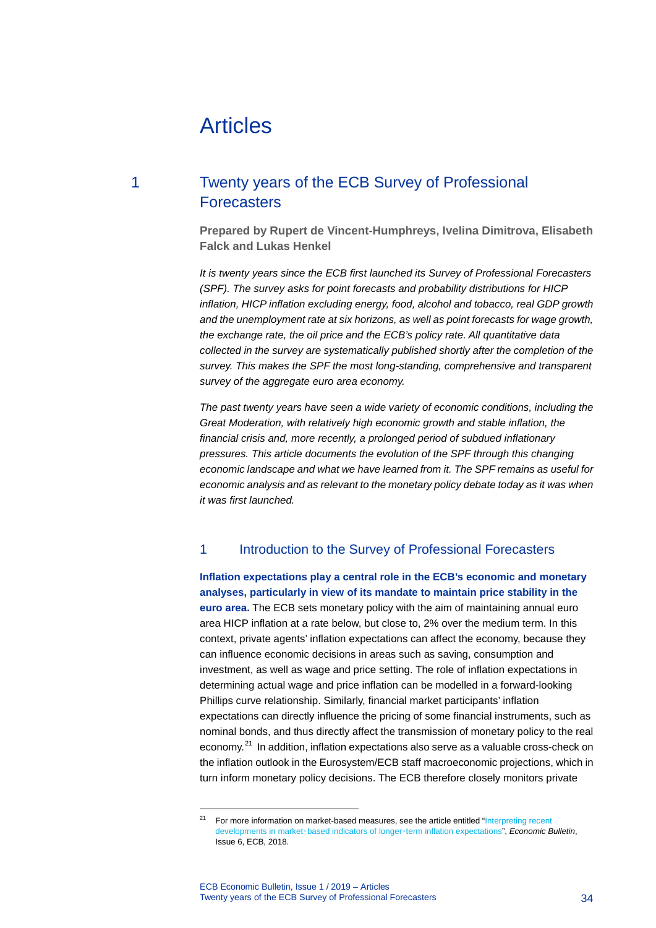# <span id="page-34-0"></span>Articles

## 1 Twenty years of the ECB Survey of Professional **Forecasters**

<span id="page-34-1"></span>**Prepared by Rupert de Vincent-Humphreys, Ivelina Dimitrova, Elisabeth Falck and Lukas Henkel**

*It is twenty years since the ECB first launched its Survey of Professional Forecasters (SPF). The survey asks for point forecasts and probability distributions for HICP inflation, HICP inflation excluding energy, food, alcohol and tobacco, real GDP growth and the unemployment rate at six horizons, as well as point forecasts for wage growth, the exchange rate, the oil price and the ECB's policy rate. All quantitative data collected in the survey are systematically published shortly after the completion of the survey. This makes the SPF the most long-standing, comprehensive and transparent survey of the aggregate euro area economy.*

*The past twenty years have seen a wide variety of economic conditions, including the Great Moderation, with relatively high economic growth and stable inflation, the financial crisis and, more recently, a prolonged period of subdued inflationary pressures. This article documents the evolution of the SPF through this changing economic landscape and what we have learned from it. The SPF remains as useful for economic analysis and as relevant to the monetary policy debate today as it was when it was first launched.*

### 1 Introduction to the Survey of Professional Forecasters

**Inflation expectations play a central role in the ECB's economic and monetary analyses, particularly in view of its mandate to maintain price stability in the euro area.** The ECB sets monetary policy with the aim of maintaining annual euro area HICP inflation at a rate below, but close to, 2% over the medium term. In this context, private agents' inflation expectations can affect the economy, because they can influence economic decisions in areas such as saving, consumption and investment, as well as wage and price setting. The role of inflation expectations in determining actual wage and price inflation can be modelled in a forward-looking Phillips curve relationship. Similarly, financial market participants' inflation expectations can directly influence the pricing of some financial instruments, such as nominal bonds, and thus directly affect the transmission of monetary policy to the real economy.[21](#page-34-2) In addition, inflation expectations also serve as a valuable cross-check on the inflation outlook in the Eurosystem/ECB staff macroeconomic projections, which in turn inform monetary policy decisions. The ECB therefore closely monitors private

-

<span id="page-34-2"></span><sup>&</sup>lt;sup>21</sup> For more information on market-based measures, see the article entitled "Interpreting recent developments in market‑based indicators of longer‑[term inflation expectations"](https://www.ecb.europa.eu/pub/economic-bulletin/articles/2018/html/ecb.ebart201806_02.en.html), *Economic Bulletin*, Issue 6, ECB, 2018.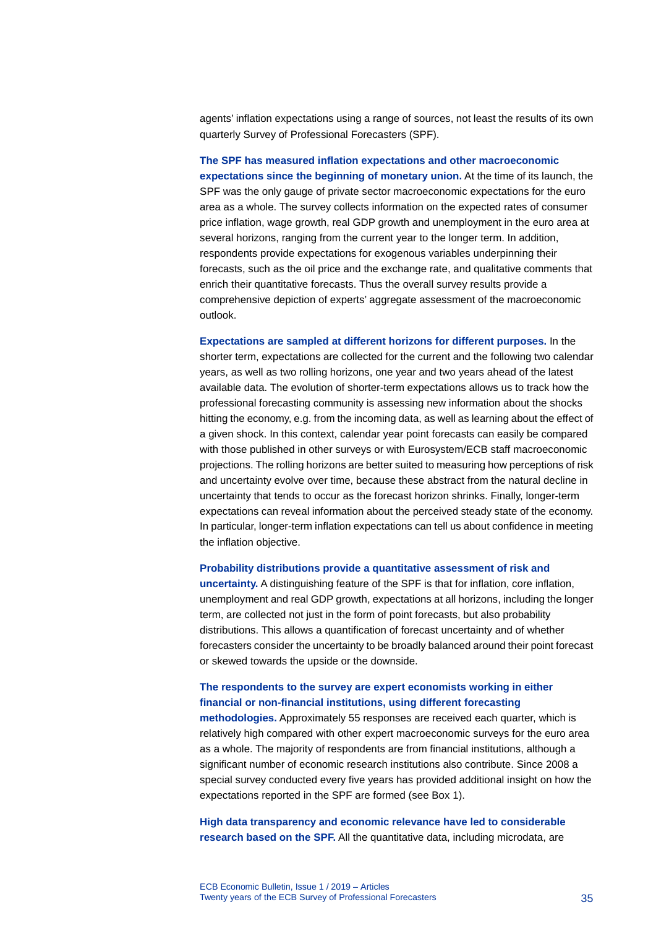agents' inflation expectations using a range of sources, not least the results of its own quarterly Survey of Professional Forecasters (SPF).

**The SPF has measured inflation expectations and other macroeconomic expectations since the beginning of monetary union.** At the time of its launch, the SPF was the only gauge of private sector macroeconomic expectations for the euro area as a whole. The survey collects information on the expected rates of consumer price inflation, wage growth, real GDP growth and unemployment in the euro area at several horizons, ranging from the current year to the longer term. In addition, respondents provide expectations for exogenous variables underpinning their forecasts, such as the oil price and the exchange rate, and qualitative comments that enrich their quantitative forecasts. Thus the overall survey results provide a comprehensive depiction of experts' aggregate assessment of the macroeconomic outlook.

**Expectations are sampled at different horizons for different purposes.** In the shorter term, expectations are collected for the current and the following two calendar years, as well as two rolling horizons, one year and two years ahead of the latest available data. The evolution of shorter-term expectations allows us to track how the professional forecasting community is assessing new information about the shocks hitting the economy, e.g. from the incoming data, as well as learning about the effect of a given shock. In this context, calendar year point forecasts can easily be compared with those published in other surveys or with Eurosystem/ECB staff macroeconomic projections. The rolling horizons are better suited to measuring how perceptions of risk and uncertainty evolve over time, because these abstract from the natural decline in uncertainty that tends to occur as the forecast horizon shrinks. Finally, longer-term expectations can reveal information about the perceived steady state of the economy. In particular, longer-term inflation expectations can tell us about confidence in meeting the inflation objective.

#### **Probability distributions provide a quantitative assessment of risk and**

**uncertainty.** A distinguishing feature of the SPF is that for inflation, core inflation, unemployment and real GDP growth, expectations at all horizons, including the longer term, are collected not just in the form of point forecasts, but also probability distributions. This allows a quantification of forecast uncertainty and of whether forecasters consider the uncertainty to be broadly balanced around their point forecast or skewed towards the upside or the downside.

### **The respondents to the survey are expert economists working in either financial or non-financial institutions, using different forecasting**

**methodologies.** Approximately 55 responses are received each quarter, which is relatively high compared with other expert macroeconomic surveys for the euro area as a whole. The majority of respondents are from financial institutions, although a significant number of economic research institutions also contribute. Since 2008 a special survey conducted every five years has provided additional insight on how the expectations reported in the SPF are formed (see Box 1).

**High data transparency and economic relevance have led to considerable research based on the SPF.** All the quantitative data, including microdata, are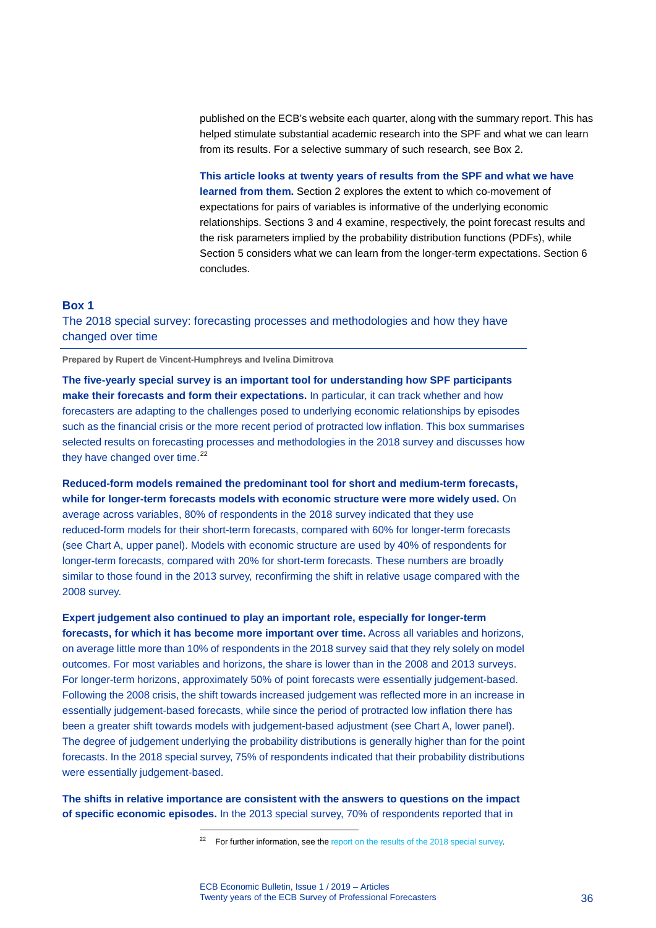published on the ECB's website each quarter, along with the summary report. This has helped stimulate substantial academic research into the SPF and what we can learn from its results. For a selective summary of such research, see Box 2.

**This article looks at twenty years of results from the SPF and what we have learned from them.** Section 2 explores the extent to which co-movement of expectations for pairs of variables is informative of the underlying economic relationships. Sections 3 and 4 examine, respectively, the point forecast results and the risk parameters implied by the probability distribution functions (PDFs), while Section 5 considers what we can learn from the longer-term expectations. Section 6 concludes.

### **Box 1**

The 2018 special survey: forecasting processes and methodologies and how they have changed over time

**Prepared by Rupert de Vincent-Humphreys and Ivelina Dimitrova**

**The five-yearly special survey is an important tool for understanding how SPF participants make their forecasts and form their expectations.** In particular, it can track whether and how forecasters are adapting to the challenges posed to underlying economic relationships by episodes such as the financial crisis or the more recent period of protracted low inflation. This box summarises selected results on forecasting processes and methodologies in the 2018 survey and discusses how they have changed over time.<sup>[22](#page-36-0)</sup>

**Reduced-form models remained the predominant tool for short and medium-term forecasts, while for longer-term forecasts models with economic structure were more widely used.** On average across variables, 80% of respondents in the 2018 survey indicated that they use reduced-form models for their short-term forecasts, compared with 60% for longer-term forecasts (see Chart A, upper panel). Models with economic structure are used by 40% of respondents for longer-term forecasts, compared with 20% for short-term forecasts. These numbers are broadly similar to those found in the 2013 survey, reconfirming the shift in relative usage compared with the 2008 survey.

**Expert judgement also continued to play an important role, especially for longer-term forecasts, for which it has become more important over time.** Across all variables and horizons, on average little more than 10% of respondents in the 2018 survey said that they rely solely on model outcomes. For most variables and horizons, the share is lower than in the 2008 and 2013 surveys. For longer-term horizons, approximately 50% of point forecasts were essentially judgement-based. Following the 2008 crisis, the shift towards increased judgement was reflected more in an increase in essentially judgement-based forecasts, while since the period of protracted low inflation there has been a greater shift towards models with judgement-based adjustment (see Chart A, lower panel). The degree of judgement underlying the probability distributions is generally higher than for the point forecasts. In the 2018 special survey, 75% of respondents indicated that their probability distributions were essentially judgement-based.

<span id="page-36-0"></span>**The shifts in relative importance are consistent with the answers to questions on the impact of specific economic episodes.** In the 2013 special survey, 70% of respondents reported that in

<sup>&</sup>lt;sup>22</sup> For further information, see th[e report on the results of the 2018 special survey.](https://www.ecb.europa.eu/stats/ecb_surveys/survey_of_professional_forecasters/html/ecb.spf201902_specialsurvey~7275f9e7e6.en.html)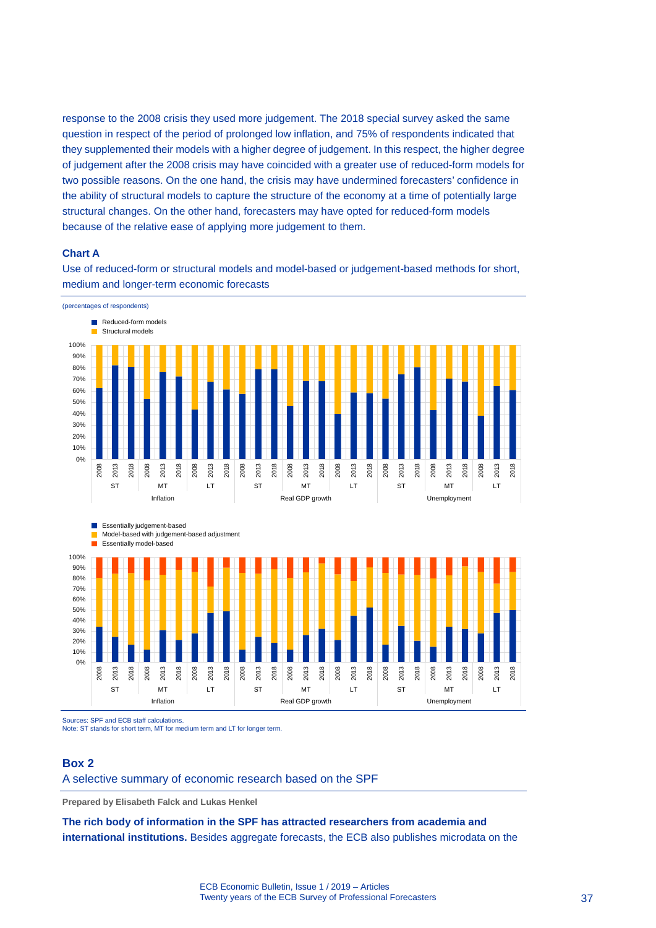response to the 2008 crisis they used more judgement. The 2018 special survey asked the same question in respect of the period of prolonged low inflation, and 75% of respondents indicated that they supplemented their models with a higher degree of judgement. In this respect, the higher degree of judgement after the 2008 crisis may have coincided with a greater use of reduced-form models for two possible reasons. On the one hand, the crisis may have undermined forecasters' confidence in the ability of structural models to capture the structure of the economy at a time of potentially large structural changes. On the other hand, forecasters may have opted for reduced-form models because of the relative ease of applying more judgement to them.

### **Chart A**

Use of reduced-form or structural models and model-based or judgement-based methods for short, medium and longer-term economic forecasts



Sources: SPF and ECB staff calculations.

Note: ST stands for short term, MT for medium term and LT for longer term.

### **Box 2**

A selective summary of economic research based on the SPF

**Prepared by Elisabeth Falck and Lukas Henkel**

**The rich body of information in the SPF has attracted researchers from academia and international institutions.** Besides aggregate forecasts, the ECB also publishes microdata on the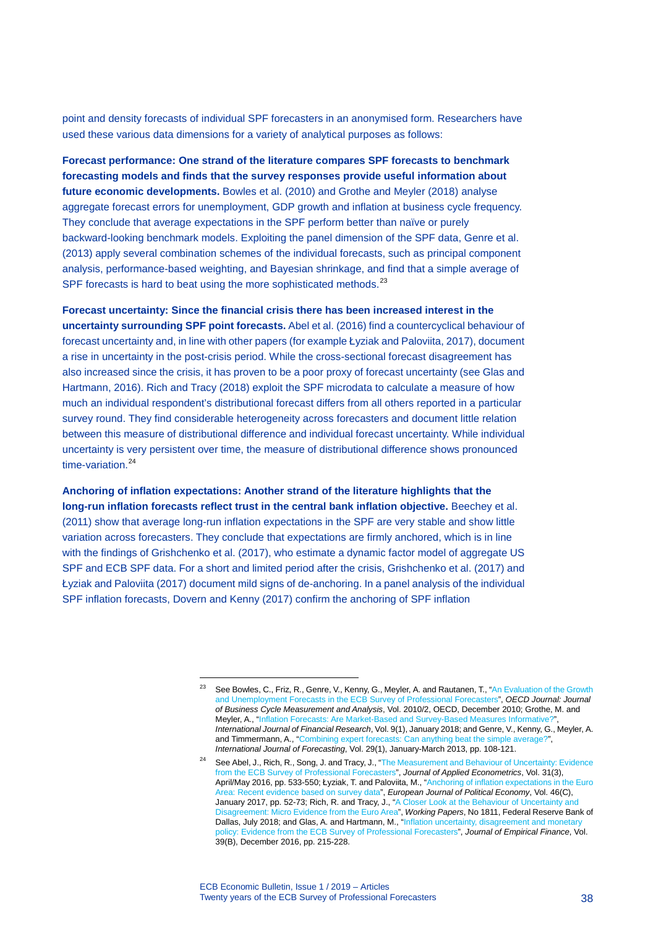point and density forecasts of individual SPF forecasters in an anonymised form. Researchers have used these various data dimensions for a variety of analytical purposes as follows:

**Forecast performance: One strand of the literature compares SPF forecasts to benchmark forecasting models and finds that the survey responses provide useful information about future economic developments.** Bowles et al. (2010) and Grothe and Meyler (2018) analyse aggregate forecast errors for unemployment, GDP growth and inflation at business cycle frequency. They conclude that average expectations in the SPF perform better than naïve or purely backward-looking benchmark models. Exploiting the panel dimension of the SPF data, Genre et al. (2013) apply several combination schemes of the individual forecasts, such as principal component analysis, performance-based weighting, and Bayesian shrinkage, and find that a simple average of SPF forecasts is hard to beat using the more sophisticated methods.<sup>[23](#page-38-0)</sup>

**Forecast uncertainty: Since the financial crisis there has been increased interest in the uncertainty surrounding SPF point forecasts.** Abel et al. (2016) find a countercyclical behaviour of forecast uncertainty and, in line with other papers (for example Łyziak an[d Paloviita,](https://www.sciencedirect.com/science/article/pii/S0176268016302786#!) 2017), document a rise in uncertainty in the post-crisis period. While the cross-sectional forecast disagreement has also increased since the crisis, it has proven to be a poor proxy of forecast uncertainty (see Glas and Hartmann, 2016). Rich and Tracy (2018) exploit the SPF microdata to calculate a measure of how much an individual respondent's distributional forecast differs from all others reported in a particular survey round. They find considerable heterogeneity across forecasters and document little relation between this measure of distributional difference and individual forecast uncertainty. While individual uncertainty is very persistent over time, the measure of distributional difference shows pronounced time-variation. $24$ 

**Anchoring of inflation expectations: Another strand of the literature highlights that the long-run inflation forecasts reflect trust in the central bank inflation objective.** Beechey et al. (2011) show that average long-run inflation expectations in the SPF are very stable and show little variation across forecasters. They conclude that expectations are firmly anchored, which is in line with the findings of Grishchenko et al. (2017), who estimate a dynamic factor model of aggregate US SPF and ECB SPF data. For a short and limited period after the crisis, Grishchenko et al. (2017) and Łyziak and [Paloviita](https://www.sciencedirect.com/science/article/pii/S0176268016302786#!) (2017) document mild signs of de-anchoring. In a panel analysis of the individual SPF inflation forecasts, Dovern and Kenny (2017) confirm the anchoring of SPF inflation

<span id="page-38-0"></span>See Bowles, C., Friz, R., Genre, V., Kenny, G., Meyler, A. and Rautanen, T., "An Evaluation of the Growth [and Unemployment Forecasts in the ECB Survey of Professional Forecasters",](https://doi.org/10.1787/jbcma-2010-5km33sg210kk) *OECD Journal: Journal of Business Cycle Measurement and Analysis*, Vol. 2010/2, OECD, December 2010; Grothe, M. and Meyler, A., "Inflation [Forecasts: Are Market-Based and Survey-Based Measures Informative?"](https://doi.org/10.5430/ijfr.v9n1p171), *International Journal of Financial Research*, Vol. 9(1), January 2018; and Genre, V., Kenny, G., Meyler, A. and Timmermann, A., ["Combining expert forecasts: Can anything beat the simple average?",](http://dx.doi.org/10.1016/j.ijforecast.2012.06.004) *International Journal of Forecasting*, Vol. 29(1), January-March 2013, pp. 108-121.

<span id="page-38-1"></span>See Abel, J., Rich, R., Song, J. and Tracy, J., "The Measurement and Behaviour of Uncertainty: Evidence [from the ECB Survey of Professional Forecasters"](https://doi.org/10.1002/jae.2430), *Journal of Applied Econometrics*, Vol. 31(3), April/May 2016, pp. 533-550; Łyziak, T. and Paloviita, M., ["Anchoring of inflation expectations in the Euro](https://doi.org/10.1016/j.ejpoleco.2016.11.001)  [Area: Recent evidence based on survey data",](https://doi.org/10.1016/j.ejpoleco.2016.11.001) *European Journal of Political Economy*, Vol. 46(C), January 2017, pp. 52-73; Rich, R. and Tracy, J., ["A Closer Look at the Behaviour of Uncertainty and](https://doi.org/10.24149/wp1811)  [Disagreement: Micro Evidence from the Euro Area",](https://doi.org/10.24149/wp1811) *Working Papers*, No 1811, Federal Reserve Bank of Dallas, July 2018; and Glas, A. and Hartmann, M., "Inflation uncertainty, disagreement and monetar [policy: Evidence from the ECB Survey of Professional Forecasters"](https://doi.org/10.1016/j.jempfin.2016.05.001), *Journal of Empirical Finance*, Vol. 39(B), December 2016, pp. 215-228.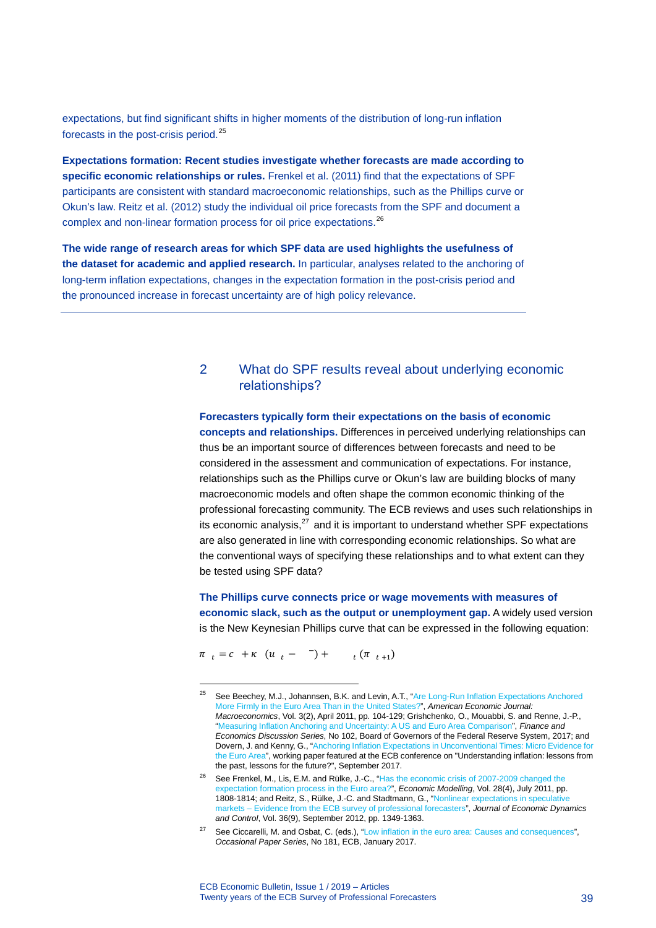expectations, but find significant shifts in higher moments of the distribution of long-run inflation forecasts in the post-crisis period.[25](#page-39-0)

**Expectations formation: Recent studies investigate whether forecasts are made according to specific economic relationships or rules.** Frenkel et al. (2011) find that the expectations of SPF participants are consistent with standard macroeconomic relationships, such as the Phillips curve or Okun's law. Reitz et al. (2012) study the individual oil price forecasts from the SPF and document a complex and non-linear formation process for oil price expectations.<sup>[26](#page-39-1)</sup>

**The wide range of research areas for which SPF data are used highlights the usefulness of the dataset for academic and applied research.** In particular, analyses related to the anchoring of long-term inflation expectations, changes in the expectation formation in the post-crisis period and the pronounced increase in forecast uncertainty are of high policy relevance.

# 2 What do SPF results reveal about underlying economic relationships?

**Forecasters typically form their expectations on the basis of economic concepts and relationships.** Differences in perceived underlying relationships can thus be an important source of differences between forecasts and need to be considered in the assessment and communication of expectations. For instance, relationships such as the Phillips curve or Okun's law are building blocks of many macroeconomic models and often shape the common economic thinking of the professional forecasting community. The ECB reviews and uses such relationships in its economic analysis, $^{27}$  $^{27}$  $^{27}$  and it is important to understand whether SPF expectations are also generated in line with corresponding economic relationships. So what are the conventional ways of specifying these relationships and to what extent can they be tested using SPF data?

**The Phillips curve connects price or wage movements with measures of economic slack, such as the output or unemployment gap.** A widely used version is the New Keynesian Phillips curve that can be expressed in the following equation:

 $\pi$ <sub>t</sub> =  $c$  +  $\kappa$  ( $u$ <sub>t</sub> - <sup>-</sup>) +  $_{t}(\pi_{t+1})$ 

<span id="page-39-0"></span><sup>&</sup>lt;sup>25</sup> See Beechey, M.J., Johannsen, B.K. and Levin, A.T., "Are Long-Run Inflation Expectations Anchored [More Firmly in the Euro Area Than in the United States?"](https://www.aeaweb.org/articles?id=10.1257/mac.3.2.104), *American Economic Journal: Macroeconomics*, Vol. 3(2), April 2011, pp. 104-129; Grishchenko, O., Mouabbi, S. and Renne, J.-P., ["Measuring Inflation Anchoring and Uncertainty: A US and Euro Area Comparison"](https://doi.org/10.17016/FEDS.2017.102), *Finance and Economics Discussion Series*, No 102, Board of Governors of the Federal Reserve System, 2017; and Dovern, J. and Kenny, G., ["Anchoring Inflation Expectations in Unconventional Times: Micro Evidence for](https://www.ecb.europa.eu/pub/conferences/shared/pdf/20170921_inflation_conference/7_Dovern_Kenny_paper.pdf)  [the Euro Area",](https://www.ecb.europa.eu/pub/conferences/shared/pdf/20170921_inflation_conference/7_Dovern_Kenny_paper.pdf) working paper featured at the ECB conference on "Understanding inflation: lessons from the past, lessons for the future?", September 2017.

<span id="page-39-1"></span><sup>&</sup>lt;sup>26</sup> See Frenkel, M., Lis, E.M. and Rülke, J.-C., "Has the economic crisis of 2007-2009 changed the [expectation formation process in the Euro area?",](https://doi.org/10.1016/j.econmod.2011.03.001) *Economic Modelling*, Vol. 28(4), July 2011, pp. 1808-1814; and Reitz, S., Rülke, J.-C. and Stadtmann, G., "Nonlinear expectations in speculat [markets – Evidence from the ECB survey of professional forecasters"](https://doi.org/10.1016/j.jedc.2012.02.007), *Journal of Economic Dynamics and Control*, Vol. 36(9), September 2012, pp. 1349-1363.

<span id="page-39-2"></span><sup>&</sup>lt;sup>27</sup> See Ciccarelli, M. and Osbat, C. (eds.), ["Low inflation in the euro area: Causes and consequences"](https://www.ecb.europa.eu/pub/pdf/scpops/ecbop181.en.pdf), *Occasional Paper Series*, No 181, ECB, January 2017.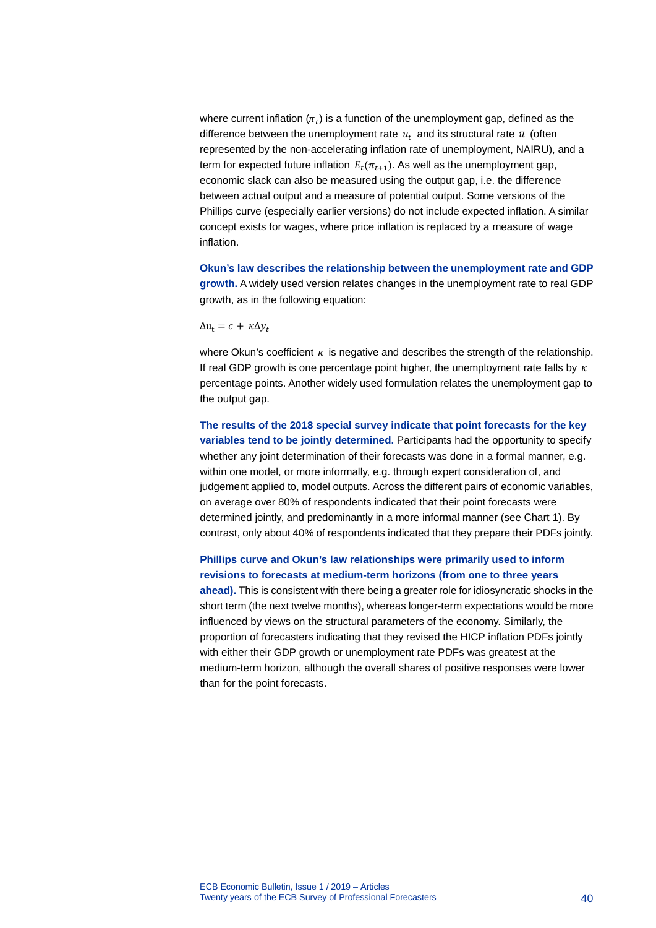where current inflation  $(\pi_t)$  is a function of the unemployment gap, defined as the difference between the unemployment rate  $u_t$  and its structural rate  $\bar{u}$  (often represented by the non-accelerating inflation rate of unemployment, NAIRU), and a term for expected future inflation  $E_t(\pi_{t+1})$ . As well as the unemployment gap, economic slack can also be measured using the output gap, i.e. the difference between actual output and a measure of potential output. Some versions of the Phillips curve (especially earlier versions) do not include expected inflation. A similar concept exists for wages, where price inflation is replaced by a measure of wage inflation.

**Okun's law describes the relationship between the unemployment rate and GDP growth.** A widely used version relates changes in the unemployment rate to real GDP growth, as in the following equation:

$$
\Delta u_t = c + \kappa \Delta y_t
$$

where Okun's coefficient  $\kappa$  is negative and describes the strength of the relationship. If real GDP growth is one percentage point higher, the unemployment rate falls by  $\kappa$ percentage points. Another widely used formulation relates the unemployment gap to the output gap.

**The results of the 2018 special survey indicate that point forecasts for the key variables tend to be jointly determined.** Participants had the opportunity to specify whether any joint determination of their forecasts was done in a formal manner, e.g. within one model, or more informally, e.g. through expert consideration of, and judgement applied to, model outputs. Across the different pairs of economic variables, on average over 80% of respondents indicated that their point forecasts were determined jointly, and predominantly in a more informal manner (see Chart 1). By contrast, only about 40% of respondents indicated that they prepare their PDFs jointly.

**Phillips curve and Okun's law relationships were primarily used to inform revisions to forecasts at medium-term horizons (from one to three years ahead).** This is consistent with there being a greater role for idiosyncratic shocks in the short term (the next twelve months), whereas longer-term expectations would be more influenced by views on the structural parameters of the economy. Similarly, the proportion of forecasters indicating that they revised the HICP inflation PDFs jointly with either their GDP growth or unemployment rate PDFs was greatest at the medium-term horizon, although the overall shares of positive responses were lower than for the point forecasts.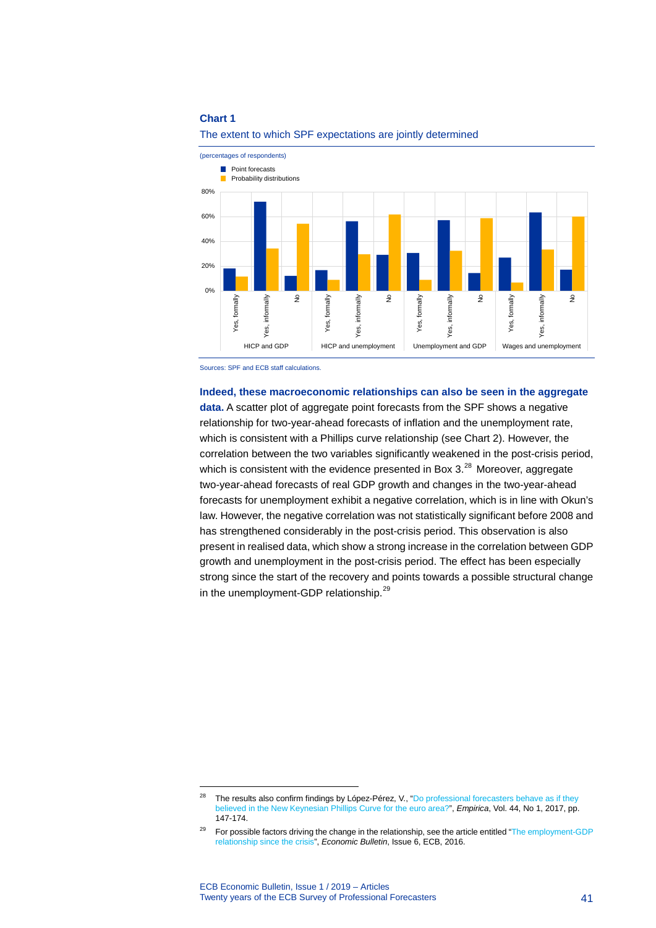

The extent to which SPF expectations are jointly determined

Sources: SPF and ECB staff calculations.

**Indeed, these macroeconomic relationships can also be seen in the aggregate data.** A scatter plot of aggregate point forecasts from the SPF shows a negative relationship for two-year-ahead forecasts of inflation and the unemployment rate, which is consistent with a Phillips curve relationship (see Chart 2). However, the correlation between the two variables significantly weakened in the post-crisis period, which is consistent with the evidence presented in Box  $3<sup>28</sup>$  $3<sup>28</sup>$  $3<sup>28</sup>$  Moreover, aggregate two-year-ahead forecasts of real GDP growth and changes in the two-year-ahead forecasts for unemployment exhibit a negative correlation, which is in line with Okun's law. However, the negative correlation was not statistically significant before 2008 and has strengthened considerably in the post-crisis period. This observation is also present in realised data, which show a strong increase in the correlation between GDP growth and unemployment in the post-crisis period. The effect has been especially strong since the start of the recovery and points towards a possible structural change in the unemployment-GDP relationship.<sup>[29](#page-41-1)</sup>

<span id="page-41-0"></span><sup>&</sup>lt;sup>28</sup> The results also confirm findings by López-Pérez, V., "Do professional forecasters behave as if they [believed in the New Keynesian Phillips Curve for the euro area?"](https://doi.org/10.1007/s10663-016-9314-x), *Empirica*, Vol. 44, No 1, 2017, pp. 147-174.

<span id="page-41-1"></span><sup>&</sup>lt;sup>29</sup> For possible factors driving the change in the relationship, see the article entitled "The employment-GDP [relationship since the crisis",](https://www.ecb.europa.eu/pub/pdf/other/eb201606_article01.en.pdf) *Economic Bulletin*, Issue 6, ECB, 2016.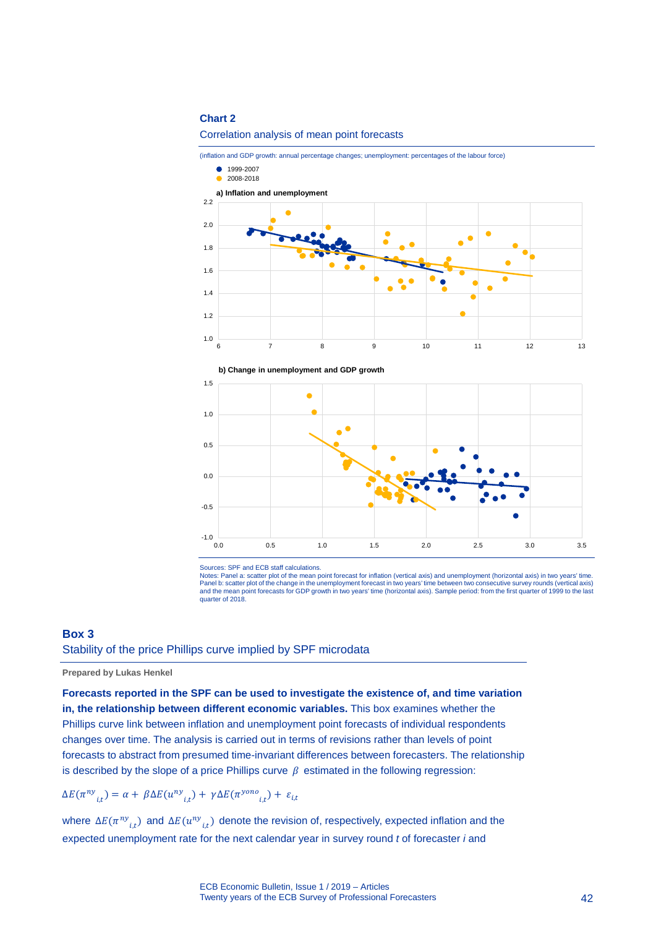#### Correlation analysis of mean point forecasts

(inflation and GDP growth: annual percentage changes; unemployment: percentages of the labour force)







Sources: SPF and ECB staff calculations.

Notes: Panel a: scatter plot of the mean point forecast for inflation (vertical axis) and unemployment (horizontal axis) in two years' time. Panel b: scatter plot of the change in the unemployment forecast in two years' time between two consecutive survey rounds (vertical axis) and the mean point forecasts for GDP growth in two years' time (horizontal axis). Sample period: from the first quarter of 1999 to the last quarter of 2018.

### **Box 3**

# Stability of the price Phillips curve implied by SPF microdata

#### **Prepared by Lukas Henkel**

**Forecasts reported in the SPF can be used to investigate the existence of, and time variation in, the relationship between different economic variables.** This box examines whether the Phillips curve link between inflation and unemployment point forecasts of individual respondents changes over time. The analysis is carried out in terms of revisions rather than levels of point forecasts to abstract from presumed time-invariant differences between forecasters. The relationship is described by the slope of a price Phillips curve  $\beta$  estimated in the following regression:

$$
\Delta E(\pi^{ny}_{i,t}) = \alpha + \beta \Delta E(u^{ny}_{i,t}) + \gamma \Delta E(\pi^{yono}_{i,t}) + \varepsilon_{i,t}
$$

where  $\Delta E(\pi^{ny}_{i,t})$  and  $\Delta E(u^{ny}_{i,t})$  denote the revision of, respectively, expected inflation and the expected unemployment rate for the next calendar year in survey round *t* of forecaster *i* and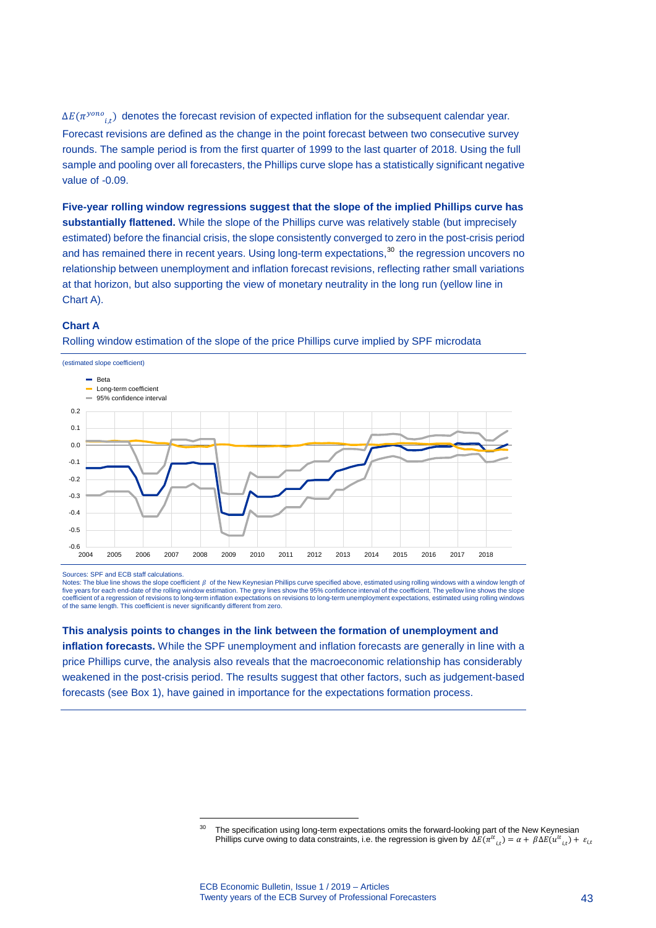$\Delta E(\pi^{y \circ no}|_{i,t})$  denotes the forecast revision of expected inflation for the subsequent calendar year. Forecast revisions are defined as the change in the point forecast between two consecutive survey rounds. The sample period is from the first quarter of 1999 to the last quarter of 2018. Using the full sample and pooling over all forecasters, the Phillips curve slope has a statistically significant negative value of -0.09.

**Five-year rolling window regressions suggest that the slope of the implied Phillips curve has substantially flattened.** While the slope of the Phillips curve was relatively stable (but imprecisely estimated) before the financial crisis, the slope consistently converged to zero in the post-crisis period and has remained there in recent years. Using long-term expectations,<sup>[30](#page-43-0)</sup> the regression uncovers no relationship between unemployment and inflation forecast revisions, reflecting rather small variations at that horizon, but also supporting the view of monetary neutrality in the long run (yellow line in Chart A).

### **Chart A**



Rolling window estimation of the slope of the price Phillips curve implied by SPF microdata

Sources: SPF and ECB staff calculations.

Notes: The blue line shows the slope coefficient  $\beta$  of the New Keynesian Phillips curve specified above, estimated using rolling windows with a window length of five years for each end-date of the rolling window estimation. The grey lines show the 95% confidence interval of the coefficient. The yellow line shows the slope coefficient of a regression of revisions to long-term inflation expectations on revisions to long-term unemployment expectations, estimated using rolling windows of the same length. This coefficient is never significantly different from zero.

#### **This analysis points to changes in the link between the formation of unemployment and**

-

<span id="page-43-0"></span>**inflation forecasts.** While the SPF unemployment and inflation forecasts are generally in line with a price Phillips curve, the analysis also reveals that the macroeconomic relationship has considerably weakened in the post-crisis period. The results suggest that other factors, such as judgement-based forecasts (see Box 1), have gained in importance for the expectations formation process.

<sup>&</sup>lt;sup>30</sup> The specification using long-term expectations omits the forward-looking part of the New Keynesian Phillips curve owing to data constraints, i.e. the regression is given by  $\Delta E(\pi^{lt}_{\;\; i,t})=\alpha+\beta\Delta E(u^{lt}_{\;\; i,t})+\varepsilon_{i,t}$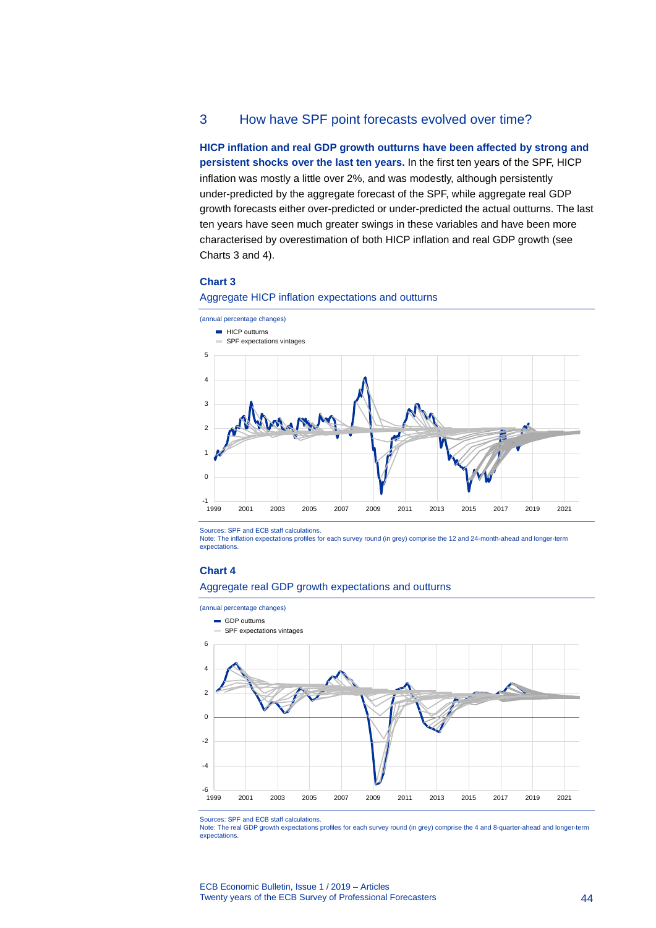# 3 How have SPF point forecasts evolved over time?

**HICP inflation and real GDP growth outturns have been affected by strong and persistent shocks over the last ten years.** In the first ten years of the SPF, HICP inflation was mostly a little over 2%, and was modestly, although persistently under-predicted by the aggregate forecast of the SPF, while aggregate real GDP growth forecasts either over-predicted or under-predicted the actual outturns. The last ten years have seen much greater swings in these variables and have been more characterised by overestimation of both HICP inflation and real GDP growth (see Charts 3 and 4).

### **Chart 3**





Sources: SPF and ECB staff calculations.

Note: The inflation expectations profiles for each survey round (in grey) comprise the 12 and 24-month-ahead and longer-term expectations.

#### **Chart 4**

# Aggregate real GDP growth expectations and outturns



Sources: SPF and ECB staff calculations.

Note: The real GDP growth expectations profiles for each survey round (in grey) comprise the 4 and 8-quarter-ahead and longer-term expectations.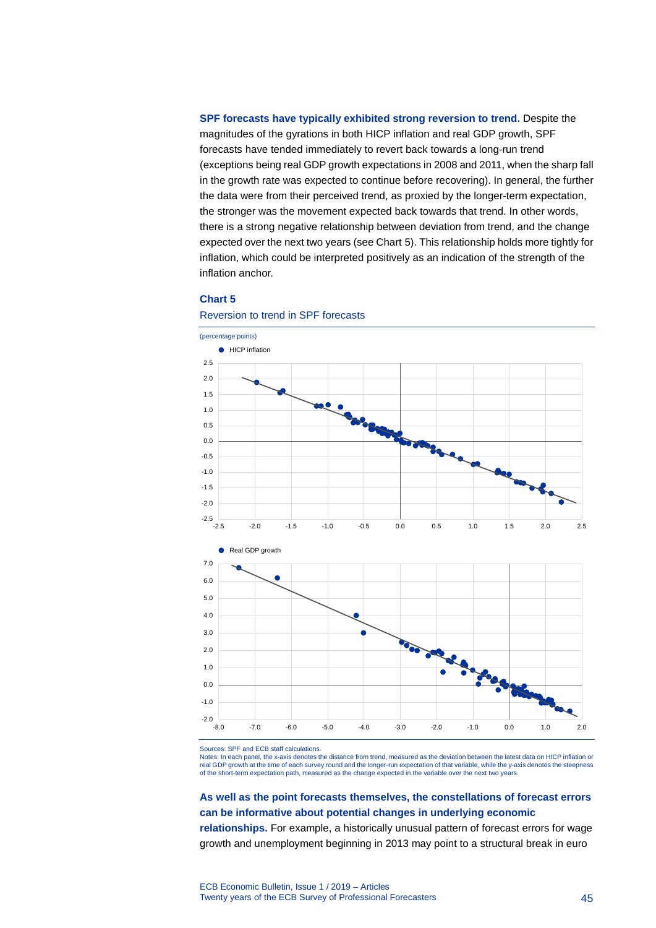**SPF forecasts have typically exhibited strong reversion to trend.** Despite the magnitudes of the gyrations in both HICP inflation and real GDP growth, SPF forecasts have tended immediately to revert back towards a long-run trend (exceptions being real GDP growth expectations in 2008 and 2011, when the sharp fall in the growth rate was expected to continue before recovering). In general, the further the data were from their perceived trend, as proxied by the longer-term expectation, the stronger was the movement expected back towards that trend. In other words, there is a strong negative relationship between deviation from trend, and the change expected over the next two years (see Chart 5). This relationship holds more tightly for inflation, which could be interpreted positively as an indication of the strength of the inflation anchor.

#### **Chart 5**



Reversion to trend in SPF forecasts

Sources: SPF and ECB staff calculations.

Notes: In each panel, the x-axis denotes the distance from trend, measured as the deviation between the latest data on HICP inflation or real GDP growth at the time of each survey round and the longer-run expectation of that variable, while the y-axis denotes the steepness of the short-term expectation path, measured as the change expected in the variable over the next two years.

# **As well as the point forecasts themselves, the constellations of forecast errors can be informative about potential changes in underlying economic**

**relationships.** For example, a historically unusual pattern of forecast errors for wage growth and unemployment beginning in 2013 may point to a structural break in euro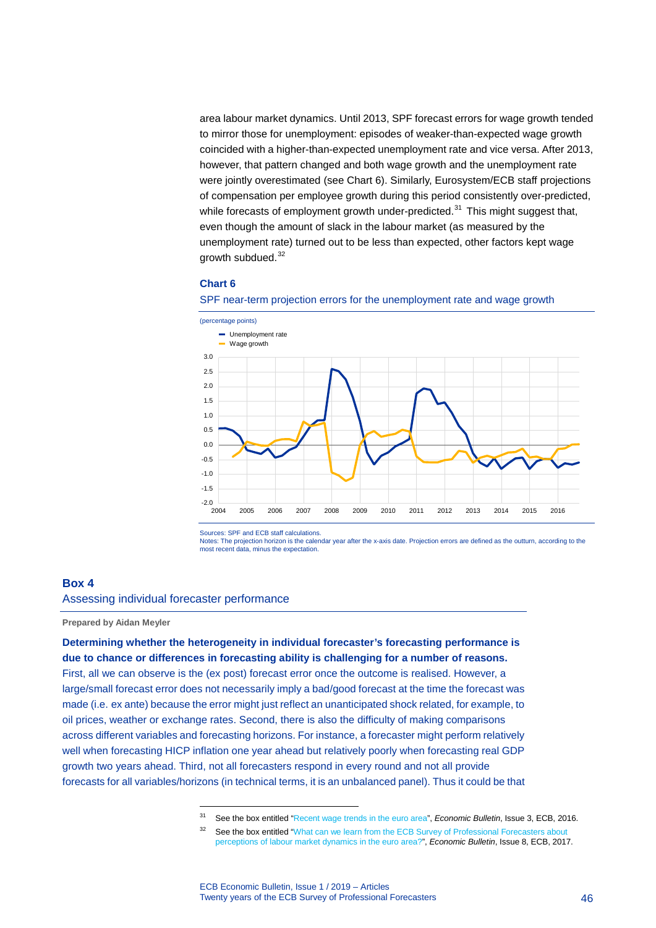area labour market dynamics. Until 2013, SPF forecast errors for wage growth tended to mirror those for unemployment: episodes of weaker-than-expected wage growth coincided with a higher-than-expected unemployment rate and vice versa. After 2013, however, that pattern changed and both wage growth and the unemployment rate were jointly overestimated (see Chart 6). Similarly, Eurosystem/ECB staff projections of compensation per employee growth during this period consistently over-predicted, while forecasts of employment growth under-predicted.<sup>[31](#page-46-0)</sup> This might suggest that, even though the amount of slack in the labour market (as measured by the unemployment rate) turned out to be less than expected, other factors kept wage growth subdued.<sup>[32](#page-46-1)</sup>

### **Chart 6**



SPF near-term projection errors for the unemployment rate and wage growth

Sources: SPF and ECB staff calculations.

Notes: The projection horizon is the calendar year after the x-axis date. Projection errors are defined as the outturn, according to the most recent data, minus the expectation.

#### **Box 4**

Assessing individual forecaster performance

-

**Prepared by Aidan Meyler**

# **Determining whether the heterogeneity in individual forecaster's forecasting performance is due to chance or differences in forecasting ability is challenging for a number of reasons.**

<span id="page-46-1"></span><span id="page-46-0"></span>First, all we can observe is the (ex post) forecast error once the outcome is realised. However, a large/small forecast error does not necessarily imply a bad/good forecast at the time the forecast was made (i.e. ex ante) because the error might just reflect an unanticipated shock related, for example, to oil prices, weather or exchange rates. Second, there is also the difficulty of making comparisons across different variables and forecasting horizons. For instance, a forecaster might perform relatively well when forecasting HICP inflation one year ahead but relatively poorly when forecasting real GDP growth two years ahead. Third, not all forecasters respond in every round and not all provide forecasts for all variables/horizons (in technical terms, it is an unbalanced panel). Thus it could be that

<sup>31</sup> See the box entitled ["Recent wage trends in the euro area"](https://www.ecb.europa.eu/pub/pdf/other/eb201603_focus02.en.pdf?1975a733ed8b69cc22bbd411f8d14eb5), *Economic Bulletin*, Issue 3, ECB, 2016.

<sup>&</sup>lt;sup>32</sup> See the box entitled "What can we learn from the ECB Survey of Professional Forecasters about [perceptions of labour market dynamics in the euro area?",](https://www.ecb.europa.eu/pub/economic-bulletin/html/eb201708.en.html#IDofBox4) *Economic Bulletin*, Issue 8, ECB, 2017.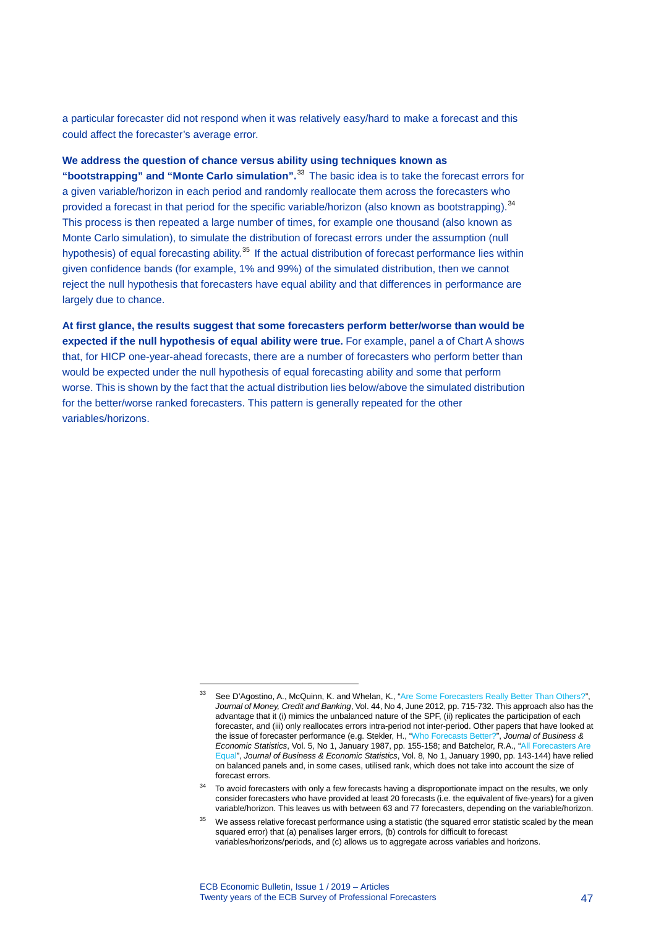a particular forecaster did not respond when it was relatively easy/hard to make a forecast and this could affect the forecaster's average error.

### **We address the question of chance versus ability using techniques known as**

**"bootstrapping" and "Monte Carlo simulation".**[33](#page-47-0) The basic idea is to take the forecast errors for a given variable/horizon in each period and randomly reallocate them across the forecasters who provided a forecast in that period for the specific variable/horizon (also known as bootstrapping).<sup>[34](#page-47-1)</sup> This process is then repeated a large number of times, for example one thousand (also known as Monte Carlo simulation), to simulate the distribution of forecast errors under the assumption (null hypothesis) of equal forecasting ability.<sup>[35](#page-47-2)</sup> If the actual distribution of forecast performance lies within given confidence bands (for example, 1% and 99%) of the simulated distribution, then we cannot reject the null hypothesis that forecasters have equal ability and that differences in performance are largely due to chance.

**At first glance, the results suggest that some forecasters perform better/worse than would be expected if the null hypothesis of equal ability were true.** For example, panel a of Chart A shows that, for HICP one-year-ahead forecasts, there are a number of forecasters who perform better than would be expected under the null hypothesis of equal forecasting ability and some that perform worse. This is shown by the fact that the actual distribution lies below/above the simulated distribution for the better/worse ranked forecasters. This pattern is generally repeated for the other variables/horizons.

<span id="page-47-0"></span>See D'Agostino, A., McQuinn, K. and Whelan, K., ["Are Some Forecasters Really Better Than Others?",](https://doi.org/10.1111/j.1538-4616.2012.00507.x) *Journal of Money, Credit and Banking*, Vol. 44, No 4, June 2012, pp. 715-732. This approach also has the advantage that it (i) mimics the unbalanced nature of the SPF, (ii) replicates the participation of each forecaster, and (iii) only reallocates errors intra-period not inter-period. Other papers that have looked at the issue of forecaster performance (e.g. Stekler, H., ["Who Forecasts Better?"](https://www.jstor.org/stable/1391226), *Journal of Business & Economic Statistics*, Vol. 5, No 1, January 1987, pp. 155-158; and Batchelor, R.A., ["All Forecasters Are](https://www.jstor.org/stable/1391760)  [Equal"](https://www.jstor.org/stable/1391760), *Journal of Business & Economic Statistics*, Vol. 8, No 1, January 1990, pp. 143-144) have relied on balanced panels and, in some cases, utilised rank, which does not take into account the size of forecast errors.

<span id="page-47-1"></span><sup>&</sup>lt;sup>34</sup> To avoid forecasters with only a few forecasts having a disproportionate impact on the results, we only consider forecasters who have provided at least 20 forecasts (i.e. the equivalent of five-years) for a given variable/horizon. This leaves us with between 63 and 77 forecasters, depending on the variable/horizon.

<span id="page-47-2"></span> $35$  We assess relative forecast performance using a statistic (the squared error statistic scaled by the mean squared error) that (a) penalises larger errors, (b) controls for difficult to forecast variables/horizons/periods, and (c) allows us to aggregate across variables and horizons.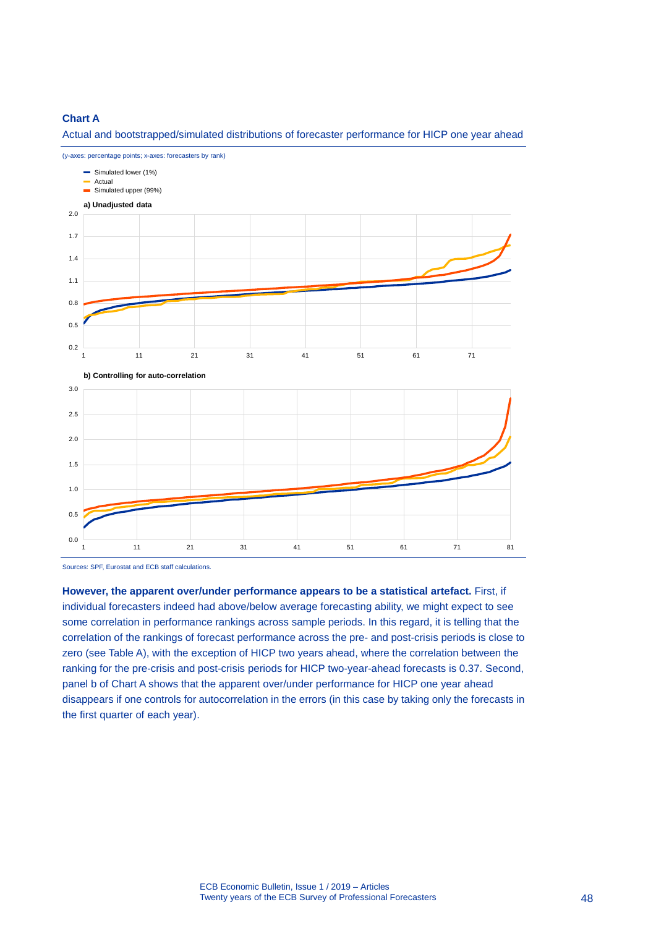### **Chart A**

Actual and bootstrapped/simulated distributions of forecaster performance for HICP one year ahead



(y-axes: percentage points; x-axes: forecasters by rank)

Sources: SPF, Eurostat and ECB staff calculations.

**However, the apparent over/under performance appears to be a statistical artefact.** First, if individual forecasters indeed had above/below average forecasting ability, we might expect to see some correlation in performance rankings across sample periods. In this regard, it is telling that the correlation of the rankings of forecast performance across the pre- and post-crisis periods is close to zero (see Table A), with the exception of HICP two years ahead, where the correlation between the ranking for the pre-crisis and post-crisis periods for HICP two-year-ahead forecasts is 0.37. Second, panel b of Chart A shows that the apparent over/under performance for HICP one year ahead disappears if one controls for autocorrelation in the errors (in this case by taking only the forecasts in the first quarter of each year).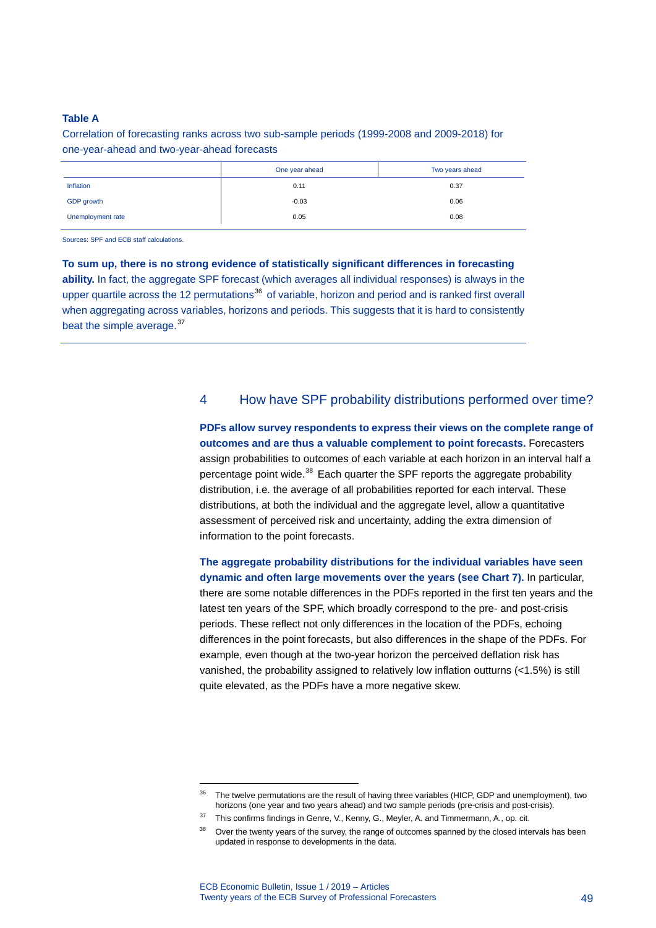### **Table A**

Correlation of forecasting ranks across two sub-sample periods (1999-2008 and 2009-2018) for one-year-ahead and two-year-ahead forecasts

|                   | One year ahead | Two years ahead |
|-------------------|----------------|-----------------|
| Inflation         | 0.11           | 0.37            |
| GDP growth        | $-0.03$        | 0.06            |
| Unemployment rate | 0.05           | 0.08            |

Sources: SPF and ECB staff calculations.

**To sum up, there is no strong evidence of statistically significant differences in forecasting ability.** In fact, the aggregate SPF forecast (which averages all individual responses) is always in the upper quartile across the 12 permutations<sup>[36](#page-49-0)</sup> of variable, horizon and period and is ranked first overall when aggregating across variables, horizons and periods. This suggests that it is hard to consistently beat the simple average.<sup>[37](#page-49-1)</sup>

# 4 How have SPF probability distributions performed over time?

**PDFs allow survey respondents to express their views on the complete range of outcomes and are thus a valuable complement to point forecasts.** Forecasters assign probabilities to outcomes of each variable at each horizon in an interval half a percentage point wide. $38$  Each quarter the SPF reports the aggregate probability distribution, i.e. the average of all probabilities reported for each interval. These distributions, at both the individual and the aggregate level, allow a quantitative assessment of perceived risk and uncertainty, adding the extra dimension of information to the point forecasts.

**The aggregate probability distributions for the individual variables have seen dynamic and often large movements over the years (see Chart 7).** In particular, there are some notable differences in the PDFs reported in the first ten years and the latest ten years of the SPF, which broadly correspond to the pre- and post-crisis periods. These reflect not only differences in the location of the PDFs, echoing differences in the point forecasts, but also differences in the shape of the PDFs. For example, even though at the two-year horizon the perceived deflation risk has vanished, the probability assigned to relatively low inflation outturns (<1.5%) is still quite elevated, as the PDFs have a more negative skew.

<span id="page-49-0"></span><sup>&</sup>lt;sup>36</sup> The twelve permutations are the result of having three variables (HICP, GDP and unemployment), two horizons (one year and two years ahead) and two sample periods (pre-crisis and post-crisis).

<span id="page-49-2"></span><span id="page-49-1"></span><sup>&</sup>lt;sup>37</sup> This confirms findings in Genre, V., Kenny, G., Meyler, A. and Timmermann, A., op. cit.

<sup>&</sup>lt;sup>38</sup> Over the twenty years of the survey, the range of outcomes spanned by the closed intervals has been updated in response to developments in the data.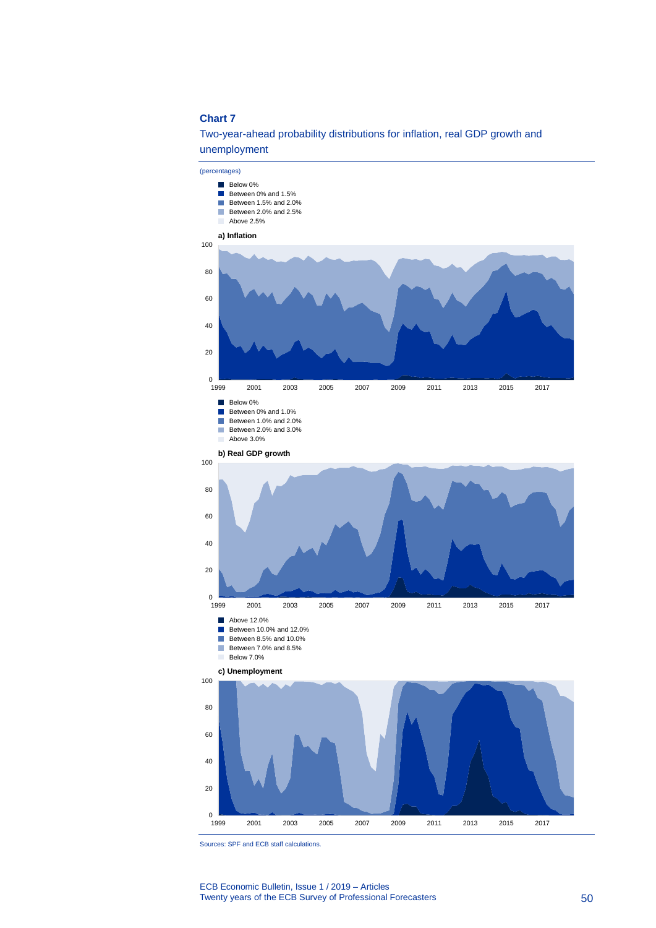Two-year-ahead probability distributions for inflation, real GDP growth and unemployment



Sources: SPF and ECB staff calculations.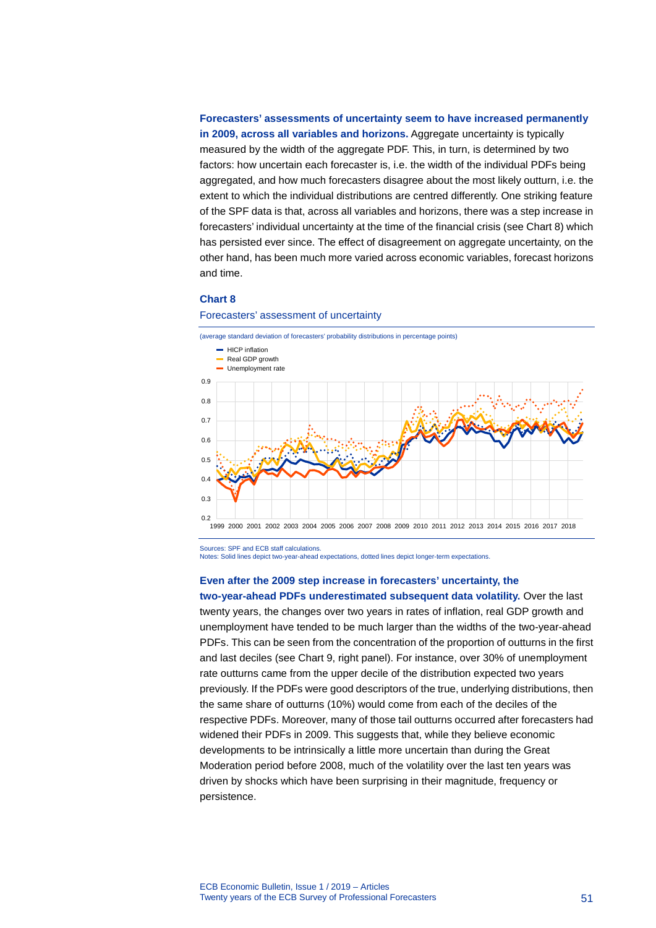**Forecasters' assessments of uncertainty seem to have increased permanently in 2009, across all variables and horizons.** Aggregate uncertainty is typically measured by the width of the aggregate PDF. This, in turn, is determined by two factors: how uncertain each forecaster is, i.e. the width of the individual PDFs being aggregated, and how much forecasters disagree about the most likely outturn, i.e. the extent to which the individual distributions are centred differently. One striking feature of the SPF data is that, across all variables and horizons, there was a step increase in forecasters' individual uncertainty at the time of the financial crisis (see Chart 8) which has persisted ever since. The effect of disagreement on aggregate uncertainty, on the other hand, has been much more varied across economic variables, forecast horizons and time.

#### **Chart 8**



#### Forecasters' assessment of uncertainty

Sources: SPF and ECB staff calculations.

Notes: Solid lines depict two-year-ahead expectations, dotted lines depict longer-term expectations.

#### **Even after the 2009 step increase in forecasters' uncertainty, the**

**two-year-ahead PDFs underestimated subsequent data volatility.** Over the last twenty years, the changes over two years in rates of inflation, real GDP growth and unemployment have tended to be much larger than the widths of the two-year-ahead PDFs. This can be seen from the concentration of the proportion of outturns in the first and last deciles (see Chart 9, right panel). For instance, over 30% of unemployment rate outturns came from the upper decile of the distribution expected two years previously. If the PDFs were good descriptors of the true, underlying distributions, then the same share of outturns (10%) would come from each of the deciles of the respective PDFs. Moreover, many of those tail outturns occurred after forecasters had widened their PDFs in 2009. This suggests that, while they believe economic developments to be intrinsically a little more uncertain than during the Great Moderation period before 2008, much of the volatility over the last ten years was driven by shocks which have been surprising in their magnitude, frequency or persistence.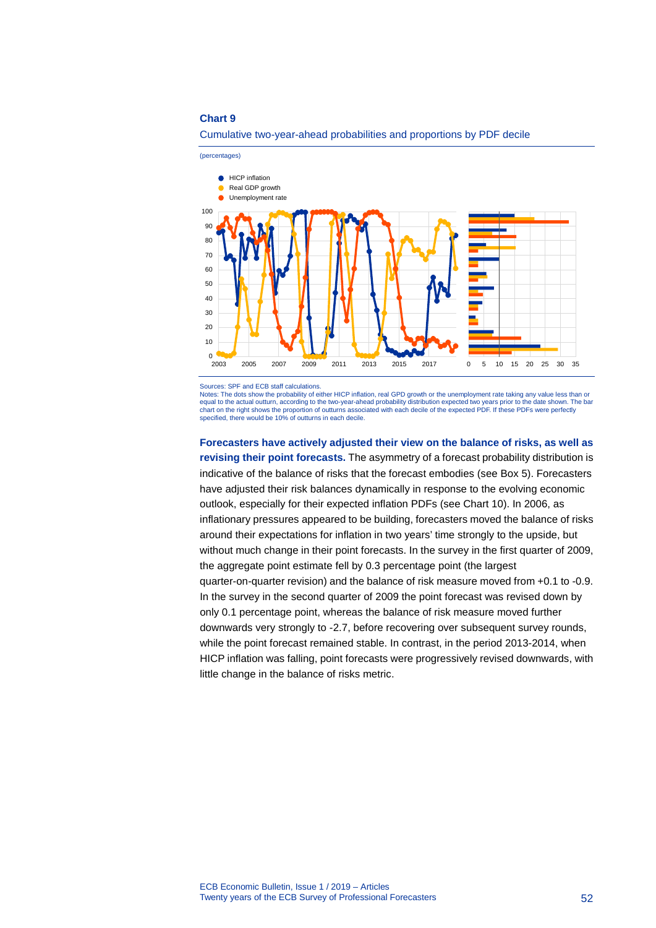

Cumulative two-year-ahead probabilities and proportions by PDF decile

Sources: SPF and ECB staff calculations.

Notes: The dots show the probability of either HICP inflation, real GPD growth or the unemployment rate taking any value less than or equal to the actual outturn, according to the two-year-ahead probability distribution expected two years prior to the date shown. The bar<br>chart on the right shows the proportion of outturns associated with each decile of t specified, there would be 10% of outturns in each decile.

**Forecasters have actively adjusted their view on the balance of risks, as well as revising their point forecasts.** The asymmetry of a forecast probability distribution is indicative of the balance of risks that the forecast embodies (see Box 5). Forecasters have adjusted their risk balances dynamically in response to the evolving economic outlook, especially for their expected inflation PDFs (see Chart 10). In 2006, as inflationary pressures appeared to be building, forecasters moved the balance of risks around their expectations for inflation in two years' time strongly to the upside, but without much change in their point forecasts. In the survey in the first quarter of 2009, the aggregate point estimate fell by 0.3 percentage point (the largest quarter-on-quarter revision) and the balance of risk measure moved from +0.1 to -0.9. In the survey in the second quarter of 2009 the point forecast was revised down by only 0.1 percentage point, whereas the balance of risk measure moved further downwards very strongly to -2.7, before recovering over subsequent survey rounds, while the point forecast remained stable. In contrast, in the period 2013-2014, when HICP inflation was falling, point forecasts were progressively revised downwards, with little change in the balance of risks metric.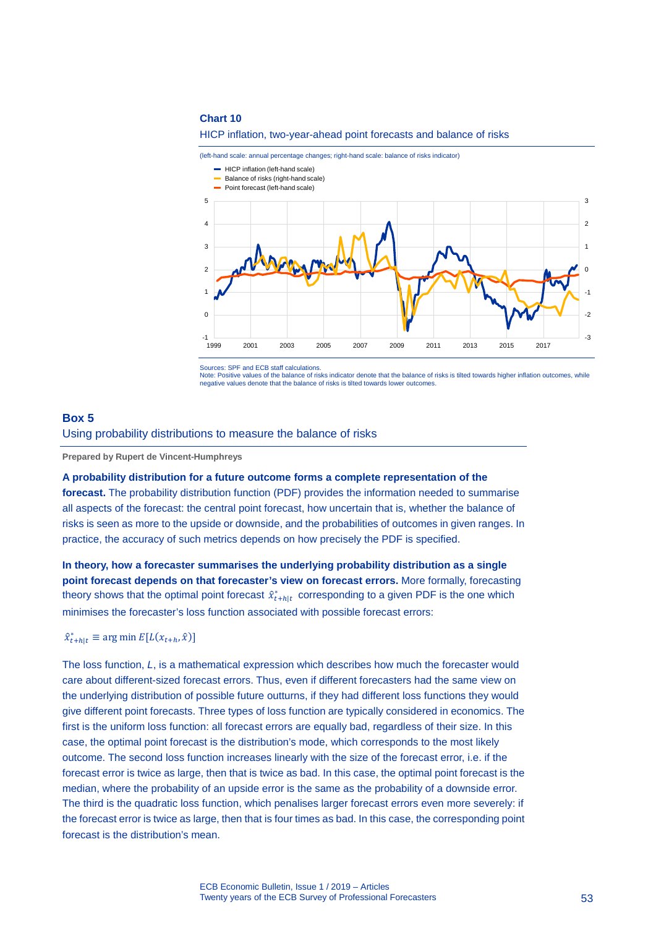

(left-hand scale: annual percentage changes; right-hand scale: balance of risks indicator)



Sources: SPF and ECB staff calculations.

Note: Positive values of the balance of risks indicator denote that the balance of risks is tilted towards higher inflation outcomes, while negative values denote that the balance of risks is tilted towards lower outcomes.

# **Box 5**

Using probability distributions to measure the balance of risks

**Prepared by Rupert de Vincent-Humphreys**

**A probability distribution for a future outcome forms a complete representation of the** 

**forecast.** The probability distribution function (PDF) provides the information needed to summarise all aspects of the forecast: the central point forecast, how uncertain that is, whether the balance of risks is seen as more to the upside or downside, and the probabilities of outcomes in given ranges. In practice, the accuracy of such metrics depends on how precisely the PDF is specified.

**In theory, how a forecaster summarises the underlying probability distribution as a single point forecast depends on that forecaster's view on forecast errors.** More formally, forecasting theory shows that the optimal point forecast  $\hat{x}_{t+h|t}^*$  corresponding to a given PDF is the one which minimises the forecaster's loss function associated with possible forecast errors:

# $\hat{x}_{t+h|t}^* \equiv \arg \min E[L(x_{t+h}, \hat{x})]$

The loss function, *L*, is a mathematical expression which describes how much the forecaster would care about different-sized forecast errors. Thus, even if different forecasters had the same view on the underlying distribution of possible future outturns, if they had different loss functions they would give different point forecasts. Three types of loss function are typically considered in economics. The first is the uniform loss function: all forecast errors are equally bad, regardless of their size. In this case, the optimal point forecast is the distribution's mode, which corresponds to the most likely outcome. The second loss function increases linearly with the size of the forecast error, i.e. if the forecast error is twice as large, then that is twice as bad. In this case, the optimal point forecast is the median, where the probability of an upside error is the same as the probability of a downside error. The third is the quadratic loss function, which penalises larger forecast errors even more severely: if the forecast error is twice as large, then that is four times as bad. In this case, the corresponding point forecast is the distribution's mean.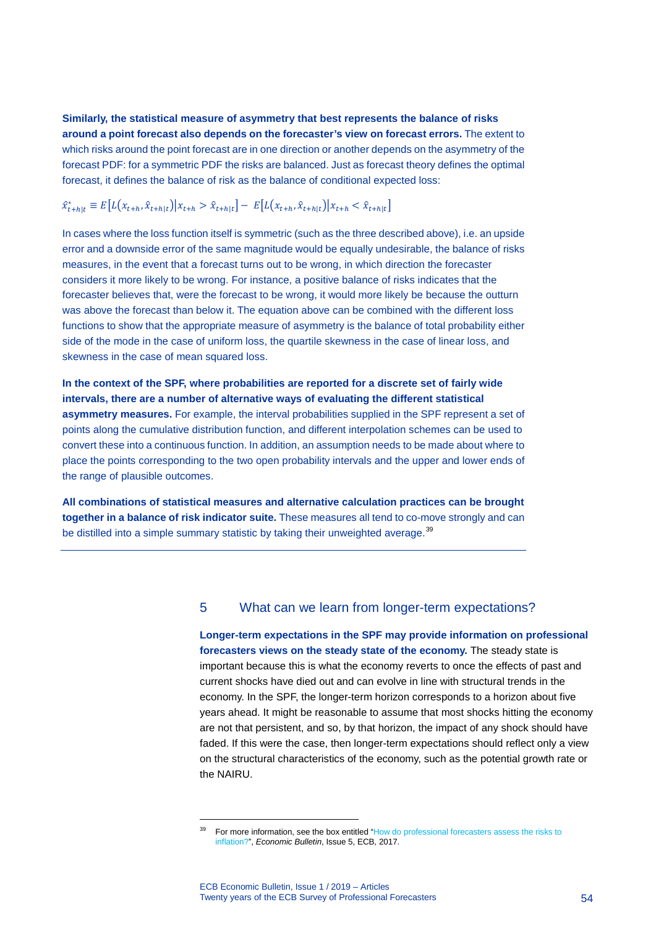**Similarly, the statistical measure of asymmetry that best represents the balance of risks around a point forecast also depends on the forecaster's view on forecast errors.** The extent to which risks around the point forecast are in one direction or another depends on the asymmetry of the forecast PDF: for a symmetric PDF the risks are balanced. Just as forecast theory defines the optimal forecast, it defines the balance of risk as the balance of conditional expected loss:

# $\hat{x}_{t+h|t}^* \equiv E[L(x_{t+h}, \hat{x}_{t+h|t}) | x_{t+h} > \hat{x}_{t+h|t}] - E[L(x_{t+h}, \hat{x}_{t+h|t}) | x_{t+h} < \hat{x}_{t+h|t}]$

In cases where the loss function itself is symmetric (such as the three described above), i.e. an upside error and a downside error of the same magnitude would be equally undesirable, the balance of risks measures, in the event that a forecast turns out to be wrong, in which direction the forecaster considers it more likely to be wrong. For instance, a positive balance of risks indicates that the forecaster believes that, were the forecast to be wrong, it would more likely be because the outturn was above the forecast than below it. The equation above can be combined with the different loss functions to show that the appropriate measure of asymmetry is the balance of total probability either side of the mode in the case of uniform loss, the quartile skewness in the case of linear loss, and skewness in the case of mean squared loss.

**In the context of the SPF, where probabilities are reported for a discrete set of fairly wide intervals, there are a number of alternative ways of evaluating the different statistical asymmetry measures.** For example, the interval probabilities supplied in the SPF represent a set of points along the cumulative distribution function, and different interpolation schemes can be used to convert these into a continuous function. In addition, an assumption needs to be made about where to place the points corresponding to the two open probability intervals and the upper and lower ends of the range of plausible outcomes.

**All combinations of statistical measures and alternative calculation practices can be brought together in a balance of risk indicator suite.** These measures all tend to co-move strongly and can be distilled into a simple summary statistic by taking their unweighted average.<sup>[39](#page-54-0)</sup>

# 5 What can we learn from longer-term expectations?

**Longer-term expectations in the SPF may provide information on professional forecasters views on the steady state of the economy.** The steady state is important because this is what the economy reverts to once the effects of past and current shocks have died out and can evolve in line with structural trends in the economy. In the SPF, the longer-term horizon corresponds to a horizon about five years ahead. It might be reasonable to assume that most shocks hitting the economy are not that persistent, and so, by that horizon, the impact of any shock should have faded. If this were the case, then longer-term expectations should reflect only a view on the structural characteristics of the economy, such as the potential growth rate or the NAIRU.

<span id="page-54-0"></span>For more information, see the box entitled "How do professional forecasters assess the risks to [inflation?"](https://www.ecb.europa.eu/pub/pdf/other/ebbox201705_04.en.pdf), *Economic Bulletin*, Issue 5, ECB, 2017.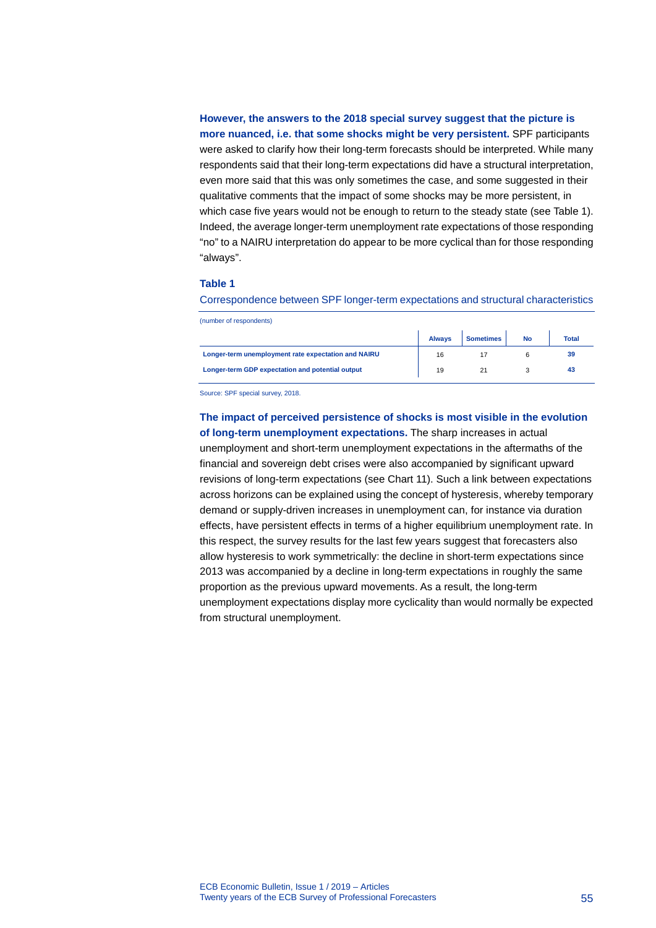**However, the answers to the 2018 special survey suggest that the picture is more nuanced, i.e. that some shocks might be very persistent.** SPF participants were asked to clarify how their long-term forecasts should be interpreted. While many respondents said that their long-term expectations did have a structural interpretation, even more said that this was only sometimes the case, and some suggested in their qualitative comments that the impact of some shocks may be more persistent, in which case five years would not be enough to return to the steady state (see Table 1). Indeed, the average longer-term unemployment rate expectations of those responding "no" to a NAIRU interpretation do appear to be more cyclical than for those responding "always".

### **Table 1**

Correspondence between SPF longer-term expectations and structural characteristics

| (number of respondents) |
|-------------------------|
|-------------------------|

|                                                     | <b>Always</b> | <b>Sometimes</b> | No | <b>Total</b> |
|-----------------------------------------------------|---------------|------------------|----|--------------|
| Longer-term unemployment rate expectation and NAIRU | 16            |                  |    | 39           |
| Longer-term GDP expectation and potential output    | 19            |                  |    |              |

Source: SPF special survey, 2018.

**The impact of perceived persistence of shocks is most visible in the evolution of long-term unemployment expectations.** The sharp increases in actual unemployment and short-term unemployment expectations in the aftermaths of the financial and sovereign debt crises were also accompanied by significant upward revisions of long-term expectations (see Chart 11). Such a link between expectations across horizons can be explained using the concept of hysteresis, whereby temporary demand or supply-driven increases in unemployment can, for instance via duration effects, have persistent effects in terms of a higher equilibrium unemployment rate. In this respect, the survey results for the last few years suggest that forecasters also allow hysteresis to work symmetrically: the decline in short-term expectations since 2013 was accompanied by a decline in long-term expectations in roughly the same proportion as the previous upward movements. As a result, the long-term unemployment expectations display more cyclicality than would normally be expected from structural unemployment.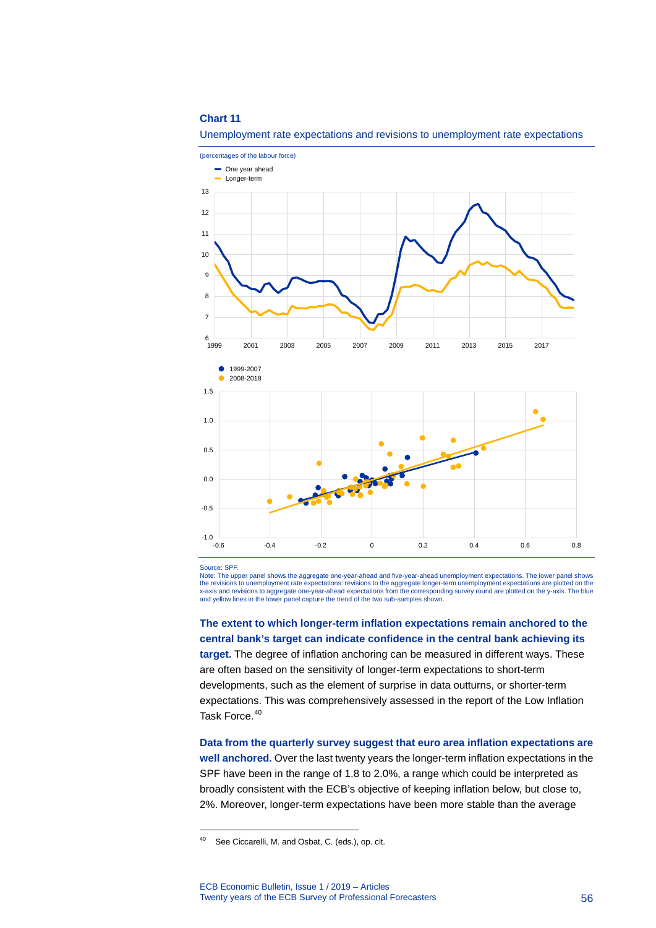

#### Unemployment rate expectations and revisions to unemployment rate expectations

Source: SPF.

-

Note: The upper panel shows the aggregate one-year-ahead and five-year-ahead unemployment expectations. The lower panel shows the revisions to unemployment rate expectations: revisions to the aggregate longer-term unemployment expectations are plotted on the x-axis and revisions to aggregate one-year-ahead expectations from the corresponding survey round are plotted on the y-axis. The blue and yellow lines in the lower panel capture the trend of the two sub-samples shown.

**The extent to which longer-term inflation expectations remain anchored to the central bank's target can indicate confidence in the central bank achieving its target.** The degree of inflation anchoring can be measured in different ways. These are often based on the sensitivity of longer-term expectations to short-term developments, such as the element of surprise in data outturns, or shorter-term expectations. This was comprehensively assessed in the report of the Low Inflation Task Force.<sup>[40](#page-56-0)</sup>

**Data from the quarterly survey suggest that euro area inflation expectations are well anchored.** Over the last twenty years the longer-term inflation expectations in the SPF have been in the range of 1.8 to 2.0%, a range which could be interpreted as broadly consistent with the ECB's objective of keeping inflation below, but close to, 2%. Moreover, longer-term expectations have been more stable than the average

<span id="page-56-0"></span><sup>40</sup> See Ciccarelli, M. and Osbat, C. (eds.), op. cit.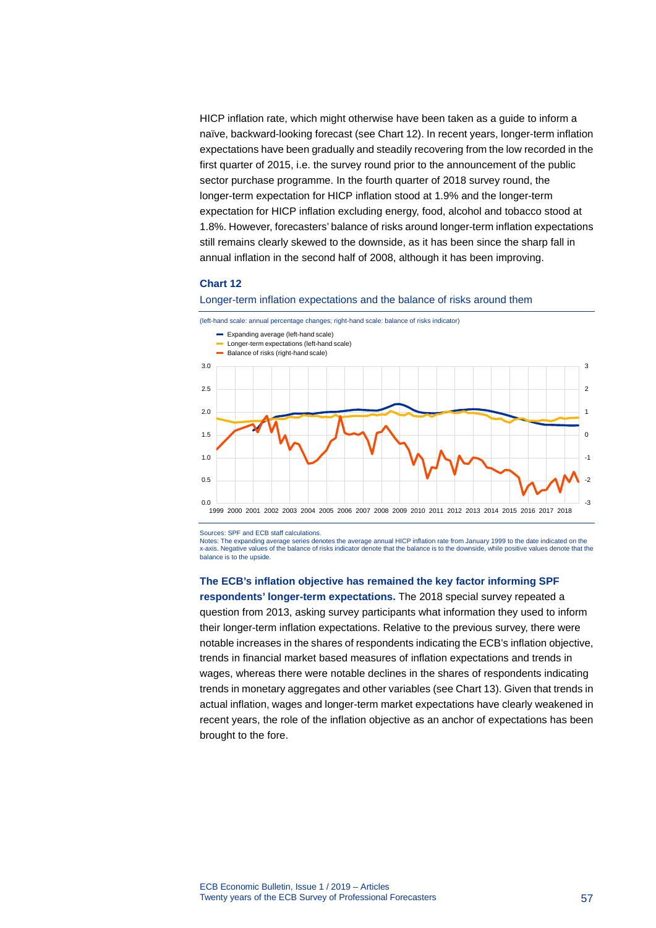HICP inflation rate, which might otherwise have been taken as a guide to inform a naïve, backward-looking forecast (see Chart 12). In recent years, longer-term inflation expectations have been gradually and steadily recovering from the low recorded in the first quarter of 2015, i.e. the survey round prior to the announcement of the public sector purchase programme. In the fourth quarter of 2018 survey round, the longer-term expectation for HICP inflation stood at 1.9% and the longer-term expectation for HICP inflation excluding energy, food, alcohol and tobacco stood at 1.8%. However, forecasters' balance of risks around longer-term inflation expectations still remains clearly skewed to the downside, as it has been since the sharp fall in annual inflation in the second half of 2008, although it has been improving.

### **Chart 12**

#### Longer-term inflation expectations and the balance of risks around them



Sources: SPF and ECB staff calculations.

Notes: The expanding average series denotes the average annual HICP inflation rate from January 1999 to the date indicated on the x-axis. Negative values of the balance of risks indicator denote that the balance is to the downside, while positive values denote that the balance is to the upside.

### **The ECB's inflation objective has remained the key factor informing SPF**

**respondents' longer-term expectations.** The 2018 special survey repeated a question from 2013, asking survey participants what information they used to inform their longer-term inflation expectations. Relative to the previous survey, there were notable increases in the shares of respondents indicating the ECB's inflation objective, trends in financial market based measures of inflation expectations and trends in wages, whereas there were notable declines in the shares of respondents indicating trends in monetary aggregates and other variables (see Chart 13). Given that trends in actual inflation, wages and longer-term market expectations have clearly weakened in recent years, the role of the inflation objective as an anchor of expectations has been brought to the fore.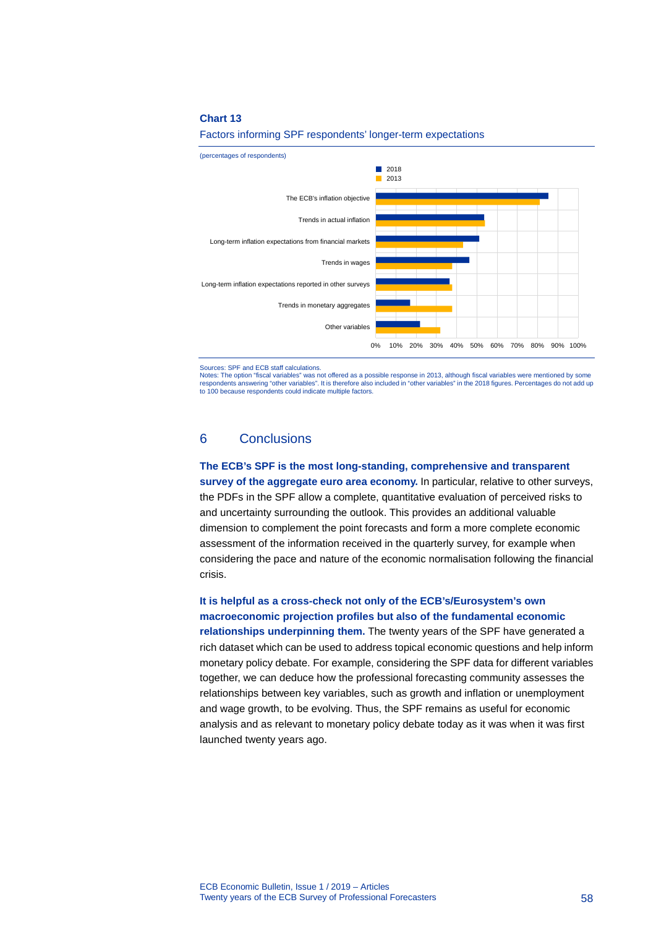

#### Factors informing SPF respondents' longer-term expectations

Sources: SPF and ECB staff calculations.

Notes: The option "fiscal variables" was not offered as a possible response in 2013, although fiscal variables were mentioned by some respondents answering "other variables". It is therefore also included in "other variables" in the 2018 figures. Percentages do not add up to 100 because respondents could indicate multiple factors.

# 6 Conclusions

**The ECB's SPF is the most long-standing, comprehensive and transparent survey of the aggregate euro area economy.** In particular, relative to other surveys, the PDFs in the SPF allow a complete, quantitative evaluation of perceived risks to and uncertainty surrounding the outlook. This provides an additional valuable dimension to complement the point forecasts and form a more complete economic assessment of the information received in the quarterly survey, for example when considering the pace and nature of the economic normalisation following the financial crisis.

**It is helpful as a cross-check not only of the ECB's/Eurosystem's own macroeconomic projection profiles but also of the fundamental economic relationships underpinning them.** The twenty years of the SPF have generated a rich dataset which can be used to address topical economic questions and help inform monetary policy debate. For example, considering the SPF data for different variables together, we can deduce how the professional forecasting community assesses the relationships between key variables, such as growth and inflation or unemployment and wage growth, to be evolving. Thus, the SPF remains as useful for economic analysis and as relevant to monetary policy debate today as it was when it was first launched twenty years ago.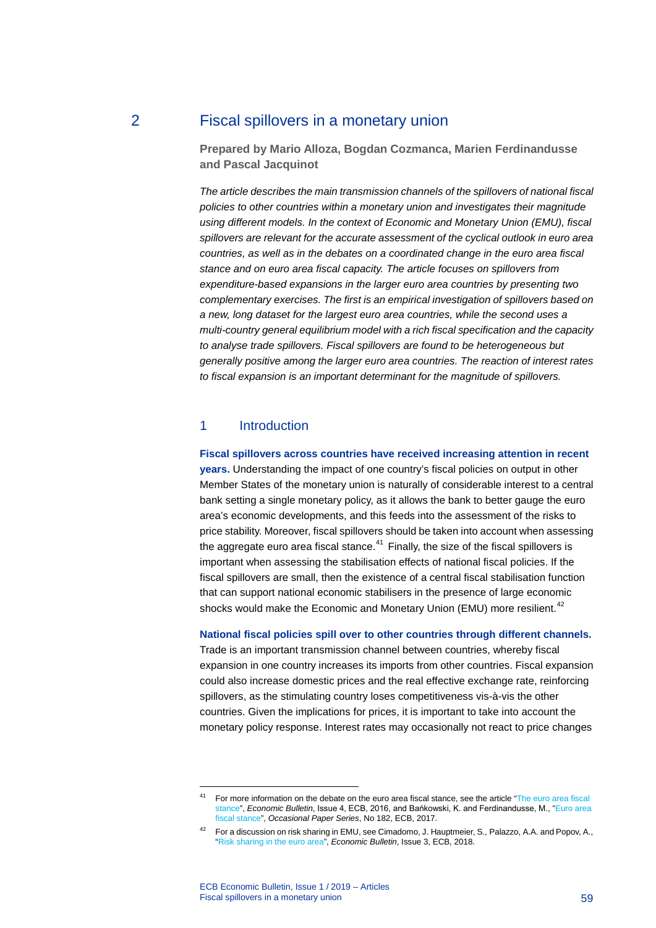# 2 Fiscal spillovers in a monetary union

**Prepared by Mario Alloza, Bogdan Cozmanca, Marien Ferdinandusse and Pascal Jacquinot**

*The article describes the main transmission channels of the spillovers of national fiscal policies to other countries within a monetary union and investigates their magnitude using different models. In the context of Economic and Monetary Union (EMU), fiscal spillovers are relevant for the accurate assessment of the cyclical outlook in euro area countries, as well as in the debates on a coordinated change in the euro area fiscal stance and on euro area fiscal capacity. The article focuses on spillovers from expenditure-based expansions in the larger euro area countries by presenting two complementary exercises. The first is an empirical investigation of spillovers based on a new, long dataset for the largest euro area countries, while the second uses a multi-country general equilibrium model with a rich fiscal specification and the capacity to analyse trade spillovers. Fiscal spillovers are found to be heterogeneous but generally positive among the larger euro area countries. The reaction of interest rates to fiscal expansion is an important determinant for the magnitude of spillovers.*

# 1 Introduction

### **Fiscal spillovers across countries have received increasing attention in recent**

**years.** Understanding the impact of one country's fiscal policies on output in other Member States of the monetary union is naturally of considerable interest to a central bank setting a single monetary policy, as it allows the bank to better gauge the euro area's economic developments, and this feeds into the assessment of the risks to price stability. Moreover, fiscal spillovers should be taken into account when assessing the aggregate euro area fiscal stance. $41$  Finally, the size of the fiscal spillovers is important when assessing the stabilisation effects of national fiscal policies. If the fiscal spillovers are small, then the existence of a central fiscal stabilisation function that can support national economic stabilisers in the presence of large economic shocks would make the Economic and Monetary Union (EMU) more resilient.<sup>[42](#page-59-1)</sup>

### **National fiscal policies spill over to other countries through different channels.**

Trade is an important transmission channel between countries, whereby fiscal expansion in one country increases its imports from other countries. Fiscal expansion could also increase domestic prices and the real effective exchange rate, reinforcing spillovers, as the stimulating country loses competitiveness vis-à-vis the other countries. Given the implications for prices, it is important to take into account the monetary policy response. Interest rates may occasionally not react to price changes

<span id="page-59-0"></span><sup>&</sup>lt;sup>41</sup> For more information on the debate on the euro area fiscal stance, see the article "The euro area fiscal [stance"](https://www.ecb.europa.eu/pub/pdf/other/eb201604_article02.en.pdf?cd7a3d1bea4cc8f48dc86ed31c2776b9), *Economic Bulletin*, Issue 4, ECB, 2016, and Bańkowski, K. and Ferdinandusse, M., "[Euro area](https://www.ecb.europa.eu/pub/pdf/scpops/ecbop182.en.pdf?ec4765a3a579418dd12b825ee19ad2ac)  [fiscal stance"](https://www.ecb.europa.eu/pub/pdf/scpops/ecbop182.en.pdf?ec4765a3a579418dd12b825ee19ad2ac), *Occasional Paper Series*, No 182, ECB, 2017.

<span id="page-59-1"></span><sup>&</sup>lt;sup>42</sup> For a discussion on risk sharing in EMU, see Cimadomo, J. Hauptmeier, S., Palazzo, A.A. and Popov, A., ["Risk sharing in the euro area"](https://www.ecb.europa.eu/pub/pdf/other/ecb.ebart201803_03.en.pdf?b2711dd29e17c49b39397ba881286275), *Economic Bulletin*, Issue 3, ECB, 2018.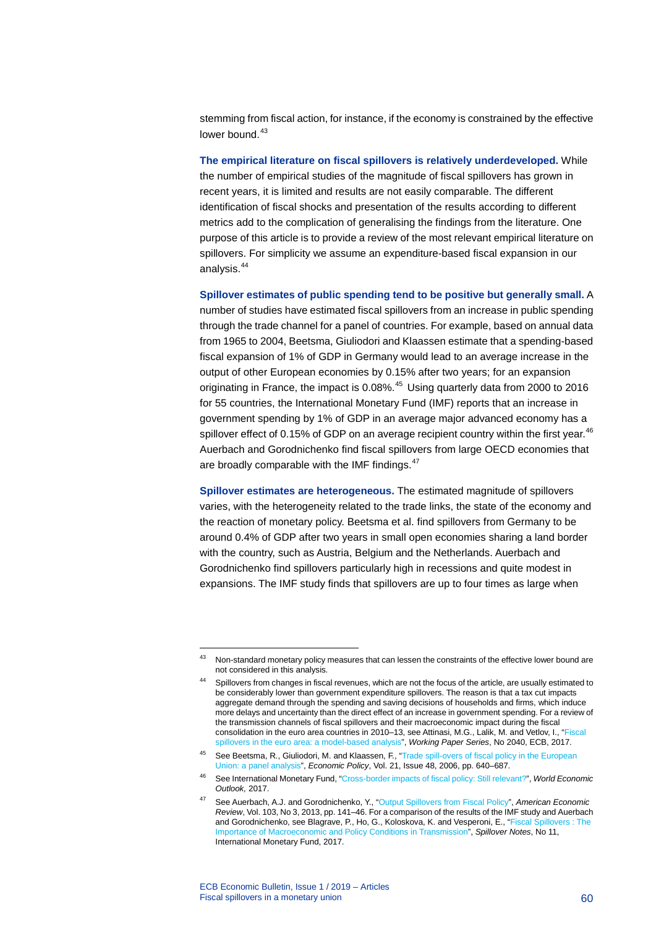stemming from fiscal action, for instance, if the economy is constrained by the effective lower bound.<sup>[43](#page-60-0)</sup>

**The empirical literature on fiscal spillovers is relatively underdeveloped.** While the number of empirical studies of the magnitude of fiscal spillovers has grown in recent years, it is limited and results are not easily comparable. The different identification of fiscal shocks and presentation of the results according to different metrics add to the complication of generalising the findings from the literature. One purpose of this article is to provide a review of the most relevant empirical literature on spillovers. For simplicity we assume an expenditure-based fiscal expansion in our analysis.[44](#page-60-1)

**Spillover estimates of public spending tend to be positive but generally small.** A number of studies have estimated fiscal spillovers from an increase in public spending through the trade channel for a panel of countries. For example, based on annual data from 1965 to 2004, Beetsma, Giuliodori and Klaassen estimate that a spending-based fiscal expansion of 1% of GDP in Germany would lead to an average increase in the output of other European economies by 0.15% after two years; for an expansion originating in France, the impact is 0.08%.<sup>[45](#page-60-2)</sup> Using quarterly data from 2000 to 2016 for 55 countries, the International Monetary Fund (IMF) reports that an increase in government spending by 1% of GDP in an average major advanced economy has a spillover effect of 0.15% of GDP on an average recipient country within the first year.<sup>[46](#page-60-3)</sup> Auerbach and Gorodnichenko find fiscal spillovers from large OECD economies that are broadly comparable with the IMF findings.<sup>[47](#page-60-4)</sup>

**Spillover estimates are heterogeneous.** The estimated magnitude of spillovers varies, with the heterogeneity related to the trade links, the state of the economy and the reaction of monetary policy. Beetsma et al. find spillovers from Germany to be around 0.4% of GDP after two years in small open economies sharing a land border with the country, such as Austria, Belgium and the Netherlands. Auerbach and Gorodnichenko find spillovers particularly high in recessions and quite modest in expansions. The IMF study finds that spillovers are up to four times as large when

<span id="page-60-1"></span><span id="page-60-0"></span><sup>&</sup>lt;sup>43</sup> Non-standard monetary policy measures that can lessen the constraints of the effective lower bound are not considered in this analysis.

<sup>44</sup> Spillovers from changes in fiscal revenues, which are not the focus of the article, are usually estimated to be considerably lower than government expenditure spillovers. The reason is that a tax cut impacts aggregate demand through the spending and saving decisions of households and firms, which induce more delays and uncertainty than the direct effect of an increase in government spending. For a review of the transmission channels of fiscal spillovers and their macroeconomic impact during the fiscal consolidation in the euro area countries in 2010–13, see Attinasi, M.G., Lalik, M. and Vetlov, I., ["Fiscal](https://www.ecb.europa.eu/pub/pdf/scpwps/ecbwp2040.en.pdf?b0fae685275efcdad84816c033cf8a2e)  [spillovers in the euro area: a model-based analysis"](https://www.ecb.europa.eu/pub/pdf/scpwps/ecbwp2040.en.pdf?b0fae685275efcdad84816c033cf8a2e), *Working Paper Series*, No 2040, ECB, 2017.

<span id="page-60-2"></span><sup>45</sup> See Beetsma, R., Giuliodori, M. and Klaassen, F., ["Trade spill-overs of fiscal policy in the European](https://doi.org/10.1111/j.1468-0327.2006.00168.x)  [Union: a panel analysis"](https://doi.org/10.1111/j.1468-0327.2006.00168.x), *Economic Policy*, Vol. 21, Issue 48, 2006, pp. 640–687.

<span id="page-60-3"></span><sup>46</sup> See International Monetary Fund, ["Cross-border impacts of fiscal policy: Still relevant?"](https://www.imf.org/%7E/media/Files/Publications/WEO/2017/October/pdf/analytical-chapters/c4.ashx), *World Economic Outlook,* 2017.

<span id="page-60-4"></span><sup>47</sup> See Auerbach, A.J. and Gorodnichenko, Y., ["Output Spillovers from Fiscal Policy"](https://www.aeaweb.org/articles?id=10.1257/aer.103.3.141), *American Economic Review*, Vol. 103, No 3, 2013, pp. 141–46. For a comparison of the results of the IMF study and Auerbach and Gorodnichenko, see Blagrave, P., Ho, G., Koloskova, K. and Vesperoni, E., ["Fiscal Spillovers : The](https://www.imf.org/%7E/media/Files/Publications/SpilloverNotes/SpilloverNote11.ashx)  [Importance of Macroeconomic and Policy Conditions in Transmission"](https://www.imf.org/%7E/media/Files/Publications/SpilloverNotes/SpilloverNote11.ashx), *Spillover Notes*, No 11, International Monetary Fund, 2017.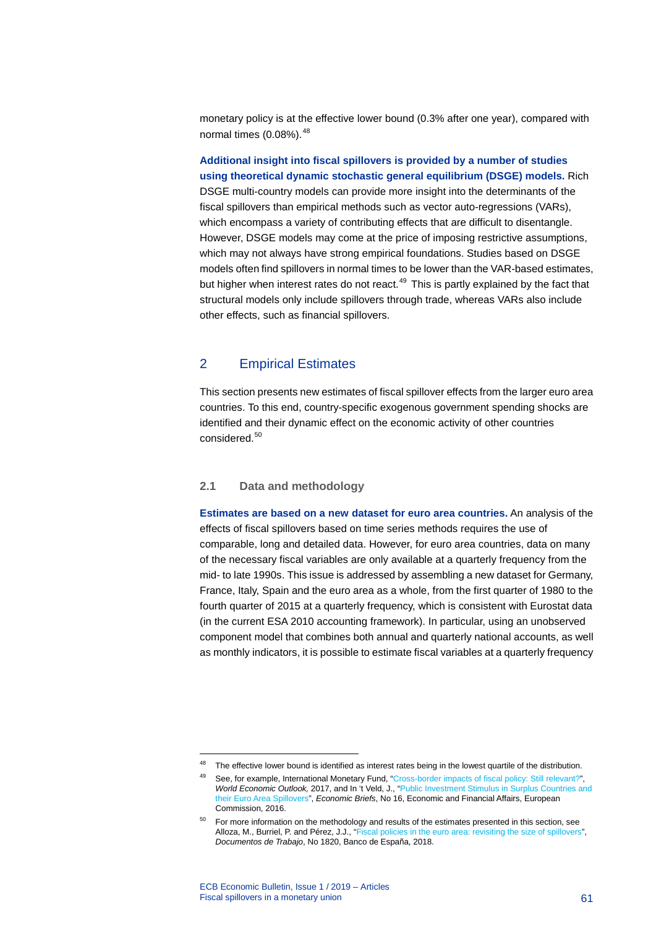monetary policy is at the effective lower bound (0.3% after one year), compared with normal times  $(0.08\%)$ .  $48$ 

**Additional insight into fiscal spillovers is provided by a number of studies using theoretical dynamic stochastic general equilibrium (DSGE) models.** Rich DSGE multi-country models can provide more insight into the determinants of the fiscal spillovers than empirical methods such as vector auto-regressions (VARs), which encompass a variety of contributing effects that are difficult to disentangle. However, DSGE models may come at the price of imposing restrictive assumptions, which may not always have strong empirical foundations. Studies based on DSGE models often find spillovers in normal times to be lower than the VAR-based estimates, but higher when interest rates do not react.<sup>[49](#page-61-1)</sup> This is partly explained by the fact that structural models only include spillovers through trade, whereas VARs also include other effects, such as financial spillovers.

# 2 Empirical Estimates

This section presents new estimates of fiscal spillover effects from the larger euro area countries. To this end, country-specific exogenous government spending shocks are identified and their dynamic effect on the economic activity of other countries considered.<sup>[50](#page-61-2)</sup>

# **2.1 Data and methodology**

**Estimates are based on a new dataset for euro area countries.** An analysis of the effects of fiscal spillovers based on time series methods requires the use of comparable, long and detailed data. However, for euro area countries, data on many of the necessary fiscal variables are only available at a quarterly frequency from the mid- to late 1990s. This issue is addressed by assembling a new dataset for Germany, France, Italy, Spain and the euro area as a whole, from the first quarter of 1980 to the fourth quarter of 2015 at a quarterly frequency, which is consistent with Eurostat data (in the current ESA 2010 accounting framework). In particular, using an unobserved component model that combines both annual and quarterly national accounts, as well as monthly indicators, it is possible to estimate fiscal variables at a quarterly frequency

<span id="page-61-1"></span><span id="page-61-0"></span><sup>&</sup>lt;sup>48</sup> The effective lower bound is identified as interest rates being in the lowest quartile of the distribution.

<sup>49</sup> See, for example, International Monetary Fund, ["Cross-border impacts of fiscal policy: Still relevant?"](https://www.imf.org/%7E/media/Files/Publications/WEO/2017/October/pdf/analytical-chapters/c4.ashx) *World Economic Outlook,* 2017, and In 't Veld, J., ["Public Investment Stimulus in Surplus Countries and](https://ec.europa.eu/info/sites/info/files/file_import/eb016_en_2.pdf)  [their Euro Area Spillovers",](https://ec.europa.eu/info/sites/info/files/file_import/eb016_en_2.pdf) *Economic Briefs*, No 16, Economic and Financial Affairs, European Commission, 2016.

<span id="page-61-2"></span> $50$  For more information on the methodology and results of the estimates presented in this section, see Alloza, M., Burriel, P. and Pérez, J.J., ["Fiscal policies in the euro area: revisiting the size of spillovers"](https://www.bde.es/f/webbde/SES/Secciones/Publicaciones/PublicacionesSeriadas/DocumentosTrabajo/18/Files/dt1820e.pdf), *Documentos de Trabajo*, No 1820, Banco de España, 2018.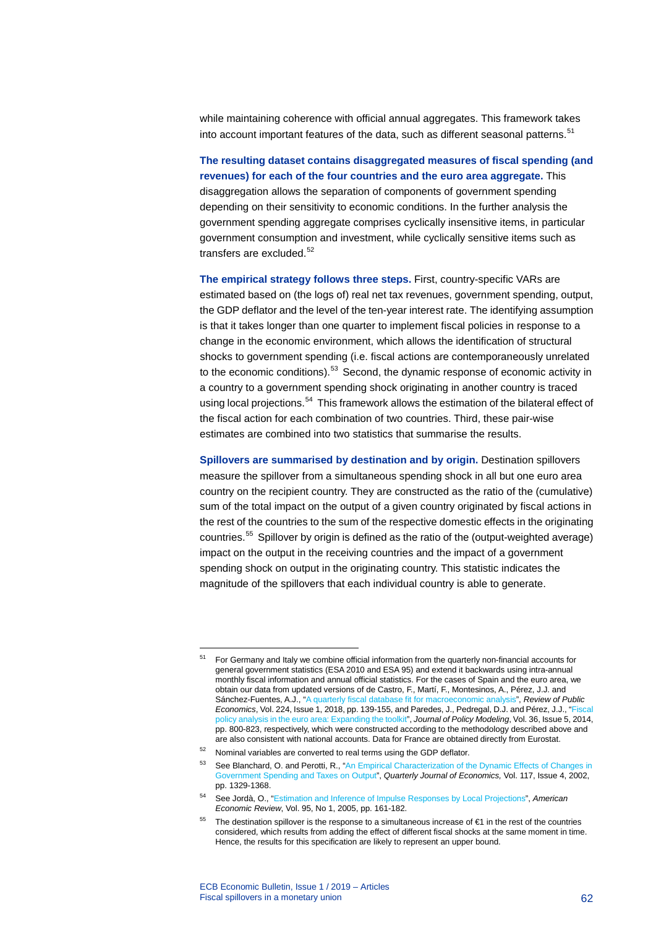while maintaining coherence with official annual aggregates. This framework takes into account important features of the data, such as different seasonal patterns.<sup>[51](#page-62-0)</sup>

**The resulting dataset contains disaggregated measures of fiscal spending (and revenues) for each of the four countries and the euro area aggregate.** This disaggregation allows the separation of components of government spending depending on their sensitivity to economic conditions. In the further analysis the government spending aggregate comprises cyclically insensitive items, in particular government consumption and investment, while cyclically sensitive items such as transfers are excluded. [52](#page-62-1)

**The empirical strategy follows three steps.** First, country-specific VARs are estimated based on (the logs of) real net tax revenues, government spending, output, the GDP deflator and the level of the ten-year interest rate. The identifying assumption is that it takes longer than one quarter to implement fiscal policies in response to a change in the economic environment, which allows the identification of structural shocks to government spending (i.e. fiscal actions are contemporaneously unrelated to the economic conditions).<sup>[53](#page-62-2)</sup> Second, the dynamic response of economic activity in a country to a government spending shock originating in another country is traced using local projections.<sup>[54](#page-62-3)</sup> This framework allows the estimation of the bilateral effect of the fiscal action for each combination of two countries. Third, these pair-wise estimates are combined into two statistics that summarise the results.

**Spillovers are summarised by destination and by origin.** Destination spillovers measure the spillover from a simultaneous spending shock in all but one euro area country on the recipient country. They are constructed as the ratio of the (cumulative) sum of the total impact on the output of a given country originated by fiscal actions in the rest of the countries to the sum of the respective domestic effects in the originating countries.<sup>[55](#page-62-4)</sup> Spillover by origin is defined as the ratio of the (output-weighted average) impact on the output in the receiving countries and the impact of a government spending shock on output in the originating country. This statistic indicates the magnitude of the spillovers that each individual country is able to generate.

<span id="page-62-0"></span><sup>&</sup>lt;sup>51</sup> For Germany and Italy we combine official information from the quarterly non-financial accounts for general government statistics (ESA 2010 and ESA 95) and extend it backwards using intra-annual monthly fiscal information and annual official statistics. For the cases of Spain and the euro area, we obtain our data from updated versions of de Castro, F., Martí, F., Montesinos, A., Pérez, J.J. and Sánchez-Fuentes, A.J., ["A quarterly fiscal database fit for macroeconomic analysis"](http://www.ief.es/docs/destacados/publicaciones/revistas/hpe/224_Art5.pdf), *Review of Public Economics*, Vol. 224, Issue 1, 2018, pp. 139-155, and Paredes, J., Pedregal, D.J. and Pérez, J.J., ["Fiscal](https://doi.org/10.1016/j.jpolmod.2014.07.003)  [policy analysis in the euro area: Expanding the toolkit",](https://doi.org/10.1016/j.jpolmod.2014.07.003) *Journal of Policy Modeling*, Vol. 36, Issue 5, 2014, pp. 800-823, respectively, which were constructed according to the methodology described above and are also consistent with national accounts. Data for France are obtained directly from Eurostat.

<span id="page-62-2"></span><span id="page-62-1"></span><sup>52</sup> Nominal variables are converted to real terms using the GDP deflator.

<sup>53</sup> See Blanchard, O. and Perotti, R., "An Empirical Characterization of the Dynamic Effects of Changes in [Government Spending and Taxes on Output"](https://academic.oup.com/qje/article/117/4/1329/1875961), *Quarterly Journal of Economics,* Vol. 117, Issue 4, 2002, pp. 1329-1368.

<span id="page-62-3"></span><sup>54</sup> See Jordà, O., ["Estimation and Inference of Impulse Responses by Local Projections"](https://www.aeaweb.org/articles?id=10.1257/0002828053828518), *American Economic Review*, Vol. 95, No 1, 2005, pp. 161-182.

<span id="page-62-4"></span>The destination spillover is the response to a simultaneous increase of €1 in the rest of the countries considered, which results from adding the effect of different fiscal shocks at the same moment in time. Hence, the results for this specification are likely to represent an upper bound.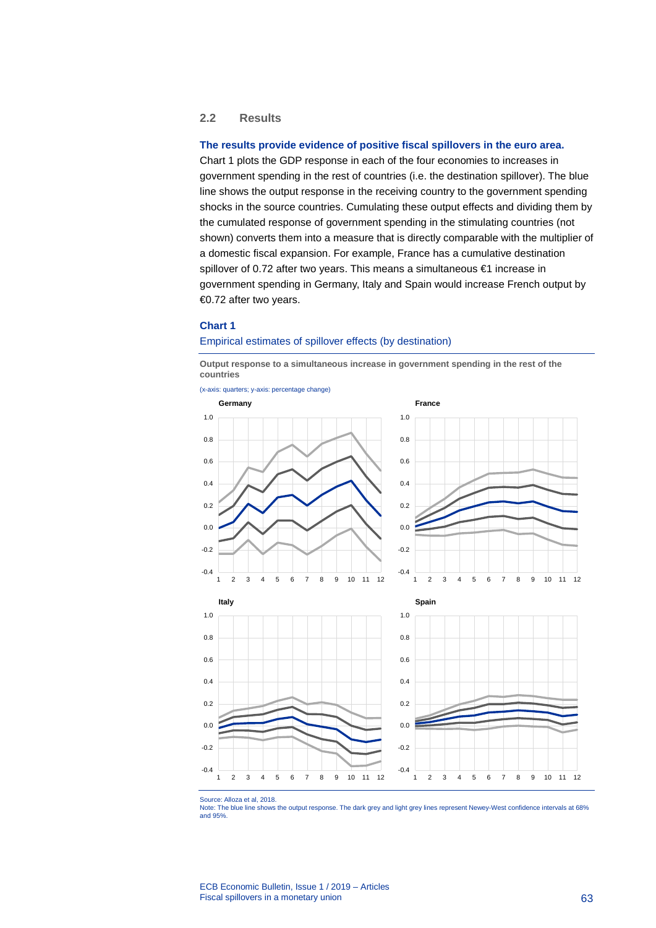### **2.2 Results**

### **The results provide evidence of positive fiscal spillovers in the euro area.**

Chart 1 plots the GDP response in each of the four economies to increases in government spending in the rest of countries (i.e. the destination spillover). The blue line shows the output response in the receiving country to the government spending shocks in the source countries. Cumulating these output effects and dividing them by the cumulated response of government spending in the stimulating countries (not shown) converts them into a measure that is directly comparable with the multiplier of a domestic fiscal expansion. For example, France has a cumulative destination spillover of 0.72 after two years. This means a simultaneous €1 increase in government spending in Germany, Italy and Spain would increase French output by €0.72 after two years.

### **Chart 1**

#### Empirical estimates of spillover effects (by destination)

**Output response to a simultaneous increase in government spending in the rest of the countries**





Source: Alloza et al, 2018.

Note: The blue line shows the output response. The dark grey and light grey lines represent Newey-West confidence intervals at 68% and 95%.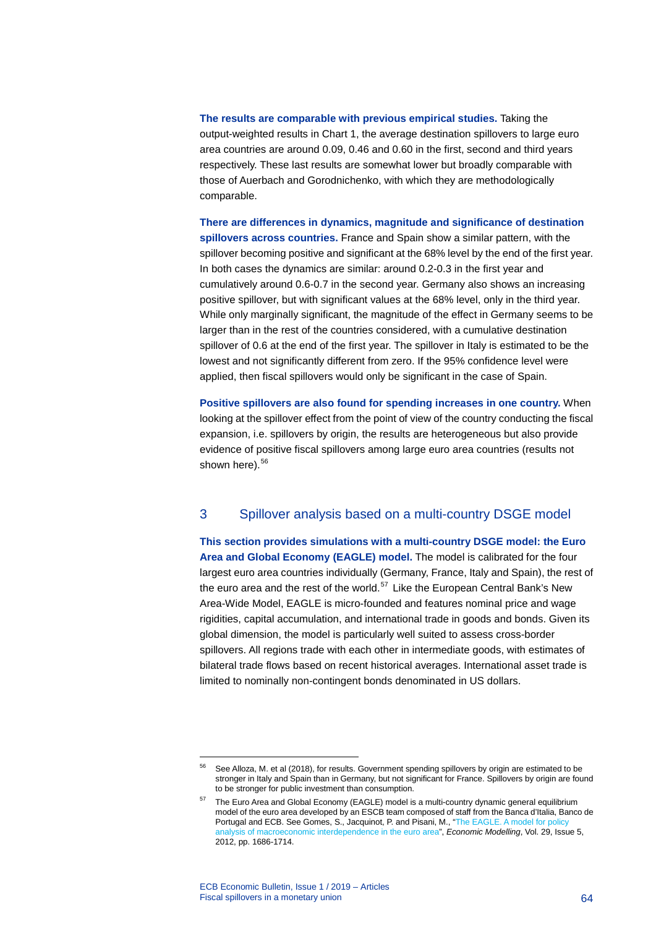**The results are comparable with previous empirical studies.** Taking the output-weighted results in Chart 1, the average destination spillovers to large euro area countries are around 0.09, 0.46 and 0.60 in the first, second and third years respectively. These last results are somewhat lower but broadly comparable with those of Auerbach and Gorodnichenko, with which they are methodologically comparable.

**There are differences in dynamics, magnitude and significance of destination spillovers across countries.** France and Spain show a similar pattern, with the spillover becoming positive and significant at the 68% level by the end of the first year. In both cases the dynamics are similar: around 0.2-0.3 in the first year and cumulatively around 0.6-0.7 in the second year. Germany also shows an increasing positive spillover, but with significant values at the 68% level, only in the third year. While only marginally significant, the magnitude of the effect in Germany seems to be larger than in the rest of the countries considered, with a cumulative destination spillover of 0.6 at the end of the first year. The spillover in Italy is estimated to be the lowest and not significantly different from zero. If the 95% confidence level were applied, then fiscal spillovers would only be significant in the case of Spain.

**Positive spillovers are also found for spending increases in one country.** When looking at the spillover effect from the point of view of the country conducting the fiscal expansion, i.e. spillovers by origin, the results are heterogeneous but also provide evidence of positive fiscal spillovers among large euro area countries (results not shown here).<sup>[56](#page-64-0)</sup>

# 3 Spillover analysis based on a multi-country DSGE model

**This section provides simulations with a multi-country DSGE model: the Euro Area and Global Economy (EAGLE) model.** The model is calibrated for the four largest euro area countries individually (Germany, France, Italy and Spain), the rest of the euro area and the rest of the world.<sup>[57](#page-64-1)</sup> Like the European Central Bank's New Area-Wide Model, EAGLE is micro-founded and features nominal price and wage rigidities, capital accumulation, and international trade in goods and bonds. Given its global dimension, the model is particularly well suited to assess cross-border spillovers. All regions trade with each other in intermediate goods, with estimates of bilateral trade flows based on recent historical averages. International asset trade is limited to nominally non-contingent bonds denominated in US dollars.

<sup>56</sup> See Alloza, M. et al (2018), for results. Government spending spillovers by origin are estimated to be stronger in Italy and Spain than in Germany, but not significant for France. Spillovers by origin are found to be stronger for public investment than consumption.

<span id="page-64-1"></span><span id="page-64-0"></span> $57$  The Euro Area and Global Economy (EAGLE) model is a multi-country dynamic general equilibrium model of the euro area developed by an ESCB team composed of staff from the Banca d'Italia, Banco de Portugal and ECB. See Gomes, S., Jacquinot, P. and Pisani, M., "The EAGLE. A model for policy [analysis of macroeconomic interdependence in the euro area"](https://ideas.repec.org/a/eee/ecmode/v29y2012i5p1686-1714.html), *Economic Modelling*, Vol. 29, Issue 5, 2012, pp. 1686-1714.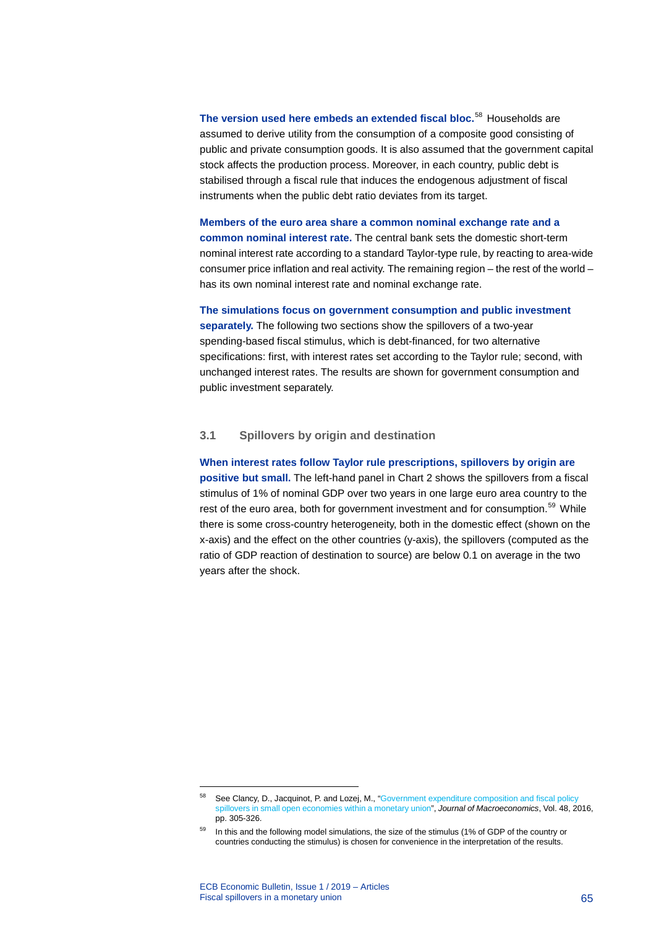**The version used here embeds an extended fiscal bloc.**[58](#page-65-0) Households are assumed to derive utility from the consumption of a composite good consisting of public and private consumption goods. It is also assumed that the government capital stock affects the production process. Moreover, in each country, public debt is stabilised through a fiscal rule that induces the endogenous adjustment of fiscal instruments when the public debt ratio deviates from its target.

**Members of the euro area share a common nominal exchange rate and a common nominal interest rate.** The central bank sets the domestic short-term nominal interest rate according to a standard Taylor-type rule, by reacting to area-wide consumer price inflation and real activity. The remaining region – the rest of the world – has its own nominal interest rate and nominal exchange rate.

**The simulations focus on government consumption and public investment** 

**separately.** The following two sections show the spillovers of a two-year spending-based fiscal stimulus, which is debt-financed, for two alternative specifications: first, with interest rates set according to the Taylor rule; second, with unchanged interest rates. The results are shown for government consumption and public investment separately.

### **3.1 Spillovers by origin and destination**

**When interest rates follow Taylor rule prescriptions, spillovers by origin are positive but small.** The left-hand panel in Chart 2 shows the spillovers from a fiscal stimulus of 1% of nominal GDP over two years in one large euro area country to the rest of the euro area, both for government investment and for consumption.<sup>[59](#page-65-1)</sup> While there is some cross-country heterogeneity, both in the domestic effect (shown on the x-axis) and the effect on the other countries (y-axis), the spillovers (computed as the ratio of GDP reaction of destination to source) are below 0.1 on average in the two years after the shock.

<span id="page-65-0"></span><sup>&</sup>lt;sup>58</sup> See Clancy, D., Jacquinot, P. and Lozej, M., "Government expenditure composition and fiscal policy [spillovers in small open economies within a monetary union",](https://ideas.repec.org/a/eee/jmacro/v48y2016icp305-326.html) *Journal of Macroeconomics*, Vol. 48, 2016, pp. 305-326.

<span id="page-65-1"></span><sup>&</sup>lt;sup>59</sup> In this and the following model simulations, the size of the stimulus (1% of GDP of the country or countries conducting the stimulus) is chosen for convenience in the interpretation of the results.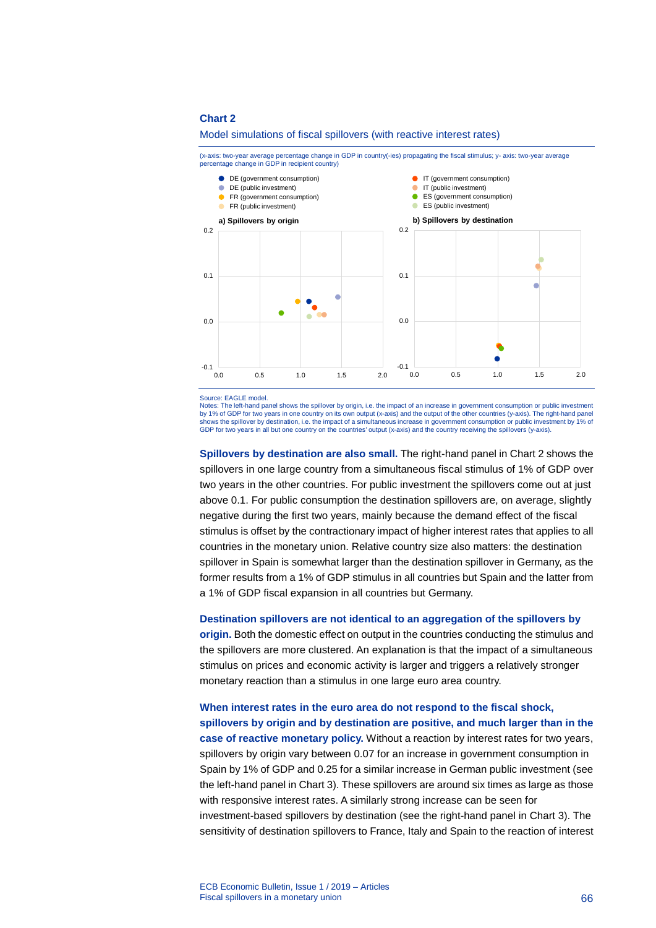#### Model simulations of fiscal spillovers (with reactive interest rates)

(x-axis: two-year average percentage change in GDP in country(-ies) propagating the fiscal stimulus; y- axis: two-year average percentage change in GDP in recipient country)



Source: EAGLE model.

Notes: The left-hand panel shows the spillover by origin, i.e. the impact of an increase in government consumption or public investment by 1% of GDP for two years in one country on its own output (x-axis) and the output of the other countries (y-axis). The right-hand panel shows the spillover by destination, i.e. the impact of a simultaneous increase in government consumption or public investment by 1% of GDP for two years in all but one country on the countries' output (x-axis) and the country receiving the spillovers (y-axis).

**Spillovers by destination are also small.** The right-hand panel in Chart 2 shows the spillovers in one large country from a simultaneous fiscal stimulus of 1% of GDP over two years in the other countries. For public investment the spillovers come out at just above 0.1. For public consumption the destination spillovers are, on average, slightly negative during the first two years, mainly because the demand effect of the fiscal stimulus is offset by the contractionary impact of higher interest rates that applies to all countries in the monetary union. Relative country size also matters: the destination spillover in Spain is somewhat larger than the destination spillover in Germany, as the former results from a 1% of GDP stimulus in all countries but Spain and the latter from a 1% of GDP fiscal expansion in all countries but Germany.

### **Destination spillovers are not identical to an aggregation of the spillovers by**

**origin.** Both the domestic effect on output in the countries conducting the stimulus and the spillovers are more clustered. An explanation is that the impact of a simultaneous stimulus on prices and economic activity is larger and triggers a relatively stronger monetary reaction than a stimulus in one large euro area country.

# **When interest rates in the euro area do not respond to the fiscal shock, spillovers by origin and by destination are positive, and much larger than in the**

**case of reactive monetary policy.** Without a reaction by interest rates for two years, spillovers by origin vary between 0.07 for an increase in government consumption in Spain by 1% of GDP and 0.25 for a similar increase in German public investment (see the left-hand panel in Chart 3). These spillovers are around six times as large as those with responsive interest rates. A similarly strong increase can be seen for investment-based spillovers by destination (see the right-hand panel in Chart 3). The sensitivity of destination spillovers to France, Italy and Spain to the reaction of interest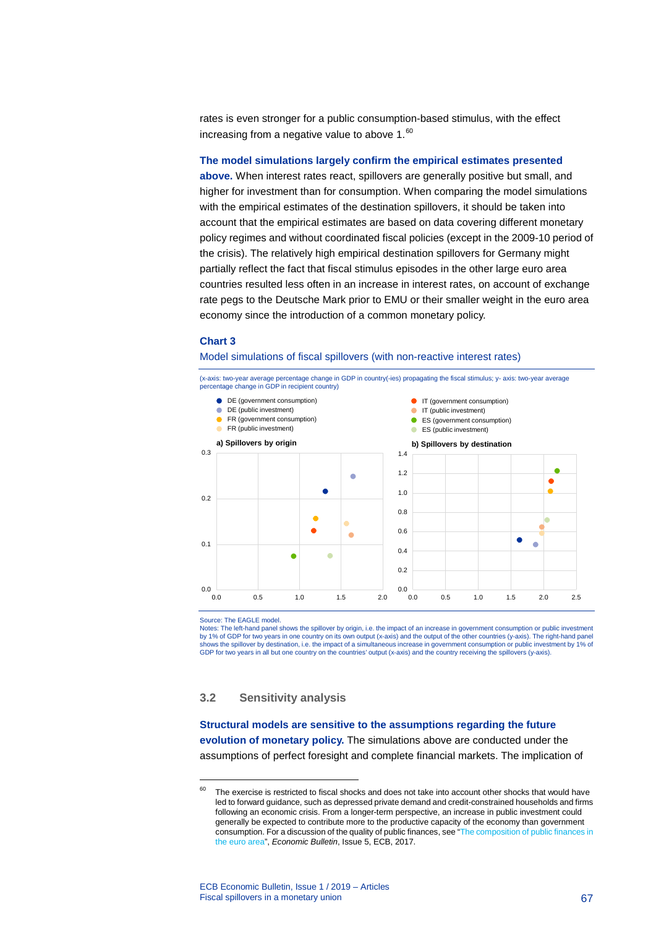rates is even stronger for a public consumption-based stimulus, with the effect increasing from a negative value to above 1.<sup>[60](#page-67-0)</sup>

#### **The model simulations largely confirm the empirical estimates presented**

**above.** When interest rates react, spillovers are generally positive but small, and higher for investment than for consumption. When comparing the model simulations with the empirical estimates of the destination spillovers, it should be taken into account that the empirical estimates are based on data covering different monetary policy regimes and without coordinated fiscal policies (except in the 2009-10 period of the crisis). The relatively high empirical destination spillovers for Germany might partially reflect the fact that fiscal stimulus episodes in the other large euro area countries resulted less often in an increase in interest rates, on account of exchange rate pegs to the Deutsche Mark prior to EMU or their smaller weight in the euro area economy since the introduction of a common monetary policy.

#### **Chart 3**

#### Model simulations of fiscal spillovers (with non-reactive interest rates)



Source: The EAGLE model.

-

Notes: The left-hand panel shows the spillover by origin, i.e. the impact of an increase in government consumption or public investment by 1% of GDP for two years in one country on its own output (x-axis) and the output of the other countries (y-axis). The right-hand panel shows the spillover by destination, i.e. the impact of a simultaneous increase in government consumption or public investment by 1% of GDP for two years in all but one country on the countries' output (x-axis) and the country receiving the spillovers (y-axis).

# **3.2 Sensitivity analysis**

**Structural models are sensitive to the assumptions regarding the future evolution of monetary policy.** The simulations above are conducted under the assumptions of perfect foresight and complete financial markets. The implication of

<span id="page-67-0"></span> $60$  The exercise is restricted to fiscal shocks and does not take into account other shocks that would have led to forward guidance, such as depressed private demand and credit-constrained households and firms following an economic crisis. From a longer-term perspective, an increase in public investment could generally be expected to contribute more to the productive capacity of the economy than government consumption. For a discussion of the quality of public finances, see ["The composition of public finances in](https://www.ecb.europa.eu/pub/pdf/other/ebart201705_01.en.pdf?759ce38ffc8f50bfe7a05129f69b4cb1)  [the euro area",](https://www.ecb.europa.eu/pub/pdf/other/ebart201705_01.en.pdf?759ce38ffc8f50bfe7a05129f69b4cb1) *Economic Bulletin*, Issue 5, ECB, 2017.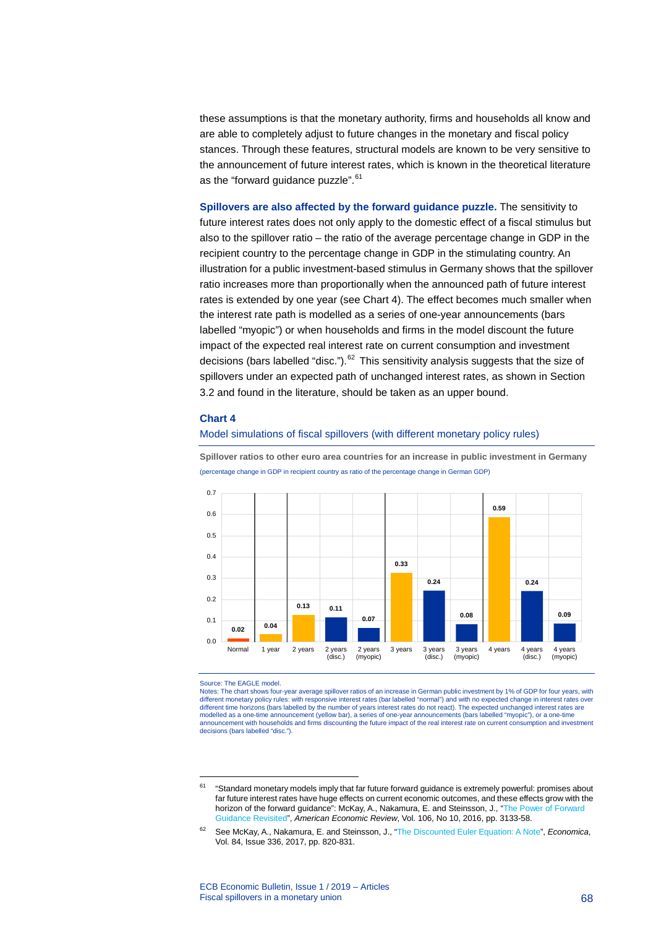these assumptions is that the monetary authority, firms and households all know and are able to completely adjust to future changes in the monetary and fiscal policy stances. Through these features, structural models are known to be very sensitive to the announcement of future interest rates, which is known in the theoretical literature as the "forward guidance puzzle".<sup>[61](#page-68-0)</sup>

**Spillovers are also affected by the forward guidance puzzle.** The sensitivity to future interest rates does not only apply to the domestic effect of a fiscal stimulus but also to the spillover ratio – the ratio of the average percentage change in GDP in the recipient country to the percentage change in GDP in the stimulating country. An illustration for a public investment-based stimulus in Germany shows that the spillover ratio increases more than proportionally when the announced path of future interest rates is extended by one year (see Chart 4). The effect becomes much smaller when the interest rate path is modelled as a series of one-year announcements (bars labelled "myopic") or when households and firms in the model discount the future impact of the expected real interest rate on current consumption and investment decisions (bars labelled "disc.").<sup>[62](#page-68-1)</sup> This sensitivity analysis suggests that the size of spillovers under an expected path of unchanged interest rates, as shown in Section 3.2 and found in the literature, should be taken as an upper bound.

### **Chart 4**

### Model simulations of fiscal spillovers (with different monetary policy rules)

**Spillover ratios to other euro area countries for an increase in public investment in Germany**  (percentage change in GDP in recipient country as ratio of the percentage change in German GDP)



#### Source: The EAGLE model.

-

Notes: The chart shows four-year average spillover ratios of an increase in German public investment by 1% of GDP for four years, with different monetary policy rules: with responsive interest rates (bar labelled "normal") and with no expected change in interest rates over different time horizons (bars labelled by the number of years interest rates do not react). The expected unchanged interest rates are<br>modelled as a one-time announcement (yellow bar), a series of one-year announcements (ba announcement with households and firms discounting the future impact of the real interest rate on current consumption and investment decisions (bars labelled "disc.").

<span id="page-68-0"></span><sup>&</sup>lt;sup>61</sup> "Standard monetary models imply that far future forward guidance is extremely powerful: promises about far future interest rates have huge effects on current economic outcomes, and these effects grow with the horizon of the forward guidance": McKay, A., Nakamura, E. and Steinsson, J., ["The Power of Forward](https://www.aeaweb.org/articles?id=10.1257/aer.20150063)  [Guidance Revisited"](https://www.aeaweb.org/articles?id=10.1257/aer.20150063), *American Economic Review*, Vol. 106, No 10, 2016, pp. 3133-58.

<span id="page-68-1"></span><sup>62</sup> See McKay, A., Nakamura, E. and Steinsson, J., ["The Discounted Euler Equation: A Note"](https://doi.org/10.1111/ecca.12226), *Economica*, Vol. 84, Issue 336, 2017, pp. 820-831.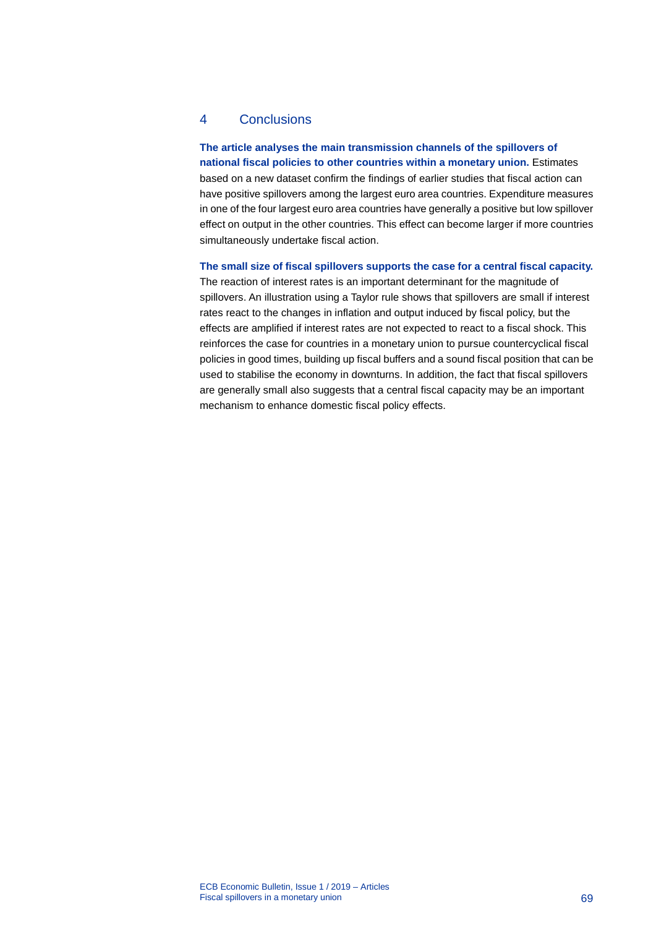# 4 Conclusions

# **The article analyses the main transmission channels of the spillovers of**

**national fiscal policies to other countries within a monetary union.** Estimates based on a new dataset confirm the findings of earlier studies that fiscal action can have positive spillovers among the largest euro area countries. Expenditure measures in one of the four largest euro area countries have generally a positive but low spillover effect on output in the other countries. This effect can become larger if more countries simultaneously undertake fiscal action.

### **The small size of fiscal spillovers supports the case for a central fiscal capacity.**

The reaction of interest rates is an important determinant for the magnitude of spillovers. An illustration using a Taylor rule shows that spillovers are small if interest rates react to the changes in inflation and output induced by fiscal policy, but the effects are amplified if interest rates are not expected to react to a fiscal shock. This reinforces the case for countries in a monetary union to pursue countercyclical fiscal policies in good times, building up fiscal buffers and a sound fiscal position that can be used to stabilise the economy in downturns. In addition, the fact that fiscal spillovers are generally small also suggests that a central fiscal capacity may be an important mechanism to enhance domestic fiscal policy effects.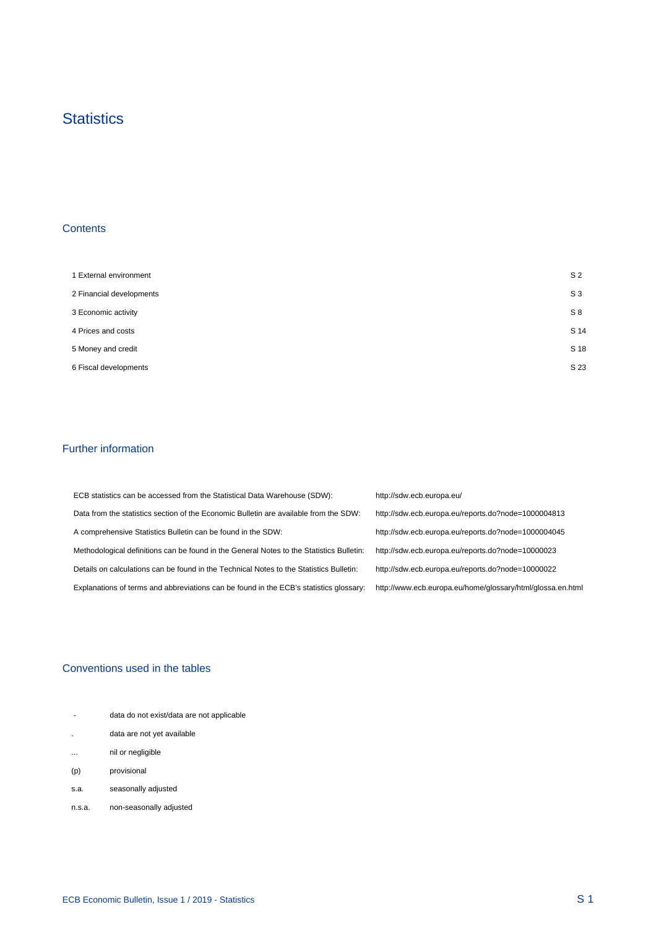# **Statistics**

# **Contents**

 $\mathcal{A}^{\mathcal{A}}$ 

| 1 External environment   | S <sub>2</sub> |
|--------------------------|----------------|
| 2 Financial developments | $S_3$          |
| 3 Economic activity      | S8             |
| 4 Prices and costs       | S 14           |
| 5 Money and credit       | S 18           |
| 6 Fiscal developments    | S 23           |

### Further information

| ECB statistics can be accessed from the Statistical Data Warehouse (SDW):                | http://sdw.ecb.europa.eu/                                  |
|------------------------------------------------------------------------------------------|------------------------------------------------------------|
| Data from the statistics section of the Economic Bulletin are available from the SDW:    | http://sdw.ecb.europa.eu/reports.do?node=1000004813        |
| A comprehensive Statistics Bulletin can be found in the SDW:                             | http://sdw.ecb.europa.eu/reports.do?node=1000004045        |
| Methodological definitions can be found in the General Notes to the Statistics Bulletin: | http://sdw.ecb.europa.eu/reports.do?node=10000023          |
| Details on calculations can be found in the Technical Notes to the Statistics Bulletin:  | http://sdw.ecb.europa.eu/reports.do?node=10000022          |
| Explanations of terms and abbreviations can be found in the ECB's statistics glossary:   | http://www.ecb.europa.eu/home/glossary/html/glossa.en.html |

# Conventions used in the tables

| $\overline{\phantom{a}}$ | data do not exist/data are not applicable |
|--------------------------|-------------------------------------------|
|                          | data are not yet available                |
| $\cdots$                 | nil or negligible                         |
| (p)                      | provisional                               |
| s.a.                     | seasonally adjusted                       |
| n.s.a.                   | non-seasonally adjusted                   |

 $\frac{1}{2}$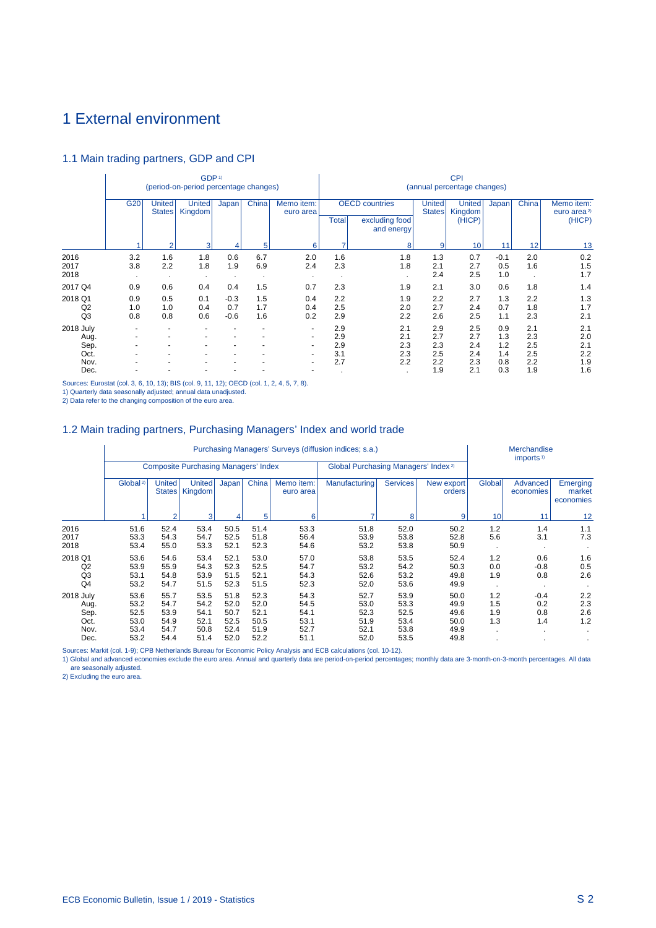# 1 External environment

# 1.1 Main trading partners, GDP and CPI

|                                           | GDP <sup>1)</sup><br>(period-on-period percentage changes)                                      |                       |                              |                                                                                                  |                         |                   |                                    | <b>CPI</b><br>(annual percentage changes) |                                 |                                                 |                                 |                                 |                                 |  |  |
|-------------------------------------------|-------------------------------------------------------------------------------------------------|-----------------------|------------------------------|--------------------------------------------------------------------------------------------------|-------------------------|-------------------|------------------------------------|-------------------------------------------|---------------------------------|-------------------------------------------------|---------------------------------|---------------------------------|---------------------------------|--|--|
|                                           | G <sub>20</sub><br>China<br><b>United</b><br><b>United</b><br>Japan<br>Kingdom<br><b>States</b> |                       | Memo item:<br>euro area      | <b>OECD</b> countries<br>United<br><b>States</b><br><b>Total</b><br>excluding food<br>and energy |                         |                   | <b>United</b><br>Kingdom<br>(HICP) | Japan                                     | China                           | Memo item:<br>euro area <sup>2)</sup><br>(HICP) |                                 |                                 |                                 |  |  |
|                                           |                                                                                                 | $\overline{2}$        | 3                            | 4                                                                                                | 5                       | 6                 |                                    | 8                                         | 9                               | 10                                              | 11                              | 12                              | 13                              |  |  |
| 2016<br>2017<br>2018                      | 3.2<br>3.8<br>$\cdot$                                                                           | 1.6<br>2.2<br>$\cdot$ | 1.8<br>1.8<br>$\blacksquare$ | 0.6<br>1.9<br>$\cdot$                                                                            | 6.7<br>6.9<br>$\bullet$ | 2.0<br>2.4        | 1.6<br>2.3                         | 1.8<br>1.8                                | 1.3<br>2.1<br>2.4               | 0.7<br>2.7<br>2.5                               | $-0.1$<br>0.5<br>1.0            | 2.0<br>1.6<br>$\cdot$           | 0.2<br>1.5<br>1.7               |  |  |
| 2017 Q4                                   | 0.9                                                                                             | 0.6                   | 0.4                          | 0.4                                                                                              | 1.5                     | 0.7               | 2.3                                | 1.9                                       | 2.1                             | 3.0                                             | 0.6                             | 1.8                             | 1.4                             |  |  |
| 2018 Q1<br>Q <sub>2</sub><br>Q3           | 0.9<br>1.0<br>0.8                                                                               | 0.5<br>1.0<br>0.8     | 0.1<br>0.4<br>0.6            | $-0.3$<br>0.7<br>$-0.6$                                                                          | 1.5<br>1.7<br>1.6       | 0.4<br>0.4<br>0.2 | 2.2<br>2.5<br>2.9                  | 1.9<br>2.0<br>2.2                         | 2.2<br>2.7<br>2.6               | 2.7<br>2.4<br>2.5                               | 1.3<br>0.7<br>1.1               | 2.2<br>1.8<br>2.3               | 1.3<br>1.7<br>2.1               |  |  |
| 2018 July<br>Aug.<br>Sep.<br>Oct.<br>Nov. |                                                                                                 |                       |                              |                                                                                                  |                         | $\sim$<br>٠       | 2.9<br>2.9<br>2.9<br>3.1<br>2.7    | 2.1<br>2.1<br>2.3<br>2.3<br>2.2           | 2.9<br>2.7<br>2.3<br>2.5<br>2.2 | 2.5<br>2.7<br>2.4<br>2.4<br>2.3                 | 0.9<br>1.3<br>1.2<br>1.4<br>0.8 | 2.1<br>2.3<br>2.5<br>2.5<br>2.2 | 2.1<br>2.0<br>2.1<br>2.2<br>1.9 |  |  |
| Dec.                                      |                                                                                                 |                       |                              |                                                                                                  |                         |                   |                                    |                                           | 1.9                             | 2.1                                             | 0.3                             | 1.9                             | 1.6                             |  |  |

Sources: Eurostat (col. 3, 6, 10, 13); BIS (col. 9, 11, 12); OECD (col. 1, 2, 4, 5, 7, 8).

1) Quarterly data seasonally adjusted; annual data unadjusted.

2) Data refer to the changing composition of the euro area.

# 1.2 Main trading partners, Purchasing Managers' Index and world trade

|                | Purchasing Managers' Surveys (diffusion indices; s.a.) |                                |                                             |       |       |                         |                                                 |                 |                      |        | Merchandise<br>imports <sup>1)</sup> |                                 |  |
|----------------|--------------------------------------------------------|--------------------------------|---------------------------------------------|-------|-------|-------------------------|-------------------------------------------------|-----------------|----------------------|--------|--------------------------------------|---------------------------------|--|
|                |                                                        |                                | <b>Composite Purchasing Managers' Index</b> |       |       |                         | Global Purchasing Managers' Index <sup>2)</sup> |                 |                      |        |                                      |                                 |  |
|                | Global <sup>2)</sup>                                   | <b>United</b><br><b>States</b> | <b>United</b><br>Kingdom                    | Japan | China | Memo item:<br>euro area | Manufacturing                                   | <b>Services</b> | New export<br>orders | Global | Advanced<br>economies                | Emerging<br>market<br>economies |  |
|                |                                                        | $\overline{2}$                 | 3                                           |       | 5     | 6                       | ⇁                                               | 8               | 9                    | 10     | 11                                   | 12                              |  |
| 2016           | 51.6                                                   | 52.4                           | 53.4                                        | 50.5  | 51.4  | 53.3                    | 51.8                                            | 52.0            | 50.2                 | 1.2    | 1.4                                  | 1.1                             |  |
| 2017           | 53.3                                                   | 54.3                           | 54.7                                        | 52.5  | 51.8  | 56.4                    | 53.9                                            | 53.8            | 52.8                 | 5.6    | 3.1                                  | 7.3                             |  |
| 2018           | 53.4                                                   | 55.0                           | 53.3                                        | 52.1  | 52.3  | 54.6                    | 53.2                                            | 53.8            | 50.9                 |        |                                      |                                 |  |
| 2018 Q1        | 53.6                                                   | 54.6                           | 53.4                                        | 52.1  | 53.0  | 57.0                    | 53.8                                            | 53.5            | 52.4                 | 1.2    | 0.6                                  | 1.6                             |  |
| Q2             | 53.9                                                   | 55.9                           | 54.3                                        | 52.3  | 52.5  | 54.7                    | 53.2                                            | 54.2            | 50.3                 | 0.0    | $-0.8$                               | 0.5                             |  |
| Q3             | 53.1                                                   | 54.8                           | 53.9                                        | 51.5  | 52.1  | 54.3                    | 52.6                                            | 53.2            | 49.8                 | 1.9    | 0.8                                  | 2.6                             |  |
| Q <sub>4</sub> | 53.2                                                   | 54.7                           | 51.5                                        | 52.3  | 51.5  | 52.3                    | 52.0                                            | 53.6            | 49.9                 |        |                                      |                                 |  |
| 2018 July      | 53.6                                                   | 55.7                           | 53.5                                        | 51.8  | 52.3  | 54.3                    | 52.7                                            | 53.9            | 50.0                 | 1.2    | $-0.4$                               | 2.2                             |  |
| Aug.           | 53.2                                                   | 54.7                           | 54.2                                        | 52.0  | 52.0  | 54.5                    | 53.0                                            | 53.3            | 49.9                 | 1.5    | 0.2                                  | 2.3                             |  |
| Sep.           | 52.5                                                   | 53.9                           | 54.1                                        | 50.7  | 52.1  | 54.1                    | 52.3                                            | 52.5            | 49.6                 | 1.9    | 0.8                                  | 2.6                             |  |
| Oct.           | 53.0                                                   | 54.9                           | 52.1                                        | 52.5  | 50.5  | 53.1                    | 51.9                                            | 53.4            | 50.0                 | 1.3    | 1.4                                  | 1.2                             |  |
| Nov.           | 53.4                                                   | 54.7                           | 50.8                                        | 52.4  | 51.9  | 52.7                    | 52.1                                            | 53.8            | 49.9                 |        |                                      |                                 |  |
| Dec.           | 53.2                                                   | 54.4                           | 51.4                                        | 52.0  | 52.2  | 51.1                    | 52.0                                            | 53.5            | 49.8                 |        |                                      |                                 |  |

Sources: Markit (col. 1-9); CPB Netherlands Bureau for Economic Policy Analysis and ECB calculations (col. 10-12).

1) Global and advanced economies exclude the euro area. Annual and quarterly data are period-on-period percentages; monthly data are 3-month-on-3-month percentages. All data are seasonally adjusted.

2) Excluding the euro area.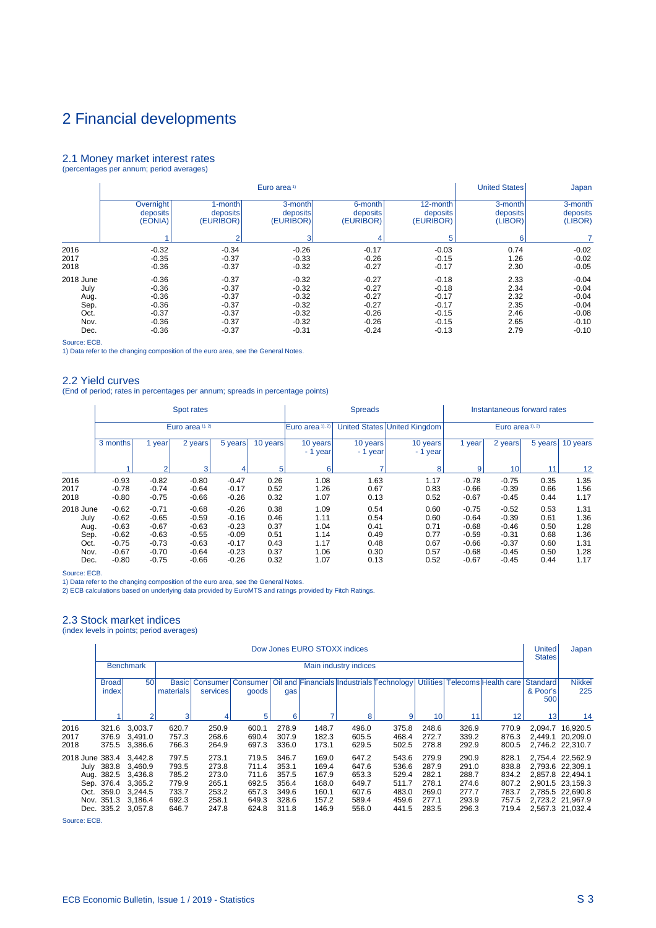### 2.1 Money market interest rates (percentages per annum; period averages)

|           |           |           | Euro area <sup>1)</sup> |           |           | <b>United States</b> | Japan    |
|-----------|-----------|-----------|-------------------------|-----------|-----------|----------------------|----------|
|           | Overnight | 1-month   | 3-month                 | 6-month   | 12-month  | 3-month              | 3-month  |
|           | deposits  | deposits  | deposits                | deposits  | deposits  | deposits             | deposits |
|           | (EONIA)   | (EURIBOR) | (EURIBOR)               | (EURIBOR) | (EURIBOR) | (LIBOR)              | (LIBOR)  |
|           |           | 2         | з                       | 4         | 5         | 6                    |          |
| 2016      | $-0.32$   | $-0.34$   | $-0.26$                 | $-0.17$   | $-0.03$   | 0.74                 | $-0.02$  |
| 2017      | $-0.35$   | $-0.37$   | $-0.33$                 | $-0.26$   | $-0.15$   | 1.26                 | $-0.02$  |
| 2018      | $-0.36$   | $-0.37$   | $-0.32$                 | $-0.27$   | $-0.17$   | 2.30                 | $-0.05$  |
| 2018 June | $-0.36$   | $-0.37$   | $-0.32$                 | $-0.27$   | $-0.18$   | 2.33                 | $-0.04$  |
| July      | $-0.36$   | $-0.37$   | $-0.32$                 | $-0.27$   | $-0.18$   | 2.34                 | $-0.04$  |
| Aug.      | $-0.36$   | $-0.37$   | $-0.32$                 | $-0.27$   | $-0.17$   | 2.32                 | $-0.04$  |
| Sep.      | $-0.36$   | $-0.37$   | $-0.32$                 | $-0.27$   | $-0.17$   | 2.35                 | $-0.04$  |
| Oct.      | $-0.37$   | $-0.37$   | $-0.32$                 | $-0.26$   | $-0.15$   | 2.46                 | $-0.08$  |
| Nov.      | $-0.36$   | $-0.37$   | $-0.32$                 | $-0.26$   | $-0.15$   | 2.65                 | $-0.10$  |
| Dec.      | $-0.36$   | $-0.37$   | $-0.31$                 | $-0.24$   | $-0.13$   | 2.79                 | $-0.10$  |

Source: ECB.

1) Data refer to the changing composition of the euro area, see the General Notes.

## 2.2 Yield curves

(End of period; rates in percentages per annum; spreads in percentage points)

|                      |                               |                               | Spot rates                    |                               |                      |                      | <b>Spreads</b>       |                              |                               | Instantaneous forward rates   |                      |                      |
|----------------------|-------------------------------|-------------------------------|-------------------------------|-------------------------------|----------------------|----------------------|----------------------|------------------------------|-------------------------------|-------------------------------|----------------------|----------------------|
|                      |                               |                               | Euro area 1), 2)              |                               |                      | IEuro area 1), 2)    |                      | United States United Kingdom |                               | Euro area 1), 2)              |                      |                      |
|                      | 3 months                      | year                          | 2 years                       | 5 years'                      | 10 years             | 10 years<br>- 1 year | 10 years<br>- 1 year | 10 years<br>- 1 year         | 1 year                        | 2 years                       | 5 years              | 10 years             |
|                      |                               | $\mathfrak{p}$                | 3                             | 4                             | 5                    | 6                    | 7                    | 8                            | 9                             | 10 <sup>1</sup>               | 11                   | 12                   |
| 2016<br>2017<br>2018 | $-0.93$<br>$-0.78$<br>$-0.80$ | $-0.82$<br>$-0.74$<br>$-0.75$ | $-0.80$<br>$-0.64$<br>$-0.66$ | $-0.47$<br>$-0.17$<br>$-0.26$ | 0.26<br>0.52<br>0.32 | 1.08<br>1.26<br>1.07 | 1.63<br>0.67<br>0.13 | 1.17<br>0.83<br>0.52         | $-0.78$<br>$-0.66$<br>$-0.67$ | $-0.75$<br>$-0.39$<br>$-0.45$ | 0.35<br>0.66<br>0.44 | 1.35<br>1.56<br>1.17 |
| 2018 June<br>July    | $-0.62$<br>$-0.62$            | $-0.71$<br>$-0.65$            | $-0.68$<br>$-0.59$            | $-0.26$<br>$-0.16$            | 0.38<br>0.46         | 1.09<br>1.11         | 0.54<br>0.54         | 0.60<br>0.60                 | $-0.75$<br>$-0.64$            | $-0.52$<br>$-0.39$            | 0.53<br>0.61         | 1.31<br>1.36         |
| Aug.<br>Sep.         | $-0.63$<br>$-0.62$            | $-0.67$<br>$-0.63$            | $-0.63$<br>$-0.55$            | $-0.23$<br>$-0.09$            | 0.37<br>0.51         | 1.04<br>1.14         | 0.41<br>0.49         | 0.71<br>0.77                 | $-0.68$<br>$-0.59$            | $-0.46$<br>$-0.31$            | 0.50<br>0.68         | 1.28<br>1.36         |
| Oct.<br>Nov.         | $-0.75$<br>$-0.67$            | $-0.73$<br>$-0.70$            | $-0.63$<br>$-0.64$            | $-0.17$<br>$-0.23$            | 0.43<br>0.37         | 1.17<br>1.06         | 0.48<br>0.30         | 0.67<br>0.57                 | $-0.66$<br>$-0.68$            | $-0.37$<br>$-0.45$            | 0.60<br>0.50         | 1.31<br>1.28         |
| Dec.                 | $-0.80$                       | $-0.75$                       | $-0.66$                       | $-0.26$                       | 0.32                 | 1.07                 | 0.13                 | 0.52                         | $-0.67$                       | $-0.45$                       | 0.44                 | 1.17                 |

Source: ECB.

1) Data refer to the changing composition of the euro area, see the General Notes.

2) ECB calculations based on underlying data provided by EuroMTS and ratings provided by Fitch Ratings.

## 2.3 Stock market indices

(index levels in points; period averages)

|                      |                          |                                                                                                                                                                                                                                                                                                                                                                                                                                                                                                                                                                                                                                                                                                                                                                                                              |                           |                                              |                         |                         | Dow Jones EURO STOXX indices |                         |                                                        |                         |                         |                                                                                                                                          | <b>United</b><br><b>States</b>     | Japan                                                    |
|----------------------|--------------------------|--------------------------------------------------------------------------------------------------------------------------------------------------------------------------------------------------------------------------------------------------------------------------------------------------------------------------------------------------------------------------------------------------------------------------------------------------------------------------------------------------------------------------------------------------------------------------------------------------------------------------------------------------------------------------------------------------------------------------------------------------------------------------------------------------------------|---------------------------|----------------------------------------------|-------------------------|-------------------------|------------------------------|-------------------------|--------------------------------------------------------|-------------------------|-------------------------|------------------------------------------------------------------------------------------------------------------------------------------|------------------------------------|----------------------------------------------------------|
|                      |                          | <b>Benchmark</b>                                                                                                                                                                                                                                                                                                                                                                                                                                                                                                                                                                                                                                                                                                                                                                                             |                           |                                              |                         |                         |                              | Main industry indices   |                                                        |                         |                         |                                                                                                                                          |                                    |                                                          |
|                      | <b>Broad</b><br>index    | 50                                                                                                                                                                                                                                                                                                                                                                                                                                                                                                                                                                                                                                                                                                                                                                                                           | <b>Basic</b><br>materials | Consumer<br>services                         | goods                   | gas                     |                              |                         | Consumer   Oil and Financials   Industrials Technology |                         |                         | Utilities Telecoms Health care                                                                                                           | <b>Standard</b><br>& Poor's<br>500 | <b>Nikkei</b><br>225                                     |
|                      |                          | $\overline{2}$                                                                                                                                                                                                                                                                                                                                                                                                                                                                                                                                                                                                                                                                                                                                                                                               | $\mathbf{3}$              | 5<br>6<br>٠<br>8<br>9<br>12<br>4<br>10<br>11 |                         |                         |                              |                         |                                                        |                         |                         |                                                                                                                                          |                                    |                                                          |
| 2016<br>2017<br>2018 | 321.6<br>376.9           | 3,003.7<br>3.491.0                                                                                                                                                                                                                                                                                                                                                                                                                                                                                                                                                                                                                                                                                                                                                                                           | 620.7<br>757.3<br>766.3   | 250.9<br>268.6<br>264.9                      | 600.1<br>690.4<br>697.3 | 278.9<br>307.9<br>336.0 | 148.7<br>182.3<br>173.1      | 496.0<br>605.5<br>629.5 | 375.8<br>468.4<br>502.5                                | 248.6<br>272.7<br>278.8 | 326.9<br>339.2<br>292.9 | 770.9<br>876.3<br>800.5                                                                                                                  |                                    | 2.094.7 16.920.5<br>2.449.1 20.209.0<br>2,746.2 22,310.7 |
|                      | Aug. 382.5<br>Sep. 376.4 | 375.5 3,386.6<br>279.9<br>290.9<br>797.5<br>273.1<br>719.5<br>346.7<br>169.0<br>647.2<br>543.6<br>2018 June 383.4 3.442.8<br>828.1<br>July 383.8 3,460.9<br>353.1<br>291.0<br>838.8<br>793.5<br>273.8<br>711.4<br>169.4<br>647.6<br>536.6<br>287.9<br>167.9<br>3.436.8<br>711.6<br>357.5<br>653.3<br>529.4<br>282.1<br>288.7<br>834.2<br>785.2<br>273.0<br>649.7<br>511.7<br>278.1<br>807.2<br>3.365.2<br>779.9<br>265.1<br>692.5<br>356.4<br>168.0<br>274.6<br>Oct. 359.0 3.244.5<br>607.6<br>483.0<br>277.7<br>783.7<br>733.7<br>253.2<br>657.3<br>349.6<br>160.1<br>269.0<br>Nov. 351.3 3.186.4<br>258.1<br>328.6<br>589.4<br>459.6<br>277.1<br>293.9<br>757.5<br>692.3<br>649.3<br>157.2<br>Dec. 335.2 3,057.8<br>624.8<br>311.8<br>146.9<br>441.5<br>283.5<br>296.3<br>247.8<br>556.0<br>719.4<br>646.7 |                           |                                              |                         |                         |                              |                         |                                                        |                         |                         | 2.754.4 22.562.9<br>2.793.6 22.309.1<br>2.857.8 22.494.1<br>2,901.5 23,159.3<br>2.785.5 22.690.8<br>2.723.2 21.967.9<br>2,567.3 21,032.4 |                                    |                                                          |

Source: ECB.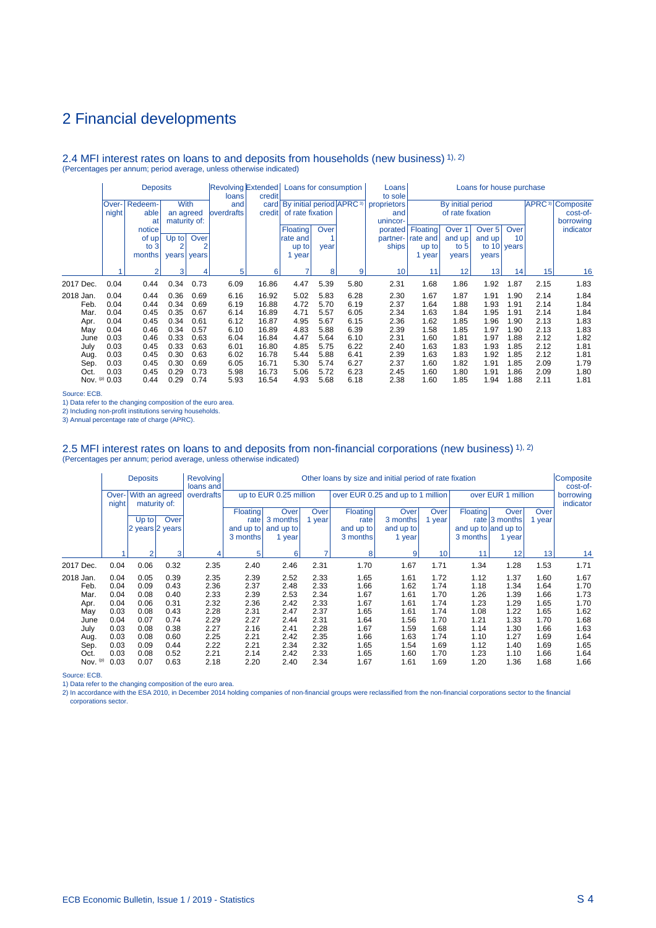### 2.4 MFI interest rates on loans to and deposits from households (new business) 1), 2) (Percentages per annum; period average, unless otherwise indicated)

|            |       | <b>Deposits</b><br>Redeem-<br>With<br>lOver-l |                |       | Revolving Extended Loans for consumption<br>loans | credit |                                               |      |      | Loans<br>to sole |          |                   | Loans for house purchase |               |                           |           |
|------------|-------|-----------------------------------------------|----------------|-------|---------------------------------------------------|--------|-----------------------------------------------|------|------|------------------|----------|-------------------|--------------------------|---------------|---------------------------|-----------|
|            |       |                                               |                |       | and                                               |        | card   By initial period   APRC <sup>3)</sup> |      |      | proprietors      |          | By initial period |                          |               | <b>APRC</b> <sup>3)</sup> | Composite |
|            | night | able                                          | an agreed      |       | <b>loverdrafts</b>                                | credit | of rate fixation                              |      |      | and              |          | of rate fixation  |                          |               |                           | cost-of-  |
|            |       | at                                            | maturity of:   |       |                                                   |        |                                               |      |      | unincor-         |          |                   |                          |               |                           | borrowing |
|            |       | notice                                        |                |       |                                                   |        | <b>Floating</b>                               | Over |      | porated          | Floating | Over <sub>1</sub> | Over 5                   | Over          |                           | indicator |
|            |       | of up!                                        | $Up$ to        | Over  |                                                   |        | rate and                                      |      |      | partner-         | rate and | and up            | and up                   | 10            |                           |           |
|            |       | to $3$                                        | $\overline{2}$ | 2     |                                                   |        | up to                                         | year |      | ships            | up to    | to $51$           |                          | to $10$ years |                           |           |
|            |       | months                                        | years          | years |                                                   |        | 1 year                                        |      |      |                  | year     | years             | vears                    |               |                           |           |
|            |       |                                               |                |       |                                                   |        | 7                                             |      |      |                  |          |                   |                          |               |                           |           |
|            |       | $\mathcal{P}$                                 | 3              |       | 5                                                 | 6      |                                               | 8    | 9    | 10               | 11       | 12                | 13 <sup>1</sup>          | 14            | 15                        | 16        |
| 2017 Dec.  | 0.04  | 0.44                                          | 0.34           | 0.73  | 6.09                                              | 16.86  | 4.47                                          | 5.39 | 5.80 | 2.31             | 1.68     | 1.86              | 1.92                     | 1.87          | 2.15                      | 1.83      |
| 2018 Jan.  | 0.04  | 0.44                                          | 0.36           | 0.69  | 6.16                                              | 16.92  | 5.02                                          | 5.83 | 6.28 | 2.30             | 1.67     | 1.87              | 1.91                     | 1.90          | 2.14                      | 1.84      |
| Feb.       | 0.04  | 0.44                                          | 0.34           | 0.69  | 6.19                                              | 16.88  | 4.72                                          | 5.70 | 6.19 | 2.37             | 1.64     | 1.88              | 1.93                     | 1.91          | 2.14                      | 1.84      |
| Mar.       | 0.04  | 0.45                                          | 0.35           | 0.67  | 6.14                                              | 16.89  | 4.71                                          | 5.57 | 6.05 | 2.34             | 1.63     | 1.84              | 1.95                     | 1.91          | 2.14                      | 1.84      |
| Apr.       | 0.04  | 0.45                                          | 0.34           | 0.61  | 6.12                                              | 16.87  | 4.95                                          | 5.67 | 6.15 | 2.36             | 1.62     | 1.85              | 1.96                     | 1.90          | 2.13                      | 1.83      |
| May        | 0.04  | 0.46                                          | 0.34           | 0.57  | 6.10                                              | 16.89  | 4.83                                          | 5.88 | 6.39 | 2.39             | 1.58     | 1.85              | 1.97                     | 1.90          | 2.13                      | 1.83      |
| June       | 0.03  | 0.46                                          | 0.33           | 0.63  | 6.04                                              | 16.84  | 4.47                                          | 5.64 | 6.10 | 2.31             | 1.60     | 1.81              | 1.97                     | 1.88          | 2.12                      | 1.82      |
| July       | 0.03  | 0.45                                          | 0.33           | 0.63  | 6.01                                              | 16.80  | 4.85                                          | 5.75 | 6.22 | 2.40             | 1.63     | 1.83              | 1.93                     | 1.85          | 2.12                      | 1.81      |
| Aug.       | 0.03  | 0.45                                          | 0.30           | 0.63  | 6.02                                              | 16.78  | 5.44                                          | 5.88 | 6.41 | 2.39             | 1.63     | 1.83              | 1.92                     | 1.85          | 2.12                      | 1.81      |
| Sep.       | 0.03  | 0.45                                          | 0.30           | 0.69  | 6.05                                              | 16.71  | 5.30                                          | 5.74 | 6.27 | 2.37             | 1.60     | 1.82              | 1.91                     | 1.85          | 2.09                      | 1.79      |
| Oct.       | 0.03  | 0.45                                          | 0.29           | 0.73  | 5.98                                              | 16.73  | 5.06                                          | 5.72 | 6.23 | 2.45             | 1.60     | 1.80              | 1.91                     | 1.86          | 2.09                      | 1.80      |
| Nov. $(p)$ | 0.03  | 0.44                                          | 0.29           | 0.74  | 5.93                                              | 16.54  | 4.93                                          | 5.68 | 6.18 | 2.38             | 1.60     | 1.85              | 1.94                     | 1.88          | 2.11                      | 1.81      |

Source: ECB.

1) Data refer to the changing composition of the euro area.

2) Including non-profit institutions serving households.

3) Annual percentage rate of charge (APRC).

# 2.5 MFI interest rates on loans to and deposits from non-financial corporations (new business) 1), 2)<br>(Percentages per annum; period average, unless otherwise indicated)

|           |                | <b>Deposits</b> |              | <b>Revolving</b><br>loans and |                 |                        |                          | Other loans by size and initial period of rate fixation |                |      |                 |                     |        | Composite<br>cost-of-  |
|-----------|----------------|-----------------|--------------|-------------------------------|-----------------|------------------------|--------------------------|---------------------------------------------------------|----------------|------|-----------------|---------------------|--------|------------------------|
|           | Over-<br>night | With an agreed  | maturity of: | overdrafts                    |                 | up to EUR 0.25 million |                          | over EUR 0.25 and up to 1 million                       |                |      |                 | over EUR 1 million  |        | borrowing<br>indicator |
|           |                |                 |              |                               | <b>Floating</b> | Over                   | Over <sup>'</sup>        | Floating                                                | <b>Over</b>    | Over | <b>Floating</b> | Over                | Over   |                        |
|           |                | $Up$ to         | Over         |                               | rate            | 3 months               | 1 year                   | rate                                                    | 3 months       | year |                 | rate $ 3$ months    | 1 year |                        |
|           |                | 2 years 2 years |              |                               | and up to       | and up to              |                          | and up to                                               | and up to      |      |                 | and up to and up to |        |                        |
|           |                |                 |              |                               | 3 months        | 1 year                 |                          | 3 months                                                | 1 year         |      | 3 months        | 1 year              |        |                        |
|           |                | $\overline{2}$  | 3            | 4                             | 5               | 6                      | $\overline{\phantom{a}}$ | 8                                                       | $\overline{9}$ | 10   | 11              | 12                  | 13     | 14                     |
|           |                |                 |              |                               |                 |                        |                          |                                                         |                |      |                 |                     |        |                        |
| 2017 Dec. | 0.04           | 0.06            | 0.32         | 2.35                          | 2.40            | 2.46                   | 2.31                     | 1.70                                                    | 1.67           | 1.71 | 1.34            | 1.28                | 1.53   | 1.71                   |
| 2018 Jan. | 0.04           | 0.05            | 0.39         | 2.35                          | 2.39            | 2.52                   | 2.33                     | 1.65                                                    | 1.61           | 1.72 | 1.12            | 1.37                | 1.60   | 1.67                   |
| Feb.      | 0.04           | 0.09            | 0.43         | 2.36                          | 2.37            | 2.48                   | 2.33                     | 1.66                                                    | 1.62           | 1.74 | 1.18            | 1.34                | 1.64   | 1.70                   |
| Mar.      | 0.04           | 0.08            | 0.40         | 2.33                          | 2.39            | 2.53                   | 2.34                     | 1.67                                                    | 1.61           | 1.70 | 1.26            | 1.39                | 1.66   | 1.73                   |
| Apr.      | 0.04           | 0.06            | 0.31         | 2.32                          | 2.36            | 2.42                   | 2.33                     | 1.67                                                    | 1.61           | 1.74 | 1.23            | 1.29                | 1.65   | 1.70                   |
| May       | 0.03           | 0.08            | 0.43         | 2.28                          | 2.31            | 2.47                   | 2.37                     | 1.65                                                    | 1.61           | 1.74 | 1.08            | 1.22                | 1.65   | 1.62                   |
| June      | 0.04           | 0.07            | 0.74         | 2.29                          | 2.27            | 2.44                   | 2.31                     | 1.64                                                    | 1.56           | 1.70 | 1.21            | 1.33                | 1.70   | 1.68                   |
| July      | 0.03           | 0.08            | 0.38         | 2.27                          | 2.16            | 2.41                   | 2.28                     | 1.67                                                    | 1.59           | 1.68 | 1.14            | 1.30                | 1.66   | 1.63                   |
| Aug.      | 0.03           | 0.08            | 0.60         | 2.25                          | 2.21            | 2.42                   | 2.35                     | 1.66                                                    | 1.63           | 1.74 | 1.10            | 1.27                | 1.69   | 1.64                   |
| Sep.      | 0.03           | 0.09            | 0.44         | 2.22                          | 2.21            | 2.34                   | 2.32                     | 1.65                                                    | 1.54           | 1.69 | 1.12            | 1.40                | 1.69   | 1.65                   |
| Oct.      | 0.03           | 0.08            | 0.52         | 2.21                          | 2.14            | 2.42                   | 2.33                     | 1.65                                                    | 1.60           | 1.70 | 1.23            | 1.10                | 1.66   | 1.64                   |
| Nov. (p)  | 0.03           | 0.07            | 0.63         | 2.18                          | 2.20            | 2.40                   | 2.34                     | 1.67                                                    | 1.61           | 1.69 | 1.20            | 1.36                | 1.68   | 1.66                   |

Source: ECB.

1) Data refer to the changing composition of the euro area.<br>2) In accordance with the ESA 2010, in December 2014 holding companies of non-financial groups were reclassified from the non-financial corporations sector to the corporations sector.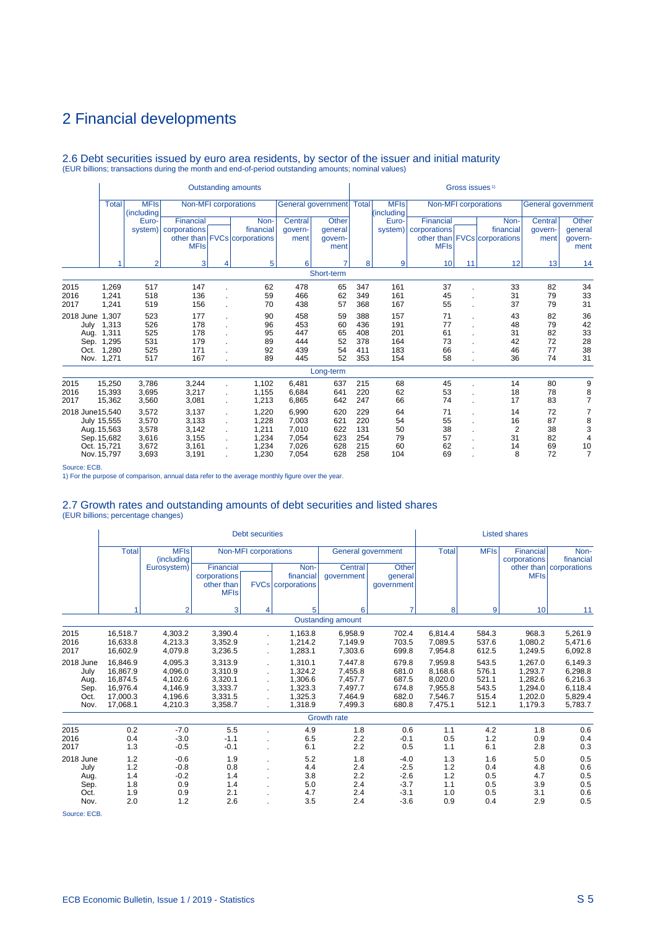# 2.6 Debt securities issued by euro area residents, by sector of the issuer and initial maturity (EUR billions; transactions during the month and end-of-period outstanding amounts; nominal values)

|                  |                                                 |                           |                        |                | <b>Outstanding amounts</b>   |         |                            |     |                           |              | Gross issues <sup>1)</sup> |                              |                           |                 |
|------------------|-------------------------------------------------|---------------------------|------------------------|----------------|------------------------------|---------|----------------------------|-----|---------------------------|--------------|----------------------------|------------------------------|---------------------------|-----------------|
|                  | <b>Total</b>                                    | <b>MFIs</b><br>(including |                        |                | Non-MFI corporations         |         | General government   Total |     | <b>MFIs</b><br>(including |              |                            | Non-MFI corporations         | <b>General government</b> |                 |
|                  |                                                 | Euro-                     | Financial              |                | Non-                         | Central | <b>Other</b>               |     | Euro-                     | Financial    |                            | Non-                         | Central                   | Other           |
|                  |                                                 |                           | system)   corporations |                | financial                    | qovern- | qeneral                    |     | system)                   | corporations |                            | financial                    | qovern-                   | general         |
|                  |                                                 |                           | <b>MFIs</b>            |                | other than FVCs corporations | ment    | govern-<br>ment            |     |                           | <b>MFIs</b>  |                            | other than FVCs corporations | ment                      | qovern-<br>ment |
|                  |                                                 | $\overline{2}$            | 3                      | 4              | 5                            | 6       | 7                          | 8   | 9                         | 10           | 11                         | 12                           | 13                        | 14              |
|                  |                                                 |                           |                        |                |                              |         | Short-term                 |     |                           |              |                            |                              |                           |                 |
| 2015             | 1.269                                           | 517                       | 147                    |                | 62                           | 478     | 65                         | 347 | 161                       | 37           |                            | 33                           | 82                        | 34              |
| 2016             | 1,241                                           | 518                       | 136                    |                | 59                           | 466     | 62                         | 349 | 161                       | 45           |                            | 31                           | 79                        | 33              |
| 2017             | 1,241                                           | 519                       | 156                    |                | 70                           | 438     | 57                         | 368 | 167                       | 55           |                            | 37                           | 79                        | 31              |
| 2018 June        | 1,307                                           | 523                       | 177                    |                | 90                           | 458     | 59                         | 388 | 157                       | 71           |                            | 43                           | 82                        | 36              |
| July             | 1,313                                           | 526                       | 178                    |                | 96                           | 453     | 60                         | 436 | 191                       | 77           |                            | 48                           | 79                        | 42              |
| Aug.             | 1,311                                           | 525                       | 178                    |                | 95                           | 447     | 65                         | 408 | 201                       | 61           |                            | 31                           | 82                        | 33              |
| Sep.             | 1,295                                           | 531                       | 179                    |                | 89                           | 444     | 52                         | 378 | 164                       | 73           |                            | 42                           | 72                        | 28              |
| Oct.             | 1,280                                           | 525                       | 171                    |                | 92                           | 439     | 54                         | 411 | 183                       | 66           |                            | 46                           | 77                        | 38              |
|                  | Nov. 1,271                                      | 517                       | 167                    |                | 89                           | 445     | 52                         | 353 | 154                       | 58           |                            | 36                           | 74                        | 31              |
|                  |                                                 |                           |                        |                |                              |         | Long-term                  |     |                           |              |                            |                              |                           |                 |
| 2015             | 15,250                                          | 3,786                     | 3,244                  |                | 1,102                        | 6,481   | 637                        | 215 | 68                        | 45           |                            | 14                           | 80                        | 9               |
| 2016             | 15,393                                          | 3,695                     | 3,217                  | $\overline{a}$ | 1,155                        | 6,684   | 641                        | 220 | 62                        | 53           |                            | 18                           | 78                        | 8               |
| 2017             | 15,362                                          | 3,560                     | 3,081                  |                | 1,213                        | 6,865   | 642                        | 247 | 66                        | 74           |                            | 17                           | 83                        | $\overline{7}$  |
| 2018 June 15.540 |                                                 | 3,572                     | 3,137                  | ÷.             | 1,220                        | 6.990   | 620                        | 229 | 64                        | 71           |                            | 14                           | 72                        | 7               |
|                  | July 15,555                                     | 3,570                     | 3,133                  | ÷.             | 1,228                        | 7,003   | 621                        | 220 | 54                        | 55           |                            | 16                           | 87                        | 8               |
|                  | 3,142<br>3,578<br>1,211<br>Aug. 15,563          |                           |                        |                | 7,010                        | 622     | 131                        | 50  | 38                        |              | $\overline{2}$             | 38                           | 3                         |                 |
|                  | 3,155<br>3,616<br>1,234<br>7,054<br>Sep. 15,682 |                           |                        |                | 623                          | 254     | 79                         | 57  |                           | 31           | 82                         | $\overline{4}$               |                           |                 |
|                  | Oct. 15.721                                     | 3,672                     | 3,161                  |                | 1,234                        | 7,026   | 628                        | 215 | 60                        | 62           |                            | 14                           | 69                        | 10              |
|                  | Nov. 15,797                                     | 3,693                     | 3,191                  |                | 1,230                        | 7,054   | 628                        | 258 | 104                       | 69           |                            | 8                            | 72                        | $\overline{7}$  |

Source: ECB.

1) For the purpose of comparison, annual data refer to the average monthly figure over the year.

# 2.7 Growth rates and outstanding amounts of debt securities and listed shares (EUR billions; percentage changes)

|                                                   |                                                                      |                                                                |                                                                | <b>Debt securities</b>      |                                                                |                                                                |                                                          |                                                                |                                                    | <b>Listed shares</b>                                           |                                                                |
|---------------------------------------------------|----------------------------------------------------------------------|----------------------------------------------------------------|----------------------------------------------------------------|-----------------------------|----------------------------------------------------------------|----------------------------------------------------------------|----------------------------------------------------------|----------------------------------------------------------------|----------------------------------------------------|----------------------------------------------------------------|----------------------------------------------------------------|
|                                                   | <b>Total</b>                                                         | <b>MFIs</b><br>(including                                      |                                                                | <b>Non-MFI</b> corporations |                                                                |                                                                | General government                                       | <b>Total</b>                                                   | <b>MFIs</b>                                        | <b>Financial</b><br>corporations                               | Non-<br>financial                                              |
|                                                   |                                                                      | Eurosystem)                                                    | Financial                                                      |                             | Non-                                                           | Central                                                        | Other                                                    |                                                                |                                                    |                                                                | other than   corporations                                      |
|                                                   |                                                                      |                                                                | corporations<br>other than<br><b>MFIs</b>                      |                             | financial<br><b>FVCs   corporations</b>                        | qovernment                                                     | qeneral<br>qovernment                                    |                                                                |                                                    | <b>MFIs</b>                                                    |                                                                |
|                                                   |                                                                      | $\overline{2}$                                                 | 3                                                              | 4                           | 5                                                              | 6                                                              |                                                          | 8                                                              | 9                                                  | 10                                                             | 11                                                             |
|                                                   |                                                                      |                                                                |                                                                |                             |                                                                | <b>Oustanding amount</b>                                       |                                                          |                                                                |                                                    |                                                                |                                                                |
| 2015<br>2016<br>2017                              | 16.518.7<br>16.633.8<br>16,602.9                                     | 4.303.2<br>4.213.3<br>4,079.8                                  | 3,390.4<br>3,352.9<br>3,236.5                                  |                             | 1.163.8<br>1.214.2<br>1,283.1                                  | 6.958.9<br>7,149.9<br>7,303.6                                  | 702.4<br>703.5<br>699.8                                  | 6.814.4<br>7.089.5<br>7,954.8                                  | 584.3<br>537.6<br>612.5                            | 968.3<br>1.080.2<br>1,249.5                                    | 5,261.9<br>5,471.6<br>6,092.8                                  |
| 2018 June<br>July<br>Aug.<br>Sep.<br>Oct.<br>Nov. | 16,846.9<br>16,867.9<br>16,874.5<br>16,976.4<br>17,000.3<br>17,068.1 | 4,095.3<br>4,096.0<br>4,102.6<br>4,146.9<br>4,196.6<br>4,210.3 | 3,313.9<br>3,310.9<br>3,320.1<br>3,333.7<br>3,331.5<br>3,358.7 |                             | 1,310.1<br>1,324.2<br>1.306.6<br>1,323.3<br>1,325.3<br>1.318.9 | 7,447.8<br>7,455.8<br>7,457.7<br>7,497.7<br>7,464.9<br>7,499.3 | 679.8<br>681.0<br>687.5<br>674.8<br>682.0<br>680.8       | 7,959.8<br>8,168.6<br>8,020.0<br>7,955.8<br>7,546.7<br>7,475.1 | 543.5<br>576.1<br>521.1<br>543.5<br>515.4<br>512.1 | 1,267.0<br>1,293.7<br>1,282.6<br>1,294.0<br>1,202.0<br>1,179.3 | 6,149.3<br>6,298.8<br>6,216.3<br>6,118.4<br>5,829.4<br>5,783.7 |
|                                                   |                                                                      |                                                                |                                                                |                             |                                                                | <b>Growth rate</b>                                             |                                                          |                                                                |                                                    |                                                                |                                                                |
| 2015<br>2016<br>2017                              | 0.2<br>0.4<br>1.3                                                    | $-7.0$<br>$-3.0$<br>$-0.5$                                     | 5.5<br>$-1.1$<br>$-0.1$                                        |                             | 4.9<br>6.5<br>6.1                                              | 1.8<br>2.2<br>2.2                                              | 0.6<br>$-0.1$<br>0.5                                     | 1.1<br>0.5<br>1.1                                              | 4.2<br>1.2<br>6.1                                  | 1.8<br>0.9<br>2.8                                              | 0.6<br>0.4<br>0.3                                              |
| 2018 June<br>July<br>Aug.<br>Sep.<br>Oct.<br>Nov. | 1.2<br>1.2<br>1.4<br>1.8<br>1.9<br>2.0                               | $-0.6$<br>$-0.8$<br>$-0.2$<br>0.9<br>0.9<br>1.2                | 1.9<br>0.8<br>1.4<br>1.4<br>2.1<br>2.6                         |                             | 5.2<br>4.4<br>3.8<br>5.0<br>4.7<br>3.5                         | 1.8<br>2.4<br>2.2<br>2.4<br>2.4<br>2.4                         | $-4.0$<br>$-2.5$<br>$-2.6$<br>$-3.7$<br>$-3.1$<br>$-3.6$ | 1.3<br>1.2<br>1.2<br>1.1<br>1.0<br>0.9                         | 1.6<br>0.4<br>0.5<br>0.5<br>0.5<br>0.4             | 5.0<br>4.8<br>4.7<br>3.9<br>3.1<br>2.9                         | 0.5<br>0.6<br>0.5<br>0.5<br>0.6<br>0.5                         |

Source: ECB.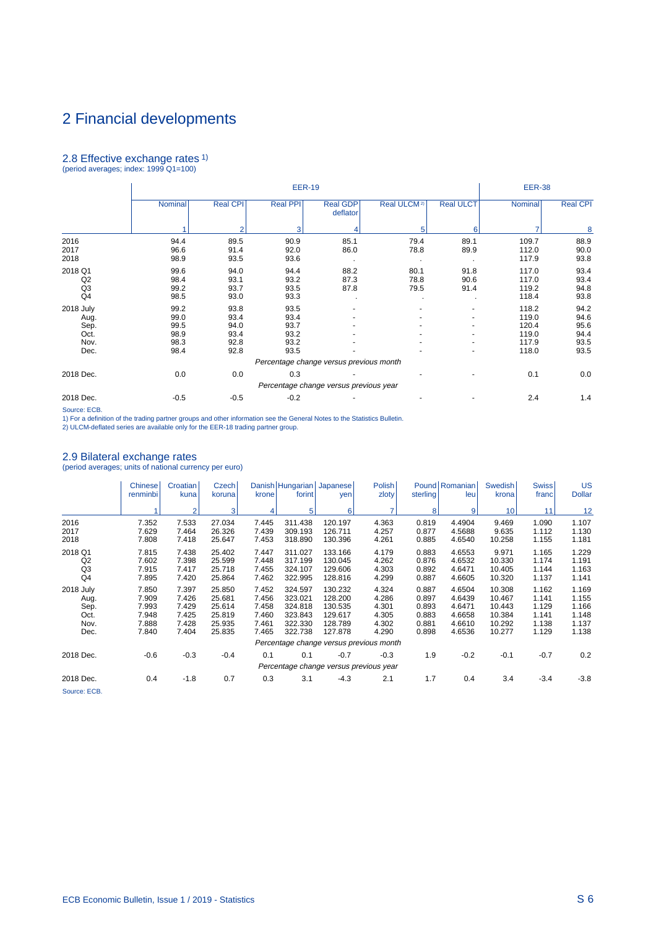# 2.8 Effective exchange rates 1) (period averages; index: 1999 Q1=100)

|                                                   |                                              |                                              | <b>EER-19</b>                                |                                         |                         |                      | <b>EER-38</b>                                      |                                              |
|---------------------------------------------------|----------------------------------------------|----------------------------------------------|----------------------------------------------|-----------------------------------------|-------------------------|----------------------|----------------------------------------------------|----------------------------------------------|
|                                                   | Nominal                                      | <b>Real CPI</b>                              | <b>Real PPI</b>                              | <b>Real GDP</b><br>deflator             | Real ULCM <sup>2)</sup> | <b>Real ULCT</b>     | Nominal                                            | <b>Real CPI</b>                              |
|                                                   |                                              | $\overline{2}$                               | 3                                            |                                         | 5                       | 6                    |                                                    | 8                                            |
| 2016<br>2017<br>2018                              | 94.4<br>96.6<br>98.9                         | 89.5<br>91.4<br>93.5                         | 90.9<br>92.0<br>93.6                         | 85.1<br>86.0<br>$\blacksquare$          | 79.4<br>78.8            | 89.1<br>89.9         | 109.7<br>112.0<br>117.9                            | 88.9<br>90.0<br>93.8                         |
| 2018 Q1<br>Q2<br>Q <sub>3</sub><br>Q4             | 99.6<br>98.4<br>99.2<br>98.5                 | 94.0<br>93.1<br>93.7<br>93.0                 | 94.4<br>93.2<br>93.5<br>93.3                 | 88.2<br>87.3<br>87.8                    | 80.1<br>78.8<br>79.5    | 91.8<br>90.6<br>91.4 | 117.0<br>117.0<br>119.2<br>118.4                   | 93.4<br>93.4<br>94.8<br>93.8                 |
| 2018 July<br>Aug.<br>Sep.<br>Oct.<br>Nov.<br>Dec. | 99.2<br>99.0<br>99.5<br>98.9<br>98.3<br>98.4 | 93.8<br>93.4<br>94.0<br>93.4<br>92.8<br>92.8 | 93.5<br>93.4<br>93.7<br>93.2<br>93.2<br>93.5 |                                         |                         |                      | 118.2<br>119.0<br>120.4<br>119.0<br>117.9<br>118.0 | 94.2<br>94.6<br>95.6<br>94.4<br>93.5<br>93.5 |
| 2018 Dec.                                         | 0.0                                          | 0.0                                          | 0.3                                          | Percentage change versus previous month |                         |                      | 0.1                                                | 0.0                                          |
|                                                   |                                              |                                              |                                              | Percentage change versus previous year  |                         |                      |                                                    |                                              |
| 2018 Dec.                                         | $-0.5$                                       | $-0.5$                                       | $-0.2$                                       |                                         |                         |                      | 2.4                                                | 1.4                                          |

Source: ECB.

1) For a definition of the trading partner groups and other information see the General Notes to the Statistics Bulletin. 2) ULCM-deflated series are available only for the EER-18 trading partner group.

## 2.9 Bilateral exchange rates

(period averages; units of national currency per euro)

|                                                   | <b>Chinese</b><br>renminbi                         | Croatian<br>kuna                                   | Czech<br>koruna                                          | krone                                              | Danish Hungarian Japanese<br>forint                            | yen                                                            | <b>Polish</b><br>zloty                             | sterling                                           | Pound Romanian<br>leu                                    | <b>Swedish</b><br>krona                                  | <b>Swiss</b><br>franc                              | US<br><b>Dollar</b>                                |
|---------------------------------------------------|----------------------------------------------------|----------------------------------------------------|----------------------------------------------------------|----------------------------------------------------|----------------------------------------------------------------|----------------------------------------------------------------|----------------------------------------------------|----------------------------------------------------|----------------------------------------------------------|----------------------------------------------------------|----------------------------------------------------|----------------------------------------------------|
|                                                   |                                                    | $\overline{2}$                                     | 3                                                        |                                                    | 5 <sup>1</sup>                                                 | 6                                                              | $\overline{7}$                                     | 8                                                  | $\vert$                                                  | 10 <sup>1</sup>                                          | 11                                                 | 12                                                 |
| 2016<br>2017<br>2018                              | 7.352<br>7.629<br>7.808                            | 7.533<br>7.464<br>7.418                            | 27.034<br>26.326<br>25.647                               | 7.445<br>7.439<br>7.453                            | 311.438<br>309.193<br>318.890                                  | 120.197<br>126.711<br>130.396                                  | 4.363<br>4.257<br>4.261                            | 0.819<br>0.877<br>0.885                            | 4.4904<br>4.5688<br>4.6540                               | 9.469<br>9.635<br>10.258                                 | 1.090<br>1.112<br>1.155                            | 1.107<br>1.130<br>1.181                            |
| 2018 Q1<br>Q2<br>Q <sub>3</sub><br>Q <sub>4</sub> | 7.815<br>7.602<br>7.915<br>7.895                   | 7.438<br>7.398<br>7.417<br>7.420                   | 25.402<br>25.599<br>25.718<br>25.864                     | 7.447<br>7.448<br>7.455<br>7.462                   | 311.027<br>317.199<br>324.107<br>322.995                       | 133.166<br>130.045<br>129.606<br>128.816                       | 4.179<br>4.262<br>4.303<br>4.299                   | 0.883<br>0.876<br>0.892<br>0.887                   | 4.6553<br>4.6532<br>4.6471<br>4.6605                     | 9.971<br>10.330<br>10.405<br>10.320                      | 1.165<br>1.174<br>1.144<br>1.137                   | 1.229<br>1.191<br>1.163<br>1.141                   |
| 2018 July<br>Aug.<br>Sep.<br>Oct.<br>Nov.<br>Dec. | 7.850<br>7.909<br>7.993<br>7.948<br>7.888<br>7.840 | 7.397<br>7.426<br>7.429<br>7.425<br>7.428<br>7.404 | 25.850<br>25.681<br>25.614<br>25.819<br>25.935<br>25.835 | 7.452<br>7.456<br>7.458<br>7.460<br>7.461<br>7.465 | 324.597<br>323.021<br>324.818<br>323.843<br>322.330<br>322.738 | 130.232<br>128.200<br>130.535<br>129.617<br>128.789<br>127.878 | 4.324<br>4.286<br>4.301<br>4.305<br>4.302<br>4.290 | 0.887<br>0.897<br>0.893<br>0.883<br>0.881<br>0.898 | 4.6504<br>4.6439<br>4.6471<br>4.6658<br>4.6610<br>4.6536 | 10.308<br>10.467<br>10.443<br>10.384<br>10.292<br>10.277 | 1.162<br>1.141<br>1.129<br>1.141<br>1.138<br>1.129 | 1.169<br>1.155<br>1.166<br>1.148<br>1.137<br>1.138 |
|                                                   |                                                    |                                                    |                                                          |                                                    |                                                                |                                                                | Percentage change versus previous month            |                                                    |                                                          |                                                          |                                                    |                                                    |
| 2018 Dec.                                         | $-0.6$                                             | $-0.3$                                             | $-0.4$                                                   | 0.1                                                | 0.1                                                            | $-0.7$                                                         | $-0.3$<br>Percentage change versus previous year   | 1.9                                                | $-0.2$                                                   | $-0.1$                                                   | $-0.7$                                             | 0.2                                                |
| 2018 Dec.<br>Source: ECB.                         | 0.4                                                | $-1.8$                                             | 0.7                                                      | 0.3                                                | 3.1                                                            | $-4.3$                                                         | 2.1                                                | 1.7                                                | 0.4                                                      | 3.4                                                      | $-3.4$                                             | $-3.8$                                             |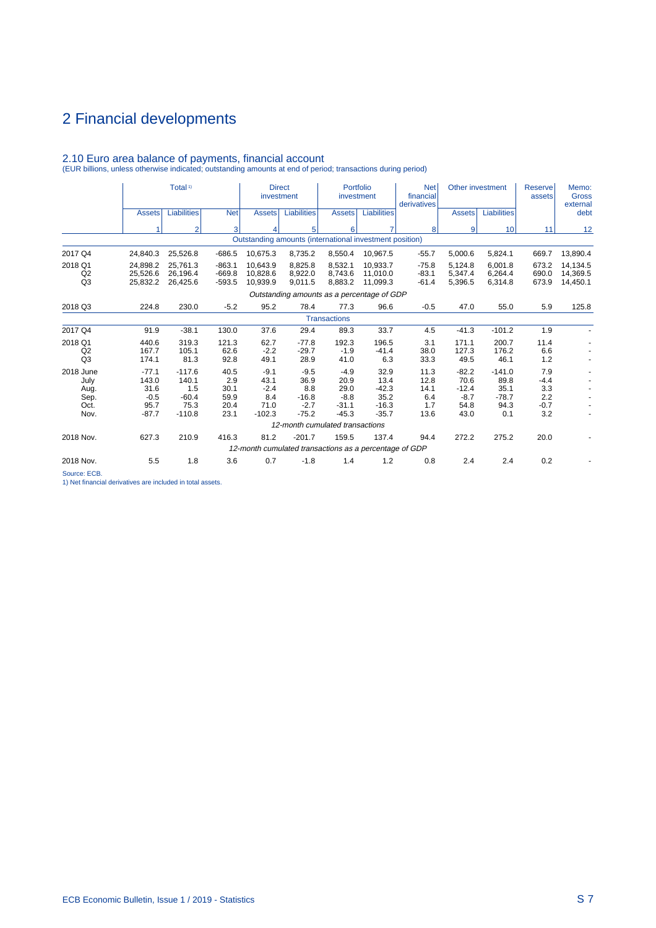|                                                   |                                                       | Total <sup>1)</sup>                                     |                                             | <b>Direct</b><br>investment                         |                                                                    | Portfolio<br>investment                                |                                                       | <b>Net</b><br>financial<br>derivatives     |                                                      | Other investment                                   | Reserve<br>assets                            | Memo:<br><b>Gross</b><br>external |
|---------------------------------------------------|-------------------------------------------------------|---------------------------------------------------------|---------------------------------------------|-----------------------------------------------------|--------------------------------------------------------------------|--------------------------------------------------------|-------------------------------------------------------|--------------------------------------------|------------------------------------------------------|----------------------------------------------------|----------------------------------------------|-----------------------------------|
|                                                   | <b>Assets</b>                                         | <b>Liabilities</b>                                      | <b>Net</b>                                  | <b>Assets</b>                                       | <b>Liabilities</b>                                                 | <b>Assets</b>                                          | <b>Liabilities</b>                                    |                                            | <b>Assets</b>                                        | Liabilities                                        |                                              | debt                              |
|                                                   |                                                       | $\overline{2}$                                          | 3                                           | 4                                                   | 5                                                                  | 6                                                      |                                                       | 8                                          | $\overline{9}$                                       | 10 <sup>1</sup>                                    | 11                                           | 12                                |
|                                                   |                                                       |                                                         |                                             |                                                     | Outstanding amounts (international investment position)            |                                                        |                                                       |                                            |                                                      |                                                    |                                              |                                   |
| 2017 Q4                                           | 24,840.3                                              | 25,526.8                                                | $-686.5$                                    | 10,675.3                                            | 8,735.2                                                            | 8,550.4                                                | 10,967.5                                              | $-55.7$                                    | 5,000.6                                              | 5,824.1                                            | 669.7                                        | 13,890.4                          |
| 2018 Q1<br>Q <sub>2</sub><br>Q3                   | 24.898.2<br>25,526.6<br>25,832.2                      | 25.761.3<br>26,196.4<br>26,425.6                        | $-863.1$<br>$-669.8$<br>$-593.5$            | 10.643.9<br>10,828.6<br>10,939.9                    | 8.825.8<br>8,922.0<br>9,011.5                                      | 8.532.1<br>8.743.6<br>8,883.2                          | 10.933.7<br>11,010.0<br>11,099.3                      | $-75.8$<br>$-83.1$<br>$-61.4$              | 5.124.8<br>5,347.4<br>5,396.5                        | 6.001.8<br>6,264.4<br>6,314.8                      | 673.2<br>690.0<br>673.9                      | 14.134.5<br>14,369.5<br>14,450.1  |
|                                                   |                                                       |                                                         |                                             |                                                     |                                                                    |                                                        |                                                       |                                            |                                                      |                                                    |                                              |                                   |
| 2018 Q3                                           | 224.8                                                 | 230.0                                                   | $-5.2$                                      | 95.2                                                | 78.4                                                               | 77.3                                                   | 96.6                                                  | $-0.5$                                     | 47.0                                                 | 55.0                                               | 5.9                                          | 125.8                             |
|                                                   |                                                       |                                                         |                                             |                                                     |                                                                    |                                                        |                                                       |                                            |                                                      |                                                    |                                              |                                   |
| 2017 Q4                                           | 91.9                                                  | $-38.1$                                                 | 130.0                                       | 37.6                                                | 29.4                                                               | 89.3                                                   | 33.7                                                  | 4.5                                        | $-41.3$                                              | $-101.2$                                           | 1.9                                          |                                   |
| 2018 Q1<br>Q <sub>2</sub><br>Q <sub>3</sub>       | 440.6<br>167.7<br>174.1                               | 319.3<br>105.1<br>81.3                                  | 121.3<br>62.6<br>92.8                       | 62.7<br>$-2.2$<br>49.1                              | $-77.8$<br>$-29.7$<br>28.9                                         | 192.3<br>$-1.9$<br>41.0                                | 196.5<br>$-41.4$<br>6.3                               | 3.1<br>38.0<br>33.3                        | 171.1<br>127.3<br>49.5                               | 200.7<br>176.2<br>46.1                             | 11.4<br>6.6<br>1.2                           |                                   |
| 2018 June<br>July<br>Aug.<br>Sep.<br>Oct.<br>Nov. | $-77.1$<br>143.0<br>31.6<br>$-0.5$<br>95.7<br>$-87.7$ | $-117.6$<br>140.1<br>1.5<br>$-60.4$<br>75.3<br>$-110.8$ | 40.5<br>2.9<br>30.1<br>59.9<br>20.4<br>23.1 | $-9.1$<br>43.1<br>$-2.4$<br>8.4<br>71.0<br>$-102.3$ | $-9.5$<br>36.9<br>8.8<br>$-16.8$<br>$-2.7$<br>$-75.2$              | $-4.9$<br>20.9<br>29.0<br>$-8.8$<br>$-31.1$<br>$-45.3$ | 32.9<br>13.4<br>$-42.3$<br>35.2<br>$-16.3$<br>$-35.7$ | 11.3<br>12.8<br>14.1<br>6.4<br>1.7<br>13.6 | $-82.2$<br>70.6<br>$-12.4$<br>$-8.7$<br>54.8<br>43.0 | $-141.0$<br>89.8<br>35.1<br>$-78.7$<br>94.3<br>0.1 | 7.9<br>$-4.4$<br>3.3<br>2.2<br>$-0.7$<br>3.2 |                                   |
|                                                   |                                                       |                                                         |                                             |                                                     | 12-month cumulated transactions                                    |                                                        |                                                       |                                            |                                                      |                                                    |                                              |                                   |
| 2018 Nov.                                         | 627.3                                                 | 210.9                                                   | 416.3                                       | 81.2                                                | $-201.7$<br>12-month cumulated transactions as a percentage of GDP | 159.5                                                  | 137.4                                                 | 94.4                                       | 272.2                                                | 275.2                                              | 20.0                                         |                                   |
| 2018 Nov.                                         | 5.5                                                   | 1.8                                                     | 3.6                                         | 0.7                                                 | $-1.8$                                                             | 1.4                                                    | 1.2                                                   | 0.8                                        | 2.4                                                  | 2.4                                                | 0.2                                          |                                   |
| $\sim$ $\sim$ $\sim$                              |                                                       |                                                         |                                             |                                                     |                                                                    |                                                        |                                                       |                                            |                                                      |                                                    |                                              |                                   |

2.10 Euro area balance of payments, financial account (EUR billions, unless otherwise indicated; outstanding amounts at end of period; transactions during period)

Source: ECB.

1) Net financial derivatives are included in total assets.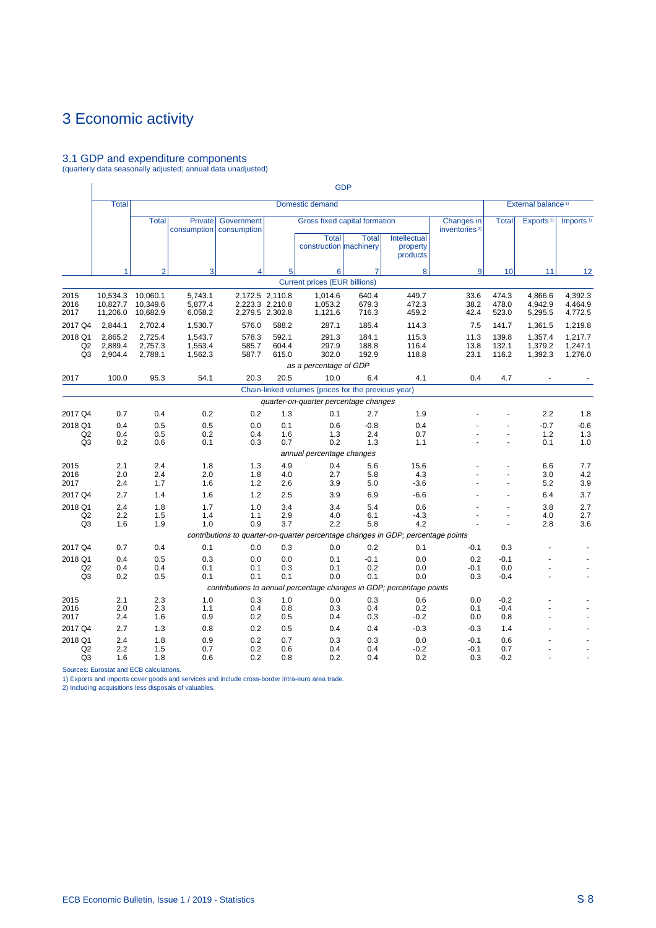# 3.1 GDP and expenditure components (quarterly data seasonally adjusted; annual data unadjusted)

|                                 |                                  |                                  |                               |                                                                                           |                                                       |                                                                         | <b>GDP</b>              |                                      |                                         |                         |                                |                               |
|---------------------------------|----------------------------------|----------------------------------|-------------------------------|-------------------------------------------------------------------------------------------|-------------------------------------------------------|-------------------------------------------------------------------------|-------------------------|--------------------------------------|-----------------------------------------|-------------------------|--------------------------------|-------------------------------|
|                                 | <b>Total</b>                     |                                  |                               |                                                                                           |                                                       | Domestic demand                                                         |                         |                                      |                                         |                         | External balance <sup>1)</sup> |                               |
|                                 |                                  | <b>Total</b>                     | Private<br>consumption        | <b>Government</b><br>consumption                                                          |                                                       | Gross fixed capital formation<br><b>Total</b><br>construction machinery | <b>Total</b>            | Intellectual<br>property<br>products | Changes in<br>inventories <sup>2)</sup> | <b>Total</b>            | Exports <sup>1)</sup>          | Imports <sup>1)</sup>         |
|                                 | 1                                | $\overline{2}$                   | 3                             | 4                                                                                         | 5                                                     | 6                                                                       | $\overline{7}$          | 8                                    | 9                                       | 10 <sup>1</sup>         | 11                             | 12                            |
|                                 |                                  |                                  |                               |                                                                                           |                                                       | <b>Current prices (EUR billions)</b>                                    |                         |                                      |                                         |                         |                                |                               |
| 2015<br>2016<br>2017            | 10,534.3<br>10.827.7<br>11,206.0 | 10.060.1<br>10.349.6<br>10,682.9 | 5,743.1<br>5.877.4<br>6,058.2 |                                                                                           | 2,172.5 2,110.8<br>2,223.3 2,210.8<br>2,279.5 2,302.8 | 1.014.6<br>1.053.2<br>1,121.6                                           | 640.4<br>679.3<br>716.3 | 449.7<br>472.3<br>459.2              | 33.6<br>38.2<br>42.4                    | 474.3<br>478.0<br>523.0 | 4,866.6<br>4,942.9<br>5,295.5  | 4.392.3<br>4.464.9<br>4,772.5 |
| 2017 Q4                         | 2,844.1                          | 2,702.4                          | 1,530.7                       | 576.0                                                                                     | 588.2                                                 | 287.1                                                                   | 185.4                   | 114.3                                | 7.5                                     | 141.7                   | 1,361.5                        | 1,219.8                       |
| 2018 Q1<br>Q2<br>Q <sub>3</sub> | 2.865.2<br>2,889.4<br>2,904.4    | 2,725.4<br>2,757.3<br>2,788.1    | 1,543.7<br>1,553.4<br>1,562.3 | 578.3<br>585.7<br>587.7                                                                   | 592.1<br>604.4<br>615.0                               | 291.3<br>297.9<br>302.0                                                 | 184.1<br>188.8<br>192.9 | 115.3<br>116.4<br>118.8              | 11.3<br>13.8<br>23.1                    | 139.8<br>132.1<br>116.2 | 1,357.4<br>1,379.2<br>1,392.3  | 1,217.7<br>1,247.1<br>1,276.0 |
|                                 |                                  |                                  |                               |                                                                                           |                                                       | as a percentage of GDP                                                  |                         |                                      |                                         |                         |                                |                               |
| 2017                            | 100.0                            | 95.3                             | 54.1                          | 20.3                                                                                      | 20.5                                                  | 10.0                                                                    | 6.4                     | 4.1                                  | 0.4                                     | 4.7                     |                                |                               |
|                                 |                                  |                                  |                               |                                                                                           |                                                       | Chain-linked volumes (prices for the previous year)                     |                         |                                      |                                         |                         |                                |                               |
|                                 |                                  |                                  |                               |                                                                                           |                                                       | quarter-on-quarter percentage changes                                   |                         |                                      |                                         |                         |                                |                               |
| 2017 Q4                         | 0.7                              | 0.4                              | 0.2                           | 0.2                                                                                       | 1.3                                                   | 0.1                                                                     | 2.7                     | 1.9                                  |                                         |                         | 2.2                            | 1.8                           |
| 2018 Q1<br>Q2<br>Q <sub>3</sub> | 0.4<br>0.4<br>0.2                | 0.5<br>0.5<br>0.6                | 0.5<br>0.2<br>0.1             | 0.0<br>0.4<br>0.3                                                                         | 0.1<br>1.6<br>0.7                                     | 0.6<br>1.3<br>0.2                                                       | $-0.8$<br>2.4<br>1.3    | 0.4<br>0.7<br>1.1                    |                                         | ä,                      | $-0.7$<br>1.2<br>0.1           | $-0.6$<br>1.3<br>1.0          |
|                                 |                                  |                                  |                               |                                                                                           |                                                       | annual percentage changes                                               |                         |                                      |                                         |                         |                                |                               |
| 2015<br>2016<br>2017            | 2.1<br>2.0<br>2.4                | 2.4<br>2.4<br>1.7                | 1.8<br>2.0<br>1.6             | 1.3<br>1.8<br>1.2                                                                         | 4.9<br>4.0<br>2.6                                     | 0.4<br>2.7<br>3.9                                                       | 5.6<br>5.8<br>5.0       | 15.6<br>4.3<br>$-3.6$                |                                         |                         | 6.6<br>3.0<br>5.2              | 7.7<br>4.2<br>3.9             |
| 2017 Q4                         | 2.7                              | 1.4                              | 1.6                           | 1.2                                                                                       | 2.5                                                   | 3.9                                                                     | 6.9                     | $-6.6$                               |                                         |                         | 6.4                            | 3.7                           |
| 2018 Q1<br>Q2<br>Q <sub>3</sub> | 2.4<br>2.2<br>1.6                | 1.8<br>1.5<br>1.9                | 1.7<br>1.4<br>1.0             | 1.0<br>1.1<br>0.9                                                                         | 3.4<br>2.9<br>3.7                                     | 3.4<br>4.0<br>2.2                                                       | 5.4<br>6.1<br>5.8       | 0.6<br>$-4.3$<br>4.2                 |                                         |                         | 3.8<br>4.0<br>2.8              | 2.7<br>2.7<br>3.6             |
|                                 |                                  |                                  |                               | contributions to quarter-on-quarter percentage changes in GDP; percentage points          |                                                       |                                                                         |                         |                                      |                                         |                         |                                |                               |
| 2017 Q4                         | 0.7                              | 0.4                              | 0.1                           | 0.0                                                                                       | 0.3                                                   | 0.0                                                                     | 0.2                     | 0.1                                  | $-0.1$                                  | 0.3                     |                                |                               |
| 2018 Q1<br>Q2<br>Q <sub>3</sub> | 0.4<br>0.4<br>0.2                | 0.5<br>0.4<br>0.5                | 0.3<br>0.1<br>0.1             | 0.0<br>0.1<br>0.1<br>contributions to annual percentage changes in GDP; percentage points | 0.0<br>0.3<br>0.1                                     | 0.1<br>0.1<br>0.0                                                       | $-0.1$<br>0.2<br>0.1    | 0.0<br>0.0<br>0.0                    | 0.2<br>$-0.1$<br>0.3                    | $-0.1$<br>0.0<br>$-0.4$ |                                |                               |
| 2015                            | 2.1                              | 2.3                              | 1.0                           | 0.3                                                                                       | 1.0                                                   | 0.0                                                                     | 0.3                     | 0.6                                  | 0.0                                     | $-0.2$                  |                                |                               |
| 2016<br>2017                    | 2.0<br>2.4                       | 2.3<br>1.6                       | 1.1<br>0.9                    | 0.4<br>0.2                                                                                | 0.8<br>0.5                                            | 0.3<br>0.4                                                              | 0.4<br>0.3              | 0.2<br>$-0.2$                        | 0.1<br>0.0                              | $-0.4$<br>0.8           |                                |                               |
| 2017 Q4                         | 2.7                              | 1.3                              | 0.8                           | 0.2                                                                                       | 0.5                                                   | 0.4                                                                     | 0.4                     | $-0.3$                               | $-0.3$                                  | 1.4                     |                                |                               |
| 2018 Q1<br>Q <sub>2</sub><br>Q3 | 2.4<br>2.2<br>1.6                | 1.8<br>1.5<br>1.8                | 0.9<br>0.7<br>0.6             | 0.2<br>0.2<br>0.2                                                                         | 0.7<br>0.6<br>0.8                                     | 0.3<br>0.4<br>0.2                                                       | 0.3<br>0.4<br>0.4       | 0.0<br>$-0.2$<br>0.2                 | $-0.1$<br>$-0.1$<br>0.3                 | 0.6<br>0.7<br>$-0.2$    |                                |                               |

Sources: Eurostat and ECB calculations. 1) Exports and imports cover goods and services and include cross-border intra-euro area trade. 2) Including acquisitions less disposals of valuables.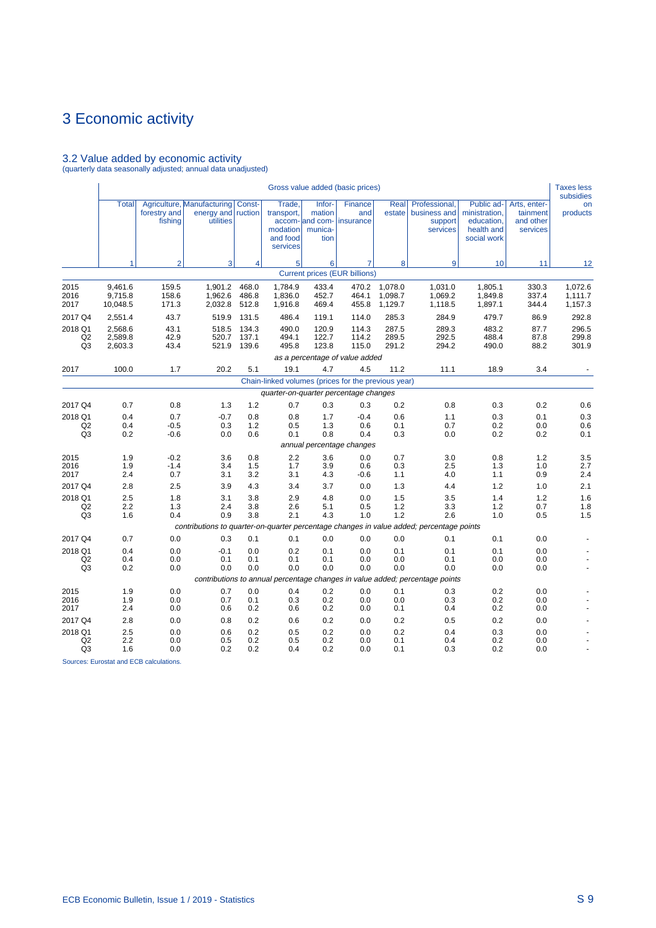# 3.2 Value added by economic activity (quarterly data seasonally adjusted; annual data unadjusted)

|                                             |                                |                         |                                                                                          |                         |                                                          |                                                        | Gross value added (basic prices)                    |                               |                                                                              |                                                                        |                                                   | <b>Taxes less</b><br>subsidies |
|---------------------------------------------|--------------------------------|-------------------------|------------------------------------------------------------------------------------------|-------------------------|----------------------------------------------------------|--------------------------------------------------------|-----------------------------------------------------|-------------------------------|------------------------------------------------------------------------------|------------------------------------------------------------------------|---------------------------------------------------|--------------------------------|
|                                             | <b>Total</b>                   | forestry and<br>fishing | Agriculture, Manufacturing<br>energy and<br>utilities                                    | Const-<br>ruction       | Trade,<br>transport,<br>modation<br>and food<br>services | Infor-<br>mation<br>accom- and com-<br>munica-<br>tion | Finance<br>and<br>insurance                         | Real<br>estate                | Professional,<br>business and<br>support<br>services                         | Public ad-<br>ministration,<br>education,<br>health and<br>social work | Arts, enter-<br>tainment<br>and other<br>services | on<br>products                 |
|                                             | 1                              | $\overline{2}$          | $\mathbf{3}$                                                                             | $\overline{4}$          | 5                                                        | 6                                                      | $\overline{7}$                                      | 8                             | 9                                                                            | 10                                                                     | 11                                                | 12                             |
|                                             |                                |                         |                                                                                          |                         |                                                          |                                                        | <b>Current prices (EUR billions)</b>                |                               |                                                                              |                                                                        |                                                   |                                |
| 2015<br>2016<br>2017                        | 9,461.6<br>9,715.8<br>10,048.5 | 159.5<br>158.6<br>171.3 | 1,901.2<br>1,962.6<br>2,032.8                                                            | 468.0<br>486.8<br>512.8 | 1,784.9<br>1,836.0<br>1,916.8                            | 433.4<br>452.7<br>469.4                                | 470.2<br>464.1<br>455.8                             | 1,078.0<br>1,098.7<br>1,129.7 | 1,031.0<br>1,069.2<br>1,118.5                                                | 1,805.1<br>1,849.8<br>1,897.1                                          | 330.3<br>337.4<br>344.4                           | 1,072.6<br>1,111.7<br>1,157.3  |
| 2017 Q4                                     | 2,551.4                        | 43.7                    | 519.9                                                                                    | 131.5                   | 486.4                                                    | 119.1                                                  | 114.0                                               | 285.3                         | 284.9                                                                        | 479.7                                                                  | 86.9                                              | 292.8                          |
| 2018 Q1<br>Q <sub>2</sub><br>Q3             | 2,568.6<br>2,589.8<br>2,603.3  | 43.1<br>42.9<br>43.4    | 518.5<br>520.7<br>521.9                                                                  | 134.3<br>137.1<br>139.6 | 490.0<br>494.1<br>495.8                                  | 120.9<br>122.7<br>123.8                                | 114.3<br>114.2<br>115.0                             | 287.5<br>289.5<br>291.2       | 289.3<br>292.5<br>294.2                                                      | 483.2<br>488.4<br>490.0                                                | 87.7<br>87.8<br>88.2                              | 296.5<br>299.8<br>301.9        |
|                                             |                                |                         |                                                                                          |                         |                                                          |                                                        | as a percentage of value added                      |                               |                                                                              |                                                                        |                                                   |                                |
| 2017                                        | 100.0                          | 1.7                     | 20.2                                                                                     | 5.1                     | 19.1                                                     | 4.7                                                    | 4.5                                                 | 11.2                          | 11.1                                                                         | 18.9                                                                   | 3.4                                               |                                |
|                                             |                                |                         |                                                                                          |                         |                                                          |                                                        | Chain-linked volumes (prices for the previous year) |                               |                                                                              |                                                                        |                                                   |                                |
|                                             |                                |                         |                                                                                          |                         |                                                          |                                                        | quarter-on-quarter percentage changes               |                               |                                                                              |                                                                        |                                                   |                                |
| 2017 Q4                                     | 0.7                            | 0.8                     | 1.3                                                                                      | 1.2                     | 0.7                                                      | 0.3                                                    | 0.3                                                 | 0.2                           | 0.8                                                                          | 0.3                                                                    | 0.2                                               | 0.6                            |
| 2018 Q1<br>Q <sub>2</sub><br>Q <sub>3</sub> | 0.4<br>0.4<br>0.2              | 0.7<br>$-0.5$<br>$-0.6$ | $-0.7$<br>0.3<br>0.0                                                                     | 0.8<br>1.2<br>0.6       | 0.8<br>0.5<br>0.1                                        | 1.7<br>1.3<br>0.8                                      | $-0.4$<br>0.6<br>0.4                                | 0.6<br>0.1<br>0.3             | 1.1<br>0.7<br>0.0                                                            | 0.3<br>0.2<br>0.2                                                      | 0.1<br>0.0<br>0.2                                 | 0.3<br>0.6<br>0.1              |
|                                             |                                |                         |                                                                                          |                         |                                                          |                                                        | annual percentage changes                           |                               |                                                                              |                                                                        |                                                   |                                |
| 2015<br>2016<br>2017                        | 1.9<br>1.9<br>2.4              | $-0.2$<br>$-1.4$<br>0.7 | 3.6<br>3.4<br>3.1                                                                        | 0.8<br>1.5<br>3.2       | 2.2<br>1.7<br>3.1                                        | 3.6<br>3.9<br>4.3                                      | 0.0<br>0.6<br>$-0.6$                                | 0.7<br>0.3<br>1.1             | 3.0<br>2.5<br>4.0                                                            | 0.8<br>1.3<br>1.1                                                      | 1.2<br>1.0<br>0.9                                 | 3.5<br>2.7<br>2.4              |
| 2017 Q4                                     | 2.8                            | 2.5                     | 3.9                                                                                      | 4.3                     | 3.4                                                      | 3.7                                                    | 0.0                                                 | 1.3                           | 4.4                                                                          | 1.2                                                                    | 1.0                                               | 2.1                            |
| 2018 Q1<br>Q <sub>2</sub><br>Q3             | 2.5<br>2.2<br>1.6              | 1.8<br>1.3<br>0.4       | 3.1<br>2.4<br>0.9                                                                        | 3.8<br>3.8<br>3.8       | 2.9<br>2.6<br>2.1                                        | 4.8<br>5.1<br>4.3                                      | 0.0<br>0.5<br>1.0                                   | 1.5<br>1.2<br>1.2             | 3.5<br>3.3<br>2.6                                                            | 1.4<br>1.2<br>1.0                                                      | 1.2<br>0.7<br>0.5                                 | 1.6<br>1.8<br>1.5              |
|                                             |                                |                         | contributions to quarter-on-quarter percentage changes in value added; percentage points |                         |                                                          |                                                        |                                                     |                               |                                                                              |                                                                        |                                                   |                                |
| 2017 Q4                                     | 0.7                            | 0.0                     | 0.3                                                                                      | 0.1                     | 0.1                                                      | 0.0                                                    | 0.0                                                 | 0.0                           | 0.1                                                                          | 0.1                                                                    | 0.0                                               |                                |
| 2018 Q1<br>Q <sub>2</sub><br>Q <sub>3</sub> | 0.4<br>0.4<br>0.2              | 0.0<br>0.0<br>0.0       | $-0.1$<br>0.1<br>0.0                                                                     | 0.0<br>0.1<br>0.0       | 0.2<br>0.1<br>0.0                                        | 0.1<br>0.1<br>0.0                                      | 0.0<br>0.0<br>0.0                                   | 0.1<br>0.0<br>0.0             | 0.1<br>0.1<br>0.0                                                            | 0.1<br>0.0<br>0.0                                                      | 0.0<br>0.0<br>0.0                                 |                                |
|                                             |                                |                         |                                                                                          |                         |                                                          |                                                        |                                                     |                               | contributions to annual percentage changes in value added; percentage points |                                                                        |                                                   |                                |
| 2015<br>2016<br>2017                        | 1.9<br>1.9<br>2.4              | 0.0<br>0.0<br>0.0       | 0.7<br>0.7<br>0.6                                                                        | 0.0<br>0.1<br>0.2       | 0.4<br>0.3<br>0.6                                        | 0.2<br>0.2<br>0.2                                      | 0.0<br>0.0<br>0.0                                   | 0.1<br>0.0<br>0.1             | 0.3<br>0.3<br>0.4                                                            | 0.2<br>0.2<br>0.2                                                      | 0.0<br>0.0<br>0.0                                 |                                |
| 2017 Q4                                     | 2.8                            | 0.0                     | 0.8                                                                                      | 0.2                     | 0.6                                                      | 0.2                                                    | 0.0                                                 | 0.2                           | 0.5                                                                          | 0.2                                                                    | 0.0                                               |                                |
| 2018 Q1<br>Q <sub>2</sub><br>Q3             | 2.5<br>2.2<br>1.6              | 0.0<br>0.0<br>0.0       | 0.6<br>0.5<br>0.2                                                                        | 0.2<br>0.2<br>0.2       | 0.5<br>0.5<br>0.4                                        | 0.2<br>0.2<br>0.2                                      | 0.0<br>0.0<br>0.0                                   | 0.2<br>0.1<br>0.1             | 0.4<br>0.4<br>0.3                                                            | 0.3<br>0.2<br>0.2                                                      | 0.0<br>0.0<br>0.0                                 |                                |

Sources: Eurostat and ECB calculations.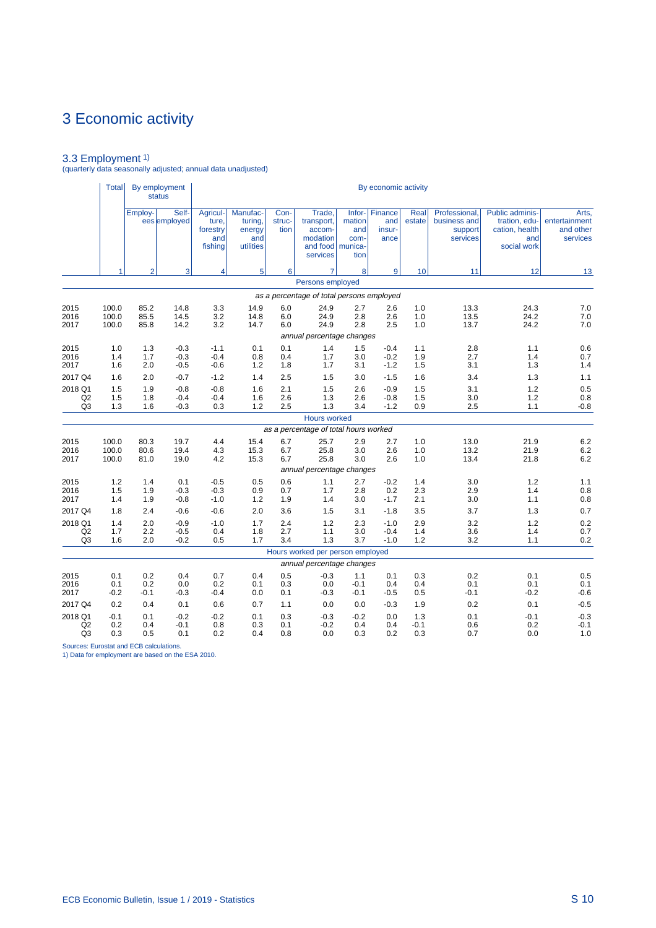3.3 Employment 1) (quarterly data seasonally adjusted; annual data unadjusted)

|                                 | Total                   |                      | By employment<br><b>status</b> |                                                 |                                                   |                        |                                                                              |                                           | By economic activity             |                      |                                                      |                                                                                 |                                                 |
|---------------------------------|-------------------------|----------------------|--------------------------------|-------------------------------------------------|---------------------------------------------------|------------------------|------------------------------------------------------------------------------|-------------------------------------------|----------------------------------|----------------------|------------------------------------------------------|---------------------------------------------------------------------------------|-------------------------------------------------|
|                                 |                         | Employ-              | Self-<br>ees employed          | Agricul-<br>ture.<br>forestry<br>and<br>fishing | Manufac-<br>turing,<br>energy<br>and<br>utilities | Con-<br>struc-<br>tion | Trade,<br>transport,<br>accom-<br>modation<br>and food   munica-<br>services | $lnfor-$<br>mation<br>and<br>com-<br>tion | Finance<br>and<br>insur-<br>ance | Real<br>estate       | Professional.<br>business and<br>support<br>services | <b>Public adminis-</b><br>tration, edu-<br>cation, health<br>and<br>social work | Arts,<br>entertainment<br>and other<br>services |
|                                 |                         | $\overline{2}$       | 3                              | 4                                               | 5                                                 | $6 \mid$               | 7                                                                            | 8                                         | 9                                | 10                   | 11                                                   | 12                                                                              | 13                                              |
|                                 |                         |                      |                                |                                                 |                                                   |                        | Persons employed                                                             |                                           |                                  |                      |                                                      |                                                                                 |                                                 |
|                                 |                         |                      |                                |                                                 |                                                   |                        | as a percentage of total persons employed                                    |                                           |                                  |                      |                                                      |                                                                                 |                                                 |
| 2015<br>2016<br>2017            | 100.0<br>100.0<br>100.0 | 85.2<br>85.5<br>85.8 | 14.8<br>14.5<br>14.2           | 3.3<br>3.2<br>3.2                               | 14.9<br>14.8<br>14.7                              | 6.0<br>6.0<br>6.0      | 24.9<br>24.9<br>24.9                                                         | 2.7<br>2.8<br>2.8                         | 2.6<br>2.6<br>2.5                | 1.0<br>1.0<br>1.0    | 13.3<br>13.5<br>13.7                                 | 24.3<br>24.2<br>24.2                                                            | 7.0<br>7.0<br>7.0                               |
| 2015                            | 1.0                     | 1.3                  | $-0.3$                         | $-1.1$                                          | 0.1                                               | 0.1                    | annual percentage changes<br>1.4                                             | 1.5                                       | $-0.4$                           | 1.1                  | 2.8                                                  | 1.1                                                                             | 0.6                                             |
| 2016<br>2017                    | 1.4<br>1.6              | 1.7<br>2.0           | $-0.3$<br>$-0.5$               | $-0.4$<br>$-0.6$                                | 0.8<br>1.2                                        | 0.4<br>1.8             | 1.7<br>1.7                                                                   | 3.0<br>3.1                                | $-0.2$<br>$-1.2$                 | 1.9<br>1.5           | 2.7<br>3.1                                           | 1.4<br>1.3                                                                      | 0.7<br>1.4                                      |
| 2017 Q4                         | 1.6                     | 2.0                  | $-0.7$                         | $-1.2$                                          | 1.4                                               | 2.5                    | 1.5                                                                          | 3.0                                       | $-1.5$                           | 1.6                  | 3.4                                                  | 1.3                                                                             | 1.1                                             |
| 2018 Q1<br>Q2<br>Q <sub>3</sub> | 1.5<br>1.5<br>1.3       | 1.9<br>1.8<br>1.6    | $-0.8$<br>$-0.4$<br>$-0.3$     | $-0.8$<br>$-0.4$<br>0.3                         | 1.6<br>1.6<br>1.2                                 | 2.1<br>2.6<br>2.5      | 1.5<br>1.3<br>1.3                                                            | 2.6<br>2.6<br>3.4                         | $-0.9$<br>$-0.8$<br>$-1.2$       | 1.5<br>1.5<br>0.9    | 3.1<br>3.0<br>2.5                                    | 1.2<br>1.2<br>1.1                                                               | 0.5<br>0.8<br>$-0.8$                            |
|                                 |                         |                      |                                |                                                 |                                                   |                        | <b>Hours worked</b>                                                          |                                           |                                  |                      |                                                      |                                                                                 |                                                 |
|                                 |                         |                      |                                |                                                 |                                                   |                        | as a percentage of total hours worked                                        |                                           |                                  |                      |                                                      |                                                                                 |                                                 |
| 2015<br>2016<br>2017            | 100.0<br>100.0<br>100.0 | 80.3<br>80.6<br>81.0 | 19.7<br>19.4<br>19.0           | 4.4<br>4.3<br>4.2                               | 15.4<br>15.3<br>15.3                              | 6.7<br>6.7<br>6.7      | 25.7<br>25.8<br>25.8                                                         | 2.9<br>3.0<br>3.0                         | 2.7<br>2.6<br>2.6                | 1.0<br>1.0<br>1.0    | 13.0<br>13.2<br>13.4                                 | 21.9<br>21.9<br>21.8                                                            | 6.2<br>6.2<br>6.2                               |
|                                 |                         |                      |                                |                                                 |                                                   |                        | annual percentage changes                                                    |                                           |                                  |                      |                                                      |                                                                                 |                                                 |
| 2015<br>2016<br>2017            | 1.2<br>1.5<br>1.4       | 1.4<br>1.9<br>1.9    | 0.1<br>$-0.3$<br>$-0.8$        | $-0.5$<br>$-0.3$<br>$-1.0$                      | 0.5<br>0.9<br>1.2                                 | 0.6<br>0.7<br>1.9      | 1.1<br>1.7<br>1.4                                                            | 2.7<br>2.8<br>3.0                         | $-0.2$<br>0.2<br>$-1.7$          | 1.4<br>2.3<br>2.1    | 3.0<br>2.9<br>3.0                                    | 1.2<br>1.4<br>1.1                                                               | 1.1<br>0.8<br>0.8                               |
| 2017 Q4                         | 1.8                     | 2.4                  | $-0.6$                         | $-0.6$                                          | 2.0                                               | 3.6                    | 1.5                                                                          | 3.1                                       | $-1.8$                           | 3.5                  | 3.7                                                  | 1.3                                                                             | 0.7                                             |
| 2018 Q1<br>Q2<br>Q <sub>3</sub> | 1.4<br>1.7<br>1.6       | 2.0<br>2.2<br>2.0    | $-0.9$<br>$-0.5$<br>$-0.2$     | $-1.0$<br>0.4<br>0.5                            | 1.7<br>1.8<br>1.7                                 | 2.4<br>2.7<br>3.4      | 1.2<br>1.1<br>1.3                                                            | 2.3<br>3.0<br>3.7                         | $-1.0$<br>$-0.4$<br>$-1.0$       | 2.9<br>1.4<br>1.2    | 3.2<br>3.6<br>3.2                                    | 1.2<br>1.4<br>1.1                                                               | 0.2<br>0.7<br>0.2                               |
|                                 |                         |                      |                                |                                                 |                                                   |                        | Hours worked per person employed                                             |                                           |                                  |                      |                                                      |                                                                                 |                                                 |
|                                 |                         |                      |                                |                                                 |                                                   |                        | annual percentage changes                                                    |                                           |                                  |                      |                                                      |                                                                                 |                                                 |
| 2015<br>2016<br>2017            | 0.1<br>0.1<br>$-0.2$    | 0.2<br>0.2<br>$-0.1$ | 0.4<br>0.0<br>$-0.3$           | 0.7<br>0.2<br>$-0.4$                            | 0.4<br>0.1<br>0.0                                 | 0.5<br>0.3<br>0.1      | $-0.3$<br>0.0<br>$-0.3$                                                      | 1.1<br>$-0.1$<br>$-0.1$                   | 0.1<br>0.4<br>$-0.5$             | 0.3<br>0.4<br>0.5    | 0.2<br>0.1<br>$-0.1$                                 | 0.1<br>0.1<br>$-0.2$                                                            | 0.5<br>0.1<br>$-0.6$                            |
| 2017 Q4                         | 0.2                     | 0.4                  | 0.1                            | 0.6                                             | 0.7                                               | 1.1                    | 0.0                                                                          | 0.0                                       | $-0.3$                           | 1.9                  | 0.2                                                  | 0.1                                                                             | $-0.5$                                          |
| 2018 Q1<br>Q2<br>Q <sub>3</sub> | $-0.1$<br>0.2<br>0.3    | 0.1<br>0.4<br>0.5    | $-0.2$<br>$-0.1$<br>0.1        | $-0.2$<br>0.8<br>0.2                            | 0.1<br>0.3<br>0.4                                 | 0.3<br>0.1<br>0.8      | $-0.3$<br>$-0.2$<br>0.0                                                      | $-0.2$<br>0.4<br>0.3                      | 0.0<br>0.4<br>0.2                | 1.3<br>$-0.1$<br>0.3 | 0.1<br>0.6<br>0.7                                    | $-0.1$<br>0.2<br>0.0                                                            | $-0.3$<br>$-0.1$<br>1.0                         |

Sources: Eurostat and ECB calculations. 1) Data for employment are based on the ESA 2010.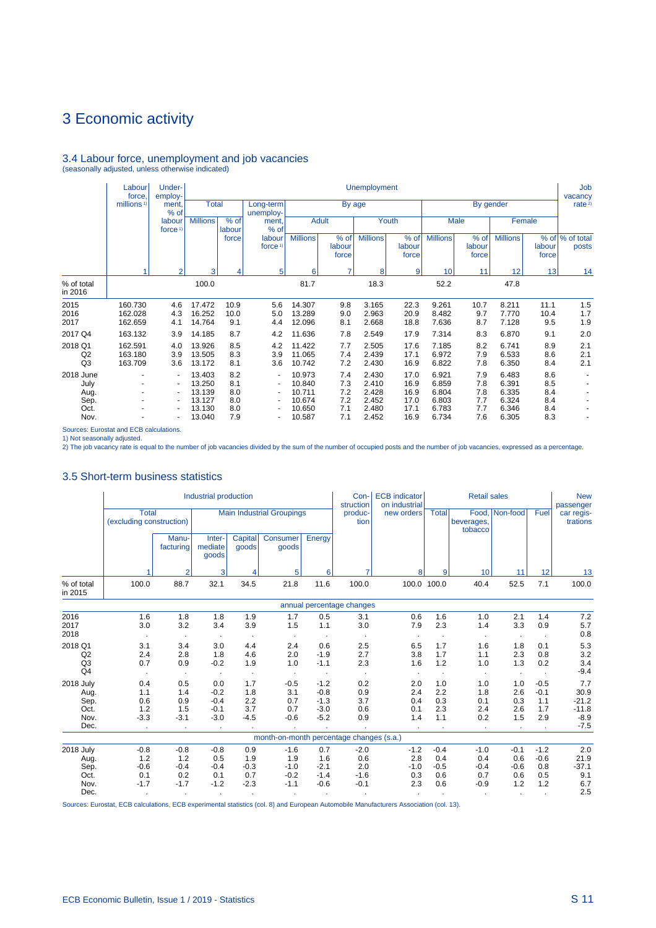# 3.4 Labour force, unemployment and job vacancies (seasonally adjusted, unless otherwise indicated)

|                                                   | Labour<br>force.              | Under-<br>employ-                          |                                                          |                                        |                                                                                                       |                                                          |                                        | <b>Unemployment</b>                                |                                              |                                                    |                                        |                                                    |                                        | Job<br>vacancy           |
|---------------------------------------------------|-------------------------------|--------------------------------------------|----------------------------------------------------------|----------------------------------------|-------------------------------------------------------------------------------------------------------|----------------------------------------------------------|----------------------------------------|----------------------------------------------------|----------------------------------------------|----------------------------------------------------|----------------------------------------|----------------------------------------------------|----------------------------------------|--------------------------|
|                                                   | millions <sup>1)</sup>        | ment.<br>% of                              | <b>Total</b>                                             |                                        | Long-term<br>unemploy-                                                                                |                                                          | By age                                 |                                                    |                                              |                                                    |                                        | By gender                                          |                                        | rate <sup>2)</sup>       |
|                                                   |                               | labour<br>force <sup>1</sup>               | <b>Millions</b>                                          | % of<br>labour                         | ment,<br>% of                                                                                         |                                                          | <b>Adult</b>                           |                                                    | Youth                                        |                                                    | Male                                   |                                                    | Female                                 |                          |
|                                                   |                               |                                            |                                                          | force                                  | labour<br>force <sup>1)</sup>                                                                         | <b>Millions</b>                                          | % of<br>labour<br>force                | <b>Millions</b>                                    | % of<br>labour<br>force                      | <b>Millions</b>                                    | % of<br>labour<br>force                | <b>Millions</b>                                    | labour<br>force                        | % of % of total<br>posts |
|                                                   |                               | $\mathcal{P}$                              | 3                                                        | 4                                      | 5                                                                                                     | 6                                                        | $\overline{7}$                         | 8                                                  | 9                                            | 10                                                 | 11                                     | 12                                                 | 13                                     | 14                       |
| % of total<br>in 2016                             |                               |                                            | 100.0                                                    |                                        |                                                                                                       | 81.7                                                     |                                        | 18.3                                               |                                              | 52.2                                               |                                        | 47.8                                               |                                        |                          |
| 2015<br>2016<br>2017                              | 160.730<br>162.028<br>162.659 | 4.6<br>4.3<br>4.1                          | 17.472<br>16.252<br>14.764                               | 10.9<br>10.0<br>9.1                    | 5.6<br>5.0<br>4.4                                                                                     | 14.307<br>13.289<br>12.096                               | 9.8<br>9.0<br>8.1                      | 3.165<br>2.963<br>2.668                            | 22.3<br>20.9<br>18.8                         | 9.261<br>8.482<br>7.636                            | 10.7<br>9.7<br>8.7                     | 8.211<br>7.770<br>7.128                            | 11.1<br>10.4<br>9.5                    | 1.5<br>1.7<br>1.9        |
| 2017 Q4                                           | 163.132                       | 3.9                                        | 14.185                                                   | 8.7                                    | 4.2                                                                                                   | 11.636                                                   | 7.8                                    | 2.549                                              | 17.9                                         | 7.314                                              | 8.3                                    | 6.870                                              | 9.1                                    | 2.0                      |
| 2018 Q1<br>Q <sub>2</sub><br>Q <sub>3</sub>       | 162.591<br>163.180<br>163.709 | 4.0<br>3.9<br>3.6                          | 13.926<br>13.505<br>13.172                               | 8.5<br>8.3<br>8.1                      | 4.2<br>3.9<br>3.6                                                                                     | 11.422<br>11.065<br>10.742                               | 7.7<br>7.4<br>7.2                      | 2.505<br>2.439<br>2.430                            | 17.6<br>17.1<br>16.9                         | 7.185<br>6.972<br>6.822                            | 8.2<br>7.9<br>7.8                      | 6.741<br>6.533<br>6.350                            | 8.9<br>8.6<br>8.4                      | 2.1<br>2.1<br>2.1        |
| 2018 June<br>July<br>Aug.<br>Sep.<br>Oct.<br>Nov. | ÷<br>٠<br>٠                   | $\blacksquare$<br>٠<br>۰<br>$\blacksquare$ | 13.403<br>13.250<br>13.139<br>13.127<br>13.130<br>13.040 | 8.2<br>8.1<br>8.0<br>8.0<br>8.0<br>7.9 | $\blacksquare$<br>۰<br>$\blacksquare$<br>$\blacksquare$<br>$\blacksquare$<br>$\overline{\phantom{a}}$ | 10.973<br>10.840<br>10.711<br>10.674<br>10.650<br>10.587 | 7.4<br>7.3<br>7.2<br>7.2<br>7.1<br>7.1 | 2.430<br>2.410<br>2.428<br>2.452<br>2.480<br>2.452 | 17.0<br>16.9<br>16.9<br>17.0<br>17.1<br>16.9 | 6.921<br>6.859<br>6.804<br>6.803<br>6.783<br>6.734 | 7.9<br>7.8<br>7.8<br>7.7<br>7.7<br>7.6 | 6.483<br>6.391<br>6.335<br>6.324<br>6.346<br>6.305 | 8.6<br>8.5<br>8.4<br>8.4<br>8.4<br>8.3 |                          |

Sources: Eurostat and ECB calculations.

1) Not seasonally adjusted. 2) The job vacancy rate is equal to the number of job vacancies divided by the sum of the number of occupied posts and the number of job vacancies, expressed as a percentage.

## 3.5 Short-term business statistics

|                                                   |                                          |                                              | Industrial production                                 |                                       |                                             |                                                | Con-<br>struction                        | <b>ECB</b> indicator<br>on industrial     |                                            | <b>Retail sales</b>                       |                                            |                                       | <b>New</b><br>passenger                               |
|---------------------------------------------------|------------------------------------------|----------------------------------------------|-------------------------------------------------------|---------------------------------------|---------------------------------------------|------------------------------------------------|------------------------------------------|-------------------------------------------|--------------------------------------------|-------------------------------------------|--------------------------------------------|---------------------------------------|-------------------------------------------------------|
|                                                   | <b>Total</b><br>(excluding construction) |                                              |                                                       |                                       | <b>Main Industrial Groupings</b>            |                                                | produc-<br>tion                          | new orders                                | <b>Total</b>                               | beverages,<br>tobacco                     | Food, Non-food                             | Fuel                                  | car regis-<br>trations                                |
|                                                   |                                          | Manu-<br>facturing                           | Inter-<br>mediate<br>goods                            | Capital<br>goods                      | Consumer<br>goods                           | Energy                                         |                                          |                                           |                                            |                                           |                                            |                                       |                                                       |
|                                                   |                                          | $\overline{2}$                               | 3                                                     | 4                                     | 5                                           | 6                                              | 7                                        | 8                                         | 9                                          | 10                                        | 11                                         | 12                                    | 13                                                    |
| % of total<br>in 2015                             | 100.0                                    | 88.7                                         | 32.1                                                  | 34.5                                  | 21.8                                        | 11.6                                           | 100.0                                    | 100.0                                     | 100.0                                      | 40.4                                      | 52.5                                       | 7.1                                   | 100.0                                                 |
|                                                   |                                          |                                              |                                                       |                                       |                                             |                                                | annual percentage changes                |                                           |                                            |                                           |                                            |                                       |                                                       |
| 2016<br>2017<br>2018                              | 1.6<br>3.0                               | 1.8<br>3.2                                   | 1.8<br>3.4                                            | 1.9<br>3.9                            | 1.7<br>1.5                                  | 0.5<br>1.1                                     | 3.1<br>3.0                               | 0.6<br>7.9                                | 1.6<br>2.3                                 | 1.0<br>1.4                                | 2.1<br>3.3<br>$\cdot$                      | 1.4<br>0.9                            | 7.2<br>5.7<br>0.8                                     |
| 2018 Q1<br>Q2<br>Q <sub>3</sub><br>Q <sub>4</sub> | 3.1<br>2.4<br>0.7                        | 3.4<br>2.8<br>0.9<br>$\cdot$                 | 3.0<br>1.8<br>$-0.2$                                  | 4.4<br>4.6<br>1.9                     | 2.4<br>2.0<br>1.0                           | 0.6<br>$-1.9$<br>$-1.1$                        | 2.5<br>2.7<br>2.3                        | 6.5<br>3.8<br>1.6                         | 1.7<br>1.7<br>1.2                          | 1.6<br>1.1<br>1.0                         | 1.8<br>2.3<br>1.3<br>$\blacksquare$        | 0.1<br>0.8<br>0.2                     | 5.3<br>3.2<br>3.4<br>$-9.4$                           |
| 2018 July<br>Aug.<br>Sep.<br>Oct.<br>Nov.<br>Dec. | 0.4<br>1.1<br>0.6<br>1.2<br>$-3.3$       | 0.5<br>1.4<br>0.9<br>1.5<br>$-3.1$<br>$\sim$ | 0.0<br>$-0.2$<br>$-0.4$<br>$-0.1$<br>$-3.0$<br>$\sim$ | 1.7<br>1.8<br>2.2<br>3.7<br>$-4.5$    | $-0.5$<br>3.1<br>0.7<br>0.7<br>$-0.6$       | $-1.2$<br>$-0.8$<br>$-1.3$<br>$-3.0$<br>$-5.2$ | 0.2<br>0.9<br>3.7<br>0.6<br>0.9          | 2.0<br>2.4<br>0.4<br>0.1<br>1.4<br>$\sim$ | 1.0<br>2.2<br>0.3<br>2.3<br>1.1<br>$\cdot$ | 1.0<br>1.8<br>0.1<br>2.4<br>0.2<br>$\sim$ | 1.0<br>2.6<br>0.3<br>2.6<br>1.5<br>$\cdot$ | $-0.5$<br>$-0.1$<br>1.1<br>1.7<br>2.9 | 7.7<br>30.9<br>$-21.2$<br>$-11.8$<br>$-8.9$<br>$-7.5$ |
|                                                   |                                          |                                              |                                                       |                                       | month-on-month percentage changes (s.a.)    |                                                |                                          |                                           |                                            |                                           |                                            |                                       |                                                       |
| 2018 July<br>Aug.<br>Sep.<br>Oct.<br>Nov.         | $-0.8$<br>1.2<br>$-0.6$<br>0.1<br>$-1.7$ | $-0.8$<br>1.2<br>$-0.4$<br>0.2<br>$-1.7$     | $-0.8$<br>0.5<br>$-0.4$<br>0.1<br>$-1.2$              | 0.9<br>1.9<br>$-0.3$<br>0.7<br>$-2.3$ | $-1.6$<br>1.9<br>$-1.0$<br>$-0.2$<br>$-1.1$ | 0.7<br>1.6<br>$-2.1$<br>$-1.4$<br>$-0.6$       | $-2.0$<br>0.6<br>2.0<br>$-1.6$<br>$-0.1$ | $-1.2$<br>2.8<br>$-1.0$<br>0.3<br>2.3     | $-0.4$<br>0.4<br>$-0.5$<br>0.6<br>0.6      | $-1.0$<br>0.4<br>$-0.4$<br>0.7<br>$-0.9$  | $-0.1$<br>0.6<br>$-0.6$<br>0.6<br>1.2      | $-1.2$<br>$-0.6$<br>0.8<br>0.5<br>1.2 | 2.0<br>21.9<br>$-37.1$<br>9.1<br>6.7                  |
| Dec.                                              |                                          | $\bullet$                                    |                                                       |                                       |                                             |                                                |                                          |                                           |                                            |                                           |                                            |                                       | 2.5                                                   |

Sources: Eurostat, ECB calculations, ECB experimental statistics (col. 8) and European Automobile Manufacturers Association (col. 13).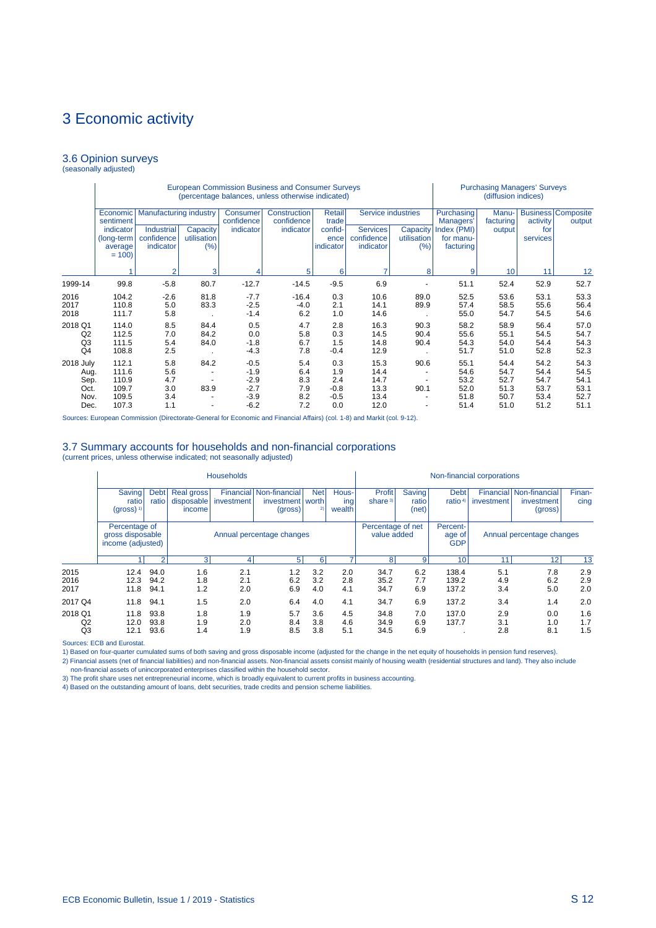### 3.6 Opinion surveys (seasonally adjusted)

|                                                   |                                                             |                                                                               |                                          |                                                          | <b>European Commission Business and Consumer Surveys</b><br>(percentage balances, unless otherwise indicated) |                                                 |                                              | <b>Purchasing Managers' Surveys</b><br>(diffusion indices) |                                                                  |                                              |                                              |                                              |
|---------------------------------------------------|-------------------------------------------------------------|-------------------------------------------------------------------------------|------------------------------------------|----------------------------------------------------------|---------------------------------------------------------------------------------------------------------------|-------------------------------------------------|----------------------------------------------|------------------------------------------------------------|------------------------------------------------------------------|----------------------------------------------|----------------------------------------------|----------------------------------------------|
|                                                   | Economic<br>sentiment<br>indicator<br>(long-term<br>average | <b>Manufacturing industry</b><br><b>Industrial</b><br>confidence<br>indicator | Capacity<br>utilisation<br>(%)           | Consumer<br>confidence<br>indicator                      | Construction<br>confidence<br>indicator                                                                       | Retail<br>trade<br>confid-<br>ence<br>indicator | Services<br>confidence<br>indicator          | Service industries<br>Capacity<br>utilisation<br>(%)       | Purchasing<br>Managers'<br>Index (PMI)<br>for manu-<br>facturing | Manu-<br>facturing<br>output                 | activity<br>for<br>services                  | <b>Business Composite</b><br>output          |
|                                                   | $= 100$                                                     | 2                                                                             | 3                                        |                                                          | 5                                                                                                             | 6                                               |                                              | 8                                                          | 9                                                                | 10                                           | 11                                           | 12                                           |
| 1999-14                                           | 99.8                                                        | $-5.8$                                                                        | 80.7                                     | $-12.7$                                                  | $-14.5$                                                                                                       | $-9.5$                                          | 6.9                                          |                                                            | 51.1                                                             | 52.4                                         | 52.9                                         | 52.7                                         |
| 2016<br>2017<br>2018                              | 104.2<br>110.8<br>111.7                                     | $-2.6$<br>5.0<br>5.8                                                          | 81.8<br>83.3                             | $-7.7$<br>$-2.5$<br>$-1.4$                               | $-16.4$<br>$-4.0$<br>6.2                                                                                      | 0.3<br>2.1<br>1.0                               | 10.6<br>14.1<br>14.6                         | 89.0<br>89.9                                               | 52.5<br>57.4<br>55.0                                             | 53.6<br>58.5<br>54.7                         | 53.1<br>55.6<br>54.5                         | 53.3<br>56.4<br>54.6                         |
| 2018 Q1<br>Q2<br>Q <sub>3</sub><br>Q <sub>4</sub> | 114.0<br>112.5<br>111.5<br>108.8                            | 8.5<br>7.0<br>5.4<br>2.5                                                      | 84.4<br>84.2<br>84.0                     | 0.5<br>0.0<br>$-1.8$<br>$-4.3$                           | 4.7<br>5.8<br>6.7<br>7.8                                                                                      | 2.8<br>0.3<br>1.5<br>$-0.4$                     | 16.3<br>14.5<br>14.8<br>12.9                 | 90.3<br>90.4<br>90.4                                       | 58.2<br>55.6<br>54.3<br>51.7                                     | 58.9<br>55.1<br>54.0<br>51.0                 | 56.4<br>54.5<br>54.4<br>52.8                 | 57.0<br>54.7<br>54.3<br>52.3                 |
| 2018 July<br>Aug.<br>Sep.<br>Oct.<br>Nov.<br>Dec. | 112.1<br>111.6<br>110.9<br>109.7<br>109.5<br>107.3          | 5.8<br>5.6<br>4.7<br>3.0<br>3.4<br>1.1                                        | 84.2<br>$\overline{\phantom{a}}$<br>83.9 | $-0.5$<br>$-1.9$<br>$-2.9$<br>$-2.7$<br>$-3.9$<br>$-6.2$ | 5.4<br>6.4<br>8.3<br>7.9<br>8.2<br>7.2                                                                        | 0.3<br>1.9<br>2.4<br>$-0.8$<br>$-0.5$<br>0.0    | 15.3<br>14.4<br>14.7<br>13.3<br>13.4<br>12.0 | 90.6<br>90.1                                               | 55.1<br>54.6<br>53.2<br>52.0<br>51.8<br>51.4                     | 54.4<br>54.7<br>52.7<br>51.3<br>50.7<br>51.0 | 54.2<br>54.4<br>54.7<br>53.7<br>53.4<br>51.2 | 54.3<br>54.5<br>54.1<br>53.1<br>52.7<br>51.1 |

Sources: European Commission (Directorate-General for Economic and Financial Affairs) (col. 1-8) and Markit (col. 9-12).

### 3.7 Summary accounts for households and non-financial corporations (current prices, unless otherwise indicated; not seasonally adjusted)

|                      |                                                        |                      |                                           | <b>Households</b> |                                                                 |                   |                        |                                  |                                 |                                  | Non-financial corporations |                                                  |                   |
|----------------------|--------------------------------------------------------|----------------------|-------------------------------------------|-------------------|-----------------------------------------------------------------|-------------------|------------------------|----------------------------------|---------------------------------|----------------------------------|----------------------------|--------------------------------------------------|-------------------|
|                      | <b>Saving</b><br>ratio<br>$(gross)^{1}$                | <b>Debt</b><br>ratio | <b>Real gross</b><br>disposable<br>income | investment        | <b>Financial Non-financial</b><br>investment   worth<br>(gross) | <b>Net</b><br>2)  | Hous-<br>ing<br>wealth | Profit<br>share $3)$             | <b>Saving</b><br>ratio<br>(net) | <b>Debt</b><br>ratio $4$         | investment                 | Financial Non-financial<br>investment<br>(gross) | Finan-<br>cing    |
|                      | Percentage of<br>gross disposable<br>income (adjusted) |                      |                                           |                   | Annual percentage changes                                       |                   |                        | Percentage of net<br>value added |                                 | Percent-<br>age of<br><b>GDP</b> |                            | Annual percentage changes                        |                   |
|                      |                                                        | $\mathcal{P}$        | $\overline{3}$                            | 4                 | 5 <sup>1</sup>                                                  | 6                 |                        | 8 <sup>1</sup>                   | 9                               | 10                               | 11                         | 12                                               | 13                |
| 2015<br>2016<br>2017 | 12.4<br>12.3<br>11.8                                   | 94.0<br>94.2<br>94.1 | 1.6<br>1.8<br>1.2                         | 2.1<br>2.1<br>2.0 | 1.2<br>6.2<br>6.9                                               | 3.2<br>3.2<br>4.0 | 2.0<br>2.8<br>4.1      | 34.7<br>35.2<br>34.7             | 6.2<br>7.7<br>6.9               | 138.4<br>139.2<br>137.2          | 5.1<br>4.9<br>3.4          | 7.8<br>6.2<br>5.0                                | 2.9<br>2.9<br>2.0 |
| 2017 Q4              | 11.8                                                   | 94.1                 | 1.5                                       | 2.0               | 6.4                                                             | 4.0               | 4.1                    | 34.7                             | 6.9                             | 137.2                            | 3.4                        | 1.4                                              | 2.0               |
| 2018 Q1<br>Q2<br>Q3  | 11.8<br>12.0<br>12.1                                   | 93.8<br>93.8<br>93.6 | 1.8<br>1.9<br>1.4                         | 1.9<br>2.0<br>1.9 | 5.7<br>8.4<br>8.5                                               | 3.6<br>3.8<br>3.8 | 4.5<br>4.6<br>5.1      | 34.8<br>34.9<br>34.5             | 7.0<br>6.9<br>6.9               | 137.0<br>137.7                   | 2.9<br>3.1<br>2.8          | 0.0<br>1.0<br>8.1                                | 1.6<br>1.7<br>1.5 |

Sources: ECB and Eurostat.

1) Based on four-quarter cumulated sums of both saving and gross disposable income (adjusted for the change in the net equity of households in pension fund reserves).

2) Financial assets (net of financial liabilities) and non-financial assets. Non-financial assets consist mainly of housing wealth (residential structures and land). They also include<br>non-financial assets of unincorporated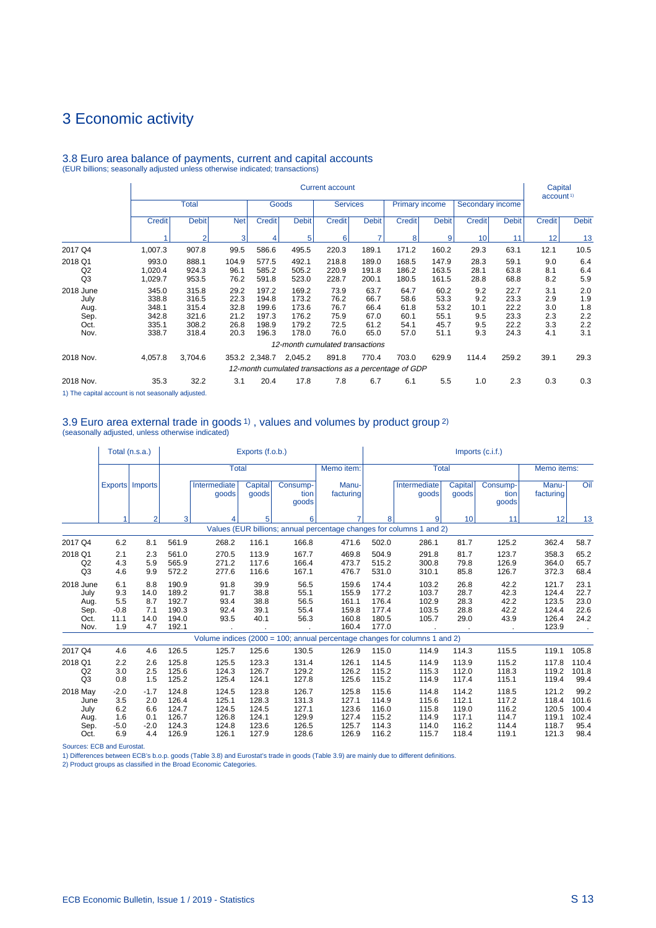|                                                   |                                                    |                                                    |                                              |                                                    |                                                    | <b>Current account</b>                       |                                              |                                                                 |                                              |                                         |                                              | Capital<br>account <sup>1)</sup>       |                                        |
|---------------------------------------------------|----------------------------------------------------|----------------------------------------------------|----------------------------------------------|----------------------------------------------------|----------------------------------------------------|----------------------------------------------|----------------------------------------------|-----------------------------------------------------------------|----------------------------------------------|-----------------------------------------|----------------------------------------------|----------------------------------------|----------------------------------------|
|                                                   |                                                    | <b>Total</b>                                       |                                              |                                                    | Goods                                              | <b>Services</b>                              |                                              | <b>Primary income</b>                                           |                                              | Secondary income                        |                                              |                                        |                                        |
|                                                   | <b>Credit</b>                                      | <b>Debit</b>                                       | <b>Net</b>                                   | <b>Credit</b>                                      | <b>Debit</b>                                       | <b>Credit</b>                                | <b>Debit</b>                                 | <b>Credit</b>                                                   | <b>Debit</b>                                 | <b>Credit</b>                           | <b>Debit</b>                                 | <b>Credit</b>                          | <b>Debit</b>                           |
|                                                   |                                                    | $\overline{2}$                                     | 3                                            | 4                                                  | 5                                                  | 6                                            |                                              | 8                                                               | 9                                            | 10 <sup>1</sup>                         | 11                                           | 12                                     | 13                                     |
| 2017 Q4                                           | 1,007.3                                            | 907.8                                              | 99.5                                         | 586.6                                              | 495.5                                              | 220.3                                        | 189.1                                        | 171.2                                                           | 160.2                                        | 29.3                                    | 63.1                                         | 12.1                                   | 10.5                                   |
| 2018 Q1<br>Q <sub>2</sub><br>Q <sub>3</sub>       | 993.0<br>1,020.4<br>1,029.7                        | 888.1<br>924.3<br>953.5                            | 104.9<br>96.1<br>76.2                        | 577.5<br>585.2<br>591.8                            | 492.1<br>505.2<br>523.0                            | 218.8<br>220.9<br>228.7                      | 189.0<br>191.8<br>200.1                      | 168.5<br>186.2<br>180.5                                         | 147.9<br>163.5<br>161.5                      | 28.3<br>28.1<br>28.8                    | 59.1<br>63.8<br>68.8                         | 9.0<br>8.1<br>8.2                      | 6.4<br>6.4<br>5.9                      |
| 2018 June<br>July<br>Aug.<br>Sep.<br>Oct.<br>Nov. | 345.0<br>338.8<br>348.1<br>342.8<br>335.1<br>338.7 | 315.8<br>316.5<br>315.4<br>321.6<br>308.2<br>318.4 | 29.2<br>22.3<br>32.8<br>21.2<br>26.8<br>20.3 | 197.2<br>194.8<br>199.6<br>197.3<br>198.9<br>196.3 | 169.2<br>173.2<br>173.6<br>176.2<br>179.2<br>178.0 | 73.9<br>76.2<br>76.7<br>75.9<br>72.5<br>76.0 | 63.7<br>66.7<br>66.4<br>67.0<br>61.2<br>65.0 | 64.7<br>58.6<br>61.8<br>60.1<br>54.1<br>57.0                    | 60.2<br>53.3<br>53.2<br>55.1<br>45.7<br>51.1 | 9.2<br>9.2<br>10.1<br>9.5<br>9.5<br>9.3 | 22.7<br>23.3<br>22.2<br>23.3<br>22.2<br>24.3 | 3.1<br>2.9<br>3.0<br>2.3<br>3.3<br>4.1 | 2.0<br>1.9<br>1.8<br>2.2<br>2.2<br>3.1 |
|                                                   |                                                    |                                                    |                                              |                                                    | 12-month cumulated transactions                    |                                              |                                              |                                                                 |                                              |                                         |                                              |                                        |                                        |
| 2018 Nov.                                         | 4,057.8                                            | 3,704.6                                            |                                              | 353.2 2,348.7                                      | 2,045.2                                            | 891.8                                        | 770.4                                        | 703.0<br>12-month cumulated transactions as a percentage of GDP | 629.9                                        | 114.4                                   | 259.2                                        | 39.1                                   | 29.3                                   |
| 2018 Nov.                                         | 35.3                                               | 32.2                                               | 3.1                                          | 20.4                                               | 17.8                                               | 7.8                                          | 6.7                                          | 6.1                                                             | 5.5                                          | 1.0                                     | 2.3                                          | 0.3                                    | 0.3                                    |

# 3.8 Euro area balance of payments, current and capital accounts (EUR billions; seasonally adjusted unless otherwise indicated; transactions)

1) The capital account is not seasonally adjusted.

# 3.9 Euro area external trade in goods 1) , values and volumes by product group 2) (seasonally adjusted, unless otherwise indicated)

|                                                   |                                            | Total (n.s.a.)                           |                                                    |                                           | Exports (f.o.b.)                          |                                           |                                                    |                                                    |                                                                            |                                           | $Imports$ (c.i.f.)                        |                                                    |                                         |
|---------------------------------------------------|--------------------------------------------|------------------------------------------|----------------------------------------------------|-------------------------------------------|-------------------------------------------|-------------------------------------------|----------------------------------------------------|----------------------------------------------------|----------------------------------------------------------------------------|-------------------------------------------|-------------------------------------------|----------------------------------------------------|-----------------------------------------|
|                                                   |                                            |                                          |                                                    | <b>Total</b>                              |                                           |                                           | Memo item:                                         |                                                    | <b>Total</b>                                                               |                                           |                                           | Memo items:                                        |                                         |
|                                                   |                                            | Exports   Imports                        |                                                    | Intermediate<br>goods                     | Capital<br>goods                          | Consump-<br>tion<br>goods                 | Manu-<br>facturing                                 |                                                    | Intermediate<br>goods                                                      | Capital<br>goods                          | Consump-<br>tion<br>goods                 | Manu-<br>facturing                                 | Oil                                     |
|                                                   | 1                                          | $\overline{2}$                           | 3                                                  | 4                                         | 5                                         | 6                                         |                                                    | 8                                                  | 9                                                                          | 10                                        | 11                                        | 12                                                 | 13                                      |
|                                                   |                                            |                                          |                                                    |                                           |                                           |                                           |                                                    |                                                    | Values (EUR billions; annual percentage changes for columns 1 and 2)       |                                           |                                           |                                                    |                                         |
| 2017 Q4                                           | 6.2                                        | 8.1                                      | 561.9                                              | 268.2                                     | 116.1                                     | 166.8                                     | 471.6                                              | 502.0                                              | 286.1                                                                      | 81.7                                      | 125.2                                     | 362.4                                              | 58.7                                    |
| 2018 Q1<br>Q <sub>2</sub><br>Q <sub>3</sub>       | 2.1<br>4.3<br>4.6                          | 2.3<br>5.9<br>9.9                        | 561.0<br>565.9<br>572.2                            | 270.5<br>271.2<br>277.6                   | 113.9<br>117.6<br>116.6                   | 167.7<br>166.4<br>167.1                   | 469.8<br>473.7<br>476.7                            | 504.9<br>515.2<br>531.0                            | 291.8<br>300.8<br>310.1                                                    | 81.7<br>79.8<br>85.8                      | 123.7<br>126.9<br>126.7                   | 358.3<br>364.0<br>372.3                            | 65.2<br>65.7<br>68.4                    |
| 2018 June<br>July<br>Aug.<br>Sep.<br>Oct.<br>Nov. | 6.1<br>9.3<br>5.5<br>$-0.8$<br>11.1<br>1.9 | 8.8<br>14.0<br>8.7<br>7.1<br>14.0<br>4.7 | 190.9<br>189.2<br>192.7<br>190.3<br>194.0<br>192.1 | 91.8<br>91.7<br>93.4<br>92.4<br>93.5      | 39.9<br>38.8<br>38.8<br>39.1<br>40.1      | 56.5<br>55.1<br>56.5<br>55.4<br>56.3      | 159.6<br>155.9<br>161.1<br>159.8<br>160.8<br>160.4 | 174.4<br>177.2<br>176.4<br>177.4<br>180.5<br>177.0 | 103.2<br>103.7<br>102.9<br>103.5<br>105.7                                  | 26.8<br>28.7<br>28.3<br>28.8<br>29.0      | 42.2<br>42.3<br>42.2<br>42.2<br>43.9      | 121.7<br>124.4<br>123.5<br>124.4<br>126.4<br>123.9 | 23.1<br>22.7<br>23.0<br>22.6<br>24.2    |
|                                                   |                                            |                                          |                                                    |                                           |                                           |                                           |                                                    |                                                    | Volume indices (2000 = 100; annual percentage changes for columns 1 and 2) |                                           |                                           |                                                    |                                         |
| 2017 Q4                                           | 4.6                                        | 4.6                                      | 126.5                                              | 125.7                                     | 125.6                                     | 130.5                                     | 126.9                                              | 115.0                                              | 114.9                                                                      | 114.3                                     | 115.5                                     | 119.1                                              | 105.8                                   |
| 2018 Q1<br>Q <sub>2</sub><br>Q3                   | 2.2<br>3.0<br>0.8                          | 2.6<br>2.5<br>1.5                        | 125.8<br>125.6<br>125.2                            | 125.5<br>124.3<br>125.4                   | 123.3<br>126.7<br>124.1                   | 131.4<br>129.2<br>127.8                   | 126.1<br>126.2<br>125.6                            | 114.5<br>115.2<br>115.2                            | 114.9<br>115.3<br>114.9                                                    | 113.9<br>112.0<br>117.4                   | 115.2<br>118.3<br>115.1                   | 117.8<br>119.2<br>119.4                            | 110.4<br>101.8<br>99.4                  |
| 2018 May<br>June<br>July<br>Aug.<br>Sep.          | $-2.0$<br>3.5<br>6.2<br>1.6<br>$-5.0$      | $-1.7$<br>2.0<br>6.6<br>0.1<br>$-2.0$    | 124.8<br>126.4<br>124.7<br>126.7<br>124.3          | 124.5<br>125.1<br>124.5<br>126.8<br>124.8 | 123.8<br>128.3<br>124.5<br>124.1<br>123.6 | 126.7<br>131.3<br>127.1<br>129.9<br>126.5 | 125.8<br>127.1<br>123.6<br>127.4<br>125.7          | 115.6<br>114.9<br>116.0<br>115.2<br>114.3          | 114.8<br>115.6<br>115.8<br>114.9<br>114.0                                  | 114.2<br>112.1<br>119.0<br>117.1<br>116.2 | 118.5<br>117.2<br>116.2<br>114.7<br>114.4 | 121.2<br>118.4<br>120.5<br>119.1<br>118.7          | 99.2<br>101.6<br>100.4<br>102.4<br>95.4 |
| Oct.                                              | 6.9                                        | 4.4                                      | 126.9                                              | 126.1                                     | 127.9                                     | 128.6                                     | 126.9                                              | 116.2                                              | 115.7                                                                      | 118.4                                     | 119.1                                     | 121.3                                              | 98.4                                    |

Sources: ECB and Eurostat. 1) Differences between ECB's b.o.p. goods (Table 3.8) and Eurostat's trade in goods (Table 3.9) are mainly due to different definitions.

2) Product groups as classified in the Broad Economic Categories.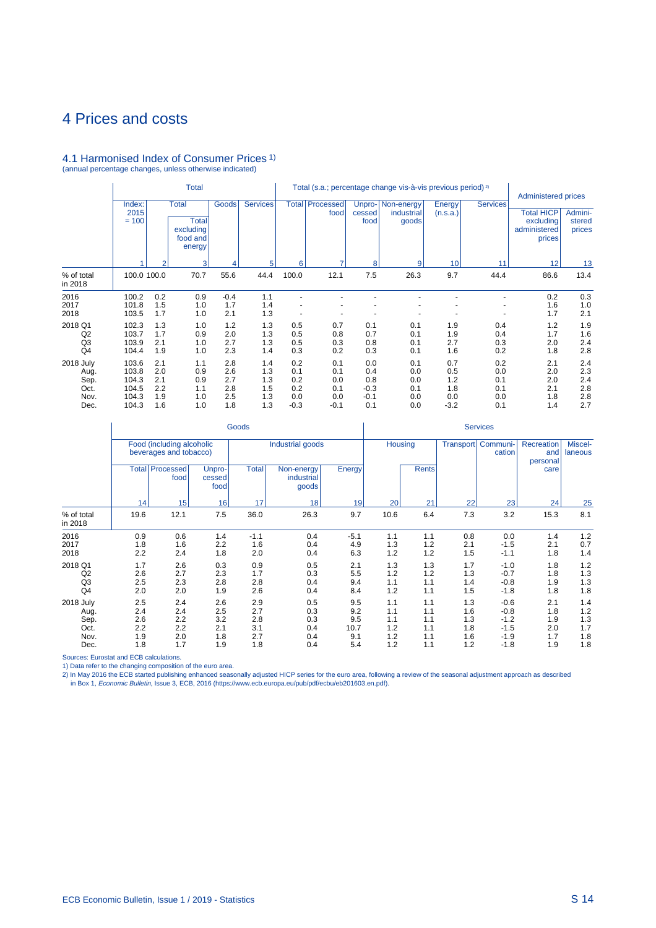# 4.1 Harmonised Index of Consumer Prices 1) (annual percentage changes, unless otherwise indicated)

|                                                   |                                                    |                                        | <b>Total</b>                                                    |                                        |                                        |                                           |                                           |                                              | Total (s.a.; percentage change vis-à-vis previous period) <sup>2)</sup> |                                           |                                        | <b>Administered prices</b>                               |                                        |
|---------------------------------------------------|----------------------------------------------------|----------------------------------------|-----------------------------------------------------------------|----------------------------------------|----------------------------------------|-------------------------------------------|-------------------------------------------|----------------------------------------------|-------------------------------------------------------------------------|-------------------------------------------|----------------------------------------|----------------------------------------------------------|----------------------------------------|
|                                                   | Index:<br>2015<br>$= 100$                          |                                        | <b>Total</b><br><b>Total</b><br>excluding<br>food and<br>energy | <b>Goods</b>                           | <b>Services</b>                        |                                           | <b>Total Processed</b><br>food            | cessed<br>food                               | Unpro-   Non-energy<br>industrial<br>goods                              | Energy<br>(n.s.a.)                        | <b>Services</b>                        | <b>Total HICP</b><br>excluding<br>administered<br>prices | Admini-<br>stered<br>prices            |
|                                                   |                                                    | $\overline{2}$                         | 3                                                               |                                        | 5                                      | 6                                         | ⇁                                         | 8                                            | 9                                                                       | 10                                        | 11                                     | 12                                                       | 13                                     |
| % of total<br>in 2018                             | 100.0 100.0                                        |                                        | 70.7                                                            | 55.6                                   | 44.4                                   | 100.0                                     | 12.1                                      | 7.5                                          | 26.3                                                                    | 9.7                                       | 44.4                                   | 86.6                                                     | 13.4                                   |
| 2016<br>2017<br>2018                              | 100.2<br>101.8<br>103.5                            | 0.2<br>1.5<br>1.7                      | 0.9<br>1.0<br>1.0                                               | $-0.4$<br>1.7<br>2.1                   | 1.1<br>1.4<br>1.3                      |                                           |                                           |                                              |                                                                         |                                           |                                        | 0.2<br>1.6<br>1.7                                        | 0.3<br>1.0<br>2.1                      |
| 2018 Q1<br>Q <sub>2</sub><br>Q <sub>3</sub><br>Q4 | 102.3<br>103.7<br>103.9<br>104.4                   | 1.3<br>1.7<br>2.1<br>1.9               | 1.0<br>0.9<br>1.0<br>1.0                                        | 1.2<br>2.0<br>2.7<br>2.3               | 1.3<br>1.3<br>1.3<br>1.4               | 0.5<br>0.5<br>0.5<br>0.3                  | 0.7<br>0.8<br>0.3<br>0.2                  | 0.1<br>0.7<br>0.8<br>0.3                     | 0.1<br>0.1<br>0.1<br>0.1                                                | 1.9<br>1.9<br>2.7<br>1.6                  | 0.4<br>0.4<br>0.3<br>0.2               | 1.2<br>1.7<br>2.0<br>1.8                                 | 1.9<br>1.6<br>2.4<br>2.8               |
| 2018 July<br>Aug.<br>Sep.<br>Oct.<br>Nov.<br>Dec. | 103.6<br>103.8<br>104.3<br>104.5<br>104.3<br>104.3 | 2.1<br>2.0<br>2.1<br>2.2<br>1.9<br>1.6 | 1.1<br>0.9<br>0.9<br>1.1<br>1.0<br>1.0                          | 2.8<br>2.6<br>2.7<br>2.8<br>2.5<br>1.8 | 1.4<br>1.3<br>1.3<br>1.5<br>1.3<br>1.3 | 0.2<br>0.1<br>0.2<br>0.2<br>0.0<br>$-0.3$ | 0.1<br>0.1<br>0.0<br>0.1<br>0.0<br>$-0.1$ | 0.0<br>0.4<br>0.8<br>$-0.3$<br>$-0.1$<br>0.1 | 0.1<br>0.0<br>0.0<br>0.1<br>0.0<br>0.0                                  | 0.7<br>0.5<br>1.2<br>1.8<br>0.0<br>$-3.2$ | 0.2<br>0.0<br>0.1<br>0.1<br>0.0<br>0.1 | 2.1<br>2.0<br>2.0<br>2.1<br>1.8<br>1.4                   | 2.4<br>2.3<br>2.4<br>2.8<br>2.8<br>2.7 |

|                                                   |                          |                                                     |                          | Goods                    |                                   |                           |                          |                          |                          | <b>Services</b>                      |                               |                          |
|---------------------------------------------------|--------------------------|-----------------------------------------------------|--------------------------|--------------------------|-----------------------------------|---------------------------|--------------------------|--------------------------|--------------------------|--------------------------------------|-------------------------------|--------------------------|
|                                                   |                          | Food (including alcoholic<br>beverages and tobacco) |                          |                          | Industrial goods                  |                           | <b>Housing</b>           |                          |                          | Transport   Communi-<br>cation       | Recreation<br>and<br>personal | Miscel-<br>laneous       |
|                                                   | <b>Total</b>             | Processed<br>food                                   | Unpro-<br>cessed<br>food | <b>Total</b>             | Non-energy<br>industrial<br>goods | Energy                    |                          | <b>Rents</b>             |                          |                                      | care                          |                          |
|                                                   | 14                       | 15                                                  | 16                       | 17                       | 18                                | 19                        | 20                       | 21                       | 22                       | 23                                   | 24                            | 25                       |
| % of total<br>in 2018                             | 19.6                     | 12.1                                                | 7.5                      | 36.0                     | 26.3                              | 9.7                       | 10.6                     | 6.4                      | 7.3                      | 3.2                                  | 15.3                          | 8.1                      |
| 2016<br>2017<br>2018                              | 0.9<br>1.8<br>2.2        | 0.6<br>1.6<br>2.4                                   | 1.4<br>2.2<br>1.8        | $-1.1$<br>1.6<br>2.0     | 0.4<br>0.4<br>0.4                 | $-5.1$<br>4.9<br>6.3      | 1.1<br>1.3<br>1.2        | 1.1<br>1.2<br>1.2        | 0.8<br>2.1<br>1.5        | 0.0<br>$-1.5$<br>$-1.1$              | 1.4<br>2.1<br>1.8             | 1.2<br>0.7<br>1.4        |
| 2018 Q1<br>Q2<br>Q <sub>3</sub><br>Q <sub>4</sub> | 1.7<br>2.6<br>2.5<br>2.0 | 2.6<br>2.7<br>2.3<br>2.0                            | 0.3<br>2.3<br>2.8<br>1.9 | 0.9<br>1.7<br>2.8<br>2.6 | 0.5<br>0.3<br>0.4<br>0.4          | 2.1<br>5.5<br>9.4<br>8.4  | 1.3<br>1.2<br>1.1<br>1.2 | 1.3<br>1.2<br>1.1<br>1.1 | 1.7<br>1.3<br>1.4<br>1.5 | $-1.0$<br>$-0.7$<br>$-0.8$<br>$-1.8$ | 1.8<br>1.8<br>1.9<br>1.8      | 1.2<br>1.3<br>1.3<br>1.8 |
| 2018 July<br>Aug.<br>Sep.<br>Oct.                 | 2.5<br>2.4<br>2.6<br>2.2 | 2.4<br>2.4<br>2.2<br>2.2                            | 2.6<br>2.5<br>3.2<br>2.1 | 2.9<br>2.7<br>2.8<br>3.1 | 0.5<br>0.3<br>0.3<br>0.4          | 9.5<br>9.2<br>9.5<br>10.7 | 1.1<br>1.1<br>1.1<br>1.2 | 1.1<br>1.1<br>1.1<br>1.1 | 1.3<br>1.6<br>1.3<br>1.8 | $-0.6$<br>$-0.8$<br>$-1.2$<br>$-1.5$ | 2.1<br>1.8<br>1.9<br>2.0      | 1.4<br>1.2<br>1.3<br>1.7 |
| Nov.<br>Dec.                                      | 1.9<br>1.8               | 2.0<br>1.7                                          | 1.8<br>1.9               | 2.7<br>1.8               | 0.4<br>0.4                        | 9.1<br>5.4                | 1.2<br>1.2               | 1.1<br>1.1               | 1.6<br>1.2               | $-1.9$<br>$-1.8$                     | 1.7<br>1.9                    | 1.8<br>1.8               |

Sources: Eurostat and ECB calculations.

 $\mathbb{Z}$ 

1) Data refer to the changing composition of the euro area.<br>2) In May 2016 the ECB started publishing enhanced seasonally adjusted HICP series for the euro area, following a review of the seasonal adjustment approach as de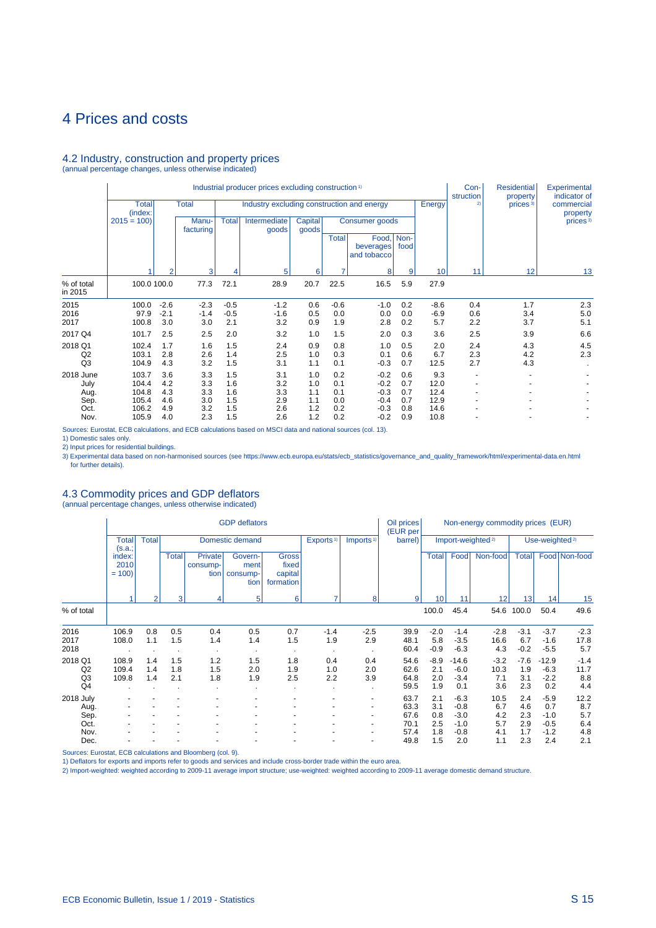### 4.2 Industry, construction and property prices (annual percentage changes, unless otherwise indicated)

Industrial producer prices excluding construction <sup>1</sup> Con- Residential Experimental Industrial producer prices excluding construction <sup>1</sup> **Con-** Residential Experimental<br>
Total **Total** Industry excluding construction and energy **Finally Example 1 Energy Energy Energy Energy Energy Energy Ene** Total Total Industry excluding construction and energy Energy 2) prices 3) commercial property (index: property 2015 = 100) Manu- Total Intermediate Capital Consumer goods prices and prices and facturing forces and a prices and prices and a prices and facturing forces and a prices and a prices and a prices and a prices and a prices facturing and goods Total Food, Non-<br>beverages food beverages and tobacco 1 2 3 4 5 6 7 8 9 10 11 12 13 % of total 100.0 100.0 77.3 72.1 28.9 20.7 22.5 16.5 5.9 27.9 in 2015 2015 100.0 -2.6 -2.3 -0.5 -1.2 0.6 -0.6 -1.0 0.2 -8.6 0.4 1.7 2.3 2016 97.9 -2.1 -1.4 -0.5 -1.6 0.5 0.0 0.0 0.0 -6.9 0.6 3.4 5.0 2017 100.8 3.0 3.0 2.1 3.2 0.9 1.9 2.8 0.2 5.7 2.2 3.7 5.1 2017 Q4 101.7 2.5 2.5 2.0 3.2 1.0 1.5 2.0 0.3 3.6 2.5 3.9 6.6 2018 Q1 102.4 1.7 1.6 1.5 2.4 0.9 0.8 1.0 0.5 2.0 2.4 4.3 4.5 Q2 103.1 2.8 2.6 1.4 2.5 1.0 0.3 0.1 0.6 6.7 2.3 4.2 2.3 Q3 104.9 4.3 3.2 1.5 3.1 1.1 0.1 -0.3 0.7 12.5 2.7 4.3 . 2018 June 103.7 3.6 3.3 1.5 3.1 1.0 0.2 -0.2 0.6 9.3 - - - July 104.4 4.2 3.3 1.6 3.2 1.0 0.1 -0.2 0.7 12.0 - - - Aug. 104.8 4.3 3.3 1.6 3.3 1.1 0.1 -0.3 0.7 12.4 - - - Sep. 105.4 4.6 3.0 1.5 2.9 1.1 0.0 -0.4 0.7 12.9 - - - Oct. 106.2 4.9 3.2 1.5 2.6 1.2 0.2 -0.3 0.8 14.6 - - - - - -Nov. 105.9 4.0 2.3 1.5 2.6 1.2 0.2 -0.2 0.9 10.8 - - -

Sources: Eurostat, ECB calculations, and ECB calculations based on MSCI data and national sources (col. 13).

1) Domestic sales only.

2) Input prices for residential buildings.

3) Experimental data based on non-harmonised sources (see https://www.ecb.europa.eu/stats/ecb\_statistics/governance\_and\_quality\_framework/html/experimental-data.en.html for further details).

### 4.3 Commodity prices and GDP deflators

(annual percentage changes, unless otherwise indicated)

|                                                   |                           |                   |                   |                             | <b>GDP</b> deflators                |                                               |                       |                                            | Oil prices<br>(EUR per       |                             |                                    | Non-energy commodity prices (EUR) |                             |                                    |                              |
|---------------------------------------------------|---------------------------|-------------------|-------------------|-----------------------------|-------------------------------------|-----------------------------------------------|-----------------------|--------------------------------------------|------------------------------|-----------------------------|------------------------------------|-----------------------------------|-----------------------------|------------------------------------|------------------------------|
|                                                   | <b>Total</b><br>(s.a.;    | Total             |                   |                             | Domestic demand                     |                                               | Exports <sup>1)</sup> | Imports <sup>1)</sup>                      | barrel)                      |                             |                                    | Import-weighted <sup>2)</sup>     |                             | Use-weighted <sup>2)</sup>         |                              |
|                                                   | index:<br>2010<br>$= 100$ |                   | <b>Total</b>      | Private<br>consump-<br>tion | Govern-<br>ment<br>consump-<br>tion | <b>Gross</b><br>fixed<br>capital<br>formation |                       |                                            |                              | <b>Total</b>                | Food                               | Non-food                          | <b>Total</b>                |                                    | Food Non-food                |
|                                                   |                           | $\mathcal{P}$     | 3                 | 4                           | 5                                   | 6                                             | 7                     | 8                                          | 9                            | 10                          | 11                                 | 12                                | 13                          | 14                                 | 15                           |
| % of total                                        |                           |                   |                   |                             |                                     |                                               |                       |                                            |                              | 100.0                       | 45.4                               | 54.6                              | 100.0                       | 50.4                               | 49.6                         |
| 2016<br>2017<br>2018                              | 106.9<br>108.0            | 0.8<br>1.1        | 0.5<br>1.5        | 0.4<br>1.4                  | 0.5<br>1.4                          | 0.7<br>1.5                                    | $-1.4$<br>1.9         | $-2.5$<br>2.9                              | 39.9<br>48.1<br>60.4         | $-2.0$<br>5.8<br>$-0.9$     | $-1.4$<br>$-3.5$<br>$-6.3$         | $-2.8$<br>16.6<br>4.3             | $-3.1$<br>6.7<br>$-0.2$     | $-3.7$<br>$-1.6$<br>$-5.5$         | $-2.3$<br>17.8<br>5.7        |
| 2018 Q1<br>Q <sub>2</sub><br>Q <sub>3</sub><br>Q4 | 108.9<br>109.4<br>109.8   | 1.4<br>1.4<br>1.4 | 1.5<br>1.8<br>2.1 | 1.2<br>1.5<br>1.8           | 1.5<br>2.0<br>1.9                   | 1.8<br>1.9<br>2.5                             | 0.4<br>1.0<br>2.2     | 0.4<br>2.0<br>3.9                          | 54.6<br>62.6<br>64.8<br>59.5 | $-8.9$<br>2.1<br>2.0<br>1.9 | $-14.6$<br>$-6.0$<br>$-3.4$<br>0.1 | $-3.2$<br>10.3<br>7.1<br>3.6      | $-7.6$<br>1.9<br>3.1<br>2.3 | $-12.9$<br>$-6.3$<br>$-2.2$<br>0.2 | $-1.4$<br>11.7<br>8.8<br>4.4 |
| 2018 July<br>Aug.<br>Sep.                         |                           |                   |                   |                             |                                     |                                               |                       | $\overline{\phantom{a}}$<br>$\blacksquare$ | 63.7<br>63.3<br>67.6         | 2.1<br>3.1<br>0.8           | $-6.3$<br>$-0.8$<br>$-3.0$         | 10.5<br>6.7<br>4.2                | 2.4<br>4.6<br>2.3           | $-5.9$<br>0.7<br>$-1.0$            | 12.2<br>8.7<br>5.7           |
| Oct.<br>Nov.<br>Dec.                              |                           |                   |                   |                             |                                     |                                               |                       |                                            | 70.1<br>57.4<br>49.8         | 2.5<br>1.8<br>1.5           | $-1.0$<br>$-0.8$<br>2.0            | 5.7<br>4.1<br>1.1                 | 2.9<br>1.7<br>2.3           | $-0.5$<br>$-1.2$<br>2.4            | 6.4<br>4.8<br>2.1            |

Sources: Eurostat, ECB calculations and Bloomberg (col. 9).

1) Deflators for exports and imports refer to goods and services and include cross-border trade within the euro area.

2) Import-weighted: weighted according to 2009-11 average import structure; use-weighted: weighted according to 2009-11 average domestic demand structure.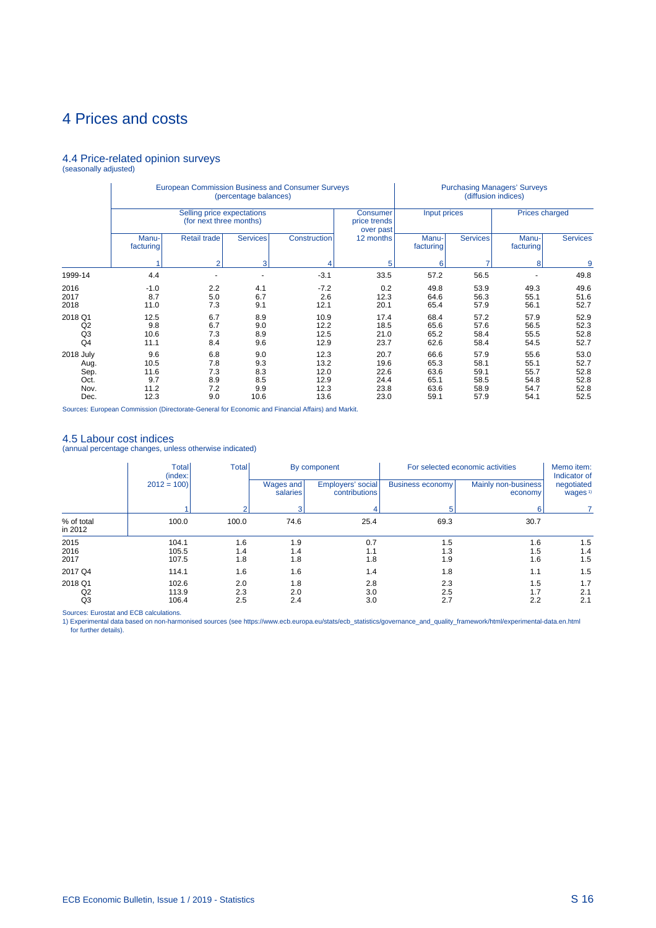# 4.4 Price-related opinion surveys (seasonally adjusted)

|                                                   |                                            |                                                       | (percentage balances)                   | <b>European Commission Business and Consumer Surveys</b> |                                              |                                              | (diffusion indices)                          | <b>Purchasing Managers' Surveys</b>          |                                              |
|---------------------------------------------------|--------------------------------------------|-------------------------------------------------------|-----------------------------------------|----------------------------------------------------------|----------------------------------------------|----------------------------------------------|----------------------------------------------|----------------------------------------------|----------------------------------------------|
|                                                   |                                            | Selling price expectations<br>(for next three months) |                                         |                                                          | Consumer<br>price trends<br>over past        | Input prices                                 |                                              | <b>Prices charged</b>                        |                                              |
|                                                   | Manu-<br>facturing                         | <b>Retail trade</b>                                   | <b>Services</b>                         | Construction                                             | 12 months                                    | Manu-<br>facturing                           | <b>Services</b>                              | Manu-<br>facturing                           | <b>Services</b>                              |
|                                                   |                                            | $\overline{2}$                                        | 3                                       |                                                          | 5                                            | 6                                            |                                              | 8                                            | 9                                            |
| 1999-14                                           | 4.4                                        |                                                       |                                         | $-3.1$                                                   | 33.5                                         | 57.2                                         | 56.5                                         |                                              | 49.8                                         |
| 2016<br>2017<br>2018                              | $-1.0$<br>8.7<br>11.0                      | 2.2<br>5.0<br>7.3                                     | 4.1<br>6.7<br>9.1                       | $-7.2$<br>2.6<br>12.1                                    | 0.2<br>12.3<br>20.1                          | 49.8<br>64.6<br>65.4                         | 53.9<br>56.3<br>57.9                         | 49.3<br>55.1<br>56.1                         | 49.6<br>51.6<br>52.7                         |
| 2018 Q1<br>Q2<br>Q <sub>3</sub><br>Q <sub>4</sub> | 12.5<br>9.8<br>10.6<br>11.1                | 6.7<br>6.7<br>7.3<br>8.4                              | 8.9<br>9.0<br>8.9<br>9.6                | 10.9<br>12.2<br>12.5<br>12.9                             | 17.4<br>18.5<br>21.0<br>23.7                 | 68.4<br>65.6<br>65.2<br>62.6                 | 57.2<br>57.6<br>58.4<br>58.4                 | 57.9<br>56.5<br>55.5<br>54.5                 | 52.9<br>52.3<br>52.8<br>52.7                 |
| 2018 July<br>Aug.<br>Sep.<br>Oct.<br>Nov.<br>Dec. | 9.6<br>10.5<br>11.6<br>9.7<br>11.2<br>12.3 | 6.8<br>7.8<br>7.3<br>8.9<br>7.2<br>9.0                | 9.0<br>9.3<br>8.3<br>8.5<br>9.9<br>10.6 | 12.3<br>13.2<br>12.0<br>12.9<br>12.3<br>13.6             | 20.7<br>19.6<br>22.6<br>24.4<br>23.8<br>23.0 | 66.6<br>65.3<br>63.6<br>65.1<br>63.6<br>59.1 | 57.9<br>58.1<br>59.1<br>58.5<br>58.9<br>57.9 | 55.6<br>55.1<br>55.7<br>54.8<br>54.7<br>54.1 | 53.0<br>52.7<br>52.8<br>52.8<br>52.8<br>52.5 |

Sources: European Commission (Directorate-General for Economic and Financial Affairs) and Markit.

## 4.5 Labour cost indices

(annual percentage changes, unless otherwise indicated)

|                                 | <b>Total</b><br>(index: | <b>Total</b>      |                       | By component                       |                         | For selected economic activities | Memo item:<br>Indicator of        |
|---------------------------------|-------------------------|-------------------|-----------------------|------------------------------------|-------------------------|----------------------------------|-----------------------------------|
|                                 | $2012 = 100$            |                   | Wages and<br>salaries | Employers' social<br>contributions | <b>Business economy</b> | Mainly non-business<br>economy   | negotiated<br>wages <sup>1)</sup> |
|                                 |                         |                   |                       | 4                                  | 5                       | 6                                |                                   |
| % of total<br>in 2012           | 100.0                   | 100.0             | 74.6                  | 25.4                               | 69.3                    | 30.7                             |                                   |
| 2015<br>2016<br>2017            | 104.1<br>105.5<br>107.5 | 1.6<br>1.4<br>1.8 | 1.9<br>1.4<br>1.8     | 0.7<br>1.1<br>1.8                  | 1.5<br>1.3<br>1.9       | 1.6<br>1.5<br>1.6                | 1.5<br>1.4<br>1.5                 |
| 2017 Q4                         | 114.1                   | 1.6               | 1.6                   | 1.4                                | 1.8                     | 1.1                              | 1.5                               |
| 2018 Q1<br>Q2<br>Q <sub>3</sub> | 102.6<br>113.9<br>106.4 | 2.0<br>2.3<br>2.5 | 1.8<br>2.0<br>2.4     | 2.8<br>3.0<br>3.0                  | 2.3<br>2.5<br>2.7       | 1.5<br>1.7<br>2.2                | 1.7<br>2.1<br>2.1                 |

Sources: Eurostat and ECB calculations.<br>1) Experimental data based on non-harmonised sources (see https://www.ecb.europa.eu/stats/ecb\_statistics/governance\_and\_quality\_framework/html/experimental-data.en.html for further details).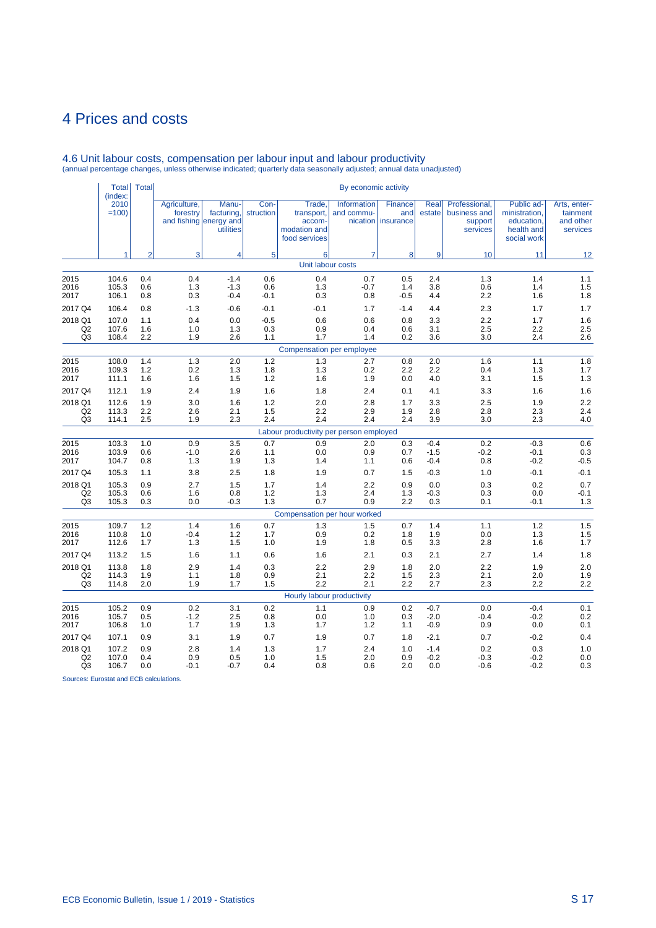|                           | <b>Total</b><br>(index: | <b>Total</b>   |                          |                                                            |                   |                                                                 | By economic activity      |                                             |                  |                                                      |                                                                        |                                                   |
|---------------------------|-------------------------|----------------|--------------------------|------------------------------------------------------------|-------------------|-----------------------------------------------------------------|---------------------------|---------------------------------------------|------------------|------------------------------------------------------|------------------------------------------------------------------------|---------------------------------------------------|
|                           | 2010<br>$=100$<br>1     |                | Agriculture,<br>forestry | Manu-<br>facturing,<br>and fishing energy and<br>utilities | Con-<br>struction | Trade.<br>transport,<br>accom-<br>modation and<br>food services | Information<br>and commu- | <b>Finance</b><br>and<br>nication insurance | Real<br>estate   | Professional.<br>business and<br>support<br>services | Public ad-<br>ministration,<br>education,<br>health and<br>social work | Arts, enter-<br>tainment<br>and other<br>services |
|                           |                         | $\overline{2}$ | 3                        | $\overline{\mathbf{4}}$                                    | 5                 | 6                                                               | $\overline{7}$            | 8                                           | 9                | 10                                                   | 11                                                                     | 12                                                |
|                           |                         |                |                          |                                                            |                   | Unit labour costs                                               |                           |                                             |                  |                                                      |                                                                        |                                                   |
| 2015                      | 104.6                   | 0.4            | 0.4                      | $-1.4$                                                     | 0.6               | 0.4                                                             | 0.7                       | 0.5                                         | 2.4              | 1.3                                                  | 1.4                                                                    | 1.1                                               |
| 2016<br>2017              | 105.3<br>106.1          | 0.6<br>0.8     | 1.3<br>0.3               | $-1.3$<br>$-0.4$                                           | 0.6<br>$-0.1$     | 1.3<br>0.3                                                      | $-0.7$<br>0.8             | 1.4<br>$-0.5$                               | 3.8<br>4.4       | 0.6<br>2.2                                           | 1.4<br>1.6                                                             | 1.5<br>1.8                                        |
| 2017 Q4                   | 106.4                   | 0.8            | $-1.3$                   | $-0.6$                                                     | $-0.1$            | $-0.1$                                                          | 1.7                       | $-1.4$                                      | 4.4              | 2.3                                                  | 1.7                                                                    | 1.7                                               |
| 2018 Q1                   | 107.0                   | 1.1            | 0.4                      | 0.0                                                        | $-0.5$            | 0.6                                                             | 0.6                       | 0.8                                         | 3.3              | 2.2                                                  | 1.7                                                                    | 1.6                                               |
| Q2<br>Q <sub>3</sub>      | 107.6<br>108.4          | 1.6<br>2.2     | 1.0<br>1.9               | 1.3<br>2.6                                                 | 0.3<br>1.1        | 0.9<br>1.7                                                      | 0.4<br>1.4                | 0.6<br>0.2                                  | 3.1<br>3.6       | 2.5<br>3.0                                           | 2.2<br>2.4                                                             | 2.5<br>2.6                                        |
|                           |                         |                |                          |                                                            |                   | Compensation per employee                                       |                           |                                             |                  |                                                      |                                                                        |                                                   |
| 2015                      | 108.0                   | 1.4            | 1.3                      | 2.0                                                        | 1.2               | 1.3                                                             | 2.7                       | 0.8                                         | 2.0              | 1.6                                                  | 1.1                                                                    | 1.8                                               |
| 2016                      | 109.3                   | 1.2            | 0.2                      | 1.3                                                        | 1.8               | 1.3                                                             | 0.2                       | 2.2                                         | 2.2              | 0.4                                                  | 1.3                                                                    | 1.7                                               |
| 2017                      | 111.1                   | 1.6            | 1.6                      | 1.5                                                        | 1.2               | 1.6                                                             | 1.9                       | 0.0                                         | 4.0              | 3.1                                                  | 1.5                                                                    | 1.3                                               |
| 2017 Q4                   | 112.1                   | 1.9            | 2.4                      | 1.9                                                        | 1.6               | 1.8                                                             | 2.4                       | 0.1                                         | 4.1              | 3.3                                                  | 1.6                                                                    | 1.6                                               |
| 2018 Q1<br>Q <sub>2</sub> | 112.6<br>113.3          | 1.9<br>2.2     | 3.0<br>2.6               | 1.6<br>2.1                                                 | 1.2<br>1.5        | 2.0<br>2.2                                                      | 2.8<br>2.9                | 1.7<br>1.9                                  | 3.3<br>2.8       | 2.5<br>2.8                                           | 1.9<br>2.3                                                             | 2.2<br>2.4                                        |
| Q3                        | 114.1                   | 2.5            | 1.9                      | 2.3                                                        | 2.4               | 2.4                                                             | 2.4                       | 2.4                                         | 3.9              | 3.0                                                  | 2.3                                                                    | 4.0                                               |
|                           |                         |                |                          |                                                            |                   | Labour productivity per person employed                         |                           |                                             |                  |                                                      |                                                                        |                                                   |
| 2015                      | 103.3                   | 1.0            | 0.9                      | 3.5                                                        | 0.7               | 0.9                                                             | 2.0                       | 0.3                                         | $-0.4$           | 0.2                                                  | $-0.3$                                                                 | 0.6                                               |
| 2016<br>2017              | 103.9<br>104.7          | 0.6<br>0.8     | $-1.0$<br>1.3            | 2.6<br>1.9                                                 | 1.1<br>1.3        | 0.0<br>1.4                                                      | 0.9<br>1.1                | 0.7<br>0.6                                  | $-1.5$<br>$-0.4$ | $-0.2$<br>0.8                                        | $-0.1$<br>$-0.2$                                                       | 0.3<br>$-0.5$                                     |
| 2017 Q4                   | 105.3                   | 1.1            | 3.8                      | 2.5                                                        | 1.8               | 1.9                                                             | 0.7                       | 1.5                                         | $-0.3$           | 1.0                                                  | $-0.1$                                                                 | $-0.1$                                            |
| 2018 Q1                   | 105.3                   | 0.9            | 2.7                      | 1.5                                                        | 1.7               | 1.4                                                             | 2.2                       | 0.9                                         | 0.0              | 0.3                                                  | 0.2                                                                    | 0.7                                               |
| Q <sub>2</sub>            | 105.3                   | 0.6            | 1.6                      | 0.8                                                        | 1.2               | 1.3                                                             | 2.4                       | 1.3                                         | $-0.3$           | 0.3                                                  | 0.0                                                                    | $-0.1$                                            |
| Q <sub>3</sub>            | 105.3                   | 0.3            | 0.0                      | $-0.3$                                                     | 1.3               | 0.7                                                             | 0.9                       | 2.2                                         | 0.3              | 0.1                                                  | $-0.1$                                                                 | 1.3                                               |
|                           |                         |                |                          |                                                            |                   | Compensation per hour worked                                    |                           |                                             |                  |                                                      |                                                                        |                                                   |
| 2015                      | 109.7                   | 1.2            | 1.4                      | 1.6                                                        | 0.7               | 1.3                                                             | 1.5                       | 0.7                                         | 1.4              | 1.1                                                  | 1.2                                                                    | 1.5                                               |
| 2016<br>2017              | 110.8<br>112.6          | 1.0<br>1.7     | $-0.4$<br>1.3            | 1.2<br>1.5                                                 | 1.7<br>1.0        | 0.9<br>1.9                                                      | 0.2<br>1.8                | 1.8<br>0.5                                  | 1.9<br>3.3       | 0.0<br>2.8                                           | 1.3<br>1.6                                                             | 1.5<br>1.7                                        |
| 2017 Q4                   | 113.2                   | 1.5            | 1.6                      | 1.1                                                        | 0.6               | 1.6                                                             | 2.1                       | 0.3                                         | 2.1              | 2.7                                                  | 1.4                                                                    | 1.8                                               |
| 2018 Q1                   | 113.8                   | 1.8            | 2.9                      | 1.4                                                        | 0.3               | 2.2                                                             | 2.9                       | 1.8                                         | 2.0              | 2.2                                                  | 1.9                                                                    | 2.0                                               |
| Q2                        | 114.3                   | 1.9            | 1.1                      | 1.8                                                        | 0.9               | 2.1                                                             | 2.2                       | 1.5                                         | 2.3              | 2.1                                                  | 2.0                                                                    | 1.9                                               |
| Q <sub>3</sub>            | 114.8                   | 2.0            | 1.9                      | 1.7                                                        | 1.5               | 2.2                                                             | 2.1                       | 2.2                                         | 2.7              | 2.3                                                  | 2.2                                                                    | 2.2                                               |
|                           |                         |                |                          |                                                            |                   | Hourly labour productivity                                      |                           |                                             |                  |                                                      |                                                                        |                                                   |
| 2015<br>2016              | 105.2<br>105.7          | 0.9<br>0.5     | 0.2<br>$-1.2$            | 3.1<br>2.5                                                 | 0.2<br>0.8        | 1.1<br>0.0                                                      | 0.9<br>1.0                | 0.2<br>0.3                                  | $-0.7$<br>$-2.0$ | 0.0<br>$-0.4$                                        | $-0.4$<br>$-0.2$                                                       | 0.1<br>0.2                                        |
| 2017                      | 106.8                   | 1.0            | 1.7                      | 1.9                                                        | 1.3               | 1.7                                                             | $1.2$                     | 1.1                                         | $-0.9$           | 0.9                                                  | 0.0                                                                    | 0.1                                               |
| 2017 Q4                   | 107.1                   | 0.9            | 3.1                      | 1.9                                                        | 0.7               | 1.9                                                             | 0.7                       | 1.8                                         | $-2.1$           | 0.7                                                  | $-0.2$                                                                 | 0.4                                               |
| 2018 Q1                   | 107.2                   | 0.9            | 2.8                      | 1.4                                                        | 1.3               | 1.7                                                             | 2.4                       | 1.0                                         | $-1.4$           | 0.2                                                  | 0.3                                                                    | 1.0                                               |
| Q <sub>2</sub>            | 107.0                   | 0.4            | 0.9                      | 0.5                                                        | 1.0               | 1.5                                                             | 2.0                       | 0.9                                         | $-0.2$           | $-0.3$                                               | $-0.2$                                                                 | $0.0\,$                                           |
| Q3                        | 106.7                   | 0.0            | $-0.1$                   | -0.7                                                       | 0.4               | 0.8                                                             | 0.6                       | 2.0                                         | 0.0              | $-0.6$                                               | $-0.2$                                                                 | 0.3                                               |

# 4.6 Unit labour costs, compensation per labour input and labour productivity (annual percentage changes, unless otherwise indicated; quarterly data seasonally adjusted; annual data unadjusted)

Sources: Eurostat and ECB calculations.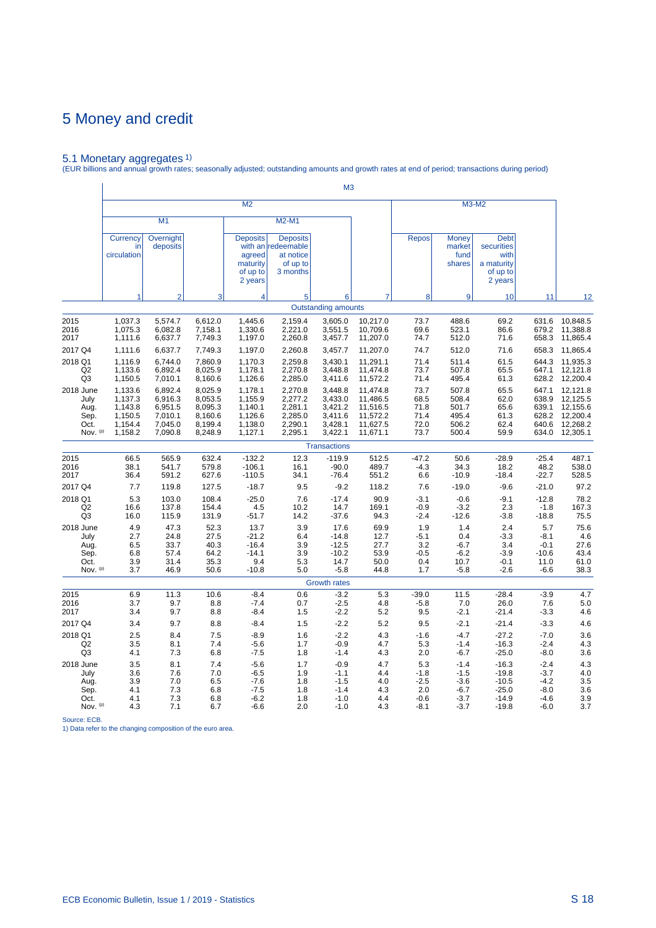5.1 Monetary aggregates 1) (EUR billions and annual growth rates; seasonally adjusted; outstanding amounts and growth rates at end of period; transactions during period)

|                                                        | M <sub>3</sub>                                                 |                                                                |                                                                |                                                                |                                                                            |                                                                |                                                                      |                                                    |                                                          |                                                                        |                                                          |                                                                            |  |
|--------------------------------------------------------|----------------------------------------------------------------|----------------------------------------------------------------|----------------------------------------------------------------|----------------------------------------------------------------|----------------------------------------------------------------------------|----------------------------------------------------------------|----------------------------------------------------------------------|----------------------------------------------------|----------------------------------------------------------|------------------------------------------------------------------------|----------------------------------------------------------|----------------------------------------------------------------------------|--|
|                                                        |                                                                |                                                                |                                                                | M <sub>2</sub>                                                 |                                                                            |                                                                |                                                                      |                                                    |                                                          | M3-M2                                                                  |                                                          |                                                                            |  |
|                                                        |                                                                | M1                                                             |                                                                |                                                                | M2-M1                                                                      |                                                                |                                                                      |                                                    |                                                          |                                                                        |                                                          |                                                                            |  |
|                                                        | Currency<br>in<br>circulation                                  | Overnight<br>deposits                                          |                                                                | <b>Deposits</b><br>agreed<br>maturity<br>of up to<br>2 years   | <b>Deposits</b><br>with an redeemable<br>at notice<br>of up to<br>3 months |                                                                |                                                                      | <b>Repos</b>                                       | <b>Money</b><br>market<br>fund<br>shares                 | <b>Debt</b><br>securities<br>with<br>a maturity<br>of up to<br>2 years |                                                          |                                                                            |  |
|                                                        | 1                                                              | $\overline{2}$                                                 | 3                                                              | 4                                                              | 5                                                                          | 6                                                              | 7                                                                    | 8                                                  | 9                                                        | 10                                                                     | 11                                                       | 12                                                                         |  |
|                                                        |                                                                |                                                                |                                                                |                                                                |                                                                            | <b>Outstanding amounts</b>                                     |                                                                      |                                                    |                                                          |                                                                        |                                                          |                                                                            |  |
| 2015<br>2016<br>2017                                   | 1,037.3<br>1,075.3<br>1,111.6                                  | 5,574.7<br>6,082.8<br>6,637.7                                  | 6,612.0<br>7,158.1<br>7,749.3                                  | 1,445.6<br>1,330.6<br>1,197.0                                  | 2,159.4<br>2,221.0<br>2,260.8                                              | 3,605.0<br>3,551.5<br>3,457.7                                  | 10,217.0<br>10,709.6<br>11,207.0                                     | 73.7<br>69.6<br>74.7                               | 488.6<br>523.1<br>512.0                                  | 69.2<br>86.6<br>71.6                                                   | 631.6<br>679.2<br>658.3                                  | 10,848.5<br>11,388.8<br>11,865.4                                           |  |
| 2017 Q4<br>2018 Q1<br>Q <sub>2</sub><br>Q <sub>3</sub> | 1,111.6<br>1,116.9<br>1,133.6<br>1,150.5                       | 6,637.7<br>6,744.0<br>6,892.4<br>7,010.1                       | 7,749.3<br>7,860.9<br>8,025.9<br>8,160.6                       | 1,197.0<br>1,170.3<br>1,178.1<br>1,126.6                       | 2,260.8<br>2,259.8<br>2,270.8<br>2,285.0                                   | 3,457.7<br>3,430.1<br>3,448.8<br>3,411.6                       | 11,207.0<br>11,291.1<br>11,474.8<br>11,572.2                         | 74.7<br>71.4<br>73.7<br>71.4                       | 512.0<br>511.4<br>507.8<br>495.4                         | 71.6<br>61.5<br>65.5<br>61.3                                           | 658.3<br>644.3<br>647.1<br>628.2                         | 11,865.4<br>11,935.3<br>12,121.8<br>12,200.4                               |  |
| 2018 June<br>July<br>Aug.<br>Sep.<br>Oct.<br>Nov. (p)  | 1,133.6<br>1,137.3<br>1,143.8<br>1,150.5<br>1,154.4<br>1,158.2 | 6,892.4<br>6,916.3<br>6,951.5<br>7,010.1<br>7,045.0<br>7,090.8 | 8,025.9<br>8,053.5<br>8,095.3<br>8,160.6<br>8,199.4<br>8,248.9 | 1,178.1<br>1,155.9<br>1,140.1<br>1,126.6<br>1,138.0<br>1,127.1 | 2,270.8<br>2,277.2<br>2,281.1<br>2,285.0<br>2,290.1<br>2,295.1             | 3,448.8<br>3,433.0<br>3,421.2<br>3,411.6<br>3,428.1<br>3,422.1 | 11,474.8<br>11,486.5<br>11,516.5<br>11,572.2<br>11,627.5<br>11,671.1 | 73.7<br>68.5<br>71.8<br>71.4<br>72.0<br>73.7       | 507.8<br>508.4<br>501.7<br>495.4<br>506.2<br>500.4       | 65.5<br>62.0<br>65.6<br>61.3<br>62.4<br>59.9                           | 647.1<br>638.9<br>639.1<br>628.2<br>640.6                | 12,121.8<br>12,125.5<br>12,155.6<br>12,200.4<br>12,268.2<br>634.0 12,305.1 |  |
|                                                        |                                                                |                                                                |                                                                |                                                                |                                                                            | <b>Transactions</b>                                            |                                                                      |                                                    |                                                          |                                                                        |                                                          |                                                                            |  |
| 2015<br>2016<br>2017                                   | 66.5<br>38.1<br>36.4                                           | 565.9<br>541.7<br>591.2                                        | 632.4<br>579.8<br>627.6                                        | $-132.2$<br>$-106.1$<br>$-110.5$                               | 12.3<br>16.1<br>34.1                                                       | $-119.9$<br>$-90.0$<br>$-76.4$                                 | 512.5<br>489.7<br>551.2                                              | $-47.2$<br>$-4.3$<br>6.6                           | 50.6<br>34.3<br>$-10.9$                                  | $-28.9$<br>18.2<br>$-18.4$                                             | $-25.4$<br>48.2<br>$-22.7$                               | 487.1<br>538.0<br>528.5                                                    |  |
| 2017 Q4                                                | 7.7                                                            | 119.8                                                          | 127.5                                                          | $-18.7$                                                        | 9.5                                                                        | $-9.2$                                                         | 118.2                                                                | 7.6                                                | $-19.0$                                                  | $-9.6$                                                                 | $-21.0$                                                  | 97.2                                                                       |  |
| 2018 Q1<br>Q <sub>2</sub><br>Q3                        | 5.3<br>16.6<br>16.0                                            | 103.0<br>137.8<br>115.9                                        | 108.4<br>154.4<br>131.9                                        | $-25.0$<br>4.5<br>$-51.7$                                      | 7.6<br>10.2<br>14.2                                                        | $-17.4$<br>14.7<br>$-37.6$                                     | 90.9<br>169.1<br>94.3                                                | $-3.1$<br>$-0.9$<br>$-2.4$                         | $-0.6$<br>$-3.2$<br>$-12.6$                              | $-9.1$<br>2.3<br>$-3.8$                                                | $-12.8$<br>$-1.8$<br>$-18.8$                             | 78.2<br>167.3<br>75.5                                                      |  |
| 2018 June<br>July<br>Aug.<br>Sep.<br>Oct.<br>Nov. (p)  | 4.9<br>2.7<br>6.5<br>6.8<br>3.9<br>3.7                         | 47.3<br>24.8<br>33.7<br>57.4<br>31.4<br>46.9                   | 52.3<br>27.5<br>40.3<br>64.2<br>35.3<br>50.6                   | 13.7<br>$-21.2$<br>$-16.4$<br>$-14.1$<br>9.4<br>$-10.8$        | 3.9<br>6.4<br>3.9<br>3.9<br>5.3<br>5.0                                     | 17.6<br>$-14.8$<br>$-12.5$<br>$-10.2$<br>14.7<br>$-5.8$        | 69.9<br>12.7<br>27.7<br>53.9<br>50.0<br>44.8                         | 1.9<br>$-5.1$<br>3.2<br>$-0.5$<br>0.4<br>1.7       | 1.4<br>0.4<br>$-6.7$<br>$-6.2$<br>10.7<br>$-5.8$         | 2.4<br>$-3.3$<br>3.4<br>$-3.9$<br>$-0.1$<br>$-2.6$                     | 5.7<br>$-8.1$<br>$-0.1$<br>$-10.6$<br>11.0<br>$-6.6$     | 75.6<br>4.6<br>27.6<br>43.4<br>61.0<br>38.3                                |  |
|                                                        |                                                                |                                                                |                                                                |                                                                |                                                                            | <b>Growth rates</b>                                            |                                                                      |                                                    |                                                          |                                                                        |                                                          |                                                                            |  |
| 2015<br>2016<br>2017                                   | 6.9<br>3.7<br>3.4                                              | 11.3<br>9.7<br>9.7                                             | 10.6<br>8.8<br>8.8                                             | $-8.4$<br>$-7.4$<br>$-8.4$                                     | 0.6<br>0.7<br>1.5                                                          | $-3.2$<br>$-2.5$<br>$-2.2$                                     | 5.3<br>4.8<br>5.2                                                    | $-39.0$<br>$-5.8$<br>9.5                           | 11.5<br>7.0<br>$-2.1$                                    | $-28.4$<br>26.0<br>$-21.4$                                             | $-3.9$<br>7.6<br>$-3.3$                                  | 4.7<br>5.0<br>4.6                                                          |  |
| 2017 Q4                                                | 3.4                                                            | 9.7                                                            | 8.8                                                            | $-8.4$                                                         | 1.5                                                                        | $-2.2$                                                         | 5.2                                                                  | 9.5                                                | $-2.1$                                                   | $-21.4$                                                                | $-3.3$                                                   | 4.6                                                                        |  |
| 2018 Q1<br>Q <sub>2</sub><br>Q <sub>3</sub>            | 2.5<br>3.5<br>4.1                                              | 8.4<br>8.1<br>7.3                                              | 7.5<br>7.4<br>6.8                                              | $-8.9$<br>$-5.6$<br>$-7.5$                                     | 1.6<br>1.7<br>1.8                                                          | $-2.2$<br>$-0.9$<br>$-1.4$                                     | 4.3<br>4.7<br>4.3                                                    | $-1.6$<br>5.3<br>2.0                               | $-4.7$<br>$-1.4$<br>$-6.7$                               | $-27.2$<br>$-16.3$<br>$-25.0$                                          | $-7.0$<br>$-2.4$<br>$-8.0$                               | 3.6<br>4.3<br>3.6                                                          |  |
| 2018 June<br>July<br>Aug.<br>Sep.<br>Oct.<br>Nov. (p)  | 3.5<br>3.6<br>3.9<br>4.1<br>4.1<br>4.3                         | 8.1<br>7.6<br>7.0<br>7.3<br>7.3<br>7.1                         | 7.4<br>7.0<br>6.5<br>6.8<br>6.8<br>6.7                         | $-5.6$<br>$-6.5$<br>$-7.6$<br>$-7.5$<br>$-6.2$<br>$-6.6$       | 1.7<br>1.9<br>1.8<br>1.8<br>1.8<br>2.0                                     | $-0.9$<br>$-1.1$<br>$-1.5$<br>$-1.4$<br>$-1.0$<br>$-1.0$       | 4.7<br>4.4<br>4.0<br>4.3<br>4.4<br>4.3                               | 5.3<br>$-1.8$<br>$-2.5$<br>2.0<br>$-0.6$<br>$-8.1$ | $-1.4$<br>$-1.5$<br>$-3.6$<br>$-6.7$<br>$-3.7$<br>$-3.7$ | $-16.3$<br>$-19.8$<br>$-10.5$<br>$-25.0$<br>$-14.9$<br>$-19.8$         | $-2.4$<br>$-3.7$<br>$-4.2$<br>$-8.0$<br>$-4.6$<br>$-6.0$ | 4.3<br>4.0<br>3.5<br>3.6<br>3.9<br>3.7                                     |  |

Source: ECB. 1) Data refer to the changing composition of the euro area.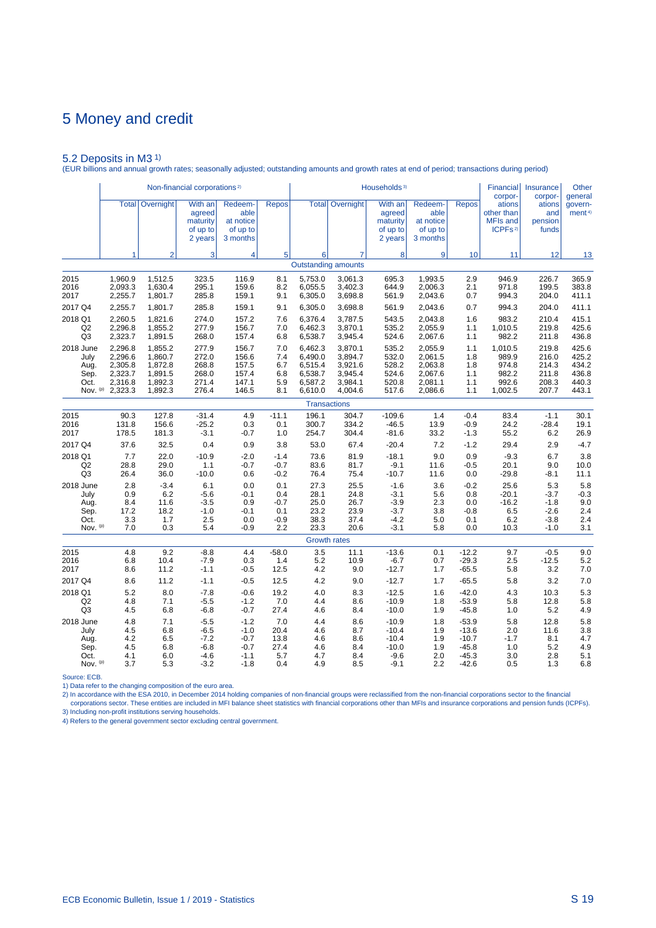5.2 Deposits in M3 1) (EUR billions and annual growth rates; seasonally adjusted; outstanding amounts and growth rates at end of period; transactions during period)

|                |              |                | Non-financial corporations <sup>2)</sup>             |                                                      |              |         |                                 | Households <sup>3)</sup>                             |                                                      |              | <b>Financial</b><br>corpor-                                    | Insurance<br>corpor-              | Other<br>general              |
|----------------|--------------|----------------|------------------------------------------------------|------------------------------------------------------|--------------|---------|---------------------------------|------------------------------------------------------|------------------------------------------------------|--------------|----------------------------------------------------------------|-----------------------------------|-------------------------------|
|                | <b>Total</b> | Overnight      | With an<br>agreed<br>maturity<br>of up to<br>2 years | Redeem-<br>able<br>at notice<br>of up to<br>3 months | <b>Repos</b> |         | <b>Total   Overnight  </b>      | With an<br>agreed<br>maturity<br>of up to<br>2 years | Redeem-<br>able<br>at notice<br>of up to<br>3 months | <b>Repos</b> | ations<br>other than<br><b>MFIs and</b><br>ICPFs <sup>2)</sup> | ations<br>and<br>pension<br>funds | govern-<br>ment <sup>4)</sup> |
|                | 1            | $\overline{2}$ | 3                                                    | 4                                                    | 5            | 6       | 7<br><b>Outstanding amounts</b> | 8                                                    | 9                                                    | 10           | 11                                                             | 12                                | 13                            |
|                |              |                |                                                      |                                                      |              |         |                                 |                                                      |                                                      |              |                                                                |                                   |                               |
| 2015           | 1,960.9      | 1,512.5        | 323.5                                                | 116.9                                                | 8.1          | 5,753.0 | 3,061.3                         | 695.3                                                | 1,993.5                                              | 2.9          | 946.9                                                          | 226.7                             | 365.9                         |
| 2016           | 2,093.3      | 1,630.4        | 295.1                                                | 159.6                                                | 8.2          | 6,055.5 | 3,402.3                         | 644.9                                                | 2,006.3                                              | 2.1          | 971.8                                                          | 199.5                             | 383.8                         |
| 2017           | 2,255.7      | 1,801.7        | 285.8                                                | 159.1                                                | 9.1          | 6,305.0 | 3,698.8                         | 561.9                                                | 2,043.6                                              | 0.7          | 994.3                                                          | 204.0                             | 411.1                         |
| 2017 Q4        | 2,255.7      | 1,801.7        | 285.8                                                | 159.1                                                | 9.1          | 6,305.0 | 3,698.8                         | 561.9                                                | 2,043.6                                              | 0.7          | 994.3                                                          | 204.0                             | 411.1                         |
| 2018 Q1        | 2,260.5      | 1,821.6        | 274.0                                                | 157.2                                                | 7.6          | 6,376.4 | 3,787.5                         | 543.5                                                | 2,043.8                                              | 1.6          | 983.2                                                          | 210.4                             | 415.1                         |
| Q2             | 2,296.8      | 1,855.2        | 277.9                                                | 156.7                                                | 7.0          | 6,462.3 | 3,870.1                         | 535.2                                                | 2,055.9                                              | 1.1          | 1,010.5                                                        | 219.8                             | 425.6                         |
| Q3             | 2,323.7      | 1,891.5        | 268.0                                                | 157.4                                                | 6.8          | 6,538.7 | 3,945.4                         | 524.6                                                | 2,067.6                                              | 1.1          | 982.2                                                          | 211.8                             | 436.8                         |
| 2018 June      | 2,296.8      | 1,855.2        | 277.9                                                | 156.7                                                | 7.0          | 6,462.3 | 3,870.1                         | 535.2                                                | 2,055.9                                              | 1.1          | 1,010.5                                                        | 219.8                             | 425.6                         |
| July           | 2,296.6      | 1,860.7        | 272.0                                                | 156.6                                                | 7.4          | 6,490.0 | 3,894.7                         | 532.0                                                | 2,061.5                                              | 1.8          | 989.9                                                          | 216.0                             | 425.2                         |
| Aug.           | 2,305.8      | 1,872.8        | 268.8                                                | 157.5                                                | 6.7          | 6,515.4 | 3,921.6                         | 528.2                                                | 2,063.8                                              | 1.8          | 974.8                                                          | 214.3                             | 434.2                         |
| Sep.           | 2,323.7      | 1,891.5        | 268.0                                                | 157.4                                                | 6.8          | 6,538.7 | 3,945.4                         | 524.6                                                | 2,067.6                                              | 1.1          | 982.2                                                          | 211.8                             | 436.8                         |
| Oct.           | 2,316.8      | 1,892.3        | 271.4                                                | 147.1                                                | 5.9          | 6,587.2 | 3,984.1                         | 520.8                                                | 2,081.1                                              | 1.1          | 992.6                                                          | 208.3                             | 440.3                         |
| Nov. (p)       | 2,323.3      | 1,892.3        | 276.4                                                | 146.5                                                | 8.1          | 6,610.0 | 4,004.6                         | 517.6                                                | 2,086.6                                              | 1.1          | 1,002.5                                                        | 207.7                             | 443.1                         |
|                |              |                |                                                      |                                                      |              |         | <b>Transactions</b>             |                                                      |                                                      |              |                                                                |                                   |                               |
| 2015           | 90.3         | 127.8          | $-31.4$                                              | 4.9                                                  | $-11.1$      | 196.1   | 304.7                           | $-109.6$                                             | 1.4                                                  | $-0.4$       | 83.4                                                           | $-1.1$                            | 30.1                          |
| 2016           | 131.8        | 156.6          | $-25.2$                                              | 0.3                                                  | 0.1          | 300.7   | 334.2                           | $-46.5$                                              | 13.9                                                 | $-0.9$       | 24.2                                                           | $-28.4$                           | 19.1                          |
| 2017           | 178.5        | 181.3          | $-3.1$                                               | $-0.7$                                               | 1.0          | 254.7   | 304.4                           | $-81.6$                                              | 33.2                                                 | $-1.3$       | 55.2                                                           | 6.2                               | 26.9                          |
| 2017 Q4        | 37.6         | 32.5           | 0.4                                                  | 0.9                                                  | 3.8          | 53.0    | 67.4                            | $-20.4$                                              | 7.2                                                  | $-1.2$       | 29.4                                                           | 2.9                               | $-4.7$                        |
| 2018 Q1        | 7.7          | 22.0           | $-10.9$                                              | $-2.0$                                               | $-1.4$       | 73.6    | 81.9                            | $-18.1$                                              | 9.0                                                  | 0.9          | $-9.3$                                                         | 6.7                               | 3.8                           |
| Q <sub>2</sub> | 28.8         | 29.0           | 1.1                                                  | $-0.7$                                               | $-0.7$       | 83.6    | 81.7                            | $-9.1$                                               | 11.6                                                 | $-0.5$       | 20.1                                                           | 9.0                               | 10.0                          |
| Q <sub>3</sub> | 26.4         | 36.0           | $-10.0$                                              | 0.6                                                  | $-0.2$       | 76.4    | 75.4                            | $-10.7$                                              | 11.6                                                 | 0.0          | $-29.8$                                                        | $-8.1$                            | 11.1                          |
| 2018 June      | 2.8          | $-3.4$         | 6.1                                                  | 0.0                                                  | 0.1          | 27.3    | 25.5                            | $-1.6$                                               | 3.6                                                  | $-0.2$       | 25.6                                                           | 5.3                               | 5.8                           |
| July           | 0.9          | 6.2            | $-5.6$                                               | $-0.1$                                               | 0.4          | 28.1    | 24.8                            | $-3.1$                                               | 5.6                                                  | 0.8          | $-20.1$                                                        | $-3.7$                            | $-0.3$                        |
| Aug.           | 8.4          | 11.6           | $-3.5$                                               | 0.9                                                  | $-0.7$       | 25.0    | 26.7                            | $-3.9$                                               | 2.3                                                  | 0.0          | $-16.2$                                                        | $-1.8$                            | 9.0                           |
| Sep.           | 17.2         | 18.2           | $-1.0$                                               | $-0.1$                                               | 0.1          | 23.2    | 23.9                            | $-3.7$                                               | 3.8                                                  | $-0.8$       | 6.5                                                            | $-2.6$                            | 2.4                           |
| Oct.           | 3.3          | 1.7            | 2.5                                                  | 0.0                                                  | $-0.9$       | 38.3    | 37.4                            | $-4.2$                                               | 5.0                                                  | 0.1          | 6.2                                                            | $-3.8$                            | 2.4                           |
| Nov. (p)       | 7.0          | 0.3            | 5.4                                                  | $-0.9$                                               | 2.2          | 23.3    | 20.6                            | $-3.1$                                               | 5.8                                                  | 0.0          | 10.3                                                           | $-1.0$                            | 3.1                           |
|                |              |                |                                                      |                                                      |              |         | <b>Growth rates</b>             |                                                      |                                                      |              |                                                                |                                   |                               |
| 2015           | 4.8          | 9.2            | $-8.8$                                               | 4.4                                                  | $-58.0$      | 3.5     | 11.1                            | $-13.6$                                              | 0.1                                                  | $-12.2$      | 9.7                                                            | $-0.5$                            | 9.0                           |
| 2016           | 6.8          | 10.4           | $-7.9$                                               | 0.3                                                  | 1.4          | 5.2     | 10.9                            | $-6.7$                                               | 0.7                                                  | $-29.3$      | 2.5                                                            | $-12.5$                           | 5.2                           |
| 2017           | 8.6          | 11.2           | $-1.1$                                               | $-0.5$                                               | 12.5         | 4.2     | 9.0                             | $-12.7$                                              | 1.7                                                  | $-65.5$      | 5.8                                                            | 3.2                               | 7.0                           |
| 2017 Q4        | 8.6          | 11.2           | $-1.1$                                               | $-0.5$                                               | 12.5         | 4.2     | 9.0                             | $-12.7$                                              | 1.7                                                  | $-65.5$      | 5.8                                                            | 3.2                               | 7.0                           |
| 2018 Q1        | 5.2          | 8.0            | $-7.8$                                               | $-0.6$                                               | 19.2         | 4.0     | 8.3                             | $-12.5$                                              | 1.6                                                  | $-42.0$      | 4.3                                                            | 10.3                              | 5.3                           |
| Q <sub>2</sub> | 4.8          | 7.1            | $-5.5$                                               | $-1.2$                                               | 7.0          | 4.4     | 8.6                             | $-10.9$                                              | 1.8                                                  | $-53.9$      | 5.8                                                            | 12.8                              | 5.8                           |
| Q <sub>3</sub> | 4.5          | 6.8            | $-6.8$                                               | $-0.7$                                               | 27.4         | 4.6     | 8.4                             | $-10.0$                                              | 1.9                                                  | $-45.8$      | 1.0                                                            | 5.2                               | 4.9                           |
| 2018 June      | 4.8          | 7.1            | $-5.5$                                               | $-1.2$                                               | 7.0          | 4.4     | 8.6                             | $-10.9$                                              | 1.8                                                  | $-53.9$      | 5.8                                                            | 12.8                              | 5.8                           |
| July           | 4.5          | 6.8            | $-6.5$                                               | $-1.0$                                               | 20.4         | 4.6     | 8.7                             | $-10.4$                                              | 1.9                                                  | $-13.6$      | 2.0                                                            | 11.6                              | 3.8                           |
| Aug.           | 4.2          | 6.5            | $-7.2$                                               | $-0.7$                                               | 13.8         | 4.6     | 8.6                             | $-10.4$                                              | 1.9                                                  | $-10.7$      | $-1.7$                                                         | 8.1                               | 4.7                           |
| Sep.           | 4.5          | 6.8            | $-6.8$                                               | $-0.7$                                               | 27.4         | 4.6     | 8.4                             | $-10.0$                                              | 1.9                                                  | $-45.8$      | 1.0                                                            | 5.2                               | 4.9                           |
| Oct.           | 4.1          | 6.0            | $-4.6$                                               | $-1.1$                                               | 5.7          | 4.7     | 8.4                             | $-9.6$                                               | 2.0                                                  | $-45.3$      | 3.0                                                            | 2.8                               | 5.1                           |
| Nov. (p)       | 3.7          | 5.3            | $-3.2$                                               | $-1.8$                                               | 0.4          | 4.9     | 8.5                             | $-9.1$                                               | 2.2                                                  | $-42.6$      | 0.5                                                            | 1.3                               | 6.8                           |

Source: ECB.

1) Data refer to the changing composition of the euro area.

2) In accordance with the ESA 2010, in December 2014 holding companies of non-financial groups were reclassified from the non-financial corporations sector to the financial<br>- corporations sector. These entities are include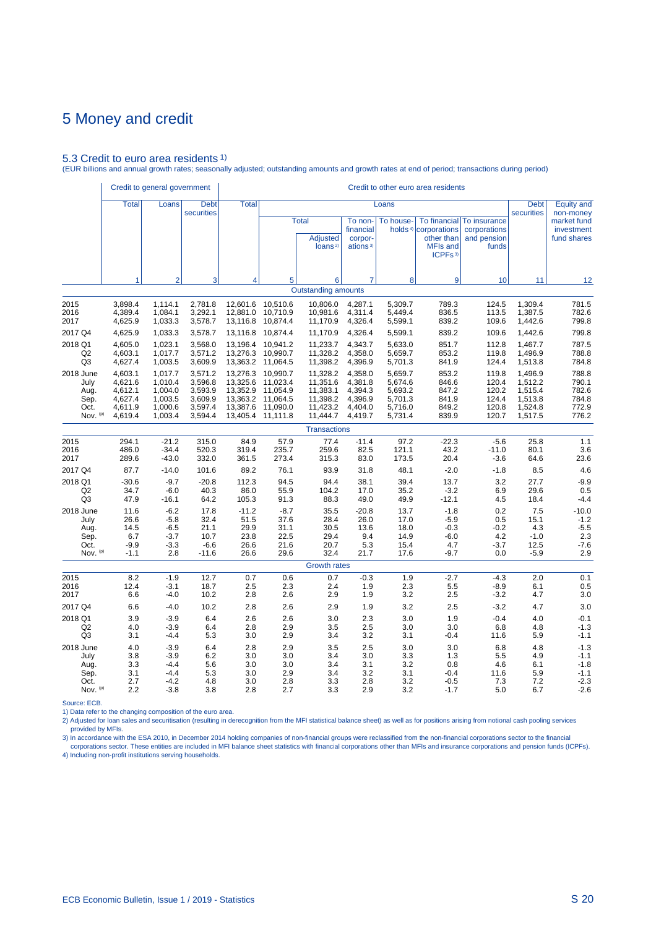## 5.3 Credit to euro area residents 1)

(EUR billions and annual growth rates; seasonally adjusted; outstanding amounts and growth rates at end of period; transactions during period)

|                                                       | Credit to general government                                   |                                                                |                                                                |                                                                      |                                                                      |                                                                      |                                                                |                                                                | Credit to other euro area residents                                               |                                                      |                                                                |                                                          |
|-------------------------------------------------------|----------------------------------------------------------------|----------------------------------------------------------------|----------------------------------------------------------------|----------------------------------------------------------------------|----------------------------------------------------------------------|----------------------------------------------------------------------|----------------------------------------------------------------|----------------------------------------------------------------|-----------------------------------------------------------------------------------|------------------------------------------------------|----------------------------------------------------------------|----------------------------------------------------------|
|                                                       | <b>Total</b>                                                   | Loans                                                          | <b>Debt</b><br>securities                                      | <b>Total</b>                                                         |                                                                      |                                                                      |                                                                | Loans                                                          |                                                                                   |                                                      | <b>Debt</b><br>securities                                      | <b>Equity and</b><br>non-money                           |
|                                                       |                                                                |                                                                |                                                                |                                                                      |                                                                      | <b>Total</b><br><b>Adjusted</b><br>loans <sup>2)</sup>               | To non-<br>financial<br>corpor-<br>ations <sup>3)</sup>        | To house-                                                      | To financial<br>holds <sup>4)</sup> corporations<br>other than<br><b>MFIs and</b> | To insurance<br>corporations<br>and pension<br>funds |                                                                | market fund<br>investment<br>fund shares                 |
|                                                       | 1                                                              | $\overline{2}$                                                 | 3                                                              | 4                                                                    | 5                                                                    | 6                                                                    | $\overline{7}$                                                 | 8                                                              | ICPFs <sup>3)</sup><br>9                                                          | 10 <sup>1</sup>                                      | 11                                                             | 12                                                       |
|                                                       |                                                                |                                                                |                                                                |                                                                      |                                                                      | <b>Outstanding amounts</b>                                           |                                                                |                                                                |                                                                                   |                                                      |                                                                |                                                          |
| 2015<br>2016<br>2017                                  | 3,898.4<br>4,389.4<br>4,625.9                                  | 1,114.1<br>1,084.1<br>1,033.3                                  | 2,781.8<br>3,292.1<br>3,578.7                                  | 12,601.6<br>12,881.0<br>13,116.8                                     | 10,510.6<br>10,710.9<br>10,874.4                                     | 10,806.0<br>10,981.6<br>11,170.9                                     | 4,287.1<br>4,311.4<br>4,326.4                                  | 5,309.7<br>5,449.4<br>5,599.1                                  | 789.3<br>836.5<br>839.2                                                           | 124.5<br>113.5<br>109.6                              | 1,309.4<br>1,387.5<br>1,442.6                                  | 781.5<br>782.6<br>799.8                                  |
| 2017 Q4                                               | 4,625.9                                                        | 1,033.3                                                        | 3,578.7                                                        | 13,116.8                                                             | 10,874.4                                                             | 11,170.9                                                             | 4,326.4                                                        | 5,599.1                                                        | 839.2                                                                             | 109.6                                                | 1,442.6                                                        | 799.8                                                    |
| 2018 Q1<br>Q <sub>2</sub><br>Q <sub>3</sub>           | 4,605.0<br>4,603.1<br>4,627.4                                  | 1,023.1<br>1,017.7<br>1,003.5                                  | 3,568.0<br>3.571.2<br>3,609.9                                  | 13,196.4<br>13,276.3<br>13,363.2                                     | 10,941.2<br>10.990.7<br>11,064.5                                     | 11,233.7<br>11,328.2<br>11,398.2                                     | 4,343.7<br>4.358.0<br>4,396.9                                  | 5,633.0<br>5.659.7<br>5,701.3                                  | 851.7<br>853.2<br>841.9                                                           | 112.8<br>119.8<br>124.4                              | 1,467.7<br>1.496.9<br>1,513.8                                  | 787.5<br>788.8<br>784.8                                  |
| 2018 June<br>July<br>Aug.<br>Sep.<br>Oct.<br>Nov. (p) | 4,603.1<br>4,621.6<br>4,612.1<br>4,627.4<br>4,611.9<br>4,619.4 | 1,017.7<br>1,010.4<br>1.004.0<br>1,003.5<br>1,000.6<br>1,003.4 | 3,571.2<br>3,596.8<br>3,593.9<br>3,609.9<br>3,597.4<br>3,594.4 | 13,276.3<br>13,325.6<br>13,352.9<br>13,363.2<br>13,387.6<br>13,405.4 | 10,990.7<br>11,023.4<br>11.054.9<br>11,064.5<br>11,090.0<br>11,111.8 | 11,328.2<br>11,351.6<br>11.383.1<br>11,398.2<br>11,423.2<br>11,444.7 | 4,358.0<br>4,381.8<br>4.394.3<br>4,396.9<br>4,404.0<br>4,419.7 | 5,659.7<br>5,674.6<br>5,693.2<br>5,701.3<br>5,716.0<br>5,731.4 | 853.2<br>846.6<br>847.2<br>841.9<br>849.2<br>839.9                                | 119.8<br>120.4<br>120.2<br>124.4<br>120.8<br>120.7   | 1,496.9<br>1,512.2<br>1,515.4<br>1,513.8<br>1,524.8<br>1,517.5 | 788.8<br>790.1<br>782.6<br>784.8<br>772.9<br>776.2       |
|                                                       |                                                                |                                                                |                                                                |                                                                      |                                                                      | <b>Transactions</b>                                                  |                                                                |                                                                |                                                                                   |                                                      |                                                                |                                                          |
| 2015<br>2016<br>2017                                  | 294.1<br>486.0<br>289.6                                        | $-21.2$<br>$-34.4$<br>$-43.0$                                  | 315.0<br>520.3<br>332.0                                        | 84.9<br>319.4<br>361.5                                               | 57.9<br>235.7<br>273.4                                               | 77.4<br>259.6<br>315.3                                               | $-11.4$<br>82.5<br>83.0                                        | 97.2<br>121.1<br>173.5                                         | $-22.3$<br>43.2<br>20.4                                                           | $-5.6$<br>$-11.0$<br>$-3.6$                          | 25.8<br>80.1<br>64.6                                           | 1.1<br>3.6<br>23.6                                       |
| 2017 Q4                                               | 87.7                                                           | $-14.0$                                                        | 101.6                                                          | 89.2                                                                 | 76.1                                                                 | 93.9                                                                 | 31.8                                                           | 48.1                                                           | $-2.0$                                                                            | $-1.8$                                               | 8.5                                                            | 4.6                                                      |
| 2018 Q1<br>Q <sub>2</sub><br>Q <sub>3</sub>           | $-30.6$<br>34.7<br>47.9                                        | $-9.7$<br>$-6.0$<br>$-16.1$                                    | $-20.8$<br>40.3<br>64.2                                        | 112.3<br>86.0<br>105.3                                               | 94.5<br>55.9<br>91.3                                                 | 94.4<br>104.2<br>88.3                                                | 38.1<br>17.0<br>49.0                                           | 39.4<br>35.2<br>49.9                                           | 13.7<br>$-3.2$<br>$-12.1$                                                         | 3.2<br>6.9<br>4.5                                    | 27.7<br>29.6<br>18.4                                           | $-9.9$<br>0.5<br>$-4.4$                                  |
| 2018 June<br>July<br>Aug.<br>Sep.<br>Oct.<br>Nov. (p) | 11.6<br>26.6<br>14.5<br>6.7<br>$-9.9$<br>$-1.1$                | $-6.2$<br>$-5.8$<br>$-6.5$<br>$-3.7$<br>$-3.3$<br>2.8          | 17.8<br>32.4<br>21.1<br>10.7<br>$-6.6$<br>$-11.6$              | $-11.2$<br>51.5<br>29.9<br>23.8<br>26.6<br>26.6                      | $-8.7$<br>37.6<br>31.1<br>22.5<br>21.6<br>29.6                       | 35.5<br>28.4<br>30.5<br>29.4<br>20.7<br>32.4                         | $-20.8$<br>26.0<br>13.6<br>9.4<br>5.3<br>21.7                  | 13.7<br>17.0<br>18.0<br>14.9<br>15.4<br>17.6                   | $-1.8$<br>$-5.9$<br>$-0.3$<br>$-6.0$<br>4.7<br>$-9.7$                             | 0.2<br>0.5<br>$-0.2$<br>4.2<br>$-3.7$<br>0.0         | 7.5<br>15.1<br>4.3<br>$-1.0$<br>12.5<br>$-5.9$                 | $-10.0$<br>$-1.2$<br>$-5.5$<br>2.3<br>$-7.6$<br>2.9      |
|                                                       |                                                                |                                                                |                                                                |                                                                      |                                                                      | <b>Growth rates</b>                                                  |                                                                |                                                                |                                                                                   |                                                      |                                                                |                                                          |
| 2015<br>2016<br>2017                                  | 8.2<br>12.4<br>6.6                                             | $-1.9$<br>$-3.1$<br>$-4.0$                                     | 12.7<br>18.7<br>10.2                                           | 0.7<br>2.5<br>2.8                                                    | 0.6<br>2.3<br>2.6                                                    | 0.7<br>2.4<br>2.9                                                    | $-0.3$<br>1.9<br>1.9                                           | 1.9<br>2.3<br>3.2                                              | $-2.7$<br>5.5<br>2.5                                                              | $-4.3$<br>$-8.9$<br>$-3.2$                           | 2.0<br>6.1<br>4.7                                              | 0.1<br>0.5<br>3.0                                        |
| 2017 Q4                                               | 6.6                                                            | $-4.0$                                                         | 10.2                                                           | 2.8                                                                  | 2.6                                                                  | 2.9                                                                  | 1.9                                                            | 3.2                                                            | 2.5                                                                               | $-3.2$                                               | 4.7                                                            | 3.0                                                      |
| 2018 Q1<br>Q <sub>2</sub><br>Q3                       | 3.9<br>4.0<br>3.1                                              | $-3.9$<br>$-3.9$<br>$-4.4$                                     | 6.4<br>6.4<br>5.3                                              | 2.6<br>2.8<br>3.0                                                    | 2.6<br>2.9<br>2.9                                                    | 3.0<br>3.5<br>3.4                                                    | 2.3<br>2.5<br>3.2                                              | 3.0<br>3.0<br>3.1                                              | 1.9<br>3.0<br>$-0.4$                                                              | $-0.4$<br>6.8<br>11.6                                | 4.0<br>4.8<br>5.9                                              | $-0.1$<br>$-1.3$<br>$-1.1$                               |
| 2018 June<br>July<br>Aug.<br>Sep.<br>Oct.<br>Nov. (p) | 4.0<br>3.8<br>3.3<br>3.1<br>2.7<br>2.2                         | $-3.9$<br>$-3.9$<br>$-4.4$<br>$-4.4$<br>$-4.2$<br>$-3.8$       | 6.4<br>6.2<br>5.6<br>5.3<br>4.8<br>3.8                         | 2.8<br>3.0<br>3.0<br>3.0<br>3.0<br>2.8                               | 2.9<br>3.0<br>3.0<br>2.9<br>2.8<br>2.7                               | 3.5<br>3.4<br>3.4<br>3.4<br>3.3<br>3.3                               | 2.5<br>3.0<br>3.1<br>3.2<br>2.8<br>2.9                         | 3.0<br>3.3<br>3.2<br>3.1<br>3.2<br>3.2                         | 3.0<br>1.3<br>0.8<br>$-0.4$<br>$-0.5$<br>$-1.7$                                   | 6.8<br>5.5<br>4.6<br>11.6<br>7.3<br>5.0              | 4.8<br>4.9<br>6.1<br>5.9<br>7.2<br>6.7                         | $-1.3$<br>$-1.1$<br>$-1.8$<br>$-1.1$<br>$-2.3$<br>$-2.6$ |
|                                                       |                                                                |                                                                |                                                                |                                                                      |                                                                      |                                                                      |                                                                |                                                                |                                                                                   |                                                      |                                                                |                                                          |

Source: ECB.

1) Data refer to the changing composition of the euro area.

2) Adjusted for loan sales and securitisation (resulting in derecognition from the MFI statistical balance sheet) as well as for positions arising from notional cash pooling services provided by MFIs.

3) In accordance with the ESA 2010, in December 2014 holding companies of non-financial groups were reclassified from the non-financial corporations sector to the financial<br>Corporations sector. These entities are included 4) Including non-profit institutions serving households.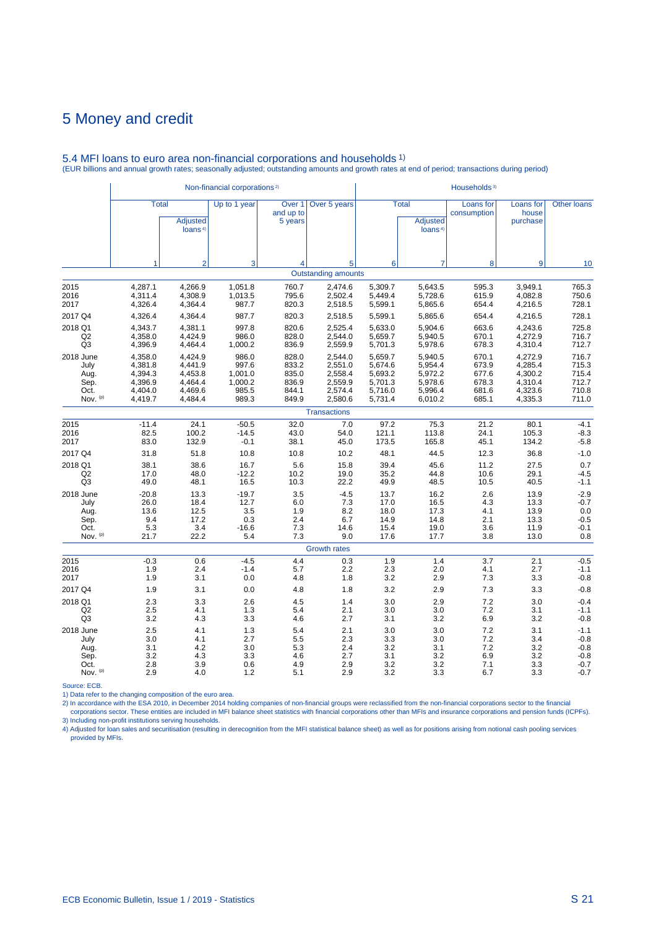|                                                                |                                                                |                                                        | Non-financial corporations <sup>2)</sup>           |                                                                |                                                                |                                                                | Households <sup>3)</sup>                           |                                                                |                                                          |
|----------------------------------------------------------------|----------------------------------------------------------------|--------------------------------------------------------|----------------------------------------------------|----------------------------------------------------------------|----------------------------------------------------------------|----------------------------------------------------------------|----------------------------------------------------|----------------------------------------------------------------|----------------------------------------------------------|
|                                                                | <b>Adjusted</b><br>loans <sup>4)</sup>                         | Up to 1 year                                           | Over <sub>1</sub><br>and up to<br>5 years          | Over 5 years                                                   |                                                                | <b>Adjusted</b><br>loans <sup>4)</sup>                         | Loans for<br>consumption                           | Loans for<br>house<br>purchase                                 | <b>Other loans</b>                                       |
| 1                                                              | $\overline{2}$                                                 | 3                                                      | 4                                                  | 5                                                              | 6                                                              | $\overline{7}$                                                 | 8                                                  | 9                                                              | 10                                                       |
|                                                                |                                                                |                                                        |                                                    |                                                                |                                                                |                                                                |                                                    |                                                                |                                                          |
| 4,287.1<br>4,311.4<br>4,326.4                                  | 4,266.9<br>4,308.9<br>4,364.4                                  | 1,051.8<br>1,013.5<br>987.7                            | 760.7<br>795.6<br>820.3                            | 2,474.6<br>2,502.4<br>2,518.5                                  | 5,309.7<br>5,449.4<br>5,599.1                                  | 5,643.5<br>5,728.6<br>5,865.6                                  | 595.3<br>615.9<br>654.4                            | 3,949.1<br>4,082.8<br>4,216.5                                  | 765.3<br>750.6<br>728.1                                  |
| 4,326.4                                                        | 4,364.4                                                        | 987.7                                                  | 820.3                                              | 2,518.5                                                        | 5,599.1                                                        | 5,865.6                                                        | 654.4                                              | 4,216.5                                                        | 728.1                                                    |
| 4,343.7<br>4,358.0<br>4,396.9                                  | 4,381.1<br>4,424.9<br>4,464.4                                  | 997.8<br>986.0<br>1,000.2                              | 820.6<br>828.0<br>836.9                            | 2,525.4<br>2,544.0<br>2,559.9                                  | 5,633.0<br>5,659.7<br>5,701.3                                  | 5.904.6<br>5,940.5<br>5,978.6                                  | 663.6<br>670.1<br>678.3                            | 4,243.6<br>4,272.9<br>4,310.4                                  | 725.8<br>716.7<br>712.7                                  |
| 4,358.0<br>4,381.8<br>4,394.3<br>4,396.9<br>4,404.0<br>4,419.7 | 4,424.9<br>4.441.9<br>4.453.8<br>4,464.4<br>4,469.6<br>4,484.4 | 986.0<br>997.6<br>1,001.0<br>1,000.2<br>985.5<br>989.3 | 828.0<br>833.2<br>835.0<br>836.9<br>844.1<br>849.9 | 2,544.0<br>2,551.0<br>2,558.4<br>2,559.9<br>2,574.4<br>2,580.6 | 5,659.7<br>5.674.6<br>5,693.2<br>5,701.3<br>5,716.0<br>5,731.4 | 5,940.5<br>5,954.4<br>5,972.2<br>5,978.6<br>5,996.4<br>6,010.2 | 670.1<br>673.9<br>677.6<br>678.3<br>681.6<br>685.1 | 4,272.9<br>4,285.4<br>4,300.2<br>4,310.4<br>4,323.6<br>4,335.3 | 716.7<br>715.3<br>715.4<br>712.7<br>710.8<br>711.0       |
|                                                                |                                                                |                                                        |                                                    |                                                                |                                                                |                                                                |                                                    |                                                                |                                                          |
| $-11.4$<br>82.5<br>83.0                                        | 24.1<br>100.2<br>132.9                                         | $-50.5$<br>$-14.5$<br>$-0.1$                           | 32.0<br>43.0<br>38.1                               | 7.0<br>54.0<br>45.0                                            | 97.2<br>121.1<br>173.5                                         | 75.3<br>113.8<br>165.8                                         | 21.2<br>24.1<br>45.1                               | 80.1<br>105.3<br>134.2                                         | $-4.1$<br>$-8.3$<br>$-5.8$                               |
| 31.8                                                           | 51.8                                                           | 10.8                                                   | 10.8                                               | 10.2                                                           | 48.1                                                           | 44.5                                                           | 12.3                                               | 36.8                                                           | $-1.0$                                                   |
| 38.1<br>17.0<br>49.0                                           | 38.6<br>48.0<br>48.1                                           | 16.7<br>$-12.2$<br>16.5                                | 5.6<br>10.2<br>10.3                                | 15.8<br>19.0<br>22.2                                           | 39.4<br>35.2<br>49.9                                           | 45.6<br>44.8<br>48.5                                           | 11.2<br>10.6<br>10.5                               | 27.5<br>29.1<br>40.5                                           | 0.7<br>$-4.5$<br>$-1.1$                                  |
| $-20.8$<br>26.0<br>13.6<br>9.4<br>5.3                          | 13.3<br>18.4<br>12.5<br>17.2<br>3.4                            | $-19.7$<br>12.7<br>3.5<br>0.3<br>$-16.6$               | 3.5<br>6.0<br>1.9<br>2.4<br>7.3                    | $-4.5$<br>7.3<br>8.2<br>6.7<br>14.6                            | 13.7<br>17.0<br>18.0<br>14.9<br>15.4                           | 16.2<br>16.5<br>17.3<br>14.8<br>19.0                           | 2.6<br>4.3<br>4.1<br>2.1<br>3.6                    | 13.9<br>13.3<br>13.9<br>13.3<br>11.9                           | $-2.9$<br>$-0.7$<br>0.0<br>$-0.5$<br>$-0.1$<br>0.8       |
|                                                                |                                                                |                                                        |                                                    |                                                                |                                                                |                                                                |                                                    |                                                                |                                                          |
| $-0.3$<br>1.9<br>1.9                                           | 0.6<br>2.4<br>3.1                                              | $-4.5$<br>$-1.4$<br>0.0                                | 4.4<br>5.7<br>4.8                                  | 0.3<br>2.2<br>1.8                                              | 1.9<br>2.3<br>3.2                                              | 1.4<br>2.0<br>2.9                                              | 3.7<br>4.1<br>7.3                                  | 2.1<br>2.7<br>3.3                                              | $-0.5$<br>$-1.1$<br>$-0.8$                               |
| 1.9                                                            | 3.1                                                            | 0.0                                                    | 4.8                                                | 1.8                                                            | 3.2                                                            | 2.9                                                            | 7.3                                                | 3.3                                                            | $-0.8$                                                   |
| 2.3<br>2.5<br>3.2                                              | 3.3<br>4.1<br>4.3                                              | 2.6<br>1.3<br>3.3                                      | 4.5<br>5.4<br>4.6                                  | 1.4<br>2.1<br>2.7                                              | 3.0<br>3.0<br>3.1                                              | 2.9<br>3.0<br>3.2                                              | 7.2<br>7.2<br>6.9                                  | 3.0<br>3.1<br>3.2                                              | $-0.4$<br>$-1.1$<br>$-0.8$                               |
| 2.5<br>3.0<br>3.1<br>3.2<br>2.8                                | 4.1<br>4.1<br>4.2<br>4.3<br>3.9                                | 1.3<br>2.7<br>3.0<br>3.3<br>0.6                        | 5.4<br>5.5<br>5.3<br>4.6<br>4.9                    | 2.1<br>2.3<br>2.4<br>2.7<br>2.9                                | 3.0<br>3.3<br>3.2<br>3.1<br>3.2                                | 3.0<br>3.0<br>3.1<br>3.2<br>3.2                                | 7.2<br>7.2<br>7.2<br>6.9<br>7.1                    | 3.1<br>3.4<br>3.2<br>3.2<br>3.3                                | $-1.1$<br>$-0.8$<br>$-0.8$<br>$-0.8$<br>$-0.7$<br>$-0.7$ |
|                                                                | <b>Total</b><br>21.7<br>2.9                                    | 22.2<br>4.0                                            | 5.4<br>1.2                                         | 7.3<br>5.1                                                     | <b>Transactions</b><br>9.0<br><b>Growth rates</b><br>2.9       | <b>Outstanding amounts</b><br>17.6<br>3.2                      | <b>Total</b><br>17.7<br>3.3                        | 3.8<br>6.7                                                     | 13.0<br>3.3                                              |

## 5.4 MFI loans to euro area non-financial corporations and households 1) (EUR billions and annual growth rates; seasonally adjusted; outstanding amounts and growth rates at end of period; transactions during period)

Source: ECB.<br>2) Data refer to the changing composition of the euro area.<br>2) In accordance with the ESA 2010, in December 2014 holding companies of non-financial groups were reclassified from the non-financial corporations 3) Including non-profit institutions serving households.

4) Adjusted for loan sales and securitisation (resulting in derecognition from the MFI statistical balance sheet) as well as for positions arising from notional cash pooling services provided by MFIs.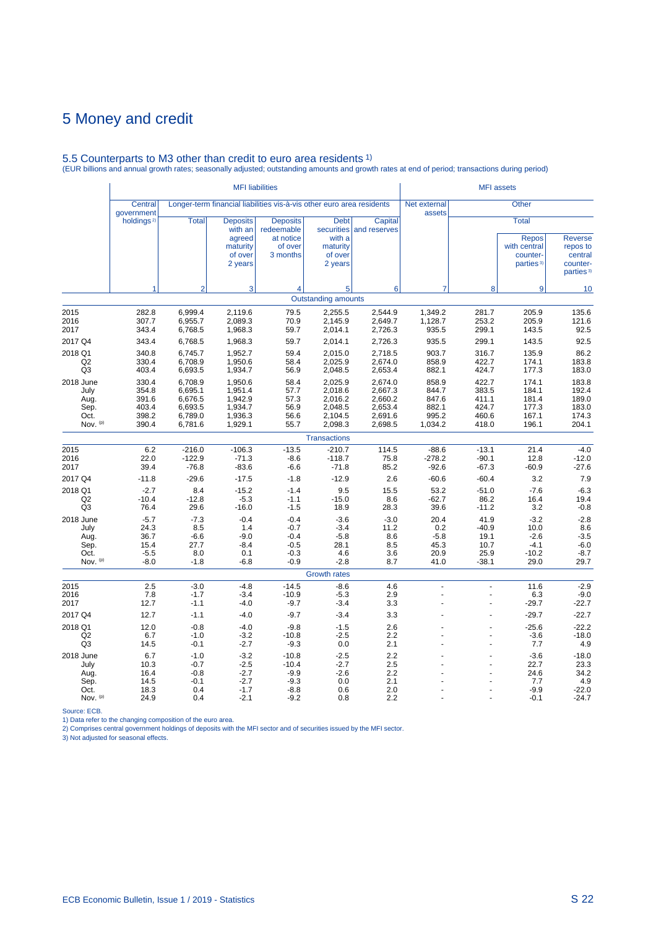# 5.5 Counterparts to M3 other than credit to euro area residents 1) (EUR billions and annual growth rates; seasonally adjusted; outstanding amounts and growth rates at end of period; transactions during period)

|                                                       |                                                    |                                                                | <b>MFI</b> liabilities                                                 |                                                                       |                                                                |                                                                |                                                      | <b>MFI</b> assets                                  |                                                                                   |                                                                            |
|-------------------------------------------------------|----------------------------------------------------|----------------------------------------------------------------|------------------------------------------------------------------------|-----------------------------------------------------------------------|----------------------------------------------------------------|----------------------------------------------------------------|------------------------------------------------------|----------------------------------------------------|-----------------------------------------------------------------------------------|----------------------------------------------------------------------------|
|                                                       | Central<br>government                              |                                                                |                                                                        | Longer-term financial liabilities vis-à-vis other euro area residents |                                                                |                                                                | Net external<br>assets                               |                                                    | Other                                                                             |                                                                            |
|                                                       | holdings <sup>2)</sup>                             | <b>Total</b>                                                   | <b>Deposits</b><br>with an<br>agreed<br>maturity<br>of over<br>2 years | <b>Deposits</b><br>redeemable<br>at notice<br>of over<br>3 months     | <b>Debt</b><br>with a<br>maturity<br>of over<br>2 years        | Capital<br>securities and reserves                             |                                                      |                                                    | <b>Total</b><br><b>Repos</b><br>with central<br>counter-<br>parties <sup>3)</sup> | <b>Reverse</b><br>repos to<br>central<br>counter-<br>parties <sup>3)</sup> |
|                                                       |                                                    | $\overline{2}$                                                 | 3                                                                      | $\overline{\mathbf{4}}$                                               | 5                                                              | 6                                                              | $\overline{7}$                                       | 8                                                  | 9                                                                                 | 10                                                                         |
|                                                       |                                                    |                                                                |                                                                        |                                                                       | <b>Outstanding amounts</b>                                     |                                                                |                                                      |                                                    |                                                                                   |                                                                            |
| 2015<br>2016<br>2017                                  | 282.8<br>307.7<br>343.4                            | 6,999.4<br>6,955.7<br>6,768.5                                  | 2,119.6<br>2,089.3<br>1,968.3                                          | 79.5<br>70.9<br>59.7                                                  | 2,255.5<br>2,145.9<br>2,014.1                                  | 2,544.9<br>2,649.7<br>2,726.3                                  | 1,349.2<br>1,128.7<br>935.5                          | 281.7<br>253.2<br>299.1                            | 205.9<br>205.9<br>143.5                                                           | 135.6<br>121.6<br>92.5                                                     |
| 2017 Q4                                               | 343.4                                              | 6,768.5                                                        | 1,968.3                                                                | 59.7                                                                  | 2,014.1                                                        | 2,726.3                                                        | 935.5                                                | 299.1                                              | 143.5                                                                             | 92.5                                                                       |
| 2018 Q1<br>Q2<br>Q <sub>3</sub>                       | 340.8<br>330.4<br>403.4                            | 6.745.7<br>6,708.9<br>6,693.5                                  | 1.952.7<br>1,950.6<br>1,934.7                                          | 59.4<br>58.4<br>56.9                                                  | 2.015.0<br>2,025.9<br>2,048.5                                  | 2.718.5<br>2,674.0<br>2,653.4                                  | 903.7<br>858.9<br>882.1                              | 316.7<br>422.7<br>424.7                            | 135.9<br>174.1<br>177.3                                                           | 86.2<br>183.8<br>183.0                                                     |
| 2018 June<br>July<br>Aug.<br>Sep.<br>Oct.<br>Nov. (p) | 330.4<br>354.8<br>391.6<br>403.4<br>398.2<br>390.4 | 6,708.9<br>6,695.1<br>6,676.5<br>6,693.5<br>6,789.0<br>6,781.6 | 1,950.6<br>1,951.4<br>1,942.9<br>1,934.7<br>1,936.3<br>1,929.1         | 58.4<br>57.7<br>57.3<br>56.9<br>56.6<br>55.7                          | 2,025.9<br>2,018.6<br>2,016.2<br>2,048.5<br>2,104.5<br>2,098.3 | 2,674.0<br>2,667.3<br>2,660.2<br>2,653.4<br>2,691.6<br>2,698.5 | 858.9<br>844.7<br>847.6<br>882.1<br>995.2<br>1,034.2 | 422.7<br>383.5<br>411.1<br>424.7<br>460.6<br>418.0 | 174.1<br>184.1<br>181.4<br>177.3<br>167.1<br>196.1                                | 183.8<br>192.4<br>189.0<br>183.0<br>174.3<br>204.1                         |
|                                                       |                                                    |                                                                |                                                                        |                                                                       | <b>Transactions</b>                                            |                                                                |                                                      |                                                    |                                                                                   |                                                                            |
| 2015<br>2016<br>2017                                  | 6.2<br>22.0<br>39.4                                | $-216.0$<br>$-122.9$<br>$-76.8$                                | $-106.3$<br>$-71.3$<br>$-83.6$                                         | $-13.5$<br>$-8.6$<br>$-6.6$                                           | $-210.7$<br>$-118.7$<br>$-71.8$                                | 114.5<br>75.8<br>85.2                                          | $-88.6$<br>$-278.2$<br>$-92.6$                       | $-13.1$<br>$-90.1$<br>$-67.3$                      | 21.4<br>12.8<br>$-60.9$                                                           | $-4.0$<br>$-12.0$<br>$-27.6$                                               |
| 2017 Q4<br>2018 Q1<br>Q2<br>Q3                        | $-11.8$<br>$-2.7$<br>$-10.4$<br>76.4               | $-29.6$<br>8.4<br>$-12.8$<br>29.6                              | $-17.5$<br>$-15.2$<br>$-5.3$<br>$-16.0$                                | $-1.8$<br>$-1.4$<br>$-1.1$<br>$-1.5$                                  | $-12.9$<br>9.5<br>$-15.0$<br>18.9                              | 2.6<br>15.5<br>8.6<br>28.3                                     | $-60.6$<br>53.2<br>$-62.7$<br>39.6                   | $-60.4$<br>$-51.0$<br>86.2<br>$-11.2$              | 3.2<br>$-7.6$<br>16.4<br>3.2                                                      | 7.9<br>$-6.3$<br>19.4<br>$-0.8$                                            |
| 2018 June<br>July<br>Aug.<br>Sep.<br>Oct.<br>Nov. (p) | $-5.7$<br>24.3<br>36.7<br>15.4<br>$-5.5$<br>$-8.0$ | $-7.3$<br>8.5<br>$-6.6$<br>27.7<br>8.0<br>$-1.8$               | $-0.4$<br>1.4<br>$-9.0$<br>$-8.4$<br>0.1<br>$-6.8$                     | $-0.4$<br>$-0.7$<br>$-0.4$<br>$-0.5$<br>$-0.3$<br>$-0.9$              | $-3.6$<br>$-3.4$<br>$-5.8$<br>28.1<br>4.6<br>$-2.8$            | $-3.0$<br>11.2<br>8.6<br>8.5<br>3.6<br>8.7                     | 20.4<br>0.2<br>$-5.8$<br>45.3<br>20.9<br>41.0        | 41.9<br>$-40.9$<br>19.1<br>10.7<br>25.9<br>$-38.1$ | $-3.2$<br>10.0<br>$-2.6$<br>$-4.1$<br>$-10.2$<br>29.0                             | $-2.8$<br>8.6<br>$-3.5$<br>$-6.0$<br>$-8.7$<br>29.7                        |
|                                                       |                                                    |                                                                |                                                                        |                                                                       | <b>Growth rates</b>                                            |                                                                |                                                      |                                                    |                                                                                   |                                                                            |
| 2015<br>2016<br>2017                                  | 2.5<br>7.8<br>12.7                                 | $-3.0$<br>$-1.7$<br>$-1.1$                                     | $-4.8$<br>$-3.4$<br>$-4.0$                                             | $-14.5$<br>$-10.9$<br>$-9.7$                                          | $-8.6$<br>$-5.3$<br>$-3.4$                                     | 4.6<br>2.9<br>3.3                                              | ÷,<br>$\overline{a}$<br>ż                            | ÷.<br>ä,                                           | 11.6<br>6.3<br>$-29.7$                                                            | $-2.9$<br>$-9.0$<br>$-22.7$                                                |
| 2017 Q4                                               | 12.7                                               | $-1.1$                                                         | $-4.0$                                                                 | $-9.7$                                                                | $-3.4$                                                         | 3.3                                                            |                                                      |                                                    | $-29.7$                                                                           | $-22.7$                                                                    |
| 2018 Q1<br>Q2<br>Q <sub>3</sub>                       | 12.0<br>6.7<br>14.5                                | $-0.8$<br>$-1.0$<br>$-0.1$                                     | $-4.0$<br>$-3.2$<br>$-2.7$                                             | $-9.8$<br>$-10.8$<br>$-9.3$                                           | $-1.5$<br>$-2.5$<br>0.0                                        | 2.6<br>2.2<br>2.1                                              | ÷                                                    |                                                    | $-25.6$<br>$-3.6$<br>7.7                                                          | $-22.2$<br>$-18.0$<br>4.9                                                  |
| 2018 June<br>July<br>Aug.<br>Sep.<br>Oct.<br>Nov. (p) | 6.7<br>10.3<br>16.4<br>14.5<br>18.3<br>24.9        | $-1.0$<br>$-0.7$<br>$-0.8$<br>$-0.1$<br>0.4<br>0.4             | $-3.2$<br>$-2.5$<br>$-2.7$<br>$-2.7$<br>$-1.7$<br>$-2.1$               | $-10.8$<br>$-10.4$<br>$-9.9$<br>$-9.3$<br>$-8.8$<br>$-9.2$            | $-2.5$<br>$-2.7$<br>$-2.6$<br>0.0<br>0.6<br>0.8                | 2.2<br>2.5<br>2.2<br>2.1<br>2.0<br>2.2                         |                                                      |                                                    | $-3.6$<br>22.7<br>24.6<br>7.7<br>$-9.9$<br>$-0.1$                                 | $-18.0$<br>$23.3$<br>$34.2$<br>4.9<br>$-22.0$<br>$-24.7$                   |

Source: ECB.<br>1) Data refer to the changing composition of the euro area.<br>2) Comprises central government holdings of deposits with the MFI sector and of securities issued by the MFI sector.<br>3) Not adjusted for seasonal eff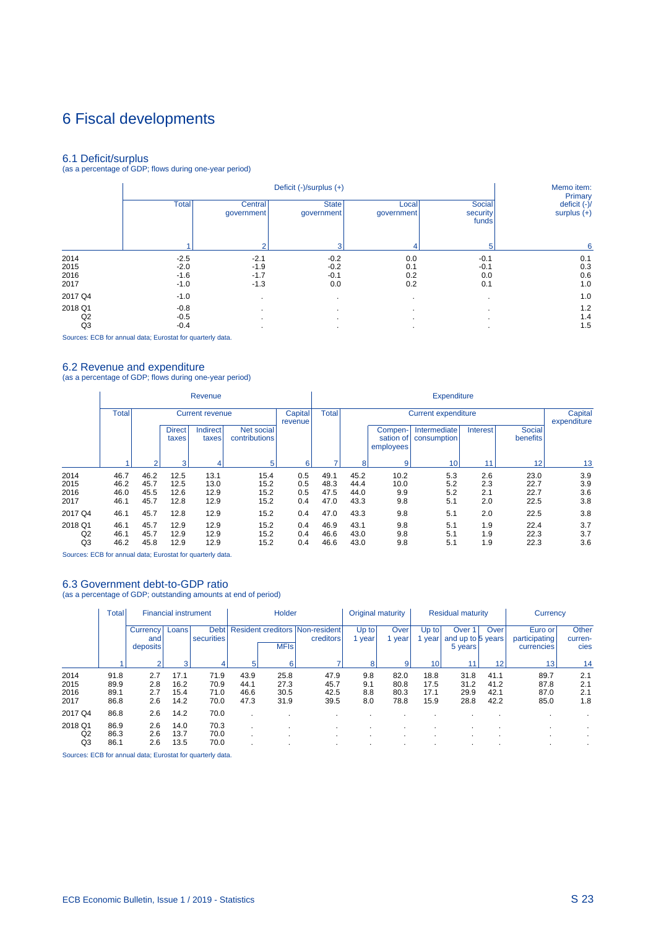# 6 Fiscal developments

6.1 Deficit/surplus (as a percentage of GDP; flows during one-year period)

|         |              |                       | Deficit (-)/surplus (+)    |                     |                             | Memo item:<br>Primary         |
|---------|--------------|-----------------------|----------------------------|---------------------|-----------------------------|-------------------------------|
|         | <b>Total</b> | Central<br>qovernment | <b>State</b><br>government | Local<br>government | Social<br>security<br>funds | deficit (-)/<br>surplus $(+)$ |
|         |              | 2                     | 3                          | 4                   | 5                           | 6                             |
| 2014    | $-2.5$       | $-2.1$                | $-0.2$                     | 0.0                 | $-0.1$                      | 0.1                           |
| 2015    | $-2.0$       | $-1.9$                | $-0.2$                     | 0.1                 | $-0.1$                      | 0.3                           |
| 2016    | $-1.6$       | $-1.7$                | $-0.1$                     | 0.2                 | 0.0                         | 0.6                           |
| 2017    | $-1.0$       | $-1.3$                | 0.0                        | 0.2                 | 0.1                         | 1.0                           |
| 2017 Q4 | $-1.0$       | $\mathbf{r}$          |                            |                     |                             | 1.0                           |
| 2018 Q1 | $-0.8$       | $\mathbf{r}$          |                            | $\cdot$             |                             | 1.2                           |
| Q2      | $-0.5$       |                       |                            |                     |                             | 1.4                           |
| Q3      | $-0.4$       | ٠                     |                            |                     |                             | 1.5                           |

Sources: ECB for annual data; Eurostat for quarterly data.

6.2 Revenue and expenditure (as a percentage of GDP; flows during one-year period)

|                                 |                              |                              |                              | Revenue                      |                              |                          |                              |                              |                                   | <b>Expenditure</b>          |                          |                              |                          |
|---------------------------------|------------------------------|------------------------------|------------------------------|------------------------------|------------------------------|--------------------------|------------------------------|------------------------------|-----------------------------------|-----------------------------|--------------------------|------------------------------|--------------------------|
|                                 | <b>Total</b>                 |                              |                              | <b>Current revenue</b>       |                              | Capital<br>revenue       | <b>Total</b>                 |                              |                                   | <b>Current expenditure</b>  |                          |                              | Capital<br>expenditure   |
|                                 |                              |                              | <b>Direct</b><br>taxes       | <b>Indirect</b><br>taxes     | Net social<br>contributions  |                          |                              |                              | Compen-<br>sation of<br>employees | Intermediate<br>consumption | Interest                 | Social<br>benefits           |                          |
|                                 |                              | ื                            | 3                            |                              | 5                            | 6                        |                              | 8                            | 9                                 | 10                          | 11                       | 12                           | 13                       |
| 2014<br>2015<br>2016<br>2017    | 46.7<br>46.2<br>46.0<br>46.1 | 46.2<br>45.7<br>45.5<br>45.7 | 12.5<br>12.5<br>12.6<br>12.8 | 13.1<br>13.0<br>12.9<br>12.9 | 15.4<br>15.2<br>15.2<br>15.2 | 0.5<br>0.5<br>0.5<br>0.4 | 49.1<br>48.3<br>47.5<br>47.0 | 45.2<br>44.4<br>44.0<br>43.3 | 10.2<br>10.0<br>9.9<br>9.8        | 5.3<br>5.2<br>5.2<br>5.1    | 2.6<br>2.3<br>2.1<br>2.0 | 23.0<br>22.7<br>22.7<br>22.5 | 3.9<br>3.9<br>3.6<br>3.8 |
| 2017 Q4                         | 46.1                         | 45.7                         | 12.8                         | 12.9                         | 15.2                         | 0.4                      | 47.0                         | 43.3                         | 9.8                               | 5.1                         | 2.0                      | 22.5                         | 3.8                      |
| 2018 Q1<br>Q <sub>2</sub><br>Q3 | 46.1<br>46.1<br>46.2         | 45.7<br>45.7<br>45.8         | 12.9<br>12.9<br>12.9         | 12.9<br>12.9<br>12.9         | 15.2<br>15.2<br>15.2         | 0.4<br>0.4<br>0.4        | 46.9<br>46.6<br>46.6         | 43.1<br>43.0<br>43.0         | 9.8<br>9.8<br>9.8                 | 5.1<br>5.1<br>5.1           | 1.9<br>1.9<br>1.9        | 22.4<br>22.3<br>22.3         | 3.7<br>3.7<br>3.6        |

Sources: ECB for annual data; Eurostat for quarterly data.

## 6.3 Government debt-to-GDP ratio

(as a percentage of GDP; outstanding amounts at end of period)

|                              | <b>Total</b>                 | <b>Financial instrument</b> |                              |                              |                              | <b>Holder</b>                |                                                     | Original maturity        |                              |                              | <b>Residual maturity</b>                          |                              | Currency                               |                          |
|------------------------------|------------------------------|-----------------------------|------------------------------|------------------------------|------------------------------|------------------------------|-----------------------------------------------------|--------------------------|------------------------------|------------------------------|---------------------------------------------------|------------------------------|----------------------------------------|--------------------------|
|                              |                              | Currency<br>and<br>deposits | Loans                        | <b>Debt</b><br>securities    |                              | <b>MFIs</b>                  | <b>Resident creditors Non-resident</b><br>creditors | Up to<br>year            | Over<br>vear                 | Up to<br>year                | Over <sup>1</sup><br>and up to 5 years<br>5 years | Over                         | Euro or<br>participating<br>currencies | Other<br>curren-<br>cies |
|                              |                              |                             | 3                            | 4                            | 5                            | 6                            |                                                     | 8                        | 9                            | 10                           |                                                   | 12                           | 13                                     | 14                       |
| 2014<br>2015<br>2016<br>2017 | 91.8<br>89.9<br>89.1<br>86.8 | 2.7<br>2.8<br>2.7<br>2.6    | 17.1<br>16.2<br>15.4<br>14.2 | 71.9<br>70.9<br>71.0<br>70.0 | 43.9<br>44.1<br>46.6<br>47.3 | 25.8<br>27.3<br>30.5<br>31.9 | 47.9<br>45.7<br>42.5<br>39.5                        | 9.8<br>9.1<br>8.8<br>8.0 | 82.0<br>80.8<br>80.3<br>78.8 | 18.8<br>17.5<br>17.1<br>15.9 | 31.8<br>31.2<br>29.9<br>28.8                      | 41.1<br>41.2<br>42.1<br>42.2 | 89.7<br>87.8<br>87.0<br>85.0           | 2.1<br>2.1<br>2.1<br>1.8 |
| 2017 Q4                      | 86.8                         | 2.6                         | 14.2                         | 70.0                         |                              |                              |                                                     |                          |                              |                              |                                                   |                              |                                        |                          |
| 2018 Q1<br>Q2<br>Q3          | 86.9<br>86.3<br>86.1         | 2.6<br>2.6<br>2.6           | 14.0<br>13.7<br>13.5         | 70.3<br>70.0<br>70.0         |                              |                              |                                                     |                          |                              | $\cdot$<br>$\cdot$           |                                                   |                              |                                        |                          |

Sources: ECB for annual data; Eurostat for quarterly data.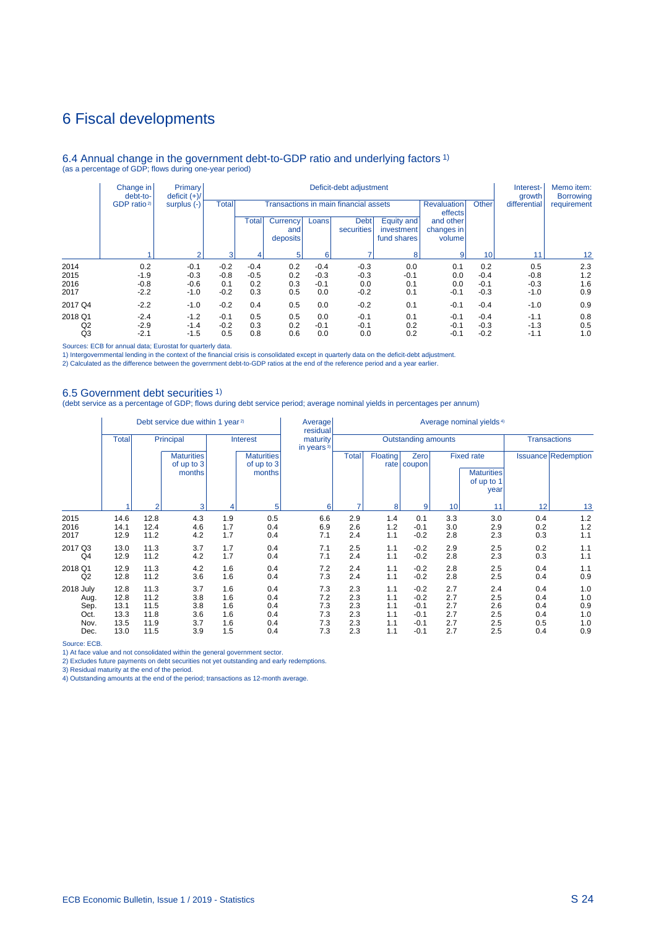## 6 Fiscal developments

### 6.4 Annual change in the government debt-to-GDP ratio and underlying factors 1) (as a percentage of GDP; flows during one-year period)

|                | Change in<br>debt-to-   | Primary<br>deficit $(+)/$ |              |              |                             |        | Deficit-debt adjustment               |                                         |                                   |        | Interest-<br>growth | Memo item:<br><b>Borrowing</b> |
|----------------|-------------------------|---------------------------|--------------|--------------|-----------------------------|--------|---------------------------------------|-----------------------------------------|-----------------------------------|--------|---------------------|--------------------------------|
|                | GDP ratio <sup>2)</sup> | surplus (-)               | <b>Total</b> |              |                             |        | Transactions in main financial assets |                                         | <b>Revaluation</b><br>effects     | Other  | differential        | requirement                    |
|                |                         | $\Omega$                  |              | <b>Total</b> | Currency<br>and<br>deposits | Loans  | <b>Debt</b><br>securities             | Equity and<br>investment<br>fund shares | and other<br>changes in<br>volume |        |                     |                                |
|                |                         |                           | 3            | 4            | 5                           | 6      |                                       | 8                                       | $\overline{9}$                    | 10     | 11                  | 12 <sup>2</sup>                |
| 2014           | 0.2                     | $-0.1$                    | $-0.2$       | $-0.4$       | 0.2                         | $-0.4$ | $-0.3$                                | 0.0                                     | 0.1                               | 0.2    | 0.5                 | 2.3                            |
| 2015           | $-1.9$                  | $-0.3$                    | $-0.8$       | $-0.5$       | 0.2                         | $-0.3$ | $-0.3$                                | $-0.1$                                  | 0.0                               | $-0.4$ | $-0.8$              | 1.2                            |
| 2016           | $-0.8$                  | $-0.6$                    | 0.1          | 0.2          | 0.3                         | $-0.1$ | 0.0                                   | 0.1                                     | 0.0                               | $-0.1$ | $-0.3$              | 1.6                            |
| 2017           | $-2.2$                  | $-1.0$                    | $-0.2$       | 0.3          | 0.5                         | 0.0    | $-0.2$                                | 0.1                                     | $-0.1$                            | $-0.3$ | $-1.0$              | 0.9                            |
| 2017 Q4        | $-2.2$                  | $-1.0$                    | $-0.2$       | 0.4          | 0.5                         | 0.0    | $-0.2$                                | 0.1                                     | $-0.1$                            | $-0.4$ | $-1.0$              | 0.9                            |
| 2018 Q1        | $-2.4$                  | $-1.2$                    | $-0.1$       | 0.5          | 0.5                         | 0.0    | $-0.1$                                | 0.1                                     | $-0.1$                            | $-0.4$ | $-1.1$              | 0.8                            |
| Q <sub>2</sub> | $-2.9$                  | $-1.4$                    | $-0.2$       | 0.3          | 0.2                         | $-0.1$ | $-0.1$                                | 0.2                                     | $-0.1$                            | $-0.3$ | $-1.3$              | 0.5                            |
| Q <sub>3</sub> | $-2.1$                  | $-1.5$                    | 0.5          | 0.8          | 0.6                         | 0.0    | 0.0                                   | 0.2                                     | $-0.1$                            | $-0.2$ | $-1.1$              | 1.0                            |

Sources: ECB for annual data; Eurostat for quarterly data.

1) Intergovernmental lending in the context of the financial crisis is consolidated except in quarterly data on the deficit-debt adjustment.<br>2) Calculated as the difference between the government debt-to-GDP ratios at the

### 6.5 Government debt securities 1)

(debt service as a percentage of GDP; flows during debt service period; average nominal yields in percentages per annum)

|                                   |                              |                              | Debt service due within 1 year <sup>2)</sup> |                          |                                           | Average<br>residual       |                          |                          |                                      |                          | Average nominal yields <sup>4)</sup>                         |                          |                            |
|-----------------------------------|------------------------------|------------------------------|----------------------------------------------|--------------------------|-------------------------------------------|---------------------------|--------------------------|--------------------------|--------------------------------------|--------------------------|--------------------------------------------------------------|--------------------------|----------------------------|
|                                   | <b>Total</b>                 |                              | Principal                                    |                          | <b>Interest</b>                           | maturity<br>in years $3)$ |                          |                          | Outstanding amounts                  |                          |                                                              |                          | <b>Transactions</b>        |
|                                   | 14.6                         |                              | <b>Maturities</b><br>of up to 3<br>months    |                          | <b>Maturities</b><br>of up to 3<br>months |                           | <b>Total</b>             | <b>Floating</b>          | Zero<br>rate   coupon                |                          | <b>Fixed rate</b><br><b>Maturities</b><br>of up to 1<br>year |                          | <b>Issuance Redemption</b> |
|                                   |                              | $\overline{2}$               | 3                                            | 4                        | 5                                         | 6                         |                          | 8                        | 9                                    | 10                       | 11                                                           | 12                       | 13                         |
| 2015<br>2016<br>2017              | 14.1<br>12.9                 | 12.8<br>12.4<br>11.2         | 4.3<br>4.6<br>4.2                            | 1.9<br>1.7<br>1.7        | 0.5<br>0.4<br>0.4                         | 6.6<br>6.9<br>7.1         | 2.9<br>2.6<br>2.4        | 1.4<br>1.2<br>1.1        | 0.1<br>$-0.1$<br>$-0.2$              | 3.3<br>3.0<br>2.8        | 3.0<br>2.9<br>2.3                                            | 0.4<br>0.2<br>0.3        | 1.2<br>1.2<br>1.1          |
| 2017 Q3<br>Q4                     | 13.0<br>12.9                 | 11.3<br>11.2                 | 3.7<br>4.2                                   | 1.7<br>1.7               | 0.4<br>0.4                                | 7.1<br>7.1                | 2.5<br>2.4               | 1.1<br>1.1               | $-0.2$<br>$-0.2$                     | 2.9<br>2.8               | 2.5<br>2.3                                                   | 0.2<br>0.3               | 1.1<br>1.1                 |
| 2018 Q1<br>Q2                     | 12.9<br>12.8                 | 11.3<br>11.2                 | 4.2<br>3.6                                   | 1.6<br>1.6               | 0.4<br>0.4                                | 7.2<br>7.3                | 2.4<br>2.4               | 1.1<br>1.1               | $-0.2$<br>$-0.2$                     | 2.8<br>2.8               | 2.5<br>2.5                                                   | 0.4<br>0.4               | 1.1<br>0.9                 |
| 2018 July<br>Aug.<br>Sep.<br>Oct. | 12.8<br>12.8<br>13.1<br>13.3 | 11.3<br>11.2<br>11.5<br>11.8 | 3.7<br>3.8<br>3.8<br>3.6                     | 1.6<br>1.6<br>1.6<br>1.6 | 0.4<br>0.4<br>0.4<br>0.4                  | 7.3<br>7.2<br>7.3<br>7.3  | 2.3<br>2.3<br>2.3<br>2.3 | 1.1<br>1.1<br>1.1<br>1.1 | $-0.2$<br>$-0.2$<br>$-0.1$<br>$-0.1$ | 2.7<br>2.7<br>2.7<br>2.7 | 2.4<br>2.5<br>2.6<br>2.5                                     | 0.4<br>0.4<br>0.4<br>0.4 | 1.0<br>1.0<br>0.9<br>1.0   |
| Nov.<br>Dec.                      | 13.5<br>13.0                 | 11.9<br>11.5                 | 3.7<br>3.9                                   | 1.6<br>1.5               | 0.4<br>0.4                                | 7.3<br>7.3                | 2.3<br>2.3               | 1.1<br>1.1               | $-0.1$<br>$-0.1$                     | 2.7<br>2.7               | 2.5<br>2.5                                                   | 0.5<br>0.4               | 1.0<br>0.9                 |

Source: ECB.

1) At face value and not consolidated within the general government sector.

2) Excludes future payments on debt securities not yet outstanding and early redemptions. 3) Residual maturity at the end of the period. 4) Outstanding amounts at the end of the period; transactions as 12-month average.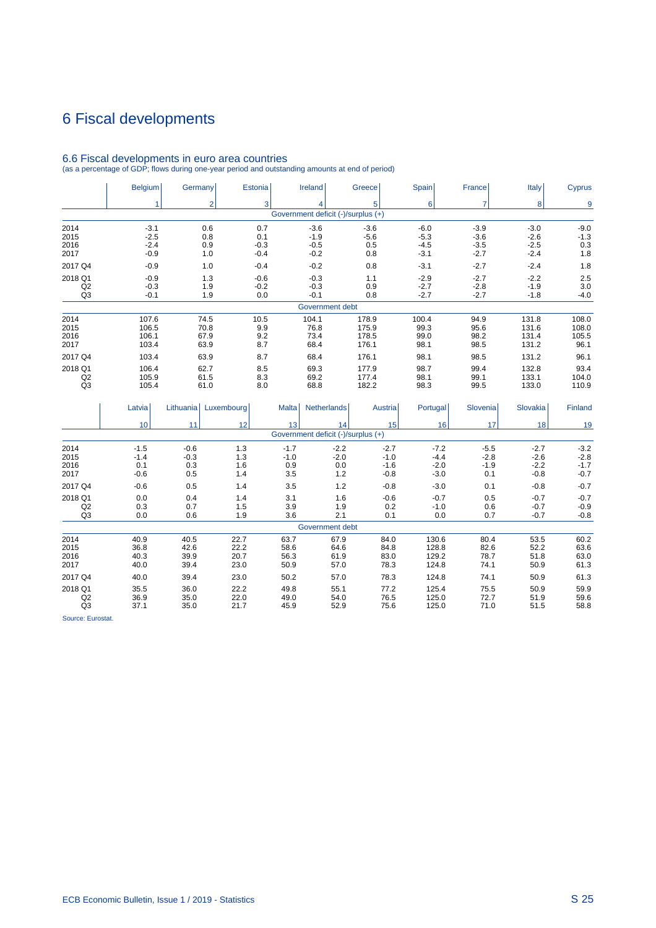# 6 Fiscal developments

|                | <b>Belgium</b> | Germany        | Estonia    | <b>Ireland</b>                     |                    | Greece          | Spain    | France         | Italy    | <b>Cyprus</b> |
|----------------|----------------|----------------|------------|------------------------------------|--------------------|-----------------|----------|----------------|----------|---------------|
|                |                | $\overline{2}$ | 3          |                                    | $\overline{4}$     | 5               | 6        | $\overline{7}$ | 8        | 9             |
|                |                |                |            | Government deficit (-)/surplus (+) |                    |                 |          |                |          |               |
| 2014           | $-3.1$         | 0.6            | 0.7        |                                    | $-3.6$             | $-3.6$          | $-6.0$   | $-3.9$         | $-3.0$   | $-9.0$        |
| 2015           | $-2.5$         | 0.8            | 0.1        |                                    | $-1.9$             | $-5.6$          | $-5.3$   | $-3.6$         | $-2.6$   | $-1.3$        |
| 2016           | $-2.4$         | 0.9            | $-0.3$     |                                    | $-0.5$             | 0.5             | $-4.5$   | $-3.5$         | $-2.5$   | 0.3           |
| 2017           | $-0.9$         | 1.0            | $-0.4$     |                                    | $-0.2$             | 0.8             | $-3.1$   | $-2.7$         | $-2.4$   | 1.8           |
| 2017 Q4        | $-0.9$         | 1.0            | $-0.4$     |                                    | $-0.2$             | 0.8             | $-3.1$   | $-2.7$         | $-2.4$   | 1.8           |
| 2018 Q1        | $-0.9$         | 1.3            | $-0.6$     |                                    | $-0.3$             | 1.1             | $-2.9$   | $-2.7$         | $-2.2$   | 2.5           |
| Q2             | $-0.3$         | 1.9            | $-0.2$     |                                    | $-0.3$             | 0.9             | $-2.7$   | $-2.8$         | $-1.9$   | 3.0           |
| Q <sub>3</sub> | $-0.1$         | 1.9            | 0.0        |                                    | $-0.1$             | 0.8             | $-2.7$   | $-2.7$         | $-1.8$   | $-4.0$        |
|                |                |                |            |                                    | Government debt    |                 |          |                |          |               |
| 2014           | 107.6          | 74.5           | 10.5       | 104.1                              |                    | 178.9           | 100.4    | 94.9           | 131.8    | 108.0         |
| 2015           | 106.5          | 70.8           | 9.9        |                                    | 76.8               | 175.9           | 99.3     | 95.6           | 131.6    | 108.0         |
| 2016           | 106.1          | 67.9           | 9.2        |                                    | 73.4               | 178.5           | 99.0     | 98.2           | 131.4    | 105.5         |
| 2017           | 103.4          | 63.9           | 8.7        |                                    | 68.4               | 176.1           | 98.1     | 98.5           | 131.2    | 96.1          |
| 2017 Q4        | 103.4          | 63.9           | 8.7        |                                    | 68.4               | 176.1           | 98.1     | 98.5           | 131.2    | 96.1          |
| 2018 Q1        | 106.4          | 62.7           | 8.5        |                                    | 69.3               | 177.9           | 98.7     | 99.4           | 132.8    | 93.4          |
| Q2             | 105.9          | 61.5           | 8.3        |                                    | 69.2               | 177.4           | 98.1     | 99.1           | 133.1    | 104.0         |
| Q3             | 105.4          | 61.0           | 8.0        |                                    | 68.8               | 182.2           | 98.3     | 99.5           | 133.0    | 110.9         |
|                | Latvia         | Lithuania      | Luxembourg | <b>Malta</b>                       | <b>Netherlands</b> | Austria         | Portugal | Slovenia       | Slovakia | Finland       |
|                | 10             | 11             | 12         | 13                                 | 14                 | 15 <sup>1</sup> | 16       | 17             | 18       | 19            |
|                |                |                |            | Government deficit (-)/surplus (+) |                    |                 |          |                |          |               |
| 2014           | $-1.5$         | $-0.6$         | 1.3        | $-1.7$                             | $-2.2$             | $-2.7$          | $-7.2$   | $-5.5$         | $-2.7$   | $-3.2$        |
| 2015           | $-1.4$         | $-0.3$         | 1.3        | $-1.0$                             | $-2.0$             | $-1.0$          | $-4.4$   | $-2.8$         | $-2.6$   | $-2.8$        |
| 2016           | 0.1            | 0.3            | 1.6        | 0.9                                | 0.0                | $-1.6$          | $-2.0$   | $-1.9$         | $-2.2$   | $-1.7$        |
| 2017           | $-0.6$         | 0.5            | 1.4        | 3.5                                | 1.2                | $-0.8$          | $-3.0$   | 0.1            | $-0.8$   | $-0.7$        |
| 2017 Q4        | $-0.6$         | 0.5            | 1.4        | 3.5                                | 1.2                | $-0.8$          | $-3.0$   | 0.1            | $-0.8$   | $-0.7$        |
| 2018 Q1        | 0.0            | 0.4            | 1.4        | 3.1                                | 1.6                | $-0.6$          | $-0.7$   | 0.5            | $-0.7$   | $-0.7$        |
| Q2             | 0.3            | 0.7            | 1.5        | 3.9                                | 1.9                | 0.2             | $-1.0$   | 0.6            | $-0.7$   | $-0.9$        |
| Q <sub>3</sub> | 0.0            | 0.6            | 1.9        | 3.6                                | 2.1                | 0.1             | 0.0      | 0.7            | $-0.7$   | $-0.8$        |
|                |                |                |            |                                    | Government debt    |                 |          |                |          |               |
| 2014           | 40.9           | 40.5           | 22.7       | 63.7                               | 67.9               | 84.0            | 130.6    | 80.4           | 53.5     | 60.2          |
| 2015           | 36.8           | 42.6           | 22.2       | 58.6                               | 64.6               | 84.8            | 128.8    | 82.6           | 52.2     | 63.6          |
| 2016           | 40.3           | 39.9           | 20.7       | 56.3                               | 61.9               | 83.0            | 129.2    | 78.7           | 51.8     | 63.0          |

2017 40.0 39.4 23.0 50.9 57.0 78.3 124.8 74.1 50.9 61.3 2017 Q4 40.0 39.4 23.0 50.2 57.0 78.3 124.8 74.1 50.9 61.3 2018 Q1 35.5 36.0 22.2 49.8 55.1 77.2 125.4 75.5 50.9 59.9 Q2 36.9 35.0 22.0 49.0 54.0 76.5 125.0 72.7 51.9 59.6 Q3 37.1 35.0 21.7 45.9 52.9 75.6 125.0 71.0 51.5 58.8

## 6.6 Fiscal developments in euro area countries

(as a percentage of GDP; flows during one-year period and outstanding amounts at end of period)

Source: Eurostat.